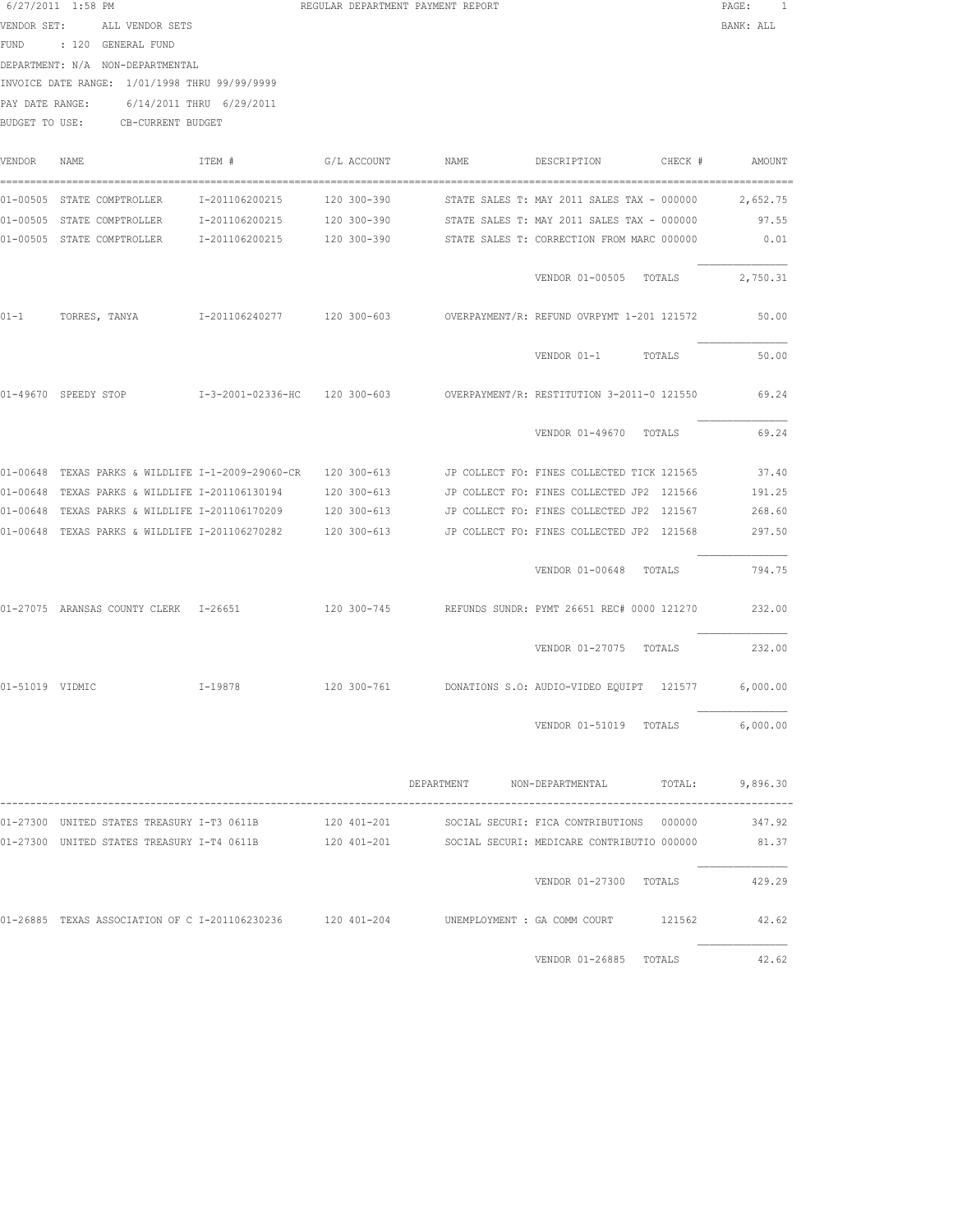|                 | 6/27/2011 1:58 PM                                          |                          |             | REGULAR DEPARTMENT PAYMENT REPORT |                                                                                                          | PAGE:     |
|-----------------|------------------------------------------------------------|--------------------------|-------------|-----------------------------------|----------------------------------------------------------------------------------------------------------|-----------|
| VENDOR SET:     | ALL VENDOR SETS                                            |                          |             |                                   |                                                                                                          | BANK: ALL |
|                 | FUND : 120 GENERAL FUND                                    |                          |             |                                   |                                                                                                          |           |
|                 | DEPARTMENT: N/A NON-DEPARTMENTAL                           |                          |             |                                   |                                                                                                          |           |
|                 | INVOICE DATE RANGE: 1/01/1998 THRU 99/99/9999              |                          |             |                                   |                                                                                                          |           |
| PAY DATE RANGE: |                                                            | 6/14/2011 THRU 6/29/2011 |             |                                   |                                                                                                          |           |
|                 | BUDGET TO USE: CB-CURRENT BUDGET                           |                          |             |                                   |                                                                                                          |           |
|                 |                                                            |                          |             |                                   |                                                                                                          |           |
| VENDOR          | NAME                                                       | ITEM #                   | G/L ACCOUNT | NAME                              | DESCRIPTION<br>CHECK #                                                                                   | AMOUNT    |
|                 |                                                            |                          |             |                                   |                                                                                                          |           |
|                 | 01-00505 STATE COMPTROLLER                                 | I-201106200215           | 120 300-390 |                                   | STATE SALES T: MAY 2011 SALES TAX - 000000                                                               | 2,652.75  |
|                 |                                                            |                          |             |                                   | 01-00505 STATE COMPTROLLER 1-201106200215 120 300-390 STATE SALES T: MAY 2011 SALES TAX - 000000         | 97.55     |
|                 |                                                            |                          |             |                                   | 01-00505 STATE COMPTROLLER 1-201106200215 120 300-390 STATE SALES T: CORRECTION FROM MARC 000000         | 0.01      |
|                 |                                                            |                          |             |                                   |                                                                                                          |           |
|                 |                                                            |                          |             |                                   | VENDOR 01-00505 TOTALS                                                                                   | 2,750.31  |
|                 |                                                            |                          |             |                                   |                                                                                                          |           |
| $01 - 1$        | TORRES, TANYA 1-201106240277 120 300-603                   |                          |             |                                   | OVERPAYMENT/R: REFUND OVRPYMT 1-201 121572                                                               | 50.00     |
|                 |                                                            |                          |             |                                   |                                                                                                          |           |
|                 |                                                            |                          |             |                                   | VENDOR 01-1<br>TOTALS                                                                                    | 50.00     |
|                 |                                                            |                          |             |                                   |                                                                                                          |           |
|                 |                                                            |                          |             |                                   | 01-49670 SPEEDY STOP 121550 1-3-2001-02336-HC 120 300-603 0VERPAYMENT/R: RESTITUTION 3-2011-0 121550     | 69.24     |
|                 |                                                            |                          |             |                                   |                                                                                                          |           |
|                 |                                                            |                          |             |                                   | VENDOR 01-49670 TOTALS                                                                                   | 69.24     |
|                 |                                                            |                          |             |                                   |                                                                                                          |           |
|                 |                                                            |                          |             |                                   | 01-00648 TEXAS PARKS & WILDLIFE I-1-2009-29060-CR 120 300-613 JP COLLECT FO: FINES COLLECTED TICK 121565 | 37.40     |
|                 | 01-00648 TEXAS PARKS & WILDLIFE I-201106130194             |                          | 120 300-613 |                                   | JP COLLECT FO: FINES COLLECTED JP2 121566                                                                | 191.25    |
|                 | 01-00648 TEXAS PARKS & WILDLIFE I-201106170209             |                          | 120 300-613 |                                   | JP COLLECT FO: FINES COLLECTED JP2 121567                                                                | 268.60    |
|                 | 01-00648 TEXAS PARKS & WILDLIFE I-201106270282             |                          | 120 300-613 |                                   | JP COLLECT FO: FINES COLLECTED JP2 121568                                                                | 297.50    |
|                 |                                                            |                          |             |                                   |                                                                                                          |           |
|                 |                                                            |                          |             |                                   | VENDOR 01-00648 TOTALS                                                                                   | 794.75    |
|                 |                                                            |                          |             |                                   |                                                                                                          |           |
|                 | 01-27075 ARANSAS COUNTY CLERK I-26651                      |                          |             |                                   | 120 300-745 REFUNDS SUNDR: PYMT 26651 REC# 0000 121270                                                   | 232.00    |
|                 |                                                            |                          |             |                                   |                                                                                                          |           |
|                 |                                                            |                          |             |                                   | VENDOR 01-27075 TOTALS                                                                                   | 232.00    |
|                 |                                                            |                          |             |                                   |                                                                                                          |           |
| 01-51019 VIDMIC |                                                            |                          |             |                                   | I-19878 120 300-761 DONATIONS S.O: AUDIO-VIDEO EOUIPT 121577                                             | 6,000.00  |
|                 |                                                            |                          |             |                                   |                                                                                                          |           |
|                 |                                                            |                          |             |                                   | VENDOR 01-51019 TOTALS                                                                                   | 6,000.00  |
|                 |                                                            |                          |             |                                   |                                                                                                          |           |
|                 |                                                            |                          |             |                                   |                                                                                                          |           |
|                 |                                                            |                          |             |                                   | DEPARTMENT NON-DEPARTMENTAL TOTAL: 9,896.30                                                              |           |
|                 |                                                            |                          |             |                                   |                                                                                                          |           |
|                 |                                                            |                          |             |                                   | 01-27300 UNITED STATES TREASURY I-T3 0611B 120 401-201 SOCIAL SECURI: FICA CONTRIBUTIONS 000000          | 347.92    |
|                 |                                                            |                          |             |                                   | 01-27300 UNITED STATES TREASURY I-T4 0611B 120 401-201 SOCIAL SECURI: MEDICARE CONTRIBUTIO 000000 81.37  |           |
|                 |                                                            |                          |             |                                   |                                                                                                          |           |
|                 |                                                            |                          |             |                                   | VENDOR 01-27300 TOTALS 429.29                                                                            |           |
|                 |                                                            |                          |             |                                   |                                                                                                          |           |
|                 | 01-26885 TEXAS ASSOCIATION OF C I-201106230236 120 401-204 |                          |             |                                   | UNEMPLOYMENT : GA COMM COURT<br>121562                                                                   | 42.62     |

VENDOR 01-26885 TOTALS 42.62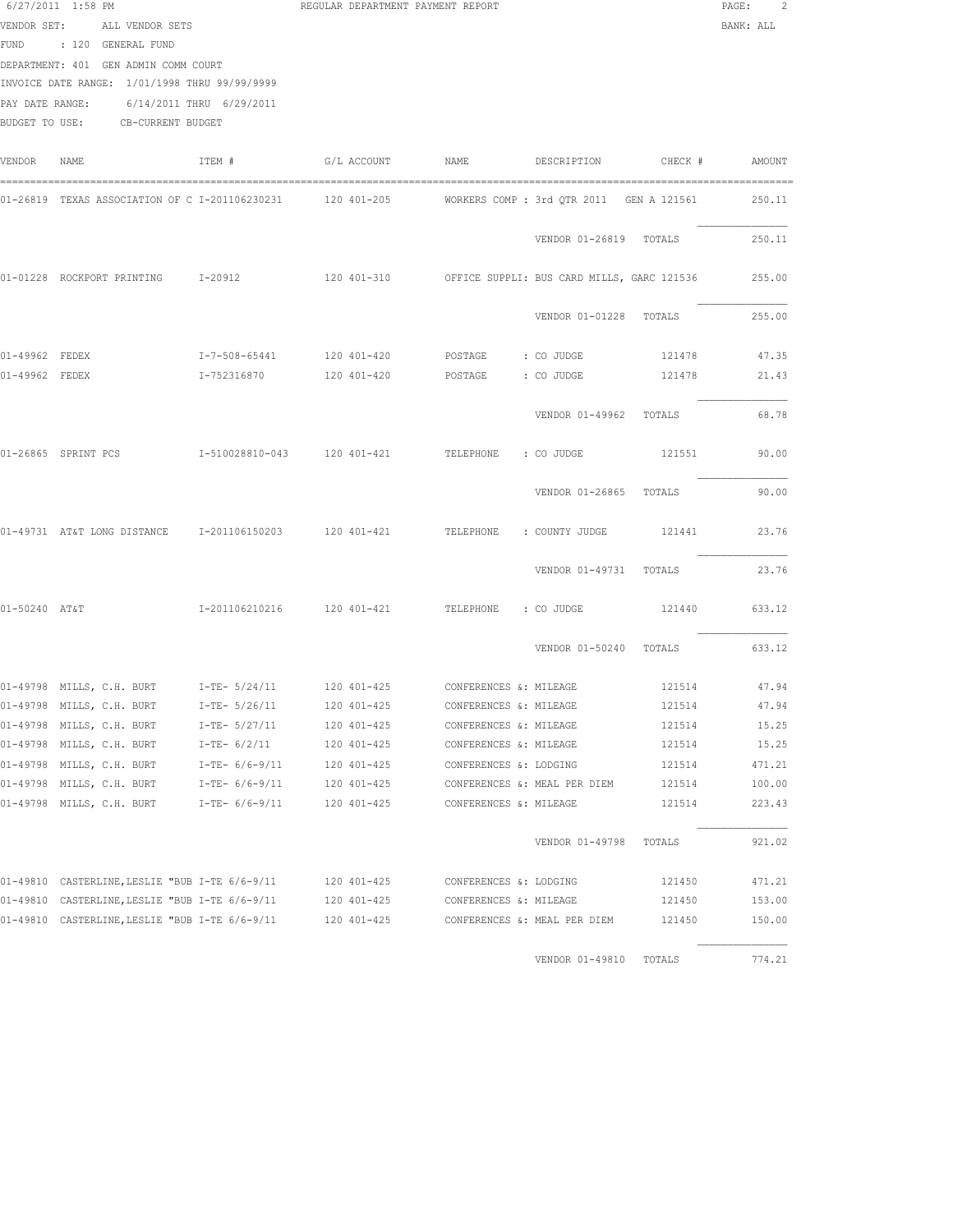|                | $6/27/2011$ 1:58 PM<br>VENDOR SET: ALL VENDOR SETS<br>FUND : 120 GENERAL FUND<br>DEPARTMENT: 401 GEN ADMIN COMM COURT<br>INVOICE DATE RANGE: 1/01/1998 THRU 99/99/9999<br>PAY DATE RANGE: 6/14/2011 THRU 6/29/2011 |                | REGULAR DEPARTMENT PAYMENT REPORT                      |                        |                               |        | PAGE:<br>2<br>BANK: ALL |
|----------------|--------------------------------------------------------------------------------------------------------------------------------------------------------------------------------------------------------------------|----------------|--------------------------------------------------------|------------------------|-------------------------------|--------|-------------------------|
|                | BUDGET TO USE: CB-CURRENT BUDGET                                                                                                                                                                                   |                |                                                        |                        |                               |        |                         |
| VENDOR         | NAME                                                                                                                                                                                                               | ITEM #         | G/L ACCOUNT NAME                                       |                        | DESCRIPTION CHECK #           |        | AMOUNT                  |
|                | 01-26819 TEXAS ASSOCIATION OF C I-201106230231        120 401-205         WORKERS COMP : 3rd QTR 2011  GEN A 121561                                                                                                |                |                                                        |                        |                               |        | 250.11                  |
|                |                                                                                                                                                                                                                    |                |                                                        |                        | VENDOR 01-26819 TOTALS        |        | 250.11                  |
|                | 01-01228 ROCKPORT PRINTING 1-20912                                                                                                                                                                                 |                | 120 401-310 OFFICE SUPPLI: BUS CARD MILLS, GARC 121536 |                        |                               |        | 255.00                  |
|                |                                                                                                                                                                                                                    |                |                                                        |                        | VENDOR 01-01228 TOTALS        |        | 255.00                  |
| 01-49962 FEDEX |                                                                                                                                                                                                                    |                | I-7-508-65441 120 401-420 POSTAGE : CO JUDGE           |                        |                               | 121478 | 47.35                   |
| 01-49962 FEDEX |                                                                                                                                                                                                                    |                |                                                        |                        |                               |        | 21.43                   |
|                |                                                                                                                                                                                                                    |                |                                                        |                        | VENDOR 01-49962 TOTALS        |        | 68.78                   |
|                | 01-26865 SPRINT PCS                                                                                                                                                                                                |                | I-510028810-043 120 401-421                            | TELEPHONE : CO JUDGE   |                               | 121551 | 90.00                   |
|                |                                                                                                                                                                                                                    |                |                                                        |                        | VENDOR 01-26865 TOTALS        |        | 90.00                   |
|                | 01-49731 AT&T LONG DISTANCE 1-201106150203 120 401-421 TELEPHONE : COUNTY JUDGE                                                                                                                                    |                |                                                        |                        |                               | 121441 | 23.76                   |
|                |                                                                                                                                                                                                                    |                |                                                        |                        | VENDOR 01-49731 TOTALS        |        | 23.76                   |
| 01-50240 AT&T  |                                                                                                                                                                                                                    |                |                                                        |                        |                               | 121440 | 633.12                  |
|                |                                                                                                                                                                                                                    |                |                                                        |                        | VENDOR 01-50240 TOTALS 633.12 |        |                         |
|                | 01-49798 MILLS, C.H. BURT 1-TE- 5/24/11 120 401-425 CONFERENCES &: MILEAGE 121514 47.94                                                                                                                            |                |                                                        |                        |                               |        |                         |
|                | 01-49798 MILLS, C.H. BURT                                                                                                                                                                                          | $I-TE-5/26/11$ | 120 401-425                                            | CONFERENCES &: MILEAGE |                               | 121514 | 47.94                   |
|                | 01-49798 MILLS, C.H. BURT                                                                                                                                                                                          | I-TE- 5/27/11  | 120 401-425                                            | CONFERENCES &: MILEAGE |                               | 121514 | 15.25                   |
|                | 01-49798 MILLS, C.H. BURT                                                                                                                                                                                          | $I-TE- 6/2/11$ | 120 401-425                                            | CONFERENCES &: MILEAGE |                               | 121514 | 15.25                   |
|                | 01-49798 MILLS, C.H. BURT                                                                                                                                                                                          | I-TE- 6/6-9/11 | 120 401-425                                            | CONFERENCES &: LODGING |                               | 121514 | 471.21                  |
|                | 01-49798 MILLS, C.H. BURT                                                                                                                                                                                          | I-TE- 6/6-9/11 | 120 401-425                                            |                        | CONFERENCES &: MEAL PER DIEM  | 121514 | 100.00                  |
|                | 01-49798 MILLS, C.H. BURT I-TE- 6/6-9/11                                                                                                                                                                           |                | 120 401-425                                            | CONFERENCES &: MILEAGE |                               | 121514 | 223.43                  |
|                |                                                                                                                                                                                                                    |                |                                                        |                        | VENDOR 01-49798 TOTALS        |        | 921.02                  |
|                | 01-49810 CASTERLINE, LESLIE "BUB I-TE 6/6-9/11 120 401-425                                                                                                                                                         |                |                                                        | CONFERENCES &: LODGING |                               | 121450 | 471.21                  |
|                | 01-49810 CASTERLINE, LESLIE "BUB I-TE 6/6-9/11 120 401-425                                                                                                                                                         |                |                                                        | CONFERENCES &: MILEAGE |                               | 121450 | 153.00                  |
|                | 01-49810 CASTERLINE, LESLIE "BUB I-TE 6/6-9/11 120 401-425                                                                                                                                                         |                |                                                        |                        | CONFERENCES &: MEAL PER DIEM  | 121450 | 150.00                  |
|                |                                                                                                                                                                                                                    |                |                                                        |                        | VENDOR 01-49810 TOTALS        |        | 774.21                  |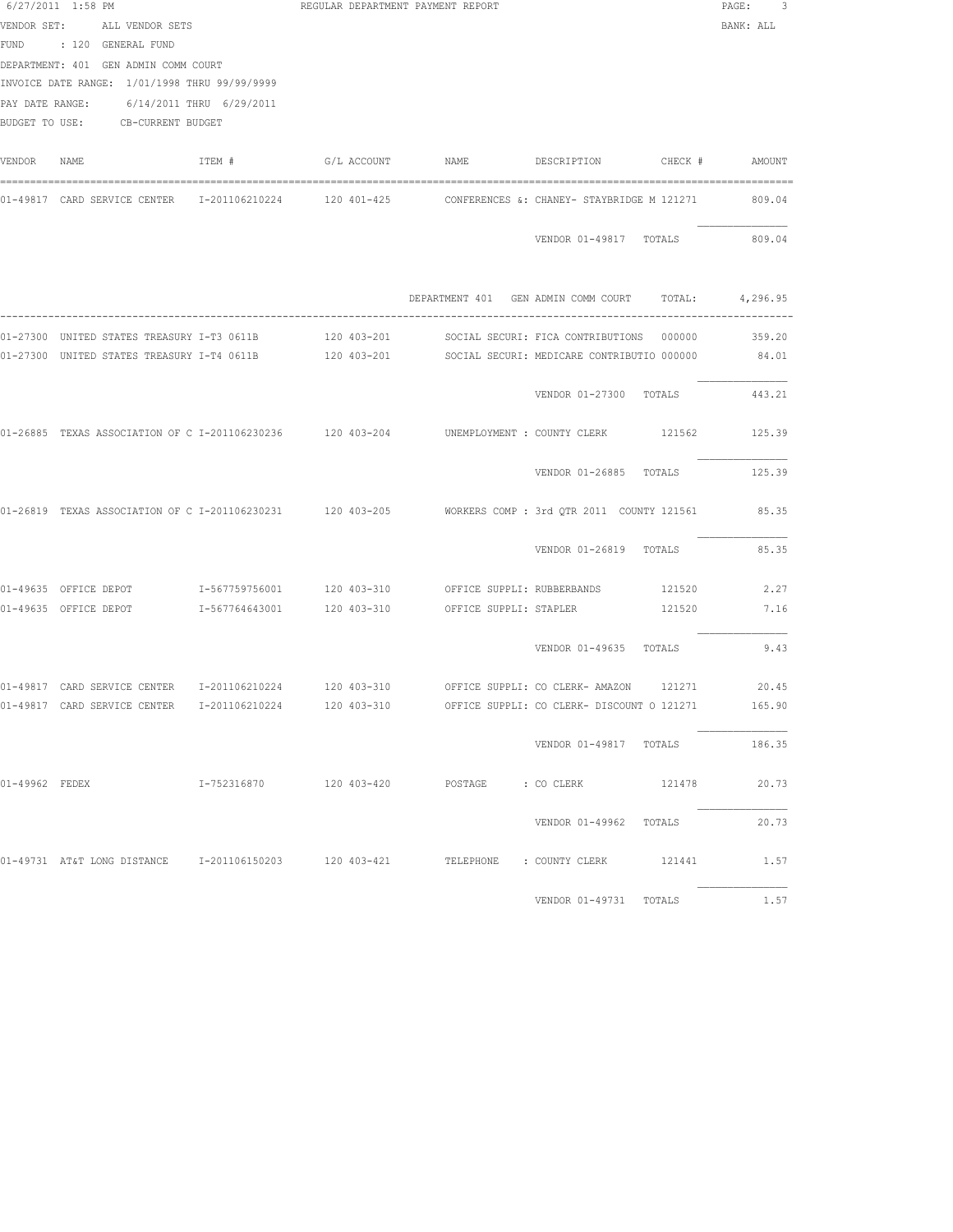|                | 6/27/2011 1:58 PM                             |        | REGULAR DEPARTMENT PAYMENT REPORT |                                                                                                            | PAGE:<br>-3-    |
|----------------|-----------------------------------------------|--------|-----------------------------------|------------------------------------------------------------------------------------------------------------|-----------------|
|                | VENDOR SET: ALL VENDOR SETS                   |        |                                   |                                                                                                            | BANK: ALL       |
|                | FUND : 120 GENERAL FUND                       |        |                                   |                                                                                                            |                 |
|                | DEPARTMENT: 401 GEN ADMIN COMM COURT          |        |                                   |                                                                                                            |                 |
|                | INVOICE DATE RANGE: 1/01/1998 THRU 99/99/9999 |        |                                   |                                                                                                            |                 |
|                | PAY DATE RANGE: 6/14/2011 THRU 6/29/2011      |        |                                   |                                                                                                            |                 |
|                | BUDGET TO USE: CB-CURRENT BUDGET              |        |                                   |                                                                                                            |                 |
| VENDOR NAME    |                                               | ITEM # |                                   |                                                                                                            |                 |
|                |                                               |        |                                   | 01-49817 CARD SERVICE CENTER 1-201106210224 120 401-425 CONFERENCES &: CHANEY- STAYBRIDGE M 121271         | 809.04          |
|                |                                               |        |                                   | VENDOR 01-49817 TOTALS                                                                                     | 809.04          |
|                |                                               |        |                                   | DEPARTMENT 401 GEN ADMIN COMM COURT TOTAL: 4,296.95                                                        |                 |
|                |                                               |        |                                   |                                                                                                            |                 |
|                |                                               |        |                                   | 01-27300 UNITED STATES TREASURY I-T3 0611B 120 403-201 SOCIAL SECURI: FICA CONTRIBUTIONS 000000 359.20     |                 |
|                |                                               |        |                                   | 01-27300 UNITED STATES TREASURY I-T4 0611B 120 403-201 SOCIAL SECURI: MEDICARE CONTRIBUTIO 000000 84.01    |                 |
|                |                                               |        |                                   | VENDOR 01-27300 TOTALS 443.21                                                                              |                 |
|                |                                               |        |                                   | 01-26885 TEXAS ASSOCIATION OF C I-201106230236 120 403-204 UNEMPLOYMENT : COUNTY CLERK 121562 125.39       |                 |
|                |                                               |        |                                   | VENDOR 01-26885 TOTALS                                                                                     | 125.39          |
|                |                                               |        |                                   | 01-26819 TEXAS ASSOCIATION OF C I-201106230231 120 403-205 NORKERS COMP : 3rd QTR 2011 COUNTY 121561 85.35 |                 |
|                |                                               |        |                                   | VENDOR 01-26819 TOTALS                                                                                     | 85.35           |
|                |                                               |        |                                   | 01-49635 OFFICE DEPOT T-567759756001 120 403-310 OFFICE SUPPLI: RUBBERBANDS 121520                         | 2.27            |
|                |                                               |        |                                   | 01-49635 OFFICE DEPOT 1-567764643001 120 403-310 OFFICE SUPPLI: STAPLER 121520 7.16                        |                 |
|                |                                               |        |                                   | VENDOR 01-49635 TOTALS                                                                                     | 9.43            |
|                |                                               |        |                                   | 01-49817 CARD SERVICE CENTER 1-201106210224 120 403-310 OFFICE SUPPLI: CO CLERK- AMAZON 121271             |                 |
|                |                                               |        |                                   | 01-49817 CARD SERVICE CENTER 1-201106210224 120 403-310 OFFICE SUPPLI: CO CLERK- DISCOUNT O 121271         | 20.45<br>165.90 |
|                |                                               |        |                                   |                                                                                                            |                 |
|                |                                               |        |                                   | VENDOR 01-49817 TOTALS 186.35                                                                              |                 |
| 01-49962 FEDEX |                                               |        |                                   |                                                                                                            | 20.73           |
|                |                                               |        |                                   | VENDOR 01-49962 TOTALS                                                                                     | 20.73           |
|                |                                               |        |                                   | 01-49731 AT&T LONG DISTANCE 1-201106150203 120 403-421 TELEPHONE : COUNTY CLERK 121441 1.57                |                 |
|                |                                               |        |                                   | VENDOR 01-49731 TOTALS                                                                                     | 1.57            |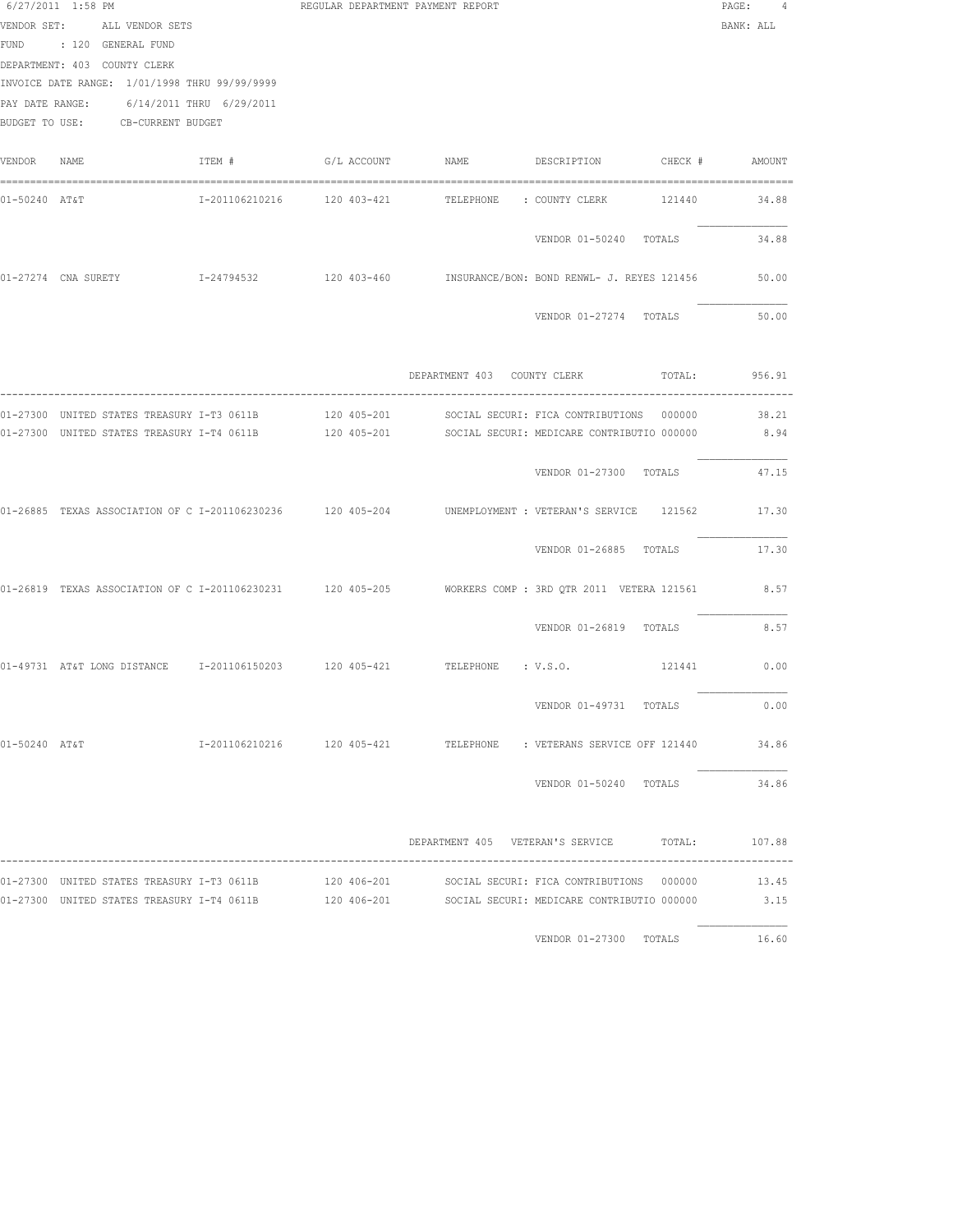|               | VENDOR SET: ALL VENDOR SETS<br>FUND : 120 GENERAL FUND                                                                                                        |        | REGULAR DEPARTMENT PAYMENT REPORT |                                                                                                           | $\texttt{PAGE}$ :<br>BANK: ALL |
|---------------|---------------------------------------------------------------------------------------------------------------------------------------------------------------|--------|-----------------------------------|-----------------------------------------------------------------------------------------------------------|--------------------------------|
|               | DEPARTMENT: 403 COUNTY CLERK<br>INVOICE DATE RANGE: 1/01/1998 THRU 99/99/9999<br>PAY DATE RANGE: 6/14/2011 THRU 6/29/2011<br>BUDGET TO USE: CB-CURRENT BUDGET |        |                                   |                                                                                                           |                                |
| VENDOR NAME   |                                                                                                                                                               | ITEM # |                                   |                                                                                                           |                                |
| 01-50240 AT&T |                                                                                                                                                               |        |                                   |                                                                                                           | 34.88                          |
|               |                                                                                                                                                               |        |                                   | VENDOR 01-50240 TOTALS                                                                                    | 34.88                          |
|               |                                                                                                                                                               |        |                                   | 01-27274 CNA SURETY CON T-24794532 120 403-460 INSURANCE/BON: BOND RENWL- J. REYES 121456                 | 50.00                          |
|               |                                                                                                                                                               |        |                                   | VENDOR 01-27274 TOTALS                                                                                    | 50.00                          |
|               |                                                                                                                                                               |        |                                   | DEPARTMENT 403 COUNTY CLERK TOTAL: 956.91                                                                 |                                |
|               |                                                                                                                                                               |        |                                   | 01-27300 UNITED STATES TREASURY I-T3 0611B 120 405-201 SOCIAL SECURI: FICA CONTRIBUTIONS 000000           | 38.21                          |
|               |                                                                                                                                                               |        |                                   | 01-27300 UNITED STATES TREASURY I-T4 0611B 120 405-201 SOCIAL SECURI: MEDICARE CONTRIBUTIO 000000         | 8.94                           |
|               |                                                                                                                                                               |        |                                   | VENDOR 01-27300 TOTALS                                                                                    | 47.15                          |
|               |                                                                                                                                                               |        |                                   | 01-26885 TEXAS ASSOCIATION OF C I-201106230236 120 405-204 UNEMPLOYMENT : VETERAN'S SERVICE 121562        | 17.30                          |
|               |                                                                                                                                                               |        |                                   | VENDOR 01-26885 TOTALS                                                                                    | 17.30                          |
|               |                                                                                                                                                               |        |                                   | 01-26819 TEXAS ASSOCIATION OF C I-201106230231 120 405-205 WORKERS COMP : 3RD QTR 2011 VETERA 121561 8.57 |                                |
|               |                                                                                                                                                               |        |                                   | VENDOR 01-26819 TOTALS                                                                                    | 8.57                           |
|               |                                                                                                                                                               |        |                                   | 01-49731 AT&T LONG DISTANCE 1-201106150203 120 405-421 TELEPHONE : V.S.O.                                 | 121441 0.00                    |
|               |                                                                                                                                                               |        |                                   | VENDOR 01-49731 TOTALS                                                                                    | 0.00                           |
|               |                                                                                                                                                               |        |                                   |                                                                                                           |                                |
|               |                                                                                                                                                               |        |                                   |                                                                                                           | VENDOR 01-50240 TOTALS 34.86   |
|               |                                                                                                                                                               |        |                                   | DEPARTMENT 405 VETERAN'S SERVICE TOTAL: 107.88                                                            |                                |
|               |                                                                                                                                                               |        |                                   |                                                                                                           |                                |
|               |                                                                                                                                                               |        |                                   | 01-27300 UNITED STATES TREASURY I-T4 0611B 120 406-201 SOCIAL SECURI: MEDICARE CONTRIBUTIO 000000 3.15    |                                |
|               |                                                                                                                                                               |        |                                   | VENDOR 01-27300 TOTALS                                                                                    | 16.60                          |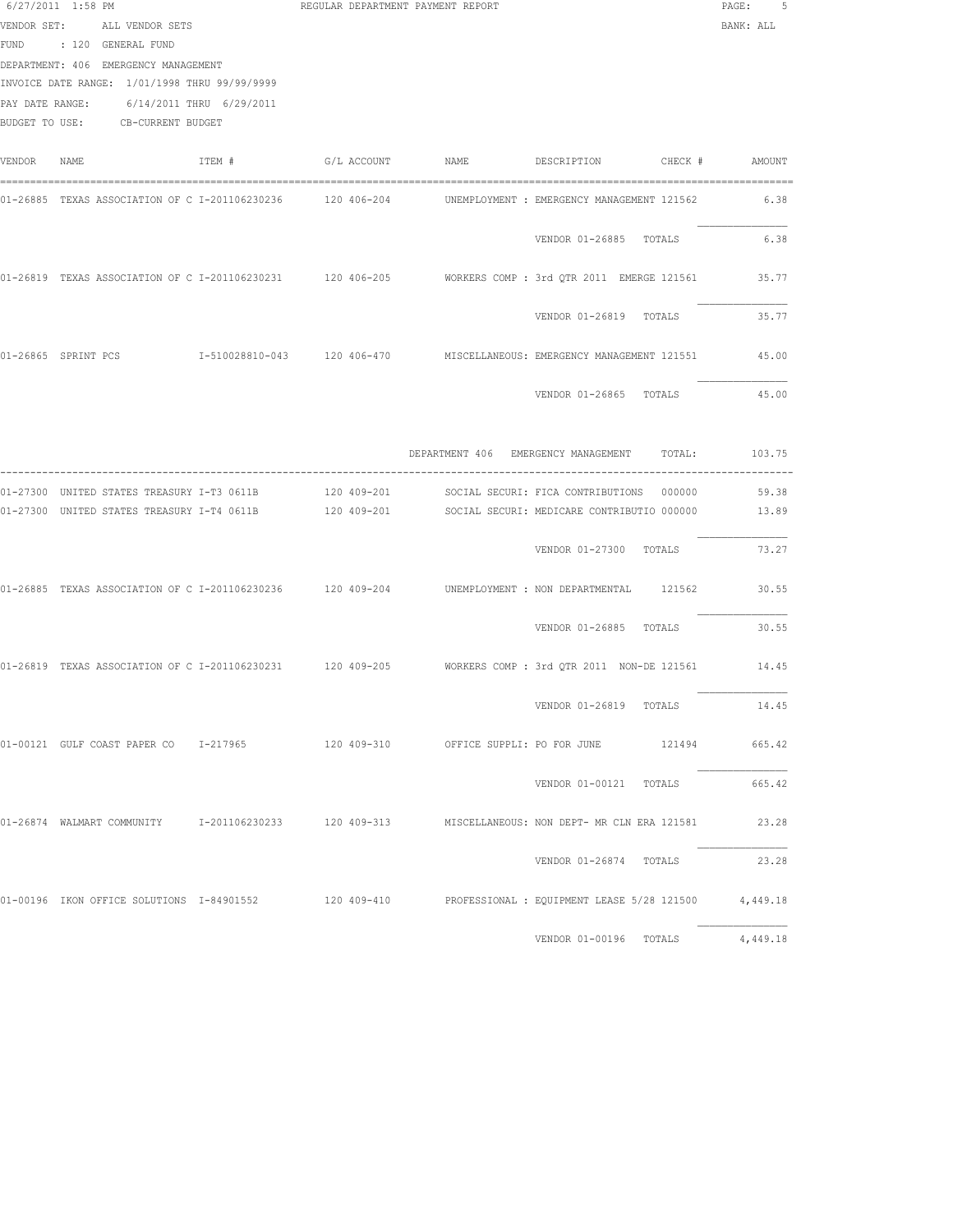|             | 6/27/2011 1:58 PM<br>VENDOR SET: ALL VENDOR SETS<br>FUND : 120 GENERAL FUND<br>DEPARTMENT: 406 EMERGENCY MANAGEMENT<br>INVOICE DATE RANGE: 1/01/1998 THRU 99/99/9999<br>PAY DATE RANGE: 6/14/2011 THRU 6/29/2011<br>BUDGET TO USE: CB-CURRENT BUDGET |        | REGULAR DEPARTMENT PAYMENT REPORT |                                                                                                           | PAGE:<br>5<br>BANK: ALL |
|-------------|------------------------------------------------------------------------------------------------------------------------------------------------------------------------------------------------------------------------------------------------------|--------|-----------------------------------|-----------------------------------------------------------------------------------------------------------|-------------------------|
| VENDOR NAME |                                                                                                                                                                                                                                                      | ITEM # |                                   | G/L ACCOUNT MAME DESCRIPTION CHECK # AMOUNT                                                               |                         |
|             |                                                                                                                                                                                                                                                      |        |                                   | UNEMPLOYMENT : EMERGENCY MANAGEMENT 121562                                                                | 6.38                    |
|             |                                                                                                                                                                                                                                                      |        |                                   | VENDOR 01-26885 TOTALS                                                                                    | 6.38                    |
|             |                                                                                                                                                                                                                                                      |        |                                   | 01-26819 TEXAS ASSOCIATION OF C I-201106230231 120 406-205 WORKERS COMP: 3rd QTR 2011 EMERGE 121561       | 35.77                   |
|             |                                                                                                                                                                                                                                                      |        |                                   | VENDOR 01-26819 TOTALS                                                                                    | 35.77                   |
|             |                                                                                                                                                                                                                                                      |        |                                   | 01-26865 SPRINT PCS 65 1-510028810-043 120 406-470 MISCELLANEOUS: EMERGENCY MANAGEMENT 121551 45.00       |                         |
|             |                                                                                                                                                                                                                                                      |        |                                   | VENDOR 01-26865 TOTALS                                                                                    | 45.00                   |
|             |                                                                                                                                                                                                                                                      |        |                                   | DEPARTMENT 406 EMERGENCY MANAGEMENT TOTAL:                                                                | 103.75                  |
|             | 01-27300 UNITED STATES TREASURY I-T3 0611B<br>01-27300 UNITED STATES TREASURY I-T4 0611B                                                                                                                                                             |        | 120 409-201<br>120 409-201        | SOCIAL SECURI: FICA CONTRIBUTIONS 000000<br>SOCIAL SECURI: MEDICARE CONTRIBUTIO 000000                    | 59.38<br>13.89          |
|             |                                                                                                                                                                                                                                                      |        |                                   | VENDOR 01-27300 TOTALS                                                                                    | 73.27                   |
|             |                                                                                                                                                                                                                                                      |        |                                   | 01-26885 TEXAS ASSOCIATION OF C I-201106230236 120 409-204 UNEMPLOYMENT : NON DEPARTMENTAL 121562         | 30.55                   |
|             |                                                                                                                                                                                                                                                      |        |                                   | VENDOR 01-26885 TOTALS                                                                                    | 30.55                   |
|             |                                                                                                                                                                                                                                                      |        |                                   | 01-26819 TEXAS ASSOCIATION OF C I-201106230231 120 409-205 WORKERS COMP: 3rd QTR 2011 NON-DE 121561 14.45 |                         |
|             |                                                                                                                                                                                                                                                      |        |                                   | VENDOR 01-26819 TOTALS                                                                                    | 14.45                   |
|             |                                                                                                                                                                                                                                                      |        |                                   | 01-00121 GULF COAST PAPER CO 1-217965 120 409-310 OFFICE SUPPLI: PO FOR JUNE 121494 665.42                |                         |
|             |                                                                                                                                                                                                                                                      |        |                                   | VENDOR 01-00121 TOTALS 665.42                                                                             |                         |
|             |                                                                                                                                                                                                                                                      |        |                                   | 01-26874 WALMART COMMUNITY 1-201106230233 120 409-313 MISCELLANEOUS: NON DEPT- MR CLN ERA 121581 23.28    |                         |
|             |                                                                                                                                                                                                                                                      |        |                                   | VENDOR 01-26874 TOTALS                                                                                    | 23.28                   |
|             |                                                                                                                                                                                                                                                      |        |                                   | 01-00196 IKON OFFICE SOLUTIONS 1-84901552 120 409-410 PROFESSIONAL : EQUIPMENT LEASE 5/28 121500 4,449.18 |                         |
|             |                                                                                                                                                                                                                                                      |        |                                   | VENDOR 01-00196 TOTALS                                                                                    | 4,449.18                |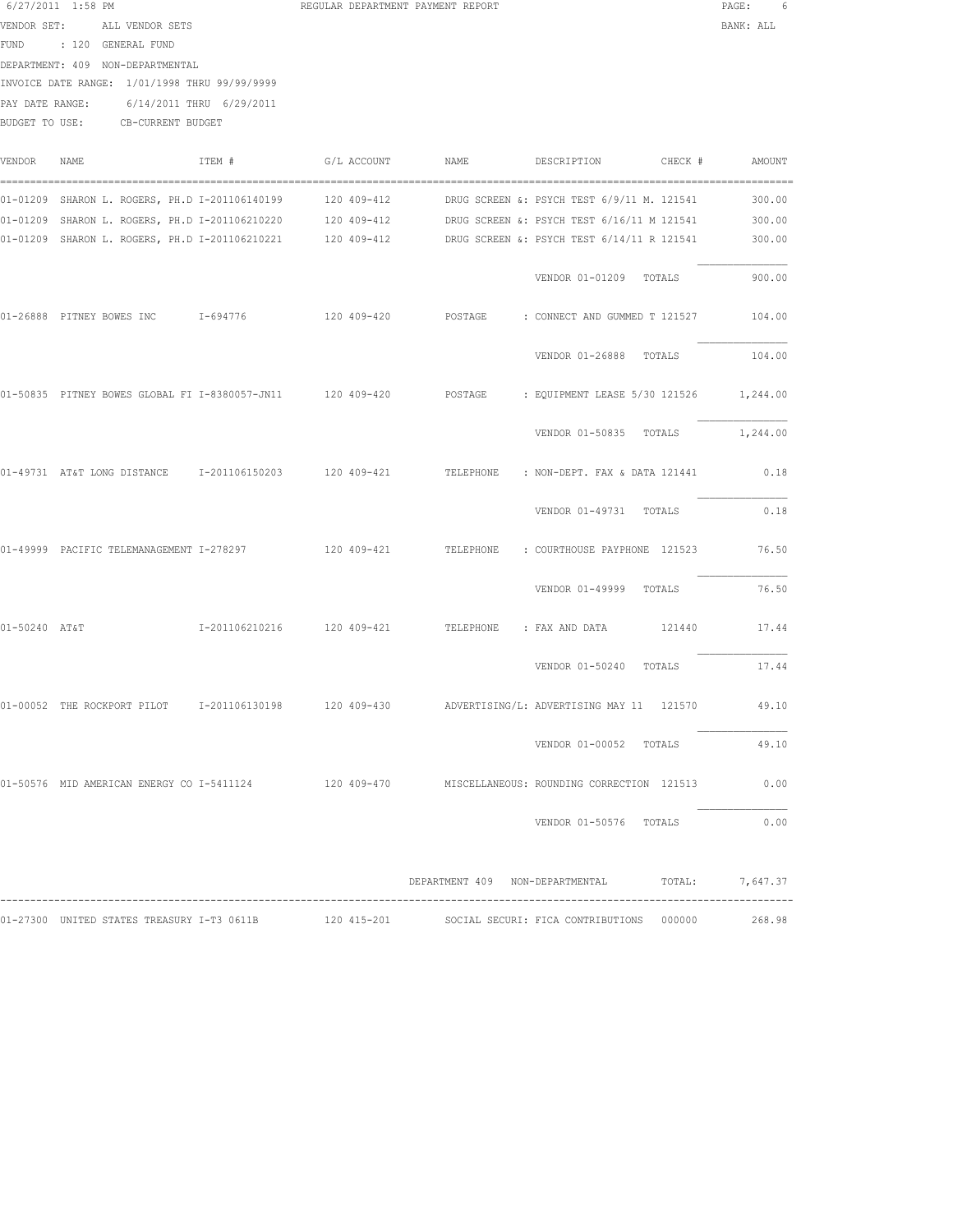| 6/27/2011 1:58 PM |             |                                               | REGULAR DEPARTMENT PAYMENT REPORT |      |             |         | PAGE:     | 6      |
|-------------------|-------------|-----------------------------------------------|-----------------------------------|------|-------------|---------|-----------|--------|
| VENDOR SET:       |             | ALL VENDOR SETS                               |                                   |      |             |         | BANK: ALL |        |
| FUND              | : 120       | GENERAL FUND                                  |                                   |      |             |         |           |        |
| DEPARTMENT: 409   |             | NON-DEPARTMENTAL                              |                                   |      |             |         |           |        |
|                   |             | INVOICE DATE RANGE: 1/01/1998 THRU 99/99/9999 |                                   |      |             |         |           |        |
| PAY DATE RANGE:   |             | 6/14/2011 THRU 6/29/2011                      |                                   |      |             |         |           |        |
| BUDGET TO USE:    |             | CB-CURRENT BUDGET                             |                                   |      |             |         |           |        |
|                   |             |                                               |                                   |      |             |         |           |        |
| VENDOR            | <b>NAME</b> | ITEM #                                        | G/L ACCOUNT                       | NAME | DESCRIPTION | CHECK # |           | AMOUNT |
|                   |             |                                               |                                   |      |             |         |           |        |

|               | 01-01209 SHARON L. ROGERS, PH.D I-201106140199 120 409-412 |  | DRUG SCREEN &: PSYCH TEST 6/9/11 M. 121541                                                                   | 300.00   |
|---------------|------------------------------------------------------------|--|--------------------------------------------------------------------------------------------------------------|----------|
|               |                                                            |  | 01-01209 SHARON L. ROGERS, PH.D I-201106210220 120 409-412 DRUG SCREEN &: PSYCH TEST 6/16/11 M 121541 300.00 |          |
|               |                                                            |  | 01-01209 SHARON L. ROGERS, PH.D I-201106210221 120 409-412 DRUG SCREEN &: PSYCH TEST 6/14/11 R 121541        | 300.00   |
|               |                                                            |  | VENDOR 01-01209 TOTALS                                                                                       | 900.00   |
|               | 01-26888 PITNEY BOWES INC 1-694776                         |  | 120 409-420 POSTAGE : CONNECT AND GUMMED T 121527 104.00                                                     |          |
|               |                                                            |  | VENDOR 01-26888 TOTALS                                                                                       | 104.00   |
|               |                                                            |  | 01-50835 PITNEY BOWES GLOBAL FI I-8380057-JN11 120 409-420 POSTAGE : EQUIPMENT LEASE 5/30 121526 1,244.00    |          |
|               |                                                            |  | VENDOR 01-50835 TOTALS                                                                                       | 1,244.00 |
|               |                                                            |  | 01-49731 AT&T LONG DISTANCE 1-201106150203 120 409-421 TELEPHONE : NON-DEPT. FAX & DATA 121441 0.18          |          |
|               |                                                            |  | VENDOR 01-49731 TOTALS                                                                                       | 0.18     |
|               |                                                            |  | 01-49999 PACIFIC TELEMANAGEMENT I-278297 120 409-421 TELEPHONE : COURTHOUSE PAYPHONE 121523 76.50            |          |
|               |                                                            |  | VENDOR 01-49999 TOTALS                                                                                       | 76.50    |
| 01-50240 AT&T |                                                            |  |                                                                                                              | 17.44    |
|               |                                                            |  | VENDOR 01-50240 TOTALS                                                                                       | 17.44    |
|               |                                                            |  | 01-00052 THE ROCKPORT PILOT 1-201106130198 120 409-430 ADVERTISING/L: ADVERTISING MAY 11 121570              | 49.10    |
|               |                                                            |  | VENDOR 01-00052 TOTALS                                                                                       | 49.10    |
|               |                                                            |  | 01-50576 MID AMERICAN ENERGY CO I-5411124 120 409-470 MISCELLANEOUS: ROUNDING CORRECTION 121513              | 0.00     |
|               |                                                            |  | VENDOR 01-50576 TOTALS                                                                                       | 0.00     |
|               |                                                            |  | DEPARTMENT 409 NON-DEPARTMENTAL TOTAL 7 647 37                                                               |          |

|                                            |             |  | DEFARIMENI 400 NONTDEFARIMENIAL          | TATH. | 7,047.37 |
|--------------------------------------------|-------------|--|------------------------------------------|-------|----------|
|                                            |             |  |                                          |       |          |
| 01-27300 UNITED STATES TREASURY I-T3 0611B | 120 415-201 |  | SOCIAL SECURI: FICA CONTRIBUTIONS 000000 |       | 268.98   |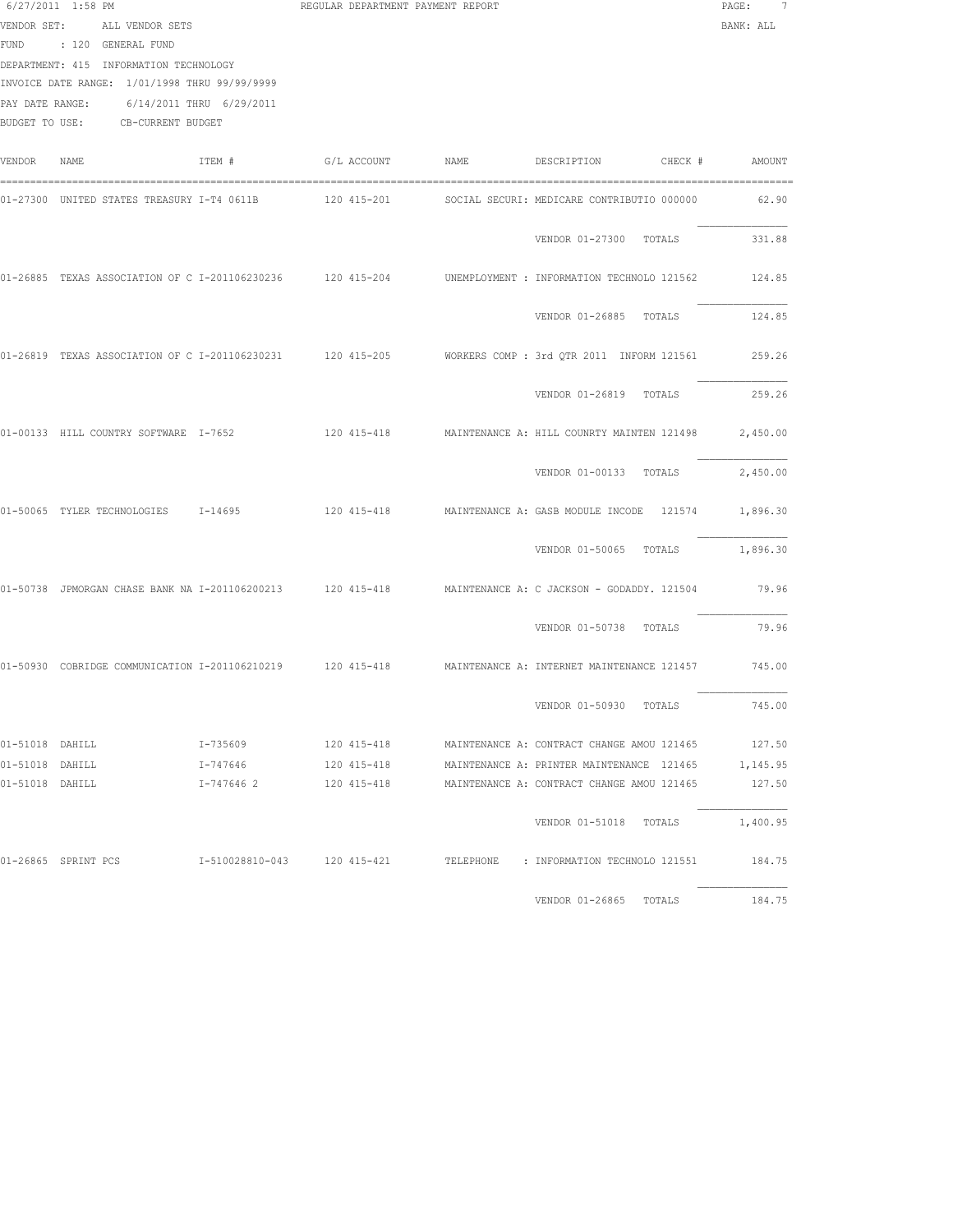| VENDOR SET:<br>PAY DATE RANGE: | $6/27/2011$ 1:58 PM<br>ALL VENDOR SETS<br>FUND : 120 GENERAL FUND<br>DEPARTMENT: 415 INFORMATION TECHNOLOGY<br>INVOICE DATE RANGE: 1/01/1998 THRU 99/99/9999<br>6/14/2011 THRU 6/29/2011<br>BUDGET TO USE: CB-CURRENT BUDGET |            | REGULAR DEPARTMENT PAYMENT REPORT |      |                                                                                                              | PAGE:<br>7<br>BANK: ALL |
|--------------------------------|------------------------------------------------------------------------------------------------------------------------------------------------------------------------------------------------------------------------------|------------|-----------------------------------|------|--------------------------------------------------------------------------------------------------------------|-------------------------|
| VENDOR                         | NAME                                                                                                                                                                                                                         | ITEM #     | G/L ACCOUNT                       | NAME | DESCRIPTION<br>CHECK #                                                                                       | AMOUNT                  |
|                                | 01-27300 UNITED STATES TREASURY I-T4 0611B 120 415-201                                                                                                                                                                       |            |                                   |      | SOCIAL SECURI: MEDICARE CONTRIBUTIO 000000                                                                   | 62.90                   |
|                                |                                                                                                                                                                                                                              |            |                                   |      | VENDOR 01-27300 TOTALS                                                                                       | 331.88                  |
|                                | 01-26885 TEXAS ASSOCIATION OF C I-201106230236 120 415-204                                                                                                                                                                   |            |                                   |      | UNEMPLOYMENT : INFORMATION TECHNOLO 121562                                                                   | 124.85                  |
|                                |                                                                                                                                                                                                                              |            |                                   |      | VENDOR 01-26885 TOTALS                                                                                       | 124.85                  |
|                                | 01-26819 TEXAS ASSOCIATION OF C I-201106230231 120 415-205                                                                                                                                                                   |            |                                   |      | WORKERS COMP : 3rd QTR 2011 INFORM 121561                                                                    | 259.26                  |
|                                |                                                                                                                                                                                                                              |            |                                   |      | VENDOR 01-26819 TOTALS                                                                                       | 259.26                  |
|                                | 01-00133 HILL COUNTRY SOFTWARE I-7652                                                                                                                                                                                        |            | 120 415-418                       |      | MAINTENANCE A: HILL COUNRTY MAINTEN 121498                                                                   | 2,450.00                |
|                                |                                                                                                                                                                                                                              |            |                                   |      | VENDOR 01-00133 TOTALS                                                                                       | 2,450.00                |
|                                | 01-50065 TYLER TECHNOLOGIES I-14695                                                                                                                                                                                          |            | 120 415-418                       |      | MAINTENANCE A: GASB MODULE INCODE 121574                                                                     | 1,896.30                |
|                                |                                                                                                                                                                                                                              |            |                                   |      | VENDOR 01-50065 TOTALS                                                                                       | 1,896.30                |
|                                |                                                                                                                                                                                                                              |            |                                   |      | 01-50738 JPMORGAN CHASE BANK NA I-201106200213 120 415-418 MAINTENANCE A: C JACKSON - GODADDY. 121504        | 79.96                   |
|                                |                                                                                                                                                                                                                              |            |                                   |      | VENDOR 01-50738 TOTALS                                                                                       | 79.96                   |
|                                |                                                                                                                                                                                                                              |            |                                   |      | 01-50930 COBRIDGE COMMUNICATION I-201106210219 120 415-418 MAINTENANCE A: INTERNET MAINTENANCE 121457 745.00 |                         |
|                                |                                                                                                                                                                                                                              |            |                                   |      | VENDOR 01-50930 TOTALS                                                                                       | 745.00                  |
| 01-51018 DAHILL                |                                                                                                                                                                                                                              | I-735609   | 120 415-418                       |      | MAINTENANCE A: CONTRACT CHANGE AMOU 121465                                                                   | 127.50                  |
| 01-51018 DAHILL                |                                                                                                                                                                                                                              | I-747646   | 120 415-418                       |      | MAINTENANCE A: PRINTER MAINTENANCE 121465                                                                    | 1,145.95                |
| 01-51018 DAHILL                |                                                                                                                                                                                                                              | I-747646 2 | 120 415-418                       |      | MAINTENANCE A: CONTRACT CHANGE AMOU 121465                                                                   | 127.50                  |
|                                |                                                                                                                                                                                                                              |            |                                   |      | VENDOR 01-51018 TOTALS                                                                                       | 1,400.95                |
|                                | 01-26865 SPRINT PCS                                                                                                                                                                                                          |            |                                   |      | I-510028810-043    120 415-421    TELEPHONE : INFORMATION TECHNOLO 121551                                    | 184.75                  |
|                                |                                                                                                                                                                                                                              |            |                                   |      | VENDOR 01-26865 TOTALS                                                                                       | 184.75                  |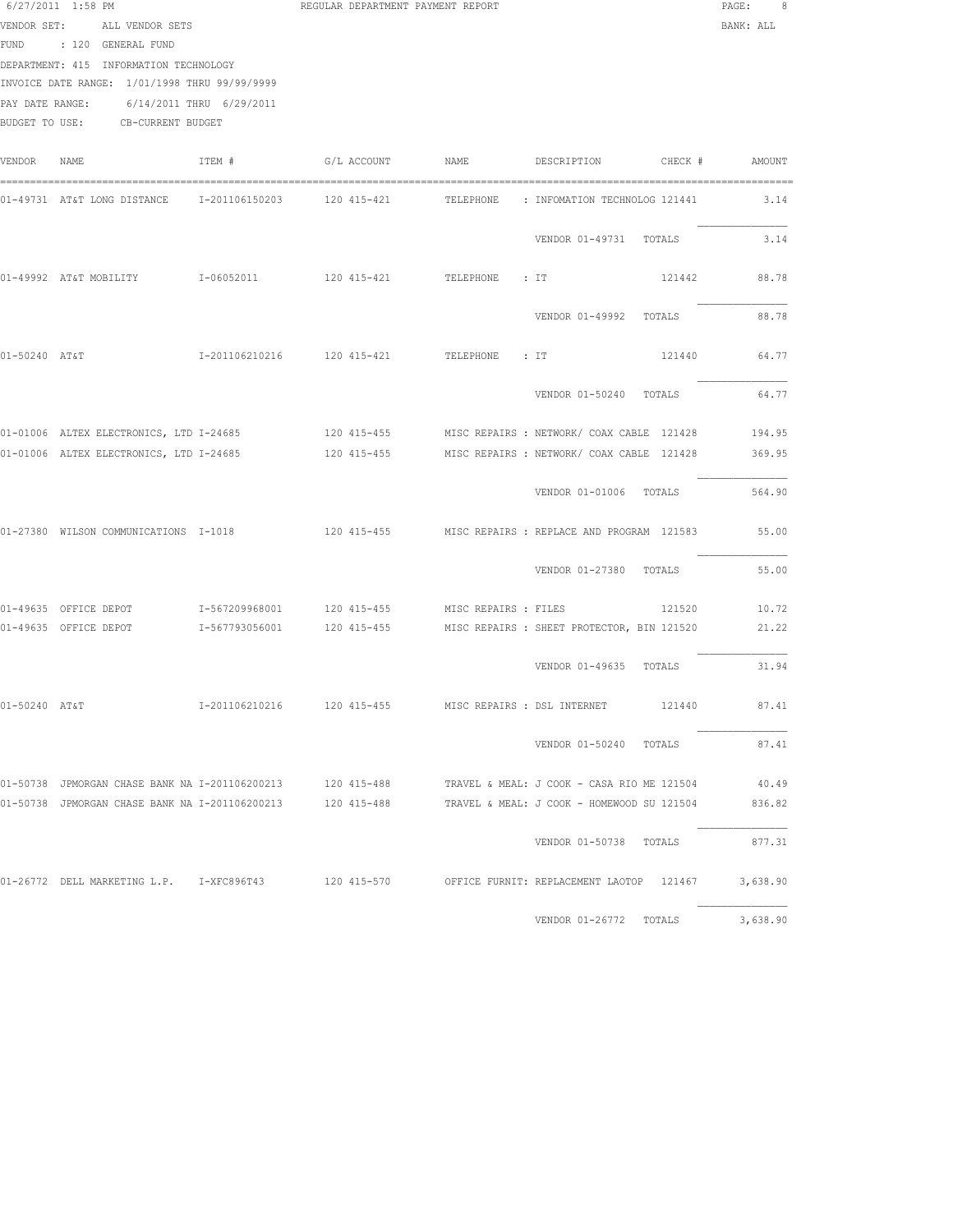|               | $6/27/2011$ 1:58 PM<br>VENDOR SET: ALL VENDOR SETS<br>FUND : 120 GENERAL FUND<br>DEPARTMENT: 415 INFORMATION TECHNOLOGY<br>INVOICE DATE RANGE: 1/01/1998 THRU 99/99/9999<br>PAY DATE RANGE: 6/14/2011 THRU 6/29/2011<br>BUDGET TO USE: CB-CURRENT BUDGET |        | REGULAR DEPARTMENT PAYMENT REPORT |                             |                                                                                                   | PAGE:<br>8<br>BANK: ALL |
|---------------|----------------------------------------------------------------------------------------------------------------------------------------------------------------------------------------------------------------------------------------------------------|--------|-----------------------------------|-----------------------------|---------------------------------------------------------------------------------------------------|-------------------------|
| VENDOR        | NAME                                                                                                                                                                                                                                                     | ITEM # | G/L ACCOUNT NAME                  |                             | DESCRIPTION CHECK # AMOUNT                                                                        |                         |
|               | 01-49731 AT&T LONG DISTANCE 1-201106150203 120 415-421                                                                                                                                                                                                   |        |                                   |                             | TELEPHONE : INFOMATION TECHNOLOG 121441                                                           | 3.14                    |
|               |                                                                                                                                                                                                                                                          |        |                                   |                             | VENDOR 01-49731 TOTALS                                                                            | 3.14                    |
|               |                                                                                                                                                                                                                                                          |        |                                   |                             | 121442                                                                                            | 88.78                   |
|               |                                                                                                                                                                                                                                                          |        |                                   |                             | VENDOR 01-49992 TOTALS                                                                            | 88.78                   |
|               | 01-50240 AT&T                                                                                                                                                                                                                                            |        |                                   |                             | 121440                                                                                            | 64.77                   |
|               |                                                                                                                                                                                                                                                          |        |                                   |                             | VENDOR 01-50240 TOTALS                                                                            | 64.77                   |
|               |                                                                                                                                                                                                                                                          |        |                                   |                             | 01-01006 ALTEX ELECTRONICS, LTD I-24685 4915-455 MISC REPAIRS : NETWORK/ COAX CABLE 121428 194.95 |                         |
|               |                                                                                                                                                                                                                                                          |        |                                   |                             | 01-01006 ALTEX ELECTRONICS, LTD I-24685 120 415-455 MISC REPAIRS : NETWORK/ COAX CABLE 121428     | 369.95                  |
|               |                                                                                                                                                                                                                                                          |        |                                   |                             | VENDOR 01-01006 TOTALS                                                                            | 564.90                  |
|               | 01-27380 WILSON COMMUNICATIONS I-1018                                                                                                                                                                                                                    |        |                                   |                             | 120 415-455 MISC REPAIRS: REPLACE AND PROGRAM 121583                                              | 55.00                   |
|               |                                                                                                                                                                                                                                                          |        |                                   |                             | VENDOR 01-27380 TOTALS                                                                            | 55.00                   |
|               | 01-49635 OFFICE DEPOT 1-567209968001 120 415-455 MISC REPAIRS : FILES                                                                                                                                                                                    |        |                                   |                             |                                                                                                   | 121520 10.72            |
|               |                                                                                                                                                                                                                                                          |        |                                   |                             |                                                                                                   | 21.22                   |
|               |                                                                                                                                                                                                                                                          |        |                                   |                             | VENDOR 01-49635 TOTALS                                                                            | 31.94                   |
| 01-50240 AT&T |                                                                                                                                                                                                                                                          |        | I-201106210216 120 415-455        | MISC REPAIRS : DSL INTERNET | 121440                                                                                            | 87.41                   |
|               |                                                                                                                                                                                                                                                          |        |                                   |                             | VENDOR 01-50240 TOTALS                                                                            | 87.41                   |
|               | 01-50738 JPMORGAN CHASE BANK NA I-201106200213                                                                                                                                                                                                           |        | 120 415-488                       |                             | TRAVEL & MEAL: J COOK - CASA RIO ME 121504                                                        | 40.49                   |
|               | 01-50738 JPMORGAN CHASE BANK NA I-201106200213                                                                                                                                                                                                           |        | 120 415-488                       |                             | TRAVEL & MEAL: J COOK - HOMEWOOD SU 121504                                                        | 836.82                  |
|               |                                                                                                                                                                                                                                                          |        |                                   |                             | VENDOR 01-50738 TOTALS                                                                            | 877.31                  |
|               |                                                                                                                                                                                                                                                          |        |                                   |                             | 01-26772 DELL MARKETING L.P. I-XFC896T43 120 415-570 OFFICE FURNIT: REPLACEMENT LAOTOP 121467     | 3,638.90                |
|               |                                                                                                                                                                                                                                                          |        |                                   |                             | VENDOR 01-26772 TOTALS                                                                            | 3,638.90                |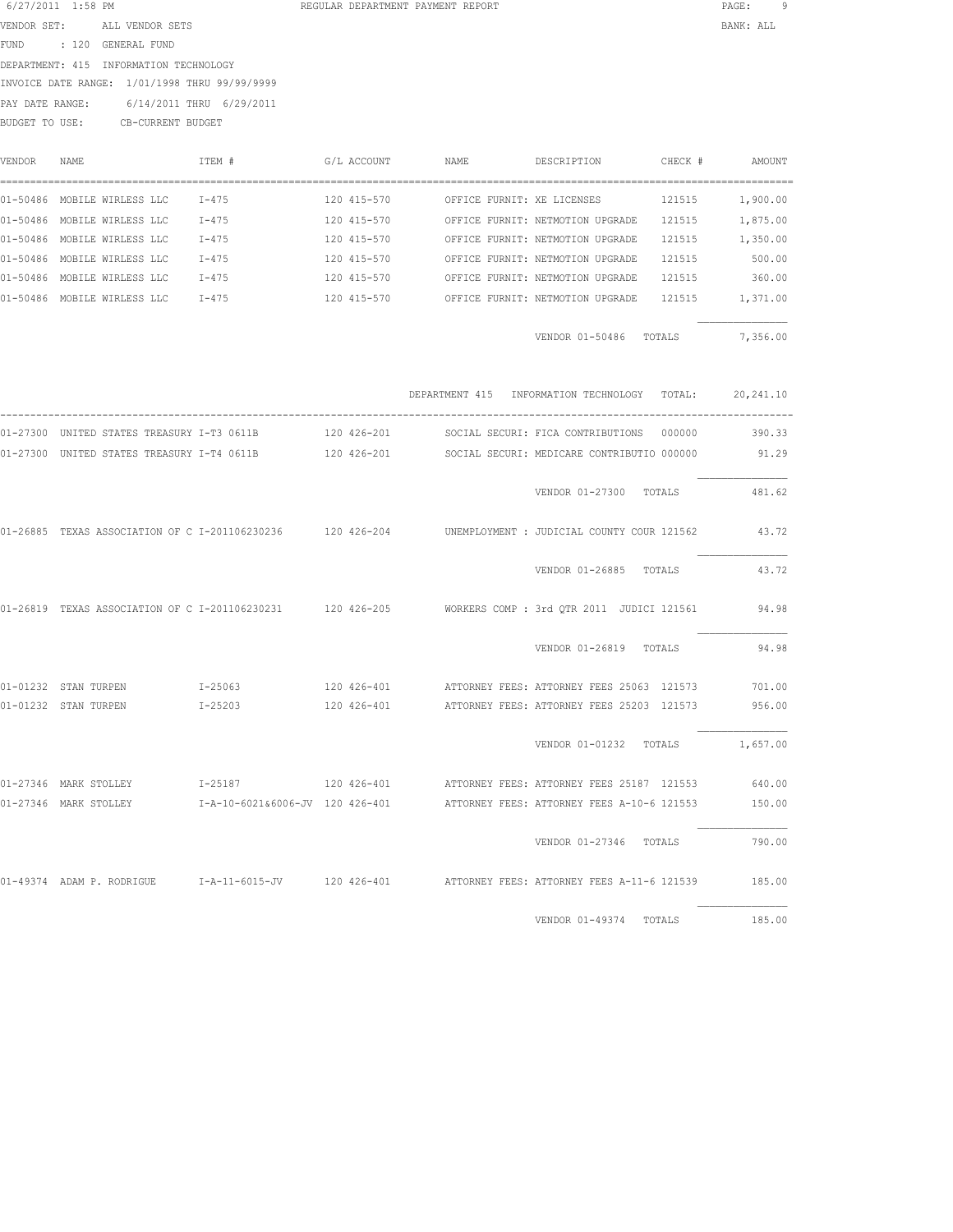| 6/27/2011 1:58 PM    |      |                                               |                                                            | REGULAR DEPARTMENT PAYMENT REPORT |      |                                              |         | PAGE:      | 9 |
|----------------------|------|-----------------------------------------------|------------------------------------------------------------|-----------------------------------|------|----------------------------------------------|---------|------------|---|
| VENDOR SET:          |      | ALL VENDOR SETS                               |                                                            |                                   |      |                                              |         | BANK: ALL  |   |
| <b>FUND</b>          |      | : 120 GENERAL FUND                            |                                                            |                                   |      |                                              |         |            |   |
|                      |      | DEPARTMENT: 415 INFORMATION TECHNOLOGY        |                                                            |                                   |      |                                              |         |            |   |
|                      |      | INVOICE DATE RANGE: 1/01/1998 THRU 99/99/9999 |                                                            |                                   |      |                                              |         |            |   |
| PAY DATE RANGE:      |      | 6/14/2011 THRU 6/29/2011                      |                                                            |                                   |      |                                              |         |            |   |
| BUDGET TO USE:       |      | CB-CURRENT BUDGET                             |                                                            |                                   |      |                                              |         |            |   |
|                      |      |                                               |                                                            |                                   |      |                                              |         |            |   |
| VENDOR               | NAME |                                               | ITEM #                                                     | G/L ACCOUNT                       | NAME | DESCRIPTION                                  | CHECK # | AMOUNT     |   |
|                      |      |                                               |                                                            |                                   |      |                                              |         |            |   |
|                      |      | 01-50486 MOBILE WIRLESS LLC                   | $I-475$                                                    | 120 415-570                       |      | OFFICE FURNIT: XE LICENSES                   | 121515  | 1,900.00   |   |
|                      |      | 01-50486 MOBILE WIRLESS LLC                   | $I-475$                                                    | 120 415-570                       |      | OFFICE FURNIT: NETMOTION UPGRADE             | 121515  | 1,875.00   |   |
|                      |      | 01-50486 MOBILE WIRLESS LLC                   | $I-475$                                                    | 120 415-570                       |      | OFFICE FURNIT: NETMOTION UPGRADE             | 121515  | 1,350.00   |   |
|                      |      | 01-50486 MOBILE WIRLESS LLC                   | $I-475$                                                    | 120 415-570                       |      | OFFICE FURNIT: NETMOTION UPGRADE             | 121515  | 500.00     |   |
|                      |      | 01-50486 MOBILE WIRLESS LLC                   | I-475                                                      | 120 415-570                       |      | OFFICE FURNIT: NETMOTION UPGRADE             | 121515  | 360.00     |   |
|                      |      | 01-50486 MOBILE WIRLESS LLC                   | I-475                                                      | 120 415-570                       |      | OFFICE FURNIT: NETMOTION UPGRADE             | 121515  | 1,371.00   |   |
|                      |      |                                               |                                                            |                                   |      |                                              |         |            |   |
|                      |      |                                               |                                                            |                                   |      | VENDOR 01-50486 TOTALS                       |         | 7,356.00   |   |
|                      |      |                                               |                                                            |                                   |      |                                              |         |            |   |
|                      |      |                                               |                                                            |                                   |      |                                              |         |            |   |
|                      |      |                                               |                                                            |                                   |      | DEPARTMENT 415 INFORMATION TECHNOLOGY TOTAL: |         | 20, 241.10 |   |
|                      |      | 01-27300 UNITED STATES TREASURY I-T3 0611B    |                                                            | 120 426-201                       |      | SOCIAL SECURI: FICA CONTRIBUTIONS            | 000000  | 390.33     |   |
|                      |      | 01-27300 UNITED STATES TREASURY I-T4 0611B    |                                                            | 120 426-201                       |      | SOCIAL SECURI: MEDICARE CONTRIBUTIO 000000   |         | 91.29      |   |
|                      |      |                                               |                                                            |                                   |      |                                              |         |            |   |
|                      |      |                                               |                                                            |                                   |      | VENDOR 01-27300 TOTALS                       |         | 481.62     |   |
|                      |      |                                               |                                                            |                                   |      |                                              |         |            |   |
|                      |      |                                               | 01-26885 TEXAS ASSOCIATION OF C I-201106230236 120 426-204 |                                   |      | UNEMPLOYMENT : JUDICIAL COUNTY COUR 121562   |         | 43.72      |   |
|                      |      |                                               |                                                            |                                   |      |                                              |         |            |   |
|                      |      |                                               |                                                            |                                   |      | VENDOR 01-26885 TOTALS                       |         | 43.72      |   |
|                      |      |                                               | 01-26819 TEXAS ASSOCIATION OF C I-201106230231 120 426-205 |                                   |      | WORKERS COMP : 3rd OTR 2011 JUDICI 121561    |         | 94.98      |   |
|                      |      |                                               |                                                            |                                   |      |                                              |         |            |   |
|                      |      |                                               |                                                            |                                   |      | VENDOR 01-26819 TOTALS                       |         | 94.98      |   |
| 01-01232 STAN TURPEN |      |                                               | $I - 25063$                                                | 120 426-401                       |      | ATTORNEY FEES: ATTORNEY FEES 25063 121573    |         | 701.00     |   |
| 01-01232 STAN TURPEN |      |                                               | $I - 25203$                                                | 120 426-401                       |      | ATTORNEY FEES: ATTORNEY FEES 25203 121573    |         | 956.00     |   |
|                      |      |                                               |                                                            |                                   |      |                                              |         |            |   |

 VENDOR 01-01232 TOTALS 1,657.00 01-27346 MARK STOLLEY I-25187 120 426-401 ATTORNEY FEES: ATTORNEY FEES 25187 121553 640.00 01-27346 MARK STOLLEY I-A-10-6021&6006-JV 120 426-401 ATTORNEY FEES: ATTORNEY FEES A-10-6 121553 150.00

 VENDOR 01-27346 TOTALS 790.00 01-49374 ADAM P. RODRIGUE I-A-11-6015-JV 120 426-401 ATTORNEY FEES: ATTORNEY FEES A-11-6 121539 185.00

VENDOR 01-49374 TOTALS 185.00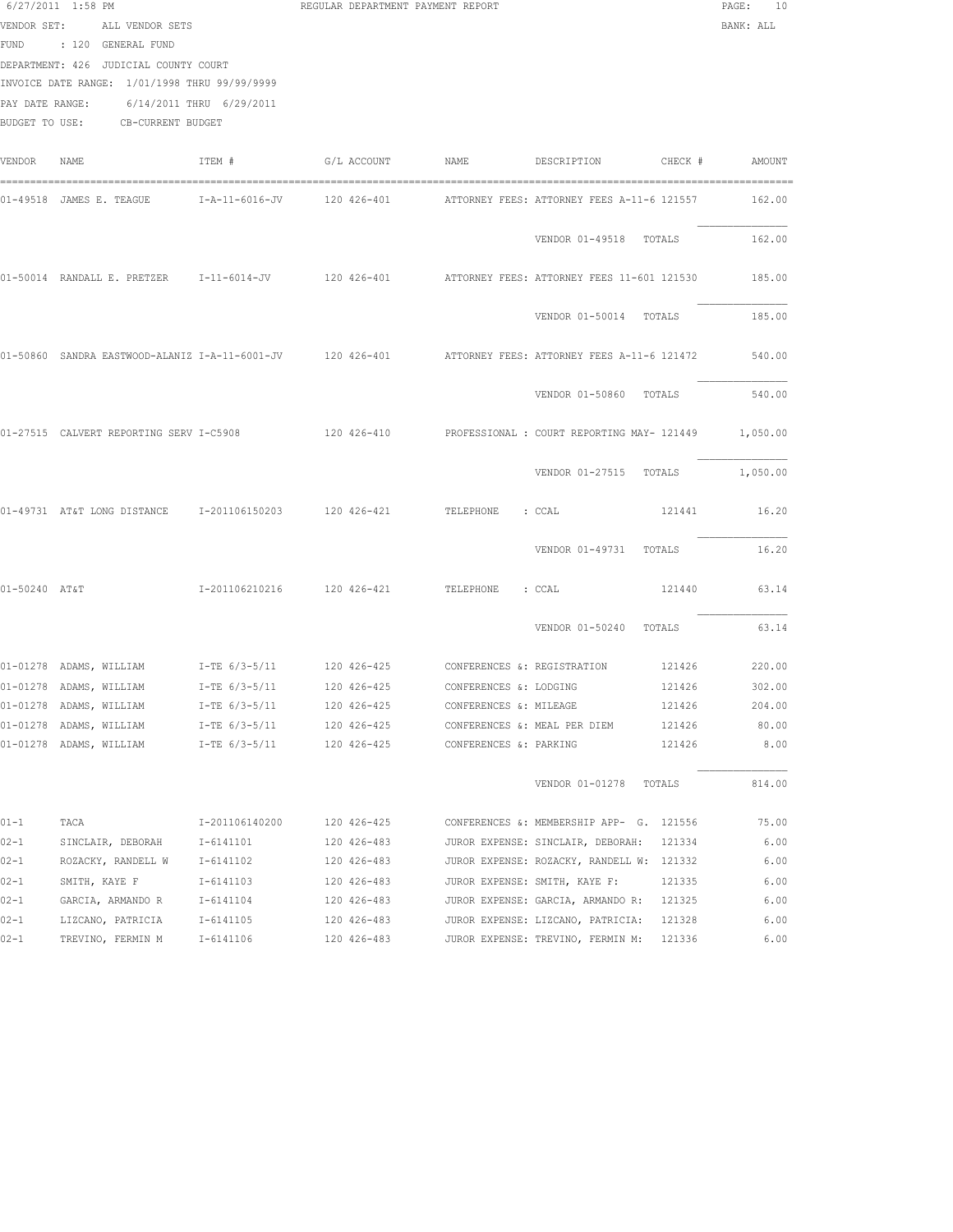|               | $6/27/2011$ 1:58 PM<br>VENDOR SET: ALL VENDOR SETS<br>FUND : 120 GENERAL FUND<br>DEPARTMENT: 426 JUDICIAL COUNTY COURT<br>INVOICE DATE RANGE: 1/01/1998 THRU 99/99/9999<br>PAY DATE RANGE: 6/14/2011 THRU 6/29/2011<br>BUDGET TO USE: CB-CURRENT BUDGET |                 | REGULAR DEPARTMENT PAYMENT REPORT |                        |                                                                                                         | PAGE:<br>10<br>BANK: ALL |
|---------------|---------------------------------------------------------------------------------------------------------------------------------------------------------------------------------------------------------------------------------------------------------|-----------------|-----------------------------------|------------------------|---------------------------------------------------------------------------------------------------------|--------------------------|
| VENDOR NAME   |                                                                                                                                                                                                                                                         | ITEM #          |                                   |                        |                                                                                                         |                          |
|               |                                                                                                                                                                                                                                                         |                 |                                   |                        | 01-49518 JAMES E. TEAGUE 1-A-11-6016-JV 120 426-401 1 ATTORNEY FEES: ATTORNEY FEES A-11-6 121557 162.00 |                          |
|               |                                                                                                                                                                                                                                                         |                 |                                   |                        | VENDOR 01-49518 TOTALS                                                                                  | 162.00                   |
|               |                                                                                                                                                                                                                                                         |                 |                                   |                        | 01-50014 RANDALL E. PRETZER 1-11-6014-JV 120 426-401 ATTORNEY FEES: ATTORNEY FEES 11-601 121530 185.00  |                          |
|               |                                                                                                                                                                                                                                                         |                 |                                   |                        | VENDOR 01-50014 TOTALS                                                                                  | 185.00                   |
|               |                                                                                                                                                                                                                                                         |                 |                                   |                        | 01-50860 SANDRA EASTWOOD-ALANIZ I-A-11-6001-JV 120 426-401 ATTORNEY FEES: ATTORNEY FEES A-11-6 121472   | 540.00                   |
|               |                                                                                                                                                                                                                                                         |                 |                                   |                        | VENDOR 01-50860 TOTALS                                                                                  | 540.00                   |
|               |                                                                                                                                                                                                                                                         |                 |                                   |                        | 01-27515 CALVERT REPORTING SERV I-C5908 120 426-410 PROFESSIONAL : COURT REPORTING MAY- 121449 1,050.00 |                          |
|               |                                                                                                                                                                                                                                                         |                 |                                   |                        | VENDOR 01-27515 TOTALS 1,050.00                                                                         |                          |
|               | 01-49731 AT&T LONG DISTANCE 1-201106150203 120 426-421 TELEPHONE : CCAL                                                                                                                                                                                 |                 |                                   |                        |                                                                                                         | 121441 16.20             |
|               |                                                                                                                                                                                                                                                         |                 |                                   |                        | VENDOR 01-49731 TOTALS                                                                                  | 16.20                    |
| 01-50240 AT&T |                                                                                                                                                                                                                                                         |                 |                                   |                        | 121440                                                                                                  | 63.14                    |
|               |                                                                                                                                                                                                                                                         |                 |                                   |                        | VENDOR 01-50240 TOTALS                                                                                  | 63.14                    |
|               |                                                                                                                                                                                                                                                         |                 |                                   |                        | 01-01278 ADAMS, WILLIAM 1 T-TE 6/3-5/11 120 426-425 CONFERENCES &: REGISTRATION 121426 220.00           |                          |
|               | 01-01278 ADAMS, WILLIAM I-TE 6/3-5/11 120 426-425 CONFERENCES &: LODGING                                                                                                                                                                                |                 |                                   |                        | 121426 302.00                                                                                           |                          |
|               | 01-01278 ADAMS, WILLIAM                                                                                                                                                                                                                                 | $I-TE$ 6/3-5/11 | 120 426-425                       | CONFERENCES &: MILEAGE | 121426                                                                                                  | 204.00                   |
|               | 01-01278 ADAMS, WILLIAM                                                                                                                                                                                                                                 | I-TE 6/3-5/11   | 120 426-425                       |                        | 121426<br>CONFERENCES &: MEAL PER DIEM                                                                  | 80.00                    |
|               | 01-01278 ADAMS, WILLIAM                                                                                                                                                                                                                                 | I-TE 6/3-5/11   | 120 426-425                       | CONFERENCES &: PARKING | 121426                                                                                                  | 8.00                     |
|               |                                                                                                                                                                                                                                                         |                 |                                   |                        | VENDOR 01-01278 TOTALS                                                                                  | 814.00                   |
| 01-1          | TACA                                                                                                                                                                                                                                                    | I-201106140200  | 120 426-425                       |                        | CONFERENCES &: MEMBERSHIP APP- G. 121556                                                                | 75.00                    |
| $02 - 1$      | SINCLAIR, DEBORAH                                                                                                                                                                                                                                       | I-6141101       | 120 426-483                       |                        | JUROR EXPENSE: SINCLAIR, DEBORAH:<br>121334                                                             | 6.00                     |
| $02 - 1$      | ROZACKY, RANDELL W                                                                                                                                                                                                                                      | I-6141102       | 120 426-483                       |                        | JUROR EXPENSE: ROZACKY, RANDELL W: 121332                                                               | 6.00                     |
| $02 - 1$      | SMITH, KAYE F                                                                                                                                                                                                                                           | I-6141103       | 120 426-483                       |                        | JUROR EXPENSE: SMITH, KAYE F:<br>121335                                                                 | 6.00                     |
| $02 - 1$      | GARCIA, ARMANDO R                                                                                                                                                                                                                                       | I-6141104       | 120 426-483                       |                        | JUROR EXPENSE: GARCIA, ARMANDO R: 121325                                                                | 6.00                     |
| $02 - 1$      | LIZCANO, PATRICIA                                                                                                                                                                                                                                       | I-6141105       | 120 426-483                       |                        | JUROR EXPENSE: LIZCANO, PATRICIA:<br>121328                                                             | 6.00                     |
| 02-1          | TREVINO, FERMIN M                                                                                                                                                                                                                                       | I-6141106       | 120 426-483                       |                        | JUROR EXPENSE: TREVINO, FERMIN M: 121336                                                                | 6.00                     |
|               |                                                                                                                                                                                                                                                         |                 |                                   |                        |                                                                                                         |                          |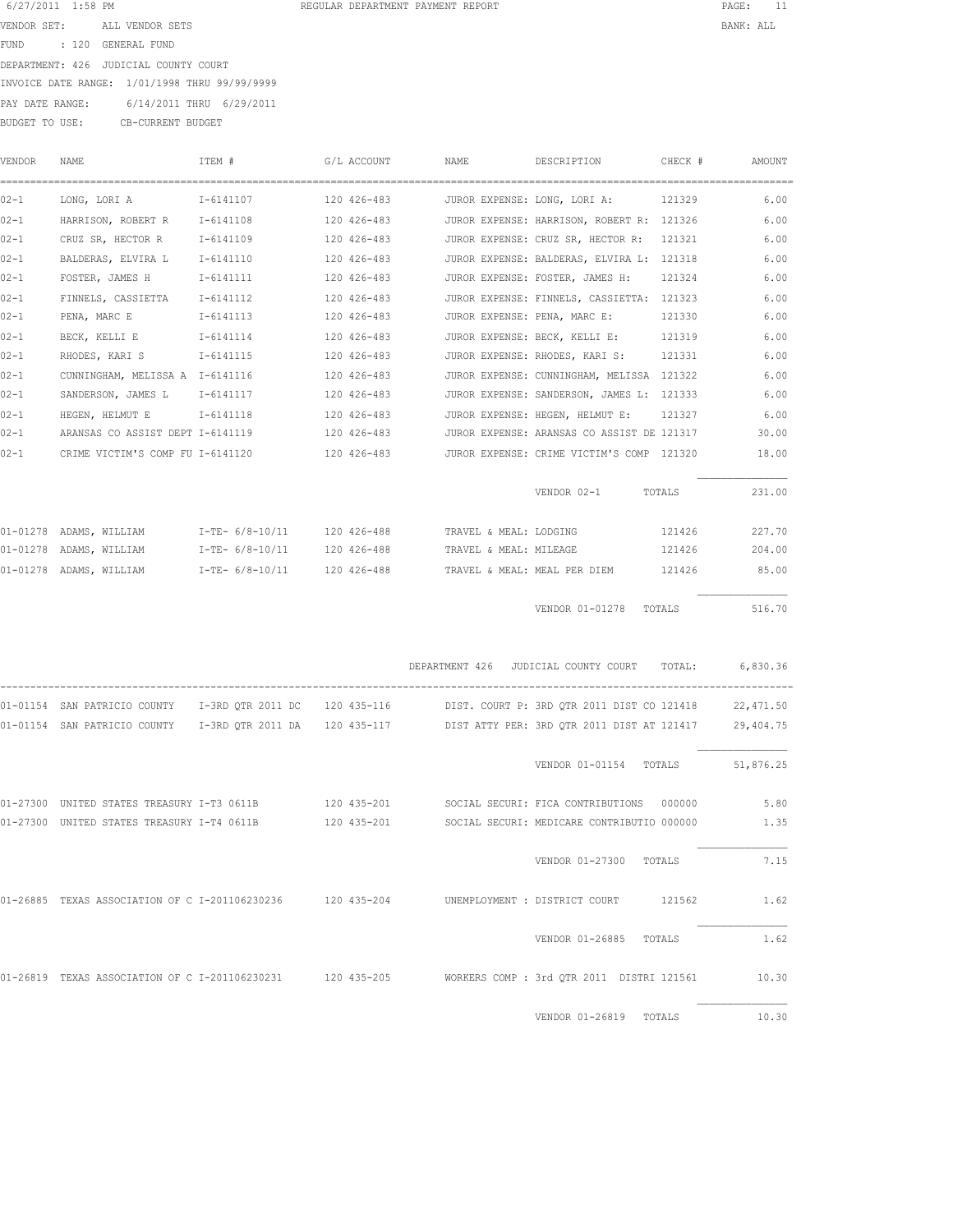|  |  | REGULAR DEPARTMENT PAYMENT REPORT |  |  |
|--|--|-----------------------------------|--|--|
|--|--|-----------------------------------|--|--|

| 6/27/2011 1:58 PM |                                               | REGULAR DEPARTMENT PAYMENT REPORT | PAGE:     | - 11 |
|-------------------|-----------------------------------------------|-----------------------------------|-----------|------|
| VENDOR SET:       | ALL VENDOR SETS                               |                                   | BANK: ALL |      |
| FUND              | : 120 GENERAL FUND                            |                                   |           |      |
|                   | DEPARTMENT: 426 JUDICIAL COUNTY COURT         |                                   |           |      |
|                   | INVOICE DATE RANGE: 1/01/1998 THRU 99/99/9999 |                                   |           |      |
| PAY DATE RANGE:   | 6/14/2011 THRU 6/29/2011                      |                                   |           |      |
| BUDGET TO USE:    | CB-CURRENT BUDGET                             |                                   |           |      |
|                   |                                               |                                   |           |      |

| VENDOR   | NAME                                                                                                            | ITEM #    | G/L ACCOUNT | NAME                                                 | DESCRIPTION                                | CHECK # | AMOUNT    |
|----------|-----------------------------------------------------------------------------------------------------------------|-----------|-------------|------------------------------------------------------|--------------------------------------------|---------|-----------|
| $02 - 1$ | LONG, LORI A 16141107 120 426-483 JUROR EXPENSE: LONG, LORI A: 121329                                           |           |             |                                                      |                                            |         | 6.00      |
| $02 - 1$ | HARRISON, ROBERT R                                                                                              | I-6141108 | 120 426-483 |                                                      | JUROR EXPENSE: HARRISON, ROBERT R: 121326  |         | 6.00      |
| $02 - 1$ | CRUZ SR, HECTOR R                                                                                               | I-6141109 | 120 426-483 |                                                      | JUROR EXPENSE: CRUZ SR, HECTOR R: 121321   |         | 6.00      |
| $02 - 1$ | BALDERAS, ELVIRA L                                                                                              | I-6141110 | 120 426-483 |                                                      | JUROR EXPENSE: BALDERAS, ELVIRA L: 121318  |         | 6.00      |
| $02 - 1$ | FOSTER, JAMES H                                                                                                 | I-6141111 | 120 426-483 |                                                      | JUROR EXPENSE: FOSTER, JAMES H: 121324     |         | 6.00      |
| $02 - 1$ | FINNELS, CASSIETTA I-6141112                                                                                    |           | 120 426-483 |                                                      | JUROR EXPENSE: FINNELS, CASSIETTA: 121323  |         | 6.00      |
| $02 - 1$ | PENA, MARC E 1-6141113                                                                                          |           | 120 426-483 |                                                      | JUROR EXPENSE: PENA, MARC E: 121330        |         | 6.00      |
| $02 - 1$ | BECK, KELLI E 1-6141114 120 426-483                                                                             |           |             |                                                      | JUROR EXPENSE: BECK, KELLI E: 121319       |         | 6.00      |
| $02 - 1$ |                                                                                                                 |           |             |                                                      | JUROR EXPENSE: RHODES, KARI S: 121331      |         | 6.00      |
| $02 - 1$ | CUNNINGHAM, MELISSA A 1-6141116                                                                                 |           | 120 426-483 |                                                      | JUROR EXPENSE: CUNNINGHAM, MELISSA 121322  |         | 6.00      |
| $02 - 1$ | SANDERSON, JAMES L I-6141117                                                                                    |           | 120 426-483 |                                                      | JUROR EXPENSE: SANDERSON, JAMES L: 121333  |         | 6.00      |
| $02 - 1$ | HEGEN, HELMUT E 1-6141118                                                                                       |           | 120 426-483 |                                                      | JUROR EXPENSE: HEGEN, HELMUT E:            | 121327  | 6.00      |
| $02 - 1$ | ARANSAS CO ASSIST DEPT I-6141119                                                                                |           | 120 426-483 |                                                      | JUROR EXPENSE: ARANSAS CO ASSIST DE 121317 |         | 30.00     |
| $02 - 1$ | CRIME VICTIM'S COMP FU I-6141120                                                                                |           | 120 426-483 |                                                      | JUROR EXPENSE: CRIME VICTIM'S COMP 121320  |         | 18.00     |
|          |                                                                                                                 |           |             |                                                      | VENDOR 02-1 TOTALS                         |         | 231.00    |
|          | 01-01278 ADAMS, WILLIAM         I-TE- 6/8-10/11     120 426-488          TRAVEL & MEAL: LODGING                 |           |             |                                                      |                                            | 121426  | 227.70    |
|          | 01-01278 ADAMS, WILLIAM 1-TE-6/8-10/11 120 426-488 TRAVEL & MEAL: MILEAGE                                       |           |             |                                                      |                                            | 121426  | 204.00    |
|          | 01-01278 ADAMS, WILLIAM 1-TE-6/8-10/11 120 426-488 TRAVEL & MEAL: MEAL PER DIEM 121426 85.00                    |           |             |                                                      |                                            |         |           |
|          |                                                                                                                 |           |             |                                                      | VENDOR 01-01278 TOTALS 516.70              |         |           |
|          |                                                                                                                 |           |             | DEPARTMENT 426 JUDICIAL COUNTY COURT TOTAL: 6,830.36 |                                            |         |           |
|          | 01-01154 SAN PATRICIO COUNTY 1-3RD QTR 2011 DC 120 435-116 DIST. COURT P: 3RD QTR 2011 DIST CO 121418           |           |             |                                                      |                                            |         | 22,471.50 |
|          | 01-01154 SAN PATRICIO COUNTY 1-3RD QTR 2011 DA 120 435-117 DIST ATTY PER: 3RD QTR 2011 DIST AT 121417 29,404.75 |           |             |                                                      |                                            |         |           |
|          |                                                                                                                 |           |             |                                                      | VENDOR 01-01154 TOTALS 51,876.25           |         |           |
|          | 01-27300 UNITED STATES TREASURY I-T3 0611B 120 435-201 SOCIAL SECURI: FICA CONTRIBUTIONS 000000                 |           |             |                                                      |                                            |         | 5.80      |
|          | 01-27300 UNITED STATES TREASURY I-T4 0611B 120 435-201 SOCIAL SECURI: MEDICARE CONTRIBUTIO 000000 1.35          |           |             |                                                      |                                            |         |           |
|          |                                                                                                                 |           |             |                                                      | VENDOR 01-27300 TOTALS                     |         | 7.15      |
|          | 01-26885 TEXAS ASSOCIATION OF C I-201106230236 120 435-204 UNEMPLOYMENT : DISTRICT COURT 121562                 |           |             |                                                      |                                            |         | 1.62      |
|          |                                                                                                                 |           |             |                                                      | VENDOR 01-26885 TOTALS                     |         | 1.62      |
|          | 01-26819 TEXAS ASSOCIATION OF C I-201106230231 120 435-205 WORKERS COMP: 3rd OTR 2011 DISTRI 121561 10.30       |           |             |                                                      |                                            |         |           |
|          |                                                                                                                 |           |             |                                                      | VENDOR 01-26819 TOTALS                     |         | 10.30     |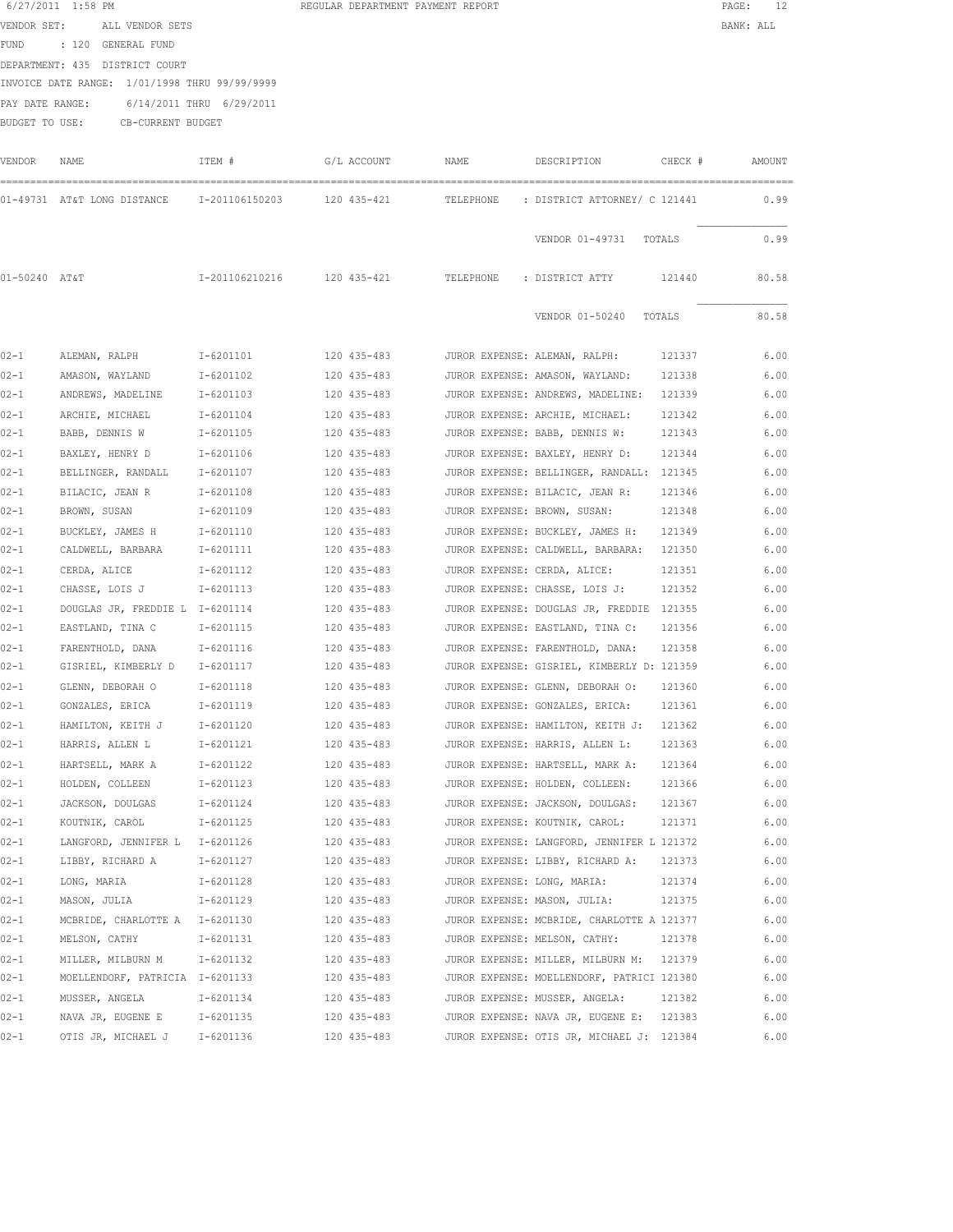| VENDOR SET:                    | ALL VENDOR SETS                               | BANK: ALL |
|--------------------------------|-----------------------------------------------|-----------|
| FUND : 120 GENERAL FUND        |                                               |           |
| DEPARTMENT: 435 DISTRICT COURT |                                               |           |
|                                | INVOICE DATE RANGE: 1/01/1998 THRU 99/99/9999 |           |

PAY DATE RANGE: 6/14/2011 THRU 6/29/2011 BUDGET TO USE: CB-CURRENT BUDGET

| VENDOR        | NAME                                     | ITEM #                   | G/L ACCOUNT | NAME      | DESCRIPTION                                | CHECK # | AMOUNT |
|---------------|------------------------------------------|--------------------------|-------------|-----------|--------------------------------------------|---------|--------|
|               | 01-49731 AT&T LONG DISTANCE              | I-201106150203           | 120 435-421 | TELEPHONE | : DISTRICT ATTORNEY/ C 121441              |         | 0.99   |
|               |                                          |                          |             |           | VENDOR 01-49731<br>TOTALS                  |         | 0.99   |
| 01-50240 AT&T |                                          | I-201106210216           | 120 435-421 | TELEPHONE | : DISTRICT ATTY                            | 121440  | 80.58  |
|               |                                          |                          |             |           | VENDOR 01-50240<br>TOTALS                  |         | 80.58  |
| $02 - 1$      | ALEMAN, RALPH                            | I-6201101                | 120 435-483 |           | JUROR EXPENSE: ALEMAN, RALPH:              | 121337  | 6.00   |
| $02 - 1$      | AMASON, WAYLAND                          | I-6201102                | 120 435-483 |           | JUROR EXPENSE: AMASON, WAYLAND:            | 121338  | 6.00   |
| $02 - 1$      | ANDREWS, MADELINE                        | I-6201103                | 120 435-483 |           | JUROR EXPENSE: ANDREWS, MADELINE:          | 121339  | 6.00   |
| $02 - 1$      | ARCHIE, MICHAEL                          | $I - 6201104$            | 120 435-483 |           | JUROR EXPENSE: ARCHIE, MICHAEL:            | 121342  | 6.00   |
| $02 - 1$      | BABB, DENNIS W                           | I-6201105                | 120 435-483 |           | JUROR EXPENSE: BABB, DENNIS W:             | 121343  | 6.00   |
| $02 - 1$      | BAXLEY, HENRY D                          | I-6201106                | 120 435-483 |           | JUROR EXPENSE: BAXLEY, HENRY D:            | 121344  | 6.00   |
| $02 - 1$      | BELLINGER, RANDALL                       | $I - 6201107$            | 120 435-483 |           | JUROR EXPENSE: BELLINGER, RANDALL: 121345  |         | 6.00   |
| $02 - 1$      | BILACIC, JEAN R                          | I-6201108                | 120 435-483 |           | JUROR EXPENSE: BILACIC, JEAN R:            | 121346  | 6.00   |
| $02 - 1$      | BROWN, SUSAN                             | I-6201109                | 120 435-483 |           | JUROR EXPENSE: BROWN, SUSAN:               | 121348  | 6.00   |
| $02 - 1$      | BUCKLEY, JAMES H                         | I-6201110                | 120 435-483 |           | JUROR EXPENSE: BUCKLEY, JAMES H:           | 121349  | 6.00   |
| $02 - 1$      | CALDWELL, BARBARA                        | I-6201111                | 120 435-483 |           | JUROR EXPENSE: CALDWELL, BARBARA:          | 121350  | 6.00   |
| $02 - 1$      | CERDA, ALICE                             | I-6201112                | 120 435-483 |           | JUROR EXPENSE: CERDA, ALICE:               | 121351  | 6.00   |
| $02 - 1$      | CHASSE, LOIS J                           | I-6201113                | 120 435-483 |           | JUROR EXPENSE: CHASSE, LOIS J:             | 121352  | 6.00   |
| $02 - 1$      | DOUGLAS JR, FREDDIE L I-6201114          |                          | 120 435-483 |           | JUROR EXPENSE: DOUGLAS JR, FREDDIE 121355  |         | 6.00   |
| $02 - 1$      | EASTLAND, TINA C                         | I-6201115                | 120 435-483 |           | JUROR EXPENSE: EASTLAND, TINA C:           | 121356  | 6.00   |
| $02 - 1$      | FARENTHOLD, DANA                         | I-6201116                | 120 435-483 |           | JUROR EXPENSE: FARENTHOLD, DANA:           | 121358  | 6.00   |
| $02 - 1$      | GISRIEL, KIMBERLY D                      | I-6201117                | 120 435-483 |           | JUROR EXPENSE: GISRIEL, KIMBERLY D: 121359 |         | 6.00   |
| $02 - 1$      | GLENN, DEBORAH O                         | I-6201118                | 120 435-483 |           | JUROR EXPENSE: GLENN, DEBORAH O:           | 121360  | 6.00   |
| $02 - 1$      | GONZALES, ERICA                          | I-6201119                | 120 435-483 |           | JUROR EXPENSE: GONZALES, ERICA:            | 121361  | 6.00   |
| $02 - 1$      | HAMILTON, KEITH J                        | I-6201120                | 120 435-483 |           | JUROR EXPENSE: HAMILTON, KEITH J:          | 121362  | 6.00   |
| $02 - 1$      | HARRIS, ALLEN L                          | I-6201121                | 120 435-483 |           | JUROR EXPENSE: HARRIS, ALLEN L:            | 121363  | 6.00   |
| $02 - 1$      |                                          |                          |             |           |                                            |         | 6.00   |
| $02 - 1$      | HARTSELL, MARK A                         | I-6201122<br>$I-6201123$ | 120 435-483 |           | JUROR EXPENSE: HARTSELL, MARK A:           | 121364  | 6.00   |
|               | HOLDEN, COLLEEN                          |                          | 120 435-483 |           | JUROR EXPENSE: HOLDEN, COLLEEN:            | 121366  |        |
| $02 - 1$      | JACKSON, DOULGAS                         | I-6201124                | 120 435-483 |           | JUROR EXPENSE: JACKSON, DOULGAS:           | 121367  | 6.00   |
| $02 - 1$      | KOUTNIK, CAROL                           | I-6201125                | 120 435-483 |           | JUROR EXPENSE: KOUTNIK, CAROL:             | 121371  | 6.00   |
| $02 - 1$      | LANGFORD, JENNIFER L<br>LIBBY, RICHARD A | I-6201126<br>$I-6201127$ | 120 435-483 |           | JUROR EXPENSE: LANGFORD, JENNIFER L 121372 |         | 6.00   |
| $02 - 1$      |                                          |                          | 120 435-483 |           | JUROR EXPENSE: LIBBY, RICHARD A:           | 121373  | 6.00   |
| $02 - 1$      | LONG, MARIA                              | I-6201128                | 120 435-483 |           | JUROR EXPENSE: LONG, MARIA:                | 121374  | 6.00   |
| $02 - 1$      | MASON, JULIA                             | I-6201129                | 120 435-483 |           | JUROR EXPENSE: MASON, JULIA:               | 121375  | 6.00   |
| $02 - 1$      | MCBRIDE, CHARLOTTE A                     | $I-6201130$              | 120 435-483 |           | JUROR EXPENSE: MCBRIDE, CHARLOTTE A 121377 |         | 6.00   |
| 02-1          | MELSON, CATHY                            | I-6201131                | 120 435-483 |           | JUROR EXPENSE: MELSON, CATHY:              | 121378  | 6.00   |
| 02-1          | MILLER, MILBURN M                        | I-6201132                | 120 435-483 |           | JUROR EXPENSE: MILLER, MILBURN M:          | 121379  | 6.00   |
| 02-1          | MOELLENDORF, PATRICIA I-6201133          |                          | 120 435-483 |           | JUROR EXPENSE: MOELLENDORF, PATRICI 121380 |         | 6.00   |
| $02 - 1$      | MUSSER, ANGELA                           | I-6201134                | 120 435-483 |           | JUROR EXPENSE: MUSSER, ANGELA:             | 121382  | 6.00   |
| $02 - 1$      | NAVA JR, EUGENE E                        | I-6201135                | 120 435-483 |           | JUROR EXPENSE: NAVA JR, EUGENE E:          | 121383  | 6.00   |
| $02 - 1$      | OTIS JR, MICHAEL J                       | I-6201136                | 120 435-483 |           | JUROR EXPENSE: OTIS JR, MICHAEL J: 121384  |         | 6.00   |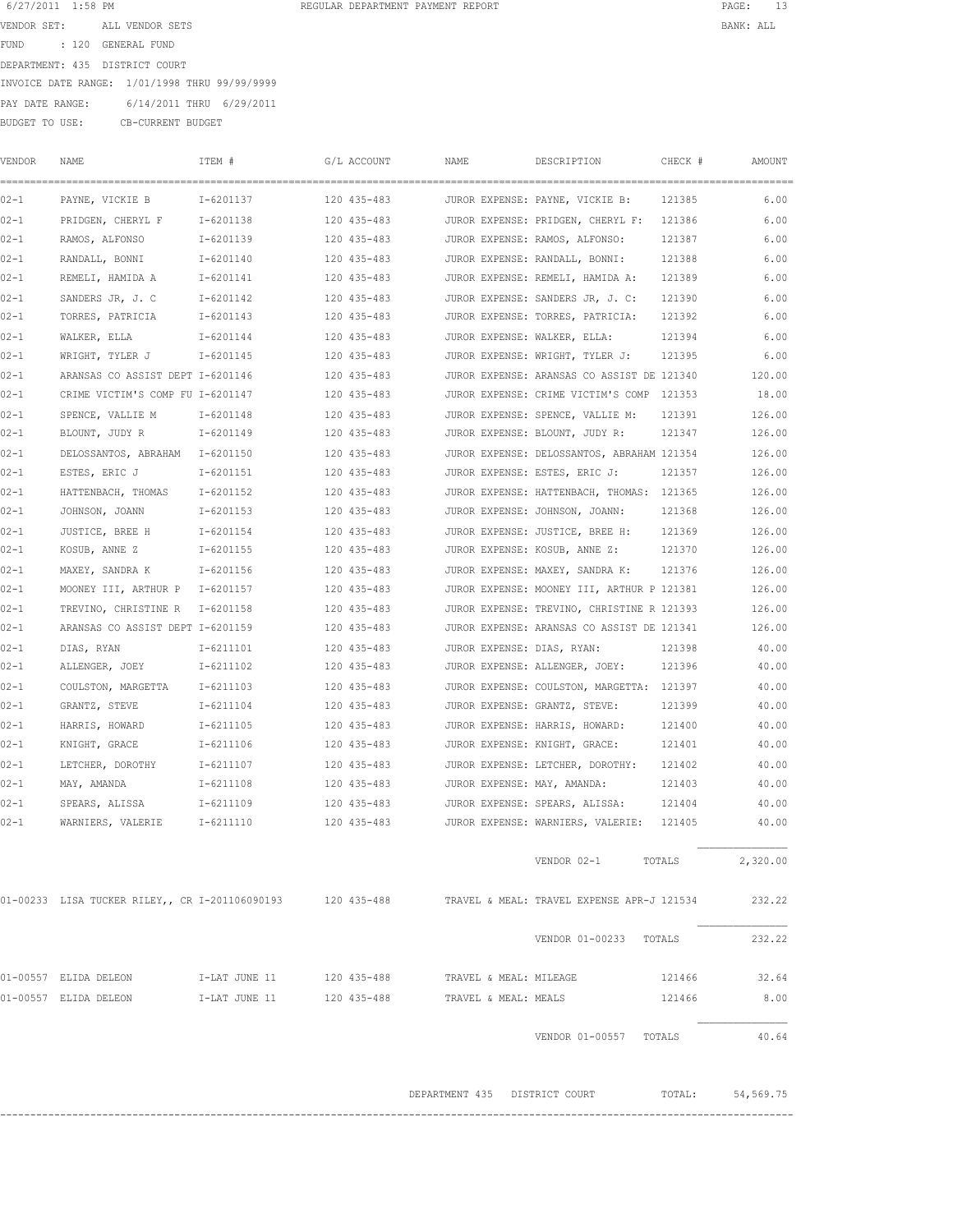| 6/27/2011 1:58 PM |       |                                               | REGULAR DEPARTMENT PAYMENT REPORT |  | PAGE:     |
|-------------------|-------|-----------------------------------------------|-----------------------------------|--|-----------|
| VENDOR SET:       |       | ALL VENDOR SETS                               |                                   |  | BANK: ALL |
| FUND              | : 120 | GENERAL FUND                                  |                                   |  |           |
|                   |       | DEPARTMENT: 435 DISTRICT COURT                |                                   |  |           |
|                   |       | INVOICE DATE RANGE: 1/01/1998 THRU 99/99/9999 |                                   |  |           |
| PAY DATE RANGE:   |       | 6/14/2011 THRU 6/29/2011                      |                                   |  |           |
| BUDGET TO USE:    |       | CB-CURRENT BUDGET                             |                                   |  |           |
|                   |       |                                               |                                   |  |           |

VENDOR NAME ITEM # G/L ACCOUNT NAME DESCRIPTION CHECK # AMOUNT

| 02-1     | PAYNE, VICKIE B                                                                                       | I-6201137                 | 120 435-483 |                               |                        | JUROR EXPENSE: PAYNE, VICKIE B:            | 121385 | 6.00        |
|----------|-------------------------------------------------------------------------------------------------------|---------------------------|-------------|-------------------------------|------------------------|--------------------------------------------|--------|-------------|
| $02 - 1$ | PRIDGEN, CHERYL F                                                                                     | I-6201138                 | 120 435-483 |                               |                        | JUROR EXPENSE: PRIDGEN, CHERYL F: 121386   |        | 6.00        |
| 02-1     | RAMOS, ALFONSO                                                                                        | I-6201139                 | 120 435-483 |                               |                        | JUROR EXPENSE: RAMOS, ALFONSO:             | 121387 | 6.00        |
| $02 - 1$ | RANDALL, BONNI                                                                                        | I-6201140                 | 120 435-483 |                               |                        | JUROR EXPENSE: RANDALL, BONNI:             | 121388 | 6.00        |
| 02-1     | REMELI, HAMIDA A                                                                                      | I-6201141                 | 120 435-483 |                               |                        | JUROR EXPENSE: REMELI, HAMIDA A:           | 121389 | 6.00        |
| $02 - 1$ | SANDERS JR, J. C                                                                                      | I-6201142                 | 120 435-483 |                               |                        | JUROR EXPENSE: SANDERS JR, J. C:           | 121390 | 6.00        |
| 02-1     | TORRES, PATRICIA                                                                                      | I-6201143                 | 120 435-483 |                               |                        | JUROR EXPENSE: TORRES, PATRICIA:           | 121392 | 6.00        |
| $02 - 1$ | WALKER, ELLA                                                                                          | I-6201144                 | 120 435-483 |                               |                        | JUROR EXPENSE: WALKER, ELLA:               | 121394 | 6.00        |
| 02-1     | WRIGHT, TYLER J                                                                                       | I-6201145                 | 120 435-483 |                               |                        | JUROR EXPENSE: WRIGHT, TYLER J:            | 121395 | 6.00        |
| $02 - 1$ | ARANSAS CO ASSIST DEPT I-6201146                                                                      |                           | 120 435-483 |                               |                        | JUROR EXPENSE: ARANSAS CO ASSIST DE 121340 |        | 120.00      |
| 02-1     | CRIME VICTIM'S COMP FU I-6201147                                                                      |                           | 120 435-483 |                               |                        | JUROR EXPENSE: CRIME VICTIM'S COMP 121353  |        | 18.00       |
| 02-1     | SPENCE, VALLIE M                                                                                      | I-6201148                 | 120 435-483 |                               |                        | JUROR EXPENSE: SPENCE, VALLIE M:           | 121391 | 126.00      |
| 02-1     | BLOUNT, JUDY R                                                                                        | I-6201149                 | 120 435-483 |                               |                        | JUROR EXPENSE: BLOUNT, JUDY R:             | 121347 | 126.00      |
| 02-1     | DELOSSANTOS, ABRAHAM I-6201150                                                                        |                           | 120 435-483 |                               |                        | JUROR EXPENSE: DELOSSANTOS, ABRAHAM 121354 |        | 126.00      |
| 02-1     | ESTES, ERIC J                                                                                         | I-6201151                 | 120 435-483 |                               |                        | JUROR EXPENSE: ESTES, ERIC J: 121357       |        | 126.00      |
| $02 - 1$ | HATTENBACH, THOMAS                                                                                    | I-6201152                 | 120 435-483 |                               |                        | JUROR EXPENSE: HATTENBACH, THOMAS: 121365  |        | 126.00      |
| $02 - 1$ | JOHNSON, JOANN                                                                                        | I-6201153                 | 120 435-483 |                               |                        | JUROR EXPENSE: JOHNSON, JOANN:             | 121368 | 126.00      |
| $02 - 1$ | JUSTICE, BREE H                                                                                       | $I - 6201154$             | 120 435-483 |                               |                        | JUROR EXPENSE: JUSTICE, BREE H:            | 121369 | 126.00      |
| 02-1     | KOSUB, ANNE Z                                                                                         | I-6201155                 | 120 435-483 |                               |                        | JUROR EXPENSE: KOSUB, ANNE Z:              | 121370 | 126.00      |
| $02 - 1$ | MAXEY, SANDRA K                                                                                       | I-6201156                 | 120 435-483 |                               |                        | JUROR EXPENSE: MAXEY, SANDRA K:            | 121376 | 126.00      |
| 02-1     | MOONEY III, ARTHUR P I-6201157                                                                        |                           | 120 435-483 |                               |                        | JUROR EXPENSE: MOONEY III, ARTHUR P 121381 |        | 126.00      |
| $02 - 1$ | TREVINO, CHRISTINE R                                                                                  | I-6201158                 | 120 435-483 |                               |                        | JUROR EXPENSE: TREVINO, CHRISTINE R 121393 |        | 126.00      |
| 02-1     | ARANSAS CO ASSIST DEPT I-6201159                                                                      |                           | 120 435-483 |                               |                        | JUROR EXPENSE: ARANSAS CO ASSIST DE 121341 |        | 126.00      |
| 02-1     | DIAS, RYAN                                                                                            | I-6211101                 | 120 435-483 |                               |                        | JUROR EXPENSE: DIAS, RYAN:                 | 121398 | 40.00       |
| 02-1     | ALLENGER, JOEY                                                                                        | I-6211102                 | 120 435-483 |                               |                        | JUROR EXPENSE: ALLENGER, JOEY:             | 121396 | 40.00       |
| $02 - 1$ | COULSTON, MARGETTA                                                                                    | I-6211103                 | 120 435-483 |                               |                        | JUROR EXPENSE: COULSTON, MARGETTA: 121397  |        | 40.00       |
| 02-1     | GRANTZ, STEVE                                                                                         | I-6211104                 | 120 435-483 |                               |                        | JUROR EXPENSE: GRANTZ, STEVE:              | 121399 | 40.00       |
| $02 - 1$ | HARRIS, HOWARD                                                                                        | I-6211105                 | 120 435-483 |                               |                        | JUROR EXPENSE: HARRIS, HOWARD:             | 121400 | 40.00       |
| $02 - 1$ | KNIGHT, GRACE                                                                                         | I-6211106                 | 120 435-483 |                               |                        | JUROR EXPENSE: KNIGHT, GRACE:              | 121401 | 40.00       |
| $02 - 1$ | LETCHER, DOROTHY                                                                                      | I-6211107                 | 120 435-483 |                               |                        | JUROR EXPENSE: LETCHER, DOROTHY:           | 121402 | 40.00       |
| 02-1     | MAY, AMANDA                                                                                           | I-6211108                 | 120 435-483 |                               |                        | JUROR EXPENSE: MAY, AMANDA:                | 121403 | 40.00       |
| $02 - 1$ | SPEARS, ALISSA                                                                                        | I-6211109                 | 120 435-483 |                               |                        | JUROR EXPENSE: SPEARS, ALISSA:             | 121404 | 40.00       |
| 02-1     | WARNIERS, VALERIE                                                                                     | I-6211110                 | 120 435-483 |                               |                        | JUROR EXPENSE: WARNIERS, VALERIE: 121405   |        | 40.00       |
|          |                                                                                                       |                           |             |                               |                        |                                            |        |             |
|          |                                                                                                       |                           |             |                               |                        | VENDOR 02-1                                | TOTALS | 2,320.00    |
|          |                                                                                                       |                           |             |                               |                        |                                            |        |             |
|          | 01-00233 LISA TUCKER RILEY,, CR I-201106090193 120 435-488 TRAVEL & MEAL: TRAVEL EXPENSE APR-J 121534 |                           |             |                               |                        |                                            |        | 232.22      |
|          |                                                                                                       |                           |             |                               |                        |                                            |        |             |
|          |                                                                                                       |                           |             |                               |                        | VENDOR 01-00233 TOTALS                     |        | 232.22      |
|          |                                                                                                       |                           |             |                               |                        |                                            |        |             |
|          | 01-00557 ELIDA DELEON                                                                                 | I-LAT JUNE 11 120 435-488 |             |                               | TRAVEL & MEAL: MILEAGE |                                            | 121466 | 32.64       |
|          | 01-00557 ELIDA DELEON                                                                                 | I-LAT JUNE 11 120 435-488 |             |                               | TRAVEL & MEAL: MEALS   |                                            | 121466 | 8.00        |
|          |                                                                                                       |                           |             |                               |                        |                                            |        |             |
|          |                                                                                                       |                           |             |                               |                        | VENDOR 01-00557 TOTALS                     |        | 40.64       |
|          |                                                                                                       |                           |             |                               |                        |                                            |        |             |
|          |                                                                                                       |                           |             |                               |                        |                                            |        |             |
|          |                                                                                                       |                           |             | DEPARTMENT 435 DISTRICT COURT |                        |                                            | TOTAL: | 54, 569. 75 |

------------------------------------------------------------------------------------------------------------------------------------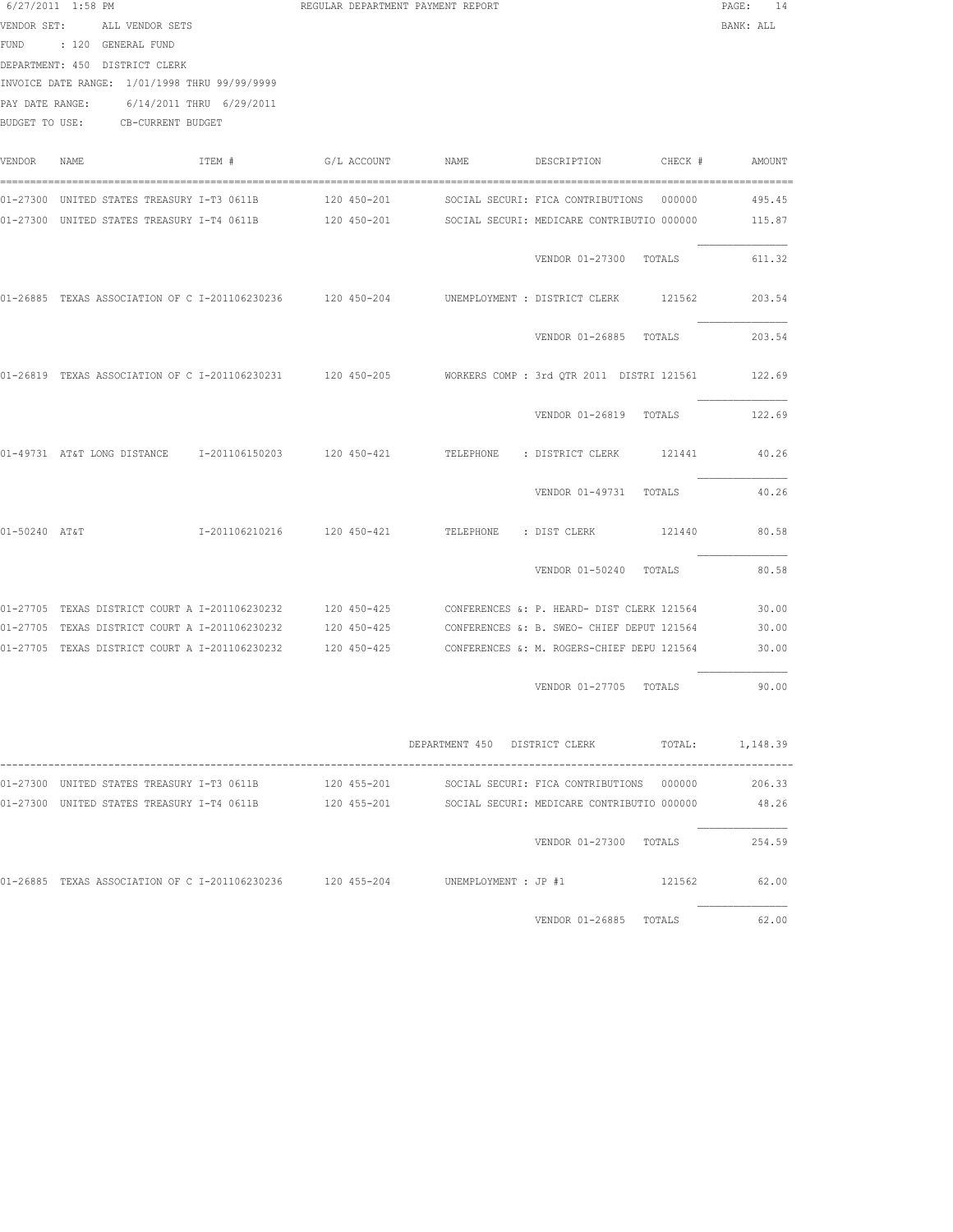| PAY DATE RANGE: | $6/27/2011$ 1:58 PM<br>VENDOR SET: ALL VENDOR SETS<br>FUND : 120 GENERAL FUND<br>DEPARTMENT: 450 DISTRICT CLERK<br>INVOICE DATE RANGE: 1/01/1998 THRU 99/99/9999<br>6/14/2011 THRU 6/29/2011<br>BUDGET TO USE: CB-CURRENT BUDGET | REGULAR DEPARTMENT PAYMENT REPORT |                        |                                            | PAGE: 14<br>BANK: ALL                         |
|-----------------|----------------------------------------------------------------------------------------------------------------------------------------------------------------------------------------------------------------------------------|-----------------------------------|------------------------|--------------------------------------------|-----------------------------------------------|
| VENDOR          | ITEM #<br>NAME                                                                                                                                                                                                                   | G/L ACCOUNT                       | NAME                   | DESCRIPTION                                | CHECK #<br>AMOUNT                             |
|                 | 01-27300 UNITED STATES TREASURY I-T3 0611B<br>01-27300 UNITED STATES TREASURY I-T4 0611B 120 450-201 SOCIAL SECURI: MEDICARE CONTRIBUTIO 000000                                                                                  | 120 450-201                       |                        | SOCIAL SECURI: FICA CONTRIBUTIONS          | 000000<br>495.45<br>115.87                    |
|                 |                                                                                                                                                                                                                                  |                                   |                        | VENDOR 01-27300 TOTALS                     | 611.32                                        |
|                 | 01-26885 TEXAS ASSOCIATION OF C I-201106230236 120 450-204                                                                                                                                                                       |                                   |                        | UNEMPLOYMENT : DISTRICT CLERK              | 203.54<br>121562                              |
|                 |                                                                                                                                                                                                                                  |                                   |                        | VENDOR 01-26885 TOTALS                     | 203.54                                        |
|                 | 01-26819 TEXAS ASSOCIATION OF C I-201106230231 120 450-205 WORKERS COMP : 3rd QTR 2011 DISTRI 121561                                                                                                                             |                                   |                        |                                            | 122.69                                        |
|                 |                                                                                                                                                                                                                                  |                                   |                        | VENDOR 01-26819 TOTALS                     | 122.69                                        |
|                 | 01-49731 AT&T LONG DISTANCE 1-201106150203 120 450-421                                                                                                                                                                           |                                   |                        | TELEPHONE : DISTRICT CLERK                 | 40.26<br>121441                               |
|                 |                                                                                                                                                                                                                                  |                                   |                        | VENDOR 01-49731 TOTALS                     | 40.26                                         |
| 01-50240 AT&T   |                                                                                                                                                                                                                                  |                                   | TELEPHONE : DIST CLERK |                                            | 80.58<br>121440                               |
|                 |                                                                                                                                                                                                                                  |                                   |                        | VENDOR 01-50240 TOTALS                     | 80.58                                         |
|                 | 01-27705 TEXAS DISTRICT COURT A I-201106230232 120 450-425                                                                                                                                                                       |                                   |                        | CONFERENCES &: P. HEARD- DIST CLERK 121564 | 30.00                                         |
|                 | 01-27705 TEXAS DISTRICT COURT A I-201106230232                                                                                                                                                                                   | 120 450-425                       |                        | CONFERENCES &: B. SWEO- CHIEF DEPUT 121564 | 30.00                                         |
|                 | 01-27705 TEXAS DISTRICT COURT A I-201106230232 120 450-425 CONFERENCES &: M. ROGERS-CHIEF DEPU 121564                                                                                                                            |                                   |                        |                                            | 30.00                                         |
|                 |                                                                                                                                                                                                                                  |                                   |                        | VENDOR 01-27705 TOTALS                     | 90.00                                         |
|                 |                                                                                                                                                                                                                                  |                                   |                        |                                            | DEPARTMENT 450 DISTRICT CLERK TOTAL: 1,148.39 |
|                 | 01-27300 UNITED STATES TREASURY I-T3 0611B 120 455-201                                                                                                                                                                           |                                   |                        | SOCIAL SECURI: FICA CONTRIBUTIONS 000000   | 206.33                                        |
|                 | 01-27300 UNITED STATES TREASURY I-T4 0611B 120 455-201 SOCIAL SECURI: MEDICARE CONTRIBUTIO 000000                                                                                                                                |                                   |                        |                                            | 48.26                                         |
|                 |                                                                                                                                                                                                                                  |                                   |                        |                                            | VENDOR 01-27300 TOTALS 254.59                 |
|                 | 01-26885 TEXAS ASSOCIATION OF C I-201106230236 120 455-204 UNEMPLOYMENT : JP #1 221562                                                                                                                                           |                                   |                        |                                            | 62.00                                         |

VENDOR 01-26885 TOTALS 62.00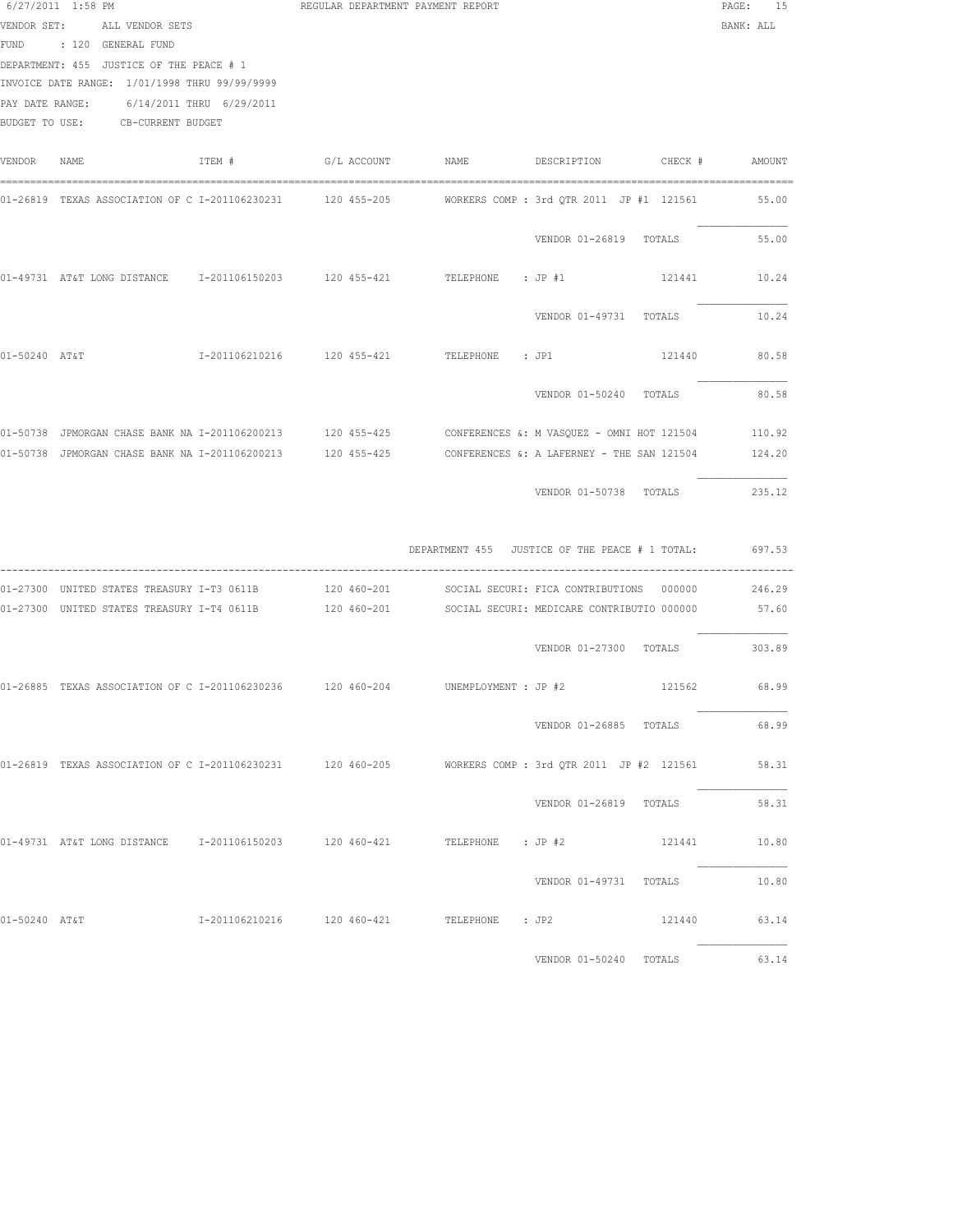|               | $6/27/2011$ 1:58 PM<br>VENDOR SET: ALL VENDOR SETS<br>FUND : 120 GENERAL FUND<br>DEPARTMENT: 455 JUSTICE OF THE PEACE # 1<br>INVOICE DATE RANGE: 1/01/1998 THRU 99/99/9999<br>PAY DATE RANGE: 6/14/2011 THRU 6/29/2011<br>BUDGET TO USE: CB-CURRENT BUDGET |        |  | REGULAR DEPARTMENT PAYMENT REPORT                    |                               |        | PAGE: 15<br>BANK: ALL |
|---------------|------------------------------------------------------------------------------------------------------------------------------------------------------------------------------------------------------------------------------------------------------------|--------|--|------------------------------------------------------|-------------------------------|--------|-----------------------|
| VENDOR NAME   |                                                                                                                                                                                                                                                            | ITEM # |  |                                                      |                               |        |                       |
|               | 01-26819 TEXAS ASSOCIATION OF C I-201106230231 120 455-205 MORKERS COMP : 3rd QTR 2011 JP #1 121561 55.00                                                                                                                                                  |        |  |                                                      |                               |        |                       |
|               |                                                                                                                                                                                                                                                            |        |  |                                                      | VENDOR 01-26819 TOTALS        |        | 55.00                 |
|               | 01-49731 AT&T LONG DISTANCE 1-201106150203 120 455-421 TELEPHONE : JP #1                                                                                                                                                                                   |        |  |                                                      |                               |        | 121441 10.24          |
|               |                                                                                                                                                                                                                                                            |        |  |                                                      | VENDOR 01-49731 TOTALS        |        | 10.24                 |
| 01-50240 AT&T |                                                                                                                                                                                                                                                            |        |  |                                                      |                               | 121440 | 80.58                 |
|               |                                                                                                                                                                                                                                                            |        |  |                                                      | VENDOR 01-50240 TOTALS        |        | 80.58                 |
|               | 01-50738 JPMORGAN CHASE BANK NA I-201106200213 120 455-425 CONFERENCES &: M VASQUEZ - OMNI HOT 121504 110.92                                                                                                                                               |        |  |                                                      |                               |        |                       |
|               | 01-50738 JPMORGAN CHASE BANK NA I-201106200213 120 455-425 CONFERENCES &: A LAFERNEY - THE SAN 121504 124.20                                                                                                                                               |        |  |                                                      |                               |        |                       |
|               |                                                                                                                                                                                                                                                            |        |  |                                                      | VENDOR 01-50738 TOTALS        |        | 235.12                |
|               |                                                                                                                                                                                                                                                            |        |  | DEPARTMENT 455 JUSTICE OF THE PEACE # 1 TOTAL:       |                               |        | 697.53                |
|               | 01-27300 UNITED STATES TREASURY I-T3 0611B 120 460-201 SOCIAL SECURI: FICA CONTRIBUTIONS 000000                                                                                                                                                            |        |  |                                                      |                               |        | 246.29                |
|               | 01-27300 UNITED STATES TREASURY I-T4 0611B 120 460-201 SOCIAL SECURI: MEDICARE CONTRIBUTIO 000000                                                                                                                                                          |        |  |                                                      |                               |        | 57.60                 |
|               |                                                                                                                                                                                                                                                            |        |  |                                                      | VENDOR 01-27300 TOTALS 303.89 |        |                       |
|               | 01-26885 TEXAS ASSOCIATION OF C I-201106230236 120 460-204 UNEMPLOYMENT : JP #2 121562 121562 68.99                                                                                                                                                        |        |  |                                                      |                               |        |                       |
|               |                                                                                                                                                                                                                                                            |        |  |                                                      | VENDOR 01-26885 TOTALS        |        | 68.99                 |
|               | 01-26819 TEXAS ASSOCIATION OF C I-201106230231 120 460-205 WORKERS COMP: 3rd QTR 2011 JP #2 121561                                                                                                                                                         |        |  |                                                      |                               |        | 58.31                 |
|               |                                                                                                                                                                                                                                                            |        |  |                                                      | VENDOR 01-26819 TOTALS        |        | 58.31                 |
|               | 01-49731 AT&T LONG DISTANCE 1-201106150203 120 460-421 TELEPHONE : JP #2 121441 10.80                                                                                                                                                                      |        |  |                                                      |                               |        |                       |
|               |                                                                                                                                                                                                                                                            |        |  |                                                      | VENDOR 01-49731 TOTALS 10.80  |        |                       |
| 01-50240 AT&T |                                                                                                                                                                                                                                                            |        |  | I-201106210216  120 460-421  TELEPHONE : JP2  121440 |                               |        | 63.14                 |
|               |                                                                                                                                                                                                                                                            |        |  |                                                      | VENDOR 01-50240 TOTALS 63.14  |        |                       |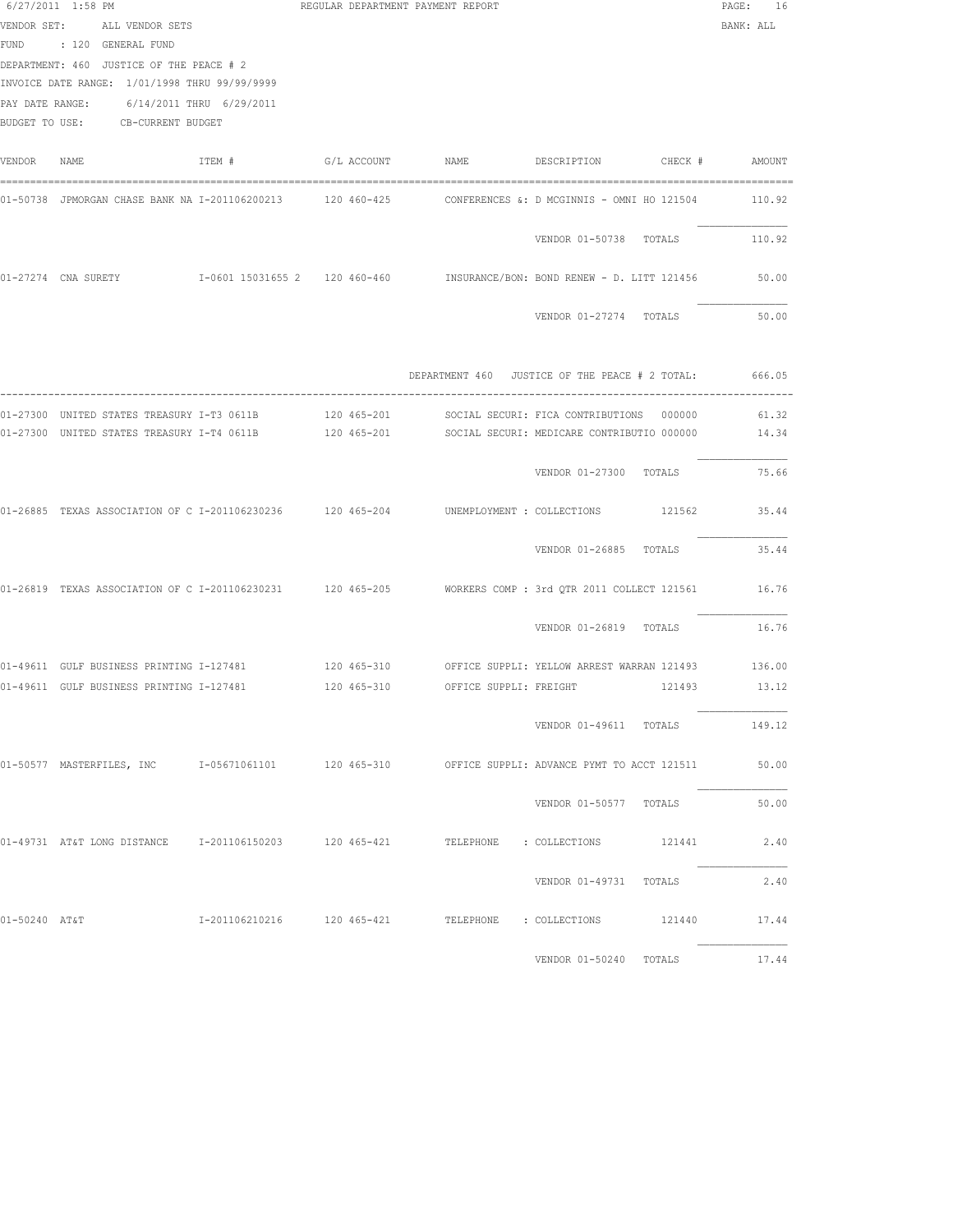|               | 6/27/2011 1:58 PM<br>VENDOR SET: ALL VENDOR SETS<br>FUND : 120 GENERAL FUND<br>DEPARTMENT: 460 JUSTICE OF THE PEACE # 2<br>INVOICE DATE RANGE: 1/01/1998 THRU 99/99/9999<br>PAY DATE RANGE: 6/14/2011 THRU 6/29/2011<br>BUDGET TO USE: CB-CURRENT BUDGET |        | REGULAR DEPARTMENT PAYMENT REPORT  |                                                                                                             | PAGE: 16<br>BANK: ALL |
|---------------|----------------------------------------------------------------------------------------------------------------------------------------------------------------------------------------------------------------------------------------------------------|--------|------------------------------------|-------------------------------------------------------------------------------------------------------------|-----------------------|
| VENDOR NAME   |                                                                                                                                                                                                                                                          | ITEM # |                                    |                                                                                                             |                       |
|               | 01-50738 JPMORGAN CHASE BANK NA I-201106200213 120 460-425                                                                                                                                                                                               |        |                                    | CONFERENCES &: D MCGINNIS - OMNI HO 121504                                                                  | 110.92                |
|               |                                                                                                                                                                                                                                                          |        |                                    | VENDOR 01-50738 TOTALS                                                                                      | 110.92                |
|               |                                                                                                                                                                                                                                                          |        |                                    | 01-27274 CNA SURETY 6001 15031655 2 120 460-460 MSURANCE/BON: BOND RENEW - D. LITT 121456                   | 50.00                 |
|               |                                                                                                                                                                                                                                                          |        |                                    | VENDOR 01-27274 TOTALS                                                                                      | 50.00                 |
|               |                                                                                                                                                                                                                                                          |        |                                    | DEPARTMENT 460 JUSTICE OF THE PEACE # 2 TOTAL: 666.05                                                       |                       |
|               |                                                                                                                                                                                                                                                          |        |                                    | 01-27300 UNITED STATES TREASURY I-T4 0611B 120 465-201 SOCIAL SECURI: MEDICARE CONTRIBUTIO 000000           | 14.34                 |
|               |                                                                                                                                                                                                                                                          |        |                                    | VENDOR 01-27300 TOTALS                                                                                      | 75.66                 |
|               | 01-26885 TEXAS ASSOCIATION OF C I-201106230236 120 465-204 UNEMPLOYMENT : COLLECTIONS                                                                                                                                                                    |        |                                    |                                                                                                             | 121562 35.44          |
|               |                                                                                                                                                                                                                                                          |        |                                    | VENDOR 01-26885 TOTALS                                                                                      | 35.44                 |
|               |                                                                                                                                                                                                                                                          |        |                                    | 01-26819 TEXAS ASSOCIATION OF C I-201106230231 120 465-205 WORKERS COMP : 3rd QTR 2011 COLLECT 121561 16.76 |                       |
|               |                                                                                                                                                                                                                                                          |        |                                    | VENDOR 01-26819 TOTALS                                                                                      | 16.76                 |
|               |                                                                                                                                                                                                                                                          |        |                                    | 01-49611 GULF BUSINESS PRINTING I-127481 120 465-310 OFFICE SUPPLI: YELLOW ARREST WARRAN 121493 136.00      |                       |
|               | 01-49611 GULF BUSINESS PRINTING I-127481                                                                                                                                                                                                                 |        | 120 465-310 OFFICE SUPPLI: FREIGHT | 121493                                                                                                      | 13.12                 |
|               |                                                                                                                                                                                                                                                          |        |                                    | VENDOR 01-49611 TOTALS                                                                                      | 149.12                |
|               |                                                                                                                                                                                                                                                          |        |                                    | 01-50577 MASTERFILES, INC 1-05671061101 120 465-310 OFFICE SUPPLI: ADVANCE PYMT TO ACCT 121511 50.00        |                       |
|               |                                                                                                                                                                                                                                                          |        |                                    | VENDOR 01-50577 TOTALS                                                                                      | 50.00                 |
|               |                                                                                                                                                                                                                                                          |        |                                    | 01-49731 AT&T LONG DISTANCE 1-201106150203 120 465-421 TELEPHONE : COLLECTIONS 121441                       | 2.40                  |
|               |                                                                                                                                                                                                                                                          |        |                                    | VENDOR 01-49731 TOTALS                                                                                      | 2,40                  |
| 01-50240 AT&T |                                                                                                                                                                                                                                                          |        |                                    |                                                                                                             | 17.44                 |
|               |                                                                                                                                                                                                                                                          |        |                                    | VENDOR 01-50240 TOTALS 17.44                                                                                |                       |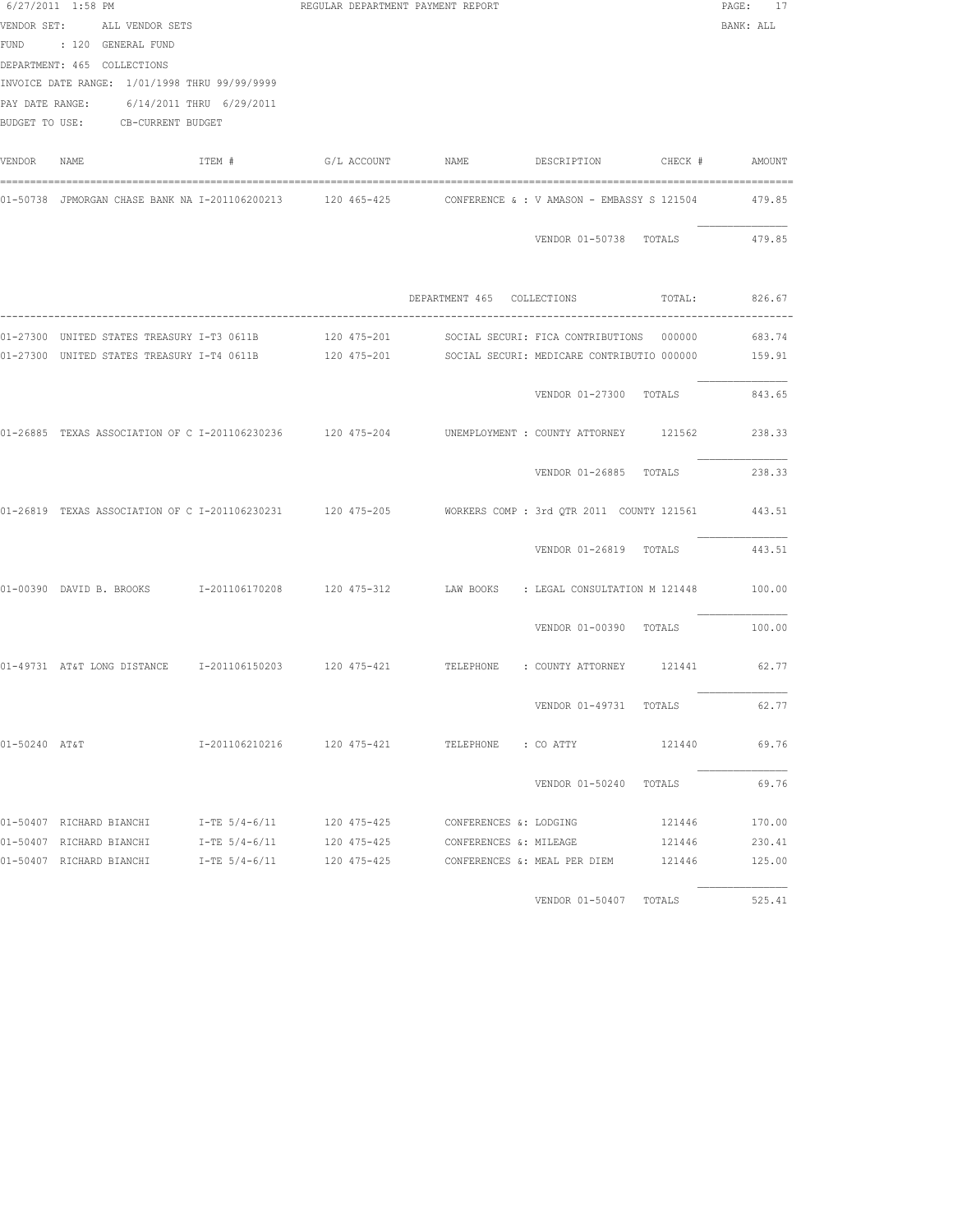|               | 6/27/2011 1:58 PM                             |        | REGULAR DEPARTMENT PAYMENT REPORT |                                                                                                              | PAGE: 17  |
|---------------|-----------------------------------------------|--------|-----------------------------------|--------------------------------------------------------------------------------------------------------------|-----------|
|               | VENDOR SET: ALL VENDOR SETS                   |        |                                   |                                                                                                              | BANK: ALL |
|               | FUND : 120 GENERAL FUND                       |        |                                   |                                                                                                              |           |
|               | DEPARTMENT: 465 COLLECTIONS                   |        |                                   |                                                                                                              |           |
|               | INVOICE DATE RANGE: 1/01/1998 THRU 99/99/9999 |        |                                   |                                                                                                              |           |
|               | PAY DATE RANGE: 6/14/2011 THRU 6/29/2011      |        |                                   |                                                                                                              |           |
|               | BUDGET TO USE: CB-CURRENT BUDGET              |        |                                   |                                                                                                              |           |
| VENDOR NAME   |                                               | ITEM # |                                   |                                                                                                              |           |
|               |                                               |        |                                   | 01-50738 JPMORGAN CHASE BANK NA I-201106200213 120 465-425 CONFERENCE & : V AMASON - EMBASSY S 121504        | 479.85    |
|               |                                               |        |                                   | VENDOR 01-50738 TOTALS                                                                                       | 479.85    |
|               |                                               |        |                                   |                                                                                                              |           |
|               |                                               |        |                                   | DEPARTMENT 465 COLLECTIONS TOTAL: 826.67                                                                     |           |
|               |                                               |        |                                   |                                                                                                              |           |
|               |                                               |        |                                   | 01-27300 UNITED STATES TREASURY I-T4 0611B 120 475-201 SOCIAL SECURI: MEDICARE CONTRIBUTIO 000000 159.91     |           |
|               |                                               |        |                                   |                                                                                                              |           |
|               |                                               |        |                                   | VENDOR 01-27300 TOTALS                                                                                       | 843.65    |
|               |                                               |        |                                   | 01-26885 TEXAS ASSOCIATION OF C I-201106230236 120 475-204 UNEMPLOYMENT : COUNTY ATTORNEY 121562             | 238.33    |
|               |                                               |        |                                   | VENDOR 01-26885 TOTALS                                                                                       | 238.33    |
|               |                                               |        |                                   | 01-26819 TEXAS ASSOCIATION OF C I-201106230231 120 475-205 MORKERS COMP : 3rd QTR 2011 COUNTY 121561 443.51  |           |
|               |                                               |        |                                   | VENDOR 01-26819 TOTALS 443.51                                                                                |           |
|               |                                               |        |                                   | 01-00390 DAVID B. BROOKS = 1 201106170208 = 120 475-312 = 1AW BOOKS = 1 LEGAL CONSULTATION M 121448 = 100.00 |           |
|               |                                               |        |                                   | VENDOR 01-00390 TOTALS                                                                                       | 100.00    |
|               |                                               |        |                                   | 01-49731 AT&T LONG DISTANCE 1-201106150203 120 475-421 TELEPHONE : COUNTY ATTORNEY 121441 62.77              |           |
|               |                                               |        |                                   | VENDOR 01-49731 TOTALS                                                                                       | 62.77     |
| 01-50240 AT&T |                                               |        |                                   | I-201106210216  120 475-421  TELEPHONE : CO ATTY  121440                                                     | 69.76     |
|               |                                               |        |                                   | VENDOR 01-50240 TOTALS                                                                                       | 69.76     |
|               |                                               |        |                                   |                                                                                                              | 170.00    |
|               |                                               |        |                                   | 01-50407 RICHARD BIANCHI T-TE 5/4-6/11 120 475-425 CONFERENCES & MILEAGE 121446                              | 230.41    |
|               |                                               |        |                                   | 01-50407 RICHARD BIANCHI $I$ -TE 5/4-6/11 120 475-425 CONFERENCES & MEAL PER DIEM 121446                     | 125.00    |
|               |                                               |        |                                   | VENDOR 01-50407 TOTALS                                                                                       | 525.41    |
|               |                                               |        |                                   |                                                                                                              |           |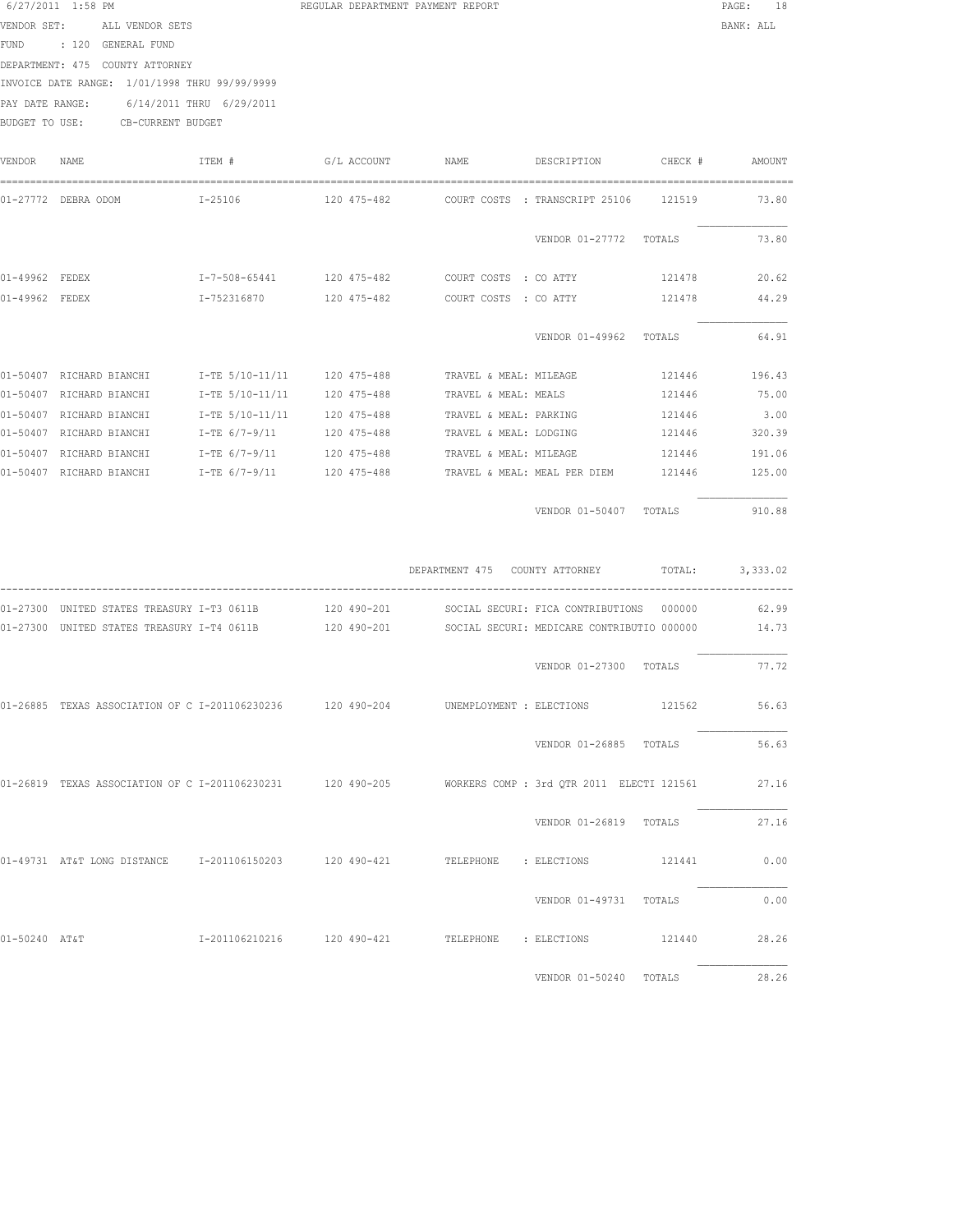| 6/27/2011 1:58 PM   |             |                   |                           | REGULAR DEPARTMENT PAYMENT REPORT |                       |                                |         | 18<br>PAGE: |
|---------------------|-------------|-------------------|---------------------------|-----------------------------------|-----------------------|--------------------------------|---------|-------------|
| VENDOR SET:         |             | ALL VENDOR SETS   |                           |                                   |                       |                                |         | BANK: ALL   |
| <b>FUND</b>         | : 120       | GENERAL FUND      |                           |                                   |                       |                                |         |             |
| DEPARTMENT: 475     |             | COUNTY ATTORNEY   |                           |                                   |                       |                                |         |             |
| INVOICE DATE RANGE: |             |                   | 1/01/1998 THRU 99/99/9999 |                                   |                       |                                |         |             |
| PAY DATE RANGE:     |             |                   | 6/14/2011 THRU 6/29/2011  |                                   |                       |                                |         |             |
| BUDGET TO USE:      |             | CB-CURRENT BUDGET |                           |                                   |                       |                                |         |             |
| VENDOR              | <b>NAME</b> |                   | ITEM #                    | G/L ACCOUNT                       | <b>NAME</b>           | DESCRIPTION                    | CHECK # | AMOUNT      |
| $01 - 27772$        | DEBRA ODOM  |                   | $I - 25106$               | 120 475-482                       |                       | COURT COSTS : TRANSCRIPT 25106 | 121519  | 73.80       |
|                     |             |                   |                           |                                   |                       | VENDOR 01-27772                | TOTALS  | 73.80       |
| $01 - 49962$        | FEDEX       |                   | $I - 7 - 508 - 65441$     | 120 475-482                       | COURT COSTS : CO ATTY |                                | 121478  | 20.62       |
| $01 - 49962$        | FEDEX       |                   | I-752316870               | 120 475-482                       | COURT COSTS : CO ATTY |                                | 121478  | 44.29       |
|                     |             |                   |                           |                                   |                       | VENDOR $01 - 49962$            | TOTALS  | 64 91       |

|              |                 |                 |             |                              | VENDOR 01-49962 | TOTALS | 64.91  |
|--------------|-----------------|-----------------|-------------|------------------------------|-----------------|--------|--------|
| $01 - 50407$ | RICHARD BIANCHI | I-TE 5/10-11/11 | 120 475-488 | TRAVEL & MEAL: MILEAGE       |                 | 121446 | 196.43 |
| $01 - 50407$ | RICHARD BIANCHI | I-TE 5/10-11/11 | 120 475-488 | TRAVEL & MEAL: MEALS         |                 | 121446 | 75.00  |
| $01 - 50407$ | RICHARD BIANCHI | I-TE 5/10-11/11 | 120 475-488 | TRAVEL & MEAL: PARKING       |                 | 121446 | 3.00   |
| $01 - 50407$ | RICHARD BIANCHI | $I-TE$ 6/7-9/11 | 120 475-488 | TRAVEL & MEAL: LODGING       |                 | 121446 | 320.39 |
| $01 - 50407$ | RICHARD BIANCHI | $T-TE$ 6/7-9/11 | 120 475-488 | TRAVEL & MEAL: MILEAGE       |                 | 121446 | 191.06 |
| $01 - 50407$ | RICHARD BIANCHI | $I-TE$ 6/7-9/11 | 120 475-488 | TRAVEL & MEAL: MEAL PER DIEM |                 | 121446 | 125.00 |
|              |                 |                 |             |                              |                 |        |        |

| VENDOR 01-50407 | TOTALS | 310.88<br>u<br>. |
|-----------------|--------|------------------|
|                 |        |                  |

|                              |                                                                        |                |                            | DEPARTMENT 475   | COUNTY ATTORNEY                                                                 | TOTAL: | 3,333.02       |
|------------------------------|------------------------------------------------------------------------|----------------|----------------------------|------------------|---------------------------------------------------------------------------------|--------|----------------|
| $01 - 27300$<br>$01 - 27300$ | UNITED STATES TREASURY I-T3 0611B<br>UNITED STATES TREASURY I-T4 0611B |                | 120 490-201<br>120 490-201 |                  | SOCIAL SECURI: FICA CONTRIBUTIONS<br>SOCIAL SECURI: MEDICARE CONTRIBUTIO 000000 | 000000 | 62.99<br>14.73 |
|                              |                                                                        |                |                            |                  | VENDOR 01-27300 TOTALS                                                          |        | 77.72          |
|                              | 01-26885 TEXAS ASSOCIATION OF C I-201106230236 120 490-204             |                |                            |                  | UNEMPLOYMENT : ELECTIONS                                                        | 121562 | 56.63          |
|                              |                                                                        |                |                            |                  | VENDOR 01-26885                                                                 | TOTALS | 56.63          |
|                              | 01-26819 TEXAS ASSOCIATION OF C I-201106230231 120 490-205             |                |                            |                  | WORKERS COMP : 3rd OTR 2011 ELECTI 121561                                       |        | 27.16          |
|                              |                                                                        |                |                            |                  | VENDOR 01-26819                                                                 | TOTALS | 27.16          |
|                              | 01-49731 AT&T LONG DISTANCE                                            | I-201106150203 | 120 490-421                | TELEPHONE        | : ELECTIONS                                                                     | 121441 | 0.00           |
|                              |                                                                        |                |                            |                  | VENDOR 01-49731                                                                 | TOTALS | 0.00           |
| $01 - 50240$ $ATST$          |                                                                        | I-201106210216 | 120 490-421                | <b>TELEPHONE</b> | : ELECTIONS                                                                     | 121440 | 28.26          |
|                              |                                                                        |                |                            |                  | VENDOR 01-50240                                                                 | TOTALS | 28.26          |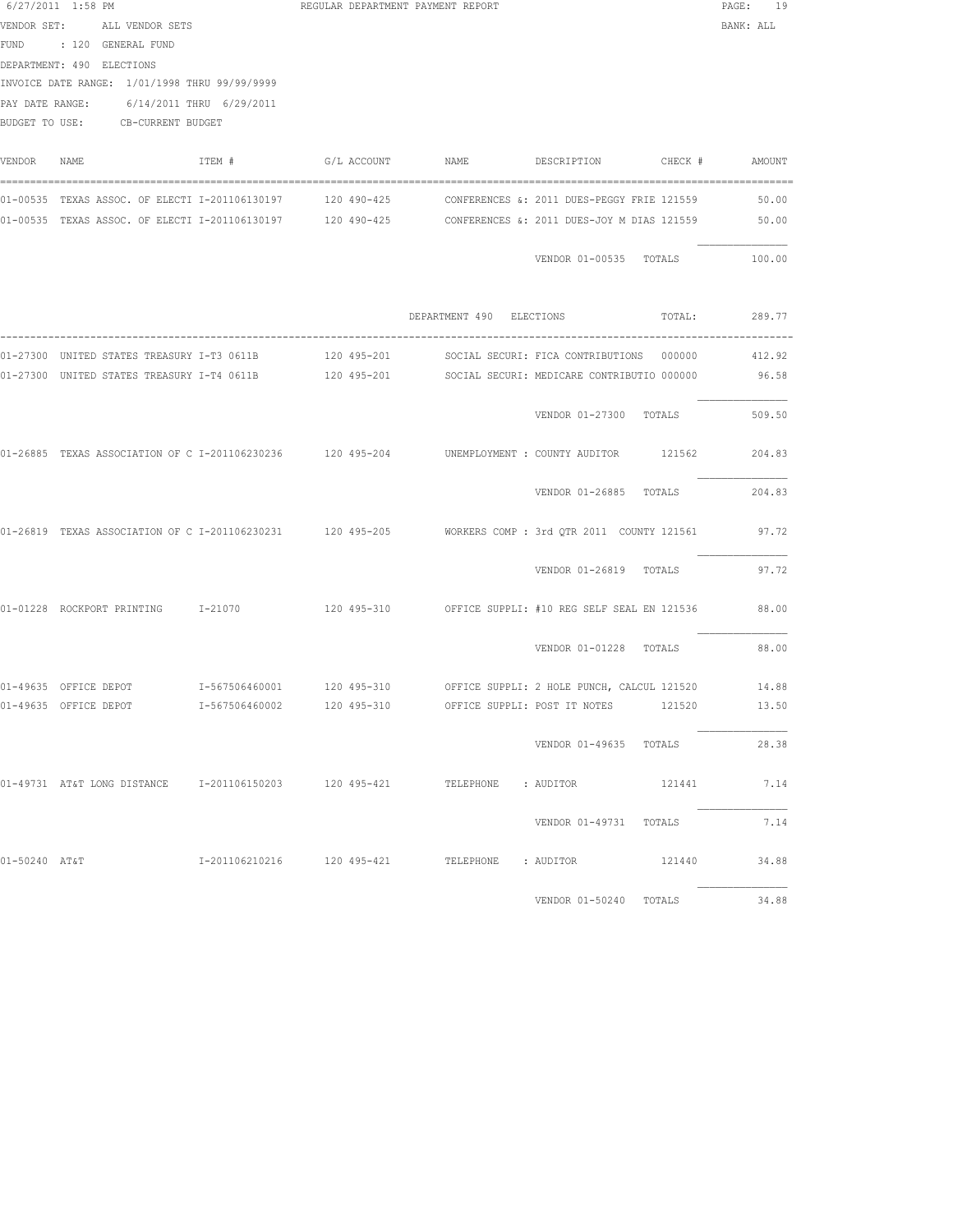|               | 6/27/2011 1:58 PM<br>VENDOR SET: ALL VENDOR SETS<br>FUND : 120 GENERAL FUND<br>DEPARTMENT: 490 ELECTIONS<br>INVOICE DATE RANGE: 1/01/1998 THRU 99/99/9999<br>PAY DATE RANGE: 6/14/2011 THRU 6/29/2011<br>BUDGET TO USE: CB-CURRENT BUDGET |        | REGULAR DEPARTMENT PAYMENT REPORT |                                                                                                                                                     | PAGE: 19<br>BANK: ALL |
|---------------|-------------------------------------------------------------------------------------------------------------------------------------------------------------------------------------------------------------------------------------------|--------|-----------------------------------|-----------------------------------------------------------------------------------------------------------------------------------------------------|-----------------------|
| VENDOR NAME   |                                                                                                                                                                                                                                           | ITEM # |                                   |                                                                                                                                                     |                       |
|               | 01-00535 TEXAS ASSOC. OF ELECTI I-201106130197 120 490-425                                                                                                                                                                                |        |                                   | CONFERENCES &: 2011 DUES-PEGGY FRIE 121559<br>01-00535 TEXAS ASSOC. OF ELECTI I-201106130197 120 490-425 CONFERENCES &: 2011 DUES-JOY M DIAS 121559 | 50.00<br>50.00        |
|               |                                                                                                                                                                                                                                           |        |                                   | VENDOR 01-00535 TOTALS 100.00                                                                                                                       |                       |
|               |                                                                                                                                                                                                                                           |        |                                   | DEPARTMENT 490 ELECTIONS TOTAL: 289.77                                                                                                              |                       |
|               |                                                                                                                                                                                                                                           |        |                                   |                                                                                                                                                     |                       |
|               |                                                                                                                                                                                                                                           |        |                                   | 01-27300 UNITED STATES TREASURY I-T4 0611B 120 495-201 SOCIAL SECURI: MEDICARE CONTRIBUTIO 000000 96.58                                             |                       |
|               |                                                                                                                                                                                                                                           |        |                                   | VENDOR 01-27300 TOTALS                                                                                                                              | 509.50                |
|               |                                                                                                                                                                                                                                           |        |                                   | 01-26885 TEXAS ASSOCIATION OF C I-201106230236 120 495-204 COUNEMPLOYMENT : COUNTY AUDITOR 121562 204.83                                            |                       |
|               |                                                                                                                                                                                                                                           |        |                                   | VENDOR 01-26885 TOTALS                                                                                                                              | 204.83                |
|               |                                                                                                                                                                                                                                           |        |                                   | 01-26819 TEXAS ASSOCIATION OF C I-201106230231 120 495-205 WORKERS COMP : 3rd QTR 2011 COUNTY 121561 97.72                                          |                       |
|               |                                                                                                                                                                                                                                           |        |                                   | VENDOR 01-26819 TOTALS                                                                                                                              | 97.72                 |
|               |                                                                                                                                                                                                                                           |        |                                   | 01-01228 ROCKPORT PRINTING 1-21070 120 495-310 OFFICE SUPPLI: #10 REG SELF SEAL EN 121536                                                           | 88.00                 |
|               |                                                                                                                                                                                                                                           |        |                                   | VENDOR 01-01228 TOTALS                                                                                                                              | 88.00                 |
|               |                                                                                                                                                                                                                                           |        |                                   | 01-49635 OFFICE DEPOT 61-567506460001 120 495-310 OFFICE SUPPLI: 2 HOLE PUNCH, CALCUL 121520                                                        | 14.88                 |
|               |                                                                                                                                                                                                                                           |        |                                   | 01-49635 OFFICE DEPOT 1-567506460002 120 495-310 OFFICE SUPPLI: POST IT NOTES 121520                                                                | 13.50                 |
|               |                                                                                                                                                                                                                                           |        |                                   | VENDOR 01-49635 TOTALS                                                                                                                              | 28.38                 |
|               |                                                                                                                                                                                                                                           |        |                                   | 01-49731 AT&T LONG DISTANCE 1-201106150203 120 495-421 TELEPHONE : AUDITOR 121441 7.14                                                              |                       |
|               |                                                                                                                                                                                                                                           |        |                                   | VENDOR 01-49731 TOTALS 7.14                                                                                                                         |                       |
| 01-50240 AT&T |                                                                                                                                                                                                                                           |        |                                   | I-201106210216 120 495-421 TELEPHONE : AUDITOR 121440 34.88                                                                                         |                       |
|               |                                                                                                                                                                                                                                           |        |                                   | VENDOR 01-50240 TOTALS                                                                                                                              | 34.88                 |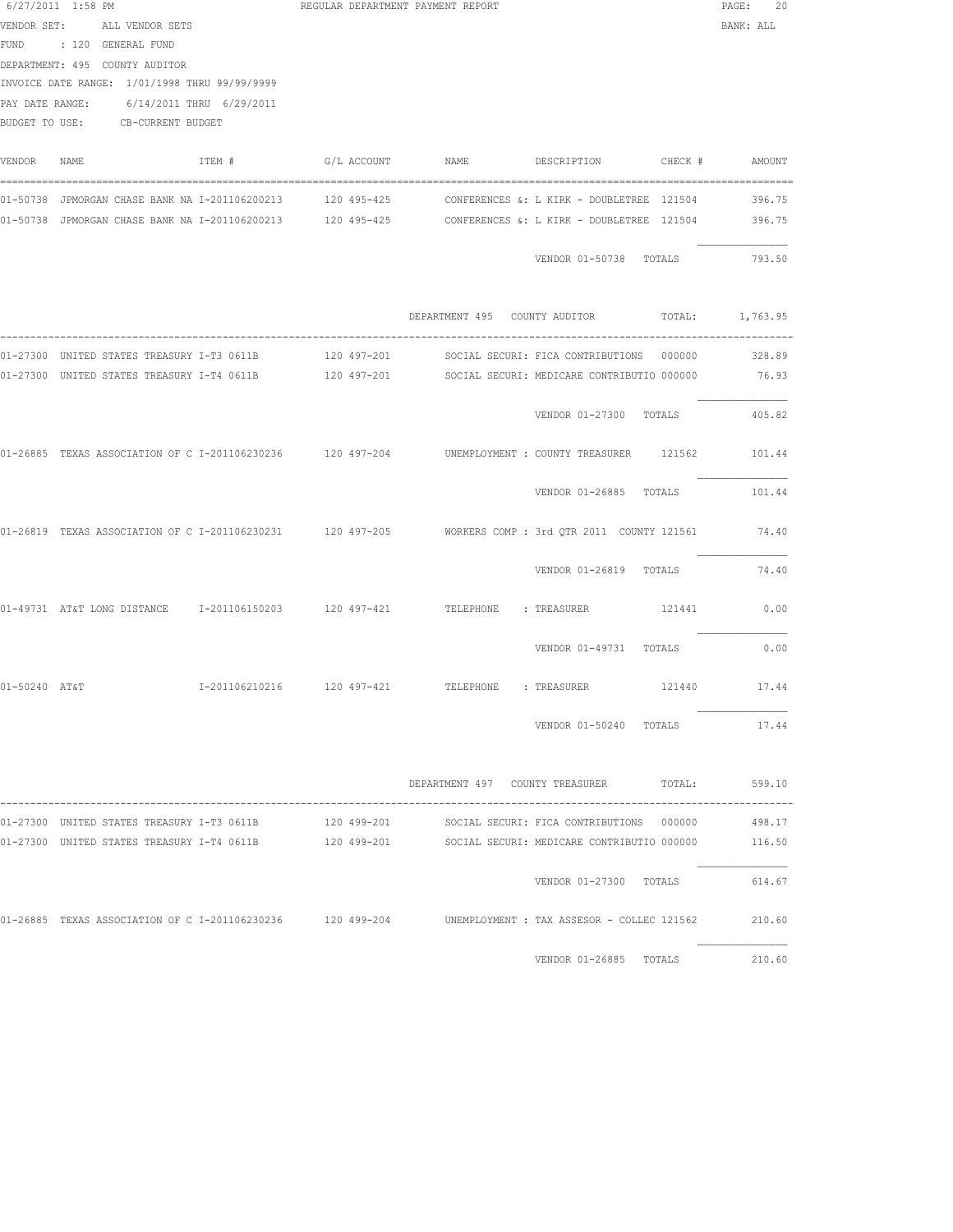|             | 6/27/2011 1:58 PM<br>VENDOR SET: ALL VENDOR SETS<br>FUND : 120 GENERAL FUND<br>DEPARTMENT: 495 COUNTY AUDITOR<br>INVOICE DATE RANGE: 1/01/1998 THRU 99/99/9999<br>PAY DATE RANGE: 6/14/2011 THRU 6/29/2011<br>BUDGET TO USE: CB-CURRENT BUDGET |        | REGULAR DEPARTMENT PAYMENT REPORT |                                                                                                                                                          | PAGE: 20<br>BANK: ALL |
|-------------|------------------------------------------------------------------------------------------------------------------------------------------------------------------------------------------------------------------------------------------------|--------|-----------------------------------|----------------------------------------------------------------------------------------------------------------------------------------------------------|-----------------------|
| VENDOR NAME |                                                                                                                                                                                                                                                | ITEM # |                                   | $G/L$ ACCOUNT NAME DESCRIPTION CHECK $\#$ AMOUNT                                                                                                         |                       |
|             | 01-50738 JPMORGAN CHASE BANK NA I-201106200213 120 495-425                                                                                                                                                                                     |        |                                   | CONFERENCES &: L KIRK - DOUBLETREE 121504<br>01-50738 JPMORGAN CHASE BANK NA I-201106200213 120 495-425 CONFERENCES &: L KIRK - DOUBLETREE 121504 396.75 | 396.75                |
|             |                                                                                                                                                                                                                                                |        |                                   | VENDOR 01-50738 TOTALS 793.50                                                                                                                            |                       |
|             |                                                                                                                                                                                                                                                |        |                                   | DEPARTMENT 495 COUNTY AUDITOR TOTAL: 1,763.95                                                                                                            |                       |
|             |                                                                                                                                                                                                                                                |        |                                   |                                                                                                                                                          |                       |
|             |                                                                                                                                                                                                                                                |        |                                   | 01-27300 UNITED STATES TREASURY I-T4 0611B 120 497-201 SOCIAL SECURI: MEDICARE CONTRIBUTIO 000000 76.93                                                  |                       |
|             |                                                                                                                                                                                                                                                |        |                                   | VENDOR 01-27300 TOTALS                                                                                                                                   | 405.82                |
|             |                                                                                                                                                                                                                                                |        |                                   | 01-26885 TEXAS ASSOCIATION OF C I-201106230236 120 497-204 UNEMPLOYMENT : COUNTY TREASURER 121562 101.44                                                 |                       |
|             |                                                                                                                                                                                                                                                |        |                                   | VENDOR 01-26885 TOTALS 101.44                                                                                                                            |                       |
|             |                                                                                                                                                                                                                                                |        |                                   | 01-26819 TEXAS ASSOCIATION OF C I-201106230231 120 497-205 WORKERS COMP: 3rd QTR 2011 COUNTY 121561 74.40                                                |                       |
|             |                                                                                                                                                                                                                                                |        |                                   | VENDOR 01-26819 TOTALS 74.40                                                                                                                             |                       |
|             |                                                                                                                                                                                                                                                |        |                                   | 01-49731 AT&T LONG DISTANCE 1-201106150203 120 497-421 TELEPHONE : TREASURER 121441 0.00                                                                 |                       |
|             |                                                                                                                                                                                                                                                |        |                                   | VENDOR 01-49731 TOTALS                                                                                                                                   | 0.00                  |
|             | $01-50240$ $A$ T&T $1-201106210216$ 120 497-421 TELEPHONE : TREASURER                                                                                                                                                                          |        |                                   | 121440                                                                                                                                                   | 17.44                 |
|             |                                                                                                                                                                                                                                                |        |                                   | VENDOR 01-50240 TOTALS 17.44                                                                                                                             |                       |
|             |                                                                                                                                                                                                                                                |        |                                   | DEPARTMENT 497 COUNTY TREASURER TOTAL: 599.10<br>------------------------------------                                                                    |                       |
|             |                                                                                                                                                                                                                                                |        |                                   | 01-27300 UNITED STATES TREASURY I-T3 0611B 120 499-201 SOCIAL SECURI: FICA CONTRIBUTIONS 000000 498.17                                                   |                       |
|             |                                                                                                                                                                                                                                                |        |                                   | 01-27300 UNITED STATES TREASURY I-T4 0611B 120 499-201 SOCIAL SECURI: MEDICARE CONTRIBUTIO 000000                                                        | 116.50                |
|             |                                                                                                                                                                                                                                                |        |                                   | VENDOR 01-27300 TOTALS                                                                                                                                   | 614.67                |
|             |                                                                                                                                                                                                                                                |        |                                   | 01-26885 TEXAS ASSOCIATION OF C I-201106230236 120 499-204 UNEMPLOYMENT : TAX ASSESOR - COLLEC 121562                                                    | 210.60                |
|             |                                                                                                                                                                                                                                                |        |                                   | VENDOR 01-26885 TOTALS                                                                                                                                   | 210.60                |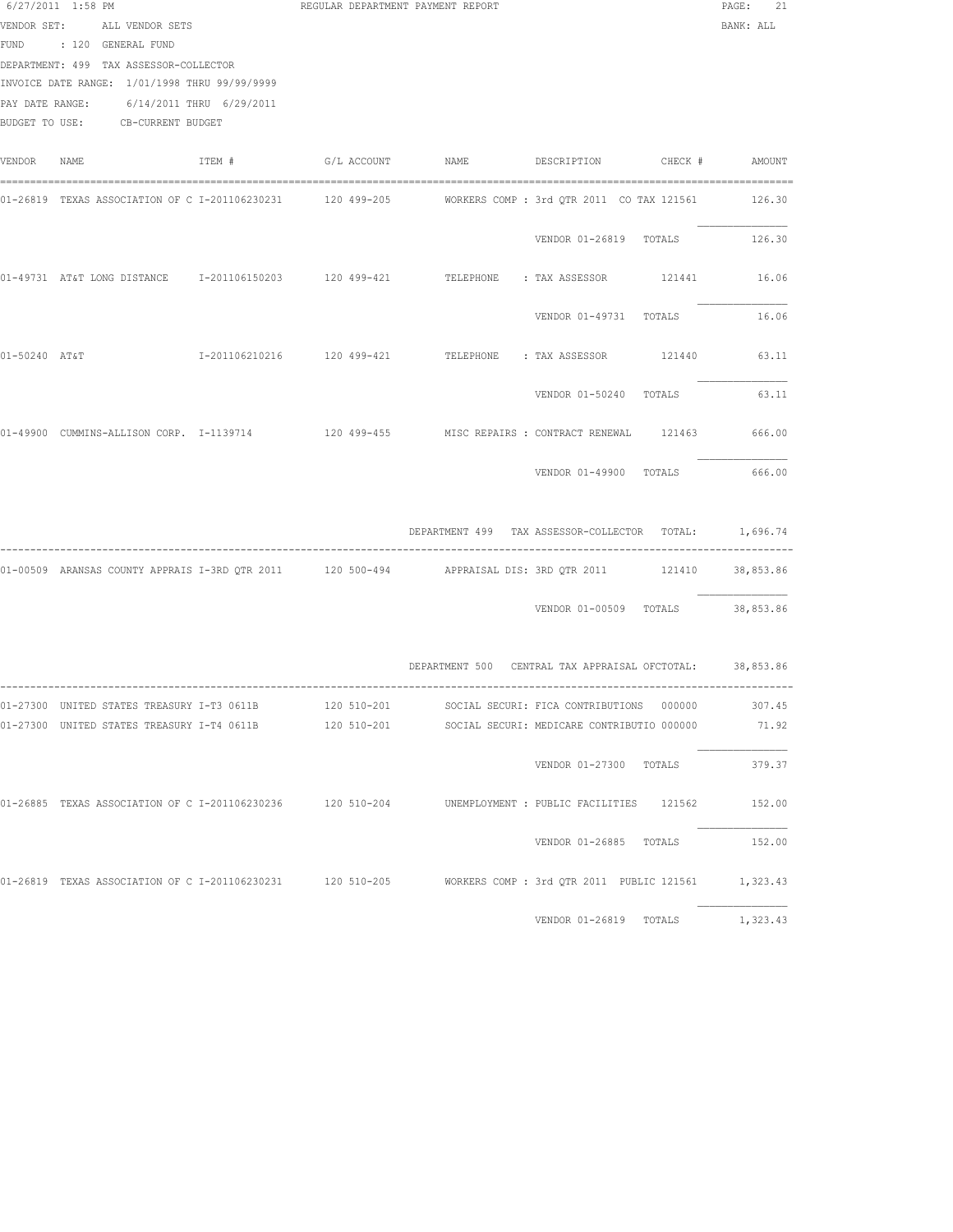|             | $6/27/2011$ 1:58 PM<br>VENDOR SET: ALL VENDOR SETS<br>FUND : 120 GENERAL FUND<br>DEPARTMENT: 499 TAX ASSESSOR-COLLECTOR<br>INVOICE DATE RANGE: 1/01/1998 THRU 99/99/9999<br>PAY DATE RANGE: 6/14/2011 THRU 6/29/2011<br>BUDGET TO USE: CB-CURRENT BUDGET | REGULAR DEPARTMENT PAYMENT REPORT |                                                                                                                                                                                                  | PAGE:<br>21<br>BANK: ALL         |
|-------------|----------------------------------------------------------------------------------------------------------------------------------------------------------------------------------------------------------------------------------------------------------|-----------------------------------|--------------------------------------------------------------------------------------------------------------------------------------------------------------------------------------------------|----------------------------------|
| VENDOR NAME |                                                                                                                                                                                                                                                          |                                   | ITEM # G/L ACCOUNT NAME DESCRIPTION CHECK # AMOUNT                                                                                                                                               |                                  |
|             |                                                                                                                                                                                                                                                          |                                   | 01-26819 TEXAS ASSOCIATION OF C I-201106230231 120 499-205 WORKERS COMP : 3rd QTR 2011 CO TAX 121561 126.30                                                                                      |                                  |
|             |                                                                                                                                                                                                                                                          |                                   |                                                                                                                                                                                                  | VENDOR 01-26819 TOTALS 126.30    |
|             |                                                                                                                                                                                                                                                          |                                   | 01-49731 AT&T LONG DISTANCE 1-201106150203 120 499-421 TELEPHONE : TAX ASSESSOR 121441                                                                                                           | 16.06                            |
|             |                                                                                                                                                                                                                                                          |                                   | VENDOR 01-49731 TOTALS                                                                                                                                                                           | 16.06                            |
|             |                                                                                                                                                                                                                                                          |                                   | $01-50240 \quad \mathtt{AT6T} \qquad \qquad 1-201106210216 \qquad \qquad 120\ 499-421 \qquad \qquad \mathtt{TELEPHONE} \qquad \mathtt{: TAX ASSESSOR} \qquad \qquad 121440 \qquad \qquad 63.111$ |                                  |
|             |                                                                                                                                                                                                                                                          |                                   | VENDOR 01-50240 TOTALS                                                                                                                                                                           | 63.11                            |
|             |                                                                                                                                                                                                                                                          |                                   | 01-49900 CUMMINS-ALLISON CORP. I-1139714 120 499-455 MISC REPAIRS : CONTRACT RENEWAL 121463 666.00                                                                                               |                                  |
|             |                                                                                                                                                                                                                                                          |                                   |                                                                                                                                                                                                  | VENDOR 01-49900 TOTALS 666.00    |
|             |                                                                                                                                                                                                                                                          |                                   | DEPARTMENT 499 TAX ASSESSOR-COLLECTOR TOTAL: 1,696.74                                                                                                                                            |                                  |
|             |                                                                                                                                                                                                                                                          |                                   | 01-00509 ARANSAS COUNTY APPRAIS I-3RD QTR 2011 120 500-494 APPRAISAL DIS: 3RD QTR 2011 121410 38,853.86                                                                                          |                                  |
|             |                                                                                                                                                                                                                                                          |                                   |                                                                                                                                                                                                  | VENDOR 01-00509 TOTALS 38,853.86 |
|             |                                                                                                                                                                                                                                                          |                                   | DEPARTMENT 500 CENTRAL TAX APPRAISAL OFCTOTAL: 38,853.86                                                                                                                                         |                                  |
|             | 01-27300 UNITED STATES TREASURY I-T3 0611B                                                                                                                                                                                                               | 120 510-201                       | SOCIAL SECURI: FICA CONTRIBUTIONS 000000                                                                                                                                                         | 307.45                           |
|             | 01-27300 UNITED STATES TREASURY I-T4 0611B                                                                                                                                                                                                               | 120 510-201                       | SOCIAL SECURI: MEDICARE CONTRIBUTIO 000000                                                                                                                                                       | 71.92                            |
|             |                                                                                                                                                                                                                                                          |                                   | VENDOR 01-27300 TOTALS                                                                                                                                                                           | 379.37                           |
|             |                                                                                                                                                                                                                                                          |                                   | 01-26885 TEXAS ASSOCIATION OF C I-201106230236 120 510-204 UNEMPLOYMENT : PUBLIC FACILITIES 121562 152.00                                                                                        |                                  |
|             |                                                                                                                                                                                                                                                          |                                   |                                                                                                                                                                                                  | VENDOR 01-26885 TOTALS 152.00    |
|             |                                                                                                                                                                                                                                                          |                                   | 01-26819 TEXAS ASSOCIATION OF C I-201106230231 120 510-205 WORKERS COMP: 3rd QTR 2011 PUBLIC 121561 1,323.43                                                                                     |                                  |
|             |                                                                                                                                                                                                                                                          |                                   | VENDOR 01-26819 TOTALS                                                                                                                                                                           | 1,323.43                         |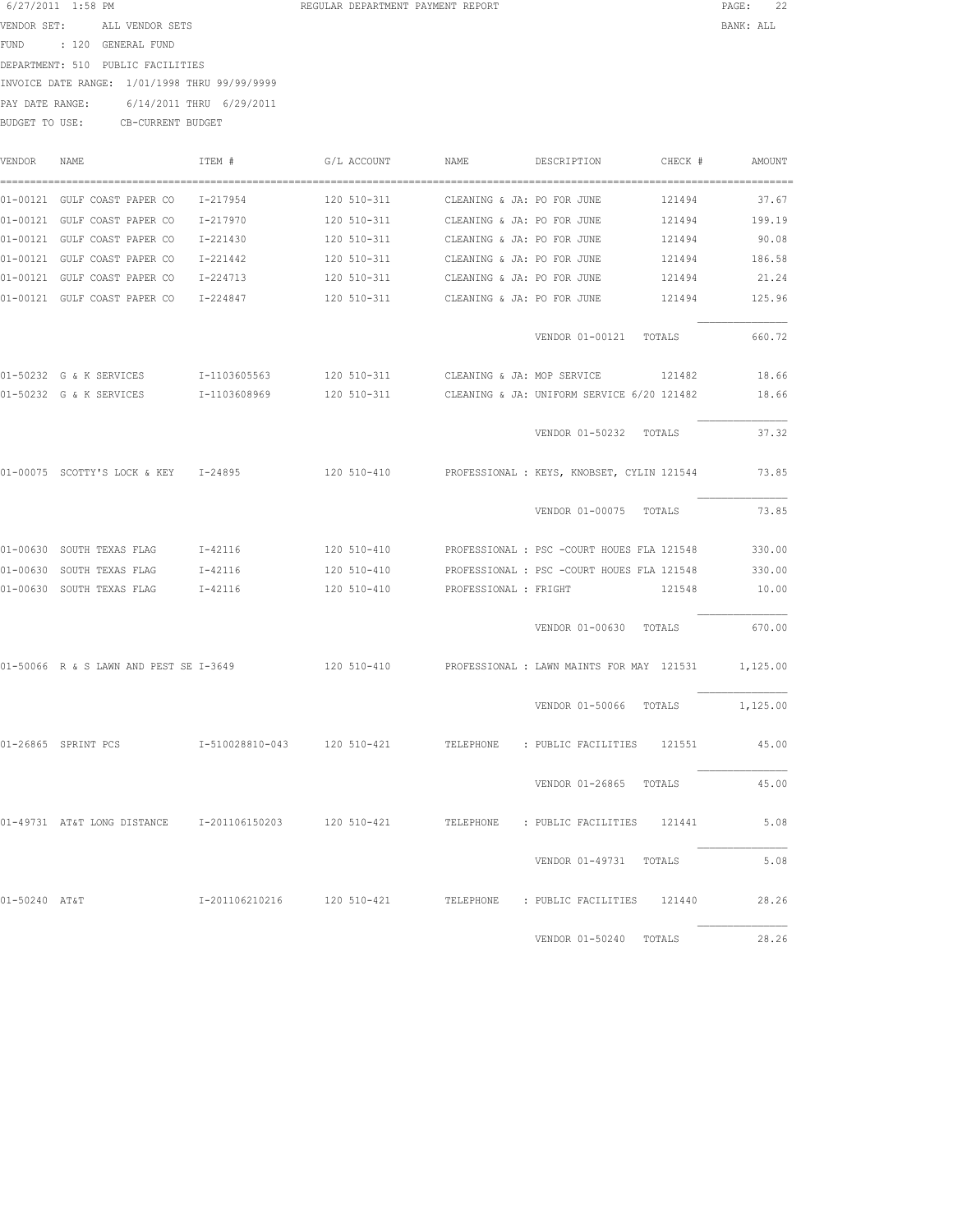| REGULAR DEPARTMENT PAYMENT REPORT |  |
|-----------------------------------|--|
|                                   |  |

| 6/27/2011 1:58 PM |                                               | REGULAR DEPARTMENT PAYMENT REPORT | PAGE:     | 22 |  |
|-------------------|-----------------------------------------------|-----------------------------------|-----------|----|--|
| VENDOR SET:       | ALL VENDOR SETS                               |                                   | BANK: ALL |    |  |
| FUND              | : 120 GENERAL FUND                            |                                   |           |    |  |
|                   | DEPARTMENT: 510 PUBLIC FACILITIES             |                                   |           |    |  |
|                   | INVOICE DATE RANGE: 1/01/1998 THRU 99/99/9999 |                                   |           |    |  |
| PAY DATE RANGE:   | 6/14/2011 THRU 6/29/2011                      |                                   |           |    |  |
| BUDGET TO USE:    | CB-CURRENT BUDGET                             |                                   |           |    |  |
|                   |                                               |                                   |           |    |  |

| VENDOR        | NAME.                                                                                       | ITEM #                      | G/L ACCOUNT                            | NAME.                      | DESCRIPTION                                | CHECK # | AMOUNT   |
|---------------|---------------------------------------------------------------------------------------------|-----------------------------|----------------------------------------|----------------------------|--------------------------------------------|---------|----------|
|               | 01-00121 GULF COAST PAPER CO                                                                | I-217954                    | 120 510-311                            | CLEANING & JA: PO FOR JUNE |                                            | 121494  | 37.67    |
|               | 01-00121 GULF COAST PAPER CO                                                                | I-217970                    | 120 510-311                            | CLEANING & JA: PO FOR JUNE |                                            | 121494  | 199.19   |
|               | 01-00121 GULF COAST PAPER CO                                                                | I-221430                    | 120 510-311                            | CLEANING & JA: PO FOR JUNE |                                            | 121494  | 90.08    |
|               | 01-00121 GULF COAST PAPER CO                                                                | $I - 221442$                | 120 510-311                            | CLEANING & JA: PO FOR JUNE |                                            | 121494  | 186.58   |
|               | 01-00121 GULF COAST PAPER CO                                                                | I-224713                    | 120 510-311                            | CLEANING & JA: PO FOR JUNE |                                            | 121494  | 21.24    |
|               | 01-00121 GULF COAST PAPER CO                                                                | I-224847                    | 120 510-311 CLEANING & JA: PO FOR JUNE |                            |                                            | 121494  | 125.96   |
|               |                                                                                             |                             |                                        |                            | VENDOR 01-00121 TOTALS                     |         | 660.72   |
|               | 01-50232 G & K SERVICES                                                                     | I-1103605563                | 120 510-311                            | CLEANING & JA: MOP SERVICE |                                            | 121482  | 18.66    |
|               | 01-50232 G & K SERVICES                                                                     | I-1103608969                | 120 510-311                            |                            | CLEANING & JA: UNIFORM SERVICE 6/20 121482 |         | 18.66    |
|               |                                                                                             |                             |                                        |                            | VENDOR 01-50232 TOTALS                     |         | 37.32    |
|               | 01-00075 SCOTTY'S LOCK & KEY 1-24895                                                        |                             | 120 510-410                            |                            | PROFESSIONAL : KEYS, KNOBSET, CYLIN 121544 |         | 73.85    |
|               |                                                                                             |                             |                                        |                            | VENDOR 01-00075 TOTALS                     |         | 73.85    |
|               | 01-00630 SOUTH TEXAS FLAG                                                                   | $I - 42116$                 | 120 510-410                            |                            | PROFESSIONAL : PSC -COURT HOUES FLA 121548 |         | 330.00   |
|               | 01-00630 SOUTH TEXAS FLAG                                                                   | I-42116                     | 120 510-410                            |                            | PROFESSIONAL : PSC -COURT HOUES FLA 121548 |         | 330.00   |
|               | 01-00630 SOUTH TEXAS FLAG                                                                   | I-42116                     | 120 510-410                            | PROFESSIONAL : FRIGHT      |                                            | 121548  | 10.00    |
|               |                                                                                             |                             |                                        |                            | VENDOR 01-00630 TOTALS                     |         | 670.00   |
|               | 01-50066 R & S LAWN AND PEST SE I-3649 120 510-410                                          |                             |                                        |                            | PROFESSIONAL : LAWN MAINTS FOR MAY 121531  |         | 1,125.00 |
|               |                                                                                             |                             |                                        |                            | VENDOR 01-50066 TOTALS                     |         | 1,125.00 |
|               | 01-26865 SPRINT PCS                                                                         | I-510028810-043 120 510-421 |                                        |                            | TELEPHONE : PUBLIC FACILITIES 121551       |         | 45.00    |
|               |                                                                                             |                             |                                        |                            | VENDOR 01-26865 TOTALS                     |         | 45.00    |
|               | 01-49731 AT&T LONG DISTANCE 1-201106150203 120 510-421 TELEPHONE : PUBLIC FACILITIES 121441 |                             |                                        |                            |                                            |         | 5.08     |
|               |                                                                                             |                             |                                        |                            | VENDOR 01-49731 TOTALS                     |         | 5.08     |
| 01-50240 AT&T |                                                                                             | I-201106210216 120 510-421  |                                        |                            | TELEPHONE : PUBLIC FACILITIES 121440       |         | 28.26    |
|               |                                                                                             |                             |                                        |                            | VENDOR 01-50240                            | TOTALS  | 28.26    |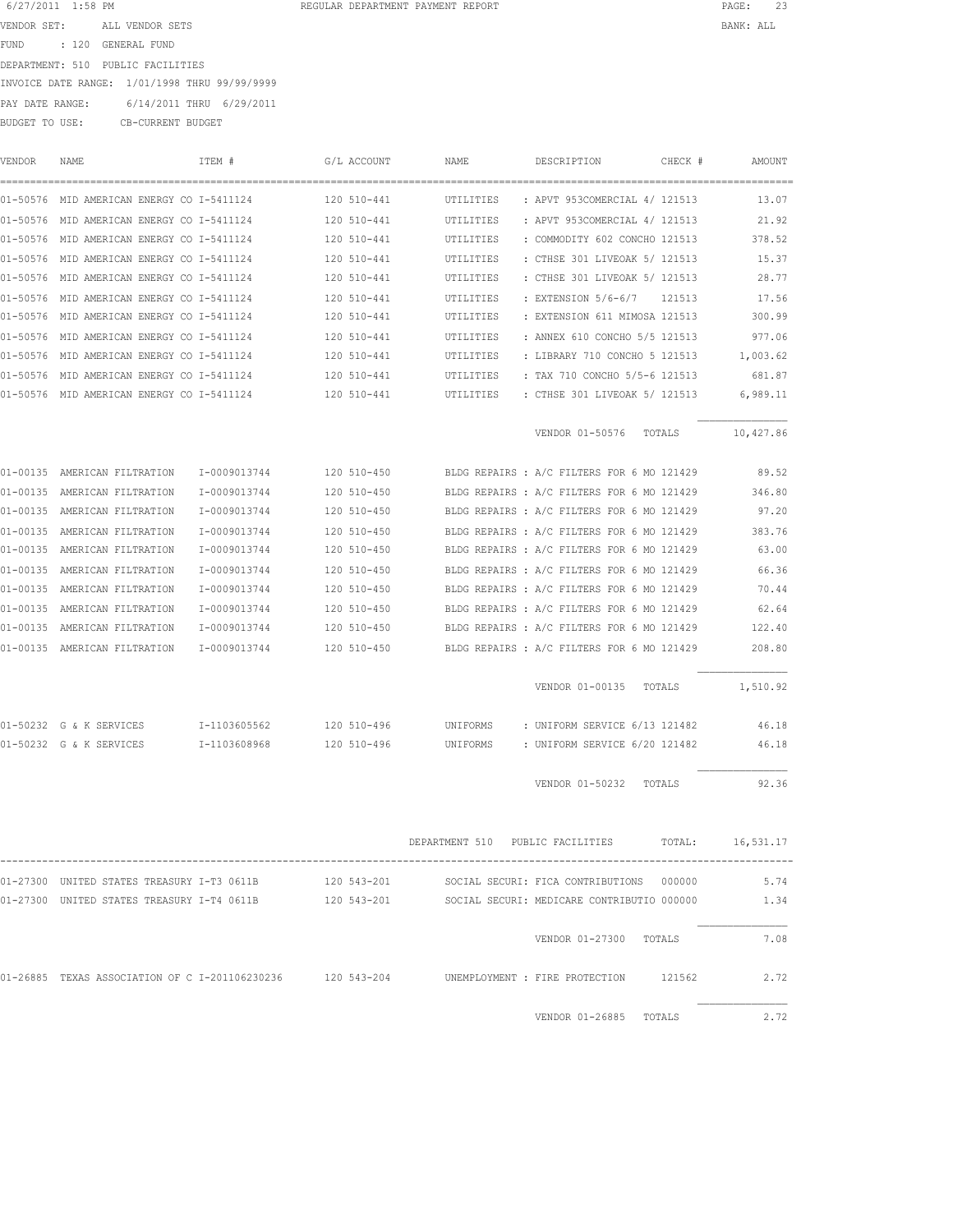| 6/27/2011 1:58 PM |       |                                               | REGULAR DEPARTMENT PAYMENT REPORT | PAGE:     | 23 |
|-------------------|-------|-----------------------------------------------|-----------------------------------|-----------|----|
| VENDOR SET:       |       | ALL VENDOR SETS                               |                                   | BANK: ALL |    |
| FUND              | : 120 | GENERAL FUND                                  |                                   |           |    |
| DEPARTMENT: 510   |       | PUBLIC FACILITIES                             |                                   |           |    |
|                   |       | INVOICE DATE RANGE: 1/01/1998 THRU 99/99/9999 |                                   |           |    |
| PAY DATE RANGE:   |       | 6/14/2011 THRU 6/29/2011                      |                                   |           |    |
| BUDGET TO USE:    |       | CB-CURRENT BUDGET                             |                                   |           |    |

| 01-50576 MID AMERICAN ENERGY CO I-5411124 120 510-441                                                  |              |             | UTILITIES | : APVT 953COMERCIAL 4/ 121513                     | 13.07    |
|--------------------------------------------------------------------------------------------------------|--------------|-------------|-----------|---------------------------------------------------|----------|
| 01-50576 MID AMERICAN ENERGY CO I-5411124 120 510-441                                                  |              |             | UTILITIES | : APVT 953COMERCIAL 4/ 121513                     | 21.92    |
| 01-50576 MID AMERICAN ENERGY CO I-5411124 120 510-441                                                  |              |             | UTILITIES | : COMMODITY 602 CONCHO 121513                     | 378.52   |
| 01-50576 MID AMERICAN ENERGY CO I-5411124 120 510-441                                                  |              |             | UTILITIES | : CTHSE 301 LIVEOAK 5/ 121513                     | 15.37    |
| 01-50576 MID AMERICAN ENERGY CO I-5411124 120 510-441                                                  |              |             | UTILITIES | : CTHSE 301 LIVEOAK 5/ 121513                     | 28.77    |
| 01-50576 MID AMERICAN ENERGY CO I-5411124                                                              |              | 120 510-441 | UTILITIES | : EXTENSION 5/6-6/7 121513                        | 17.56    |
| 01-50576 MID AMERICAN ENERGY CO I-5411124                                                              |              | 120 510-441 | UTILITIES | : EXTENSION 611 MIMOSA 121513                     | 300.99   |
| 01-50576 MID AMERICAN ENERGY CO I-5411124                                                              |              | 120 510-441 | UTILITIES | : ANNEX 610 CONCHO 5/5 121513                     | 977.06   |
| 01-50576 MID AMERICAN ENERGY CO I-5411124                                                              |              | 120 510-441 | UTILITIES | : LIBRARY 710 CONCHO 5 121513                     | 1,003.62 |
| 01-50576 MID AMERICAN ENERGY CO I-5411124                                                              |              | 120 510-441 | UTILITIES | : TAX 710 CONCHO 5/5-6 121513                     | 681.87   |
| 01-50576 MID AMERICAN ENERGY CO I-5411124 120 510-441 UTILITIES : CTHSE 301 LIVEOAK 5/ 121513          |              |             |           |                                                   | 6,989.11 |
|                                                                                                        |              |             |           | VENDOR 01-50576 TOTALS 10,427.86                  |          |
| 01-00135 AMERICAN FILTRATION 1-0009013744 120 510-450 BLDG REPAIRS : A/C FILTERS FOR 6 MO 121429 89.52 |              |             |           |                                                   |          |
| 01-00135 AMERICAN FILTRATION                                                                           | I-0009013744 | 120 510-450 |           | BLDG REPAIRS : A/C FILTERS FOR 6 MO 121429        | 346.80   |
| 01-00135 AMERICAN FILTRATION                                                                           | I-0009013744 | 120 510-450 |           | BLDG REPAIRS : A/C FILTERS FOR 6 MO 121429        | 97.20    |
| 01-00135 AMERICAN FILTRATION                                                                           | I-0009013744 | 120 510-450 |           | BLDG REPAIRS : A/C FILTERS FOR 6 MO 121429        | 383.76   |
| 01-00135 AMERICAN FILTRATION                                                                           | I-0009013744 | 120 510-450 |           | BLDG REPAIRS : A/C FILTERS FOR 6 MO 121429        | 63.00    |
| 01-00135 AMERICAN FILTRATION                                                                           | I-0009013744 | 120 510-450 |           | BLDG REPAIRS : A/C FILTERS FOR 6 MO 121429        | 66.36    |
| 01-00135 AMERICAN FILTRATION                                                                           | I-0009013744 | 120 510-450 |           | BLDG REPAIRS : A/C FILTERS FOR 6 MO 121429        | 70.44    |
| 01-00135 AMERICAN FILTRATION                                                                           | I-0009013744 | 120 510-450 |           | BLDG REPAIRS : A/C FILTERS FOR 6 MO 121429        | 62.64    |
| 01-00135 AMERICAN FILTRATION                                                                           | I-0009013744 | 120 510-450 |           | BLDG REPAIRS : A/C FILTERS FOR 6 MO 121429        | 122.40   |
| 01-00135 AMERICAN FILTRATION 1-0009013744 120 510-450                                                  |              |             |           | BLDG REPAIRS : A/C FILTERS FOR 6 MO 121429        | 208.80   |
|                                                                                                        |              |             |           | VENDOR 01-00135 TOTALS 1,510.92                   |          |
| 01-50232 G & K SERVICES T-1103605562 120 510-496 UNIFORMS : UNIFORM SERVICE 6/13 121482 46.18          |              |             |           |                                                   |          |
| 01-50232 G & K SERVICES T-1103608968 120 510-496 UNIFORMS : UNIFORM SERVICE 6/20 121482 46.18          |              |             |           |                                                   |          |
|                                                                                                        |              |             |           |                                                   |          |
|                                                                                                        |              |             |           | VENDOR 01-50232 TOTALS                            | 92.36    |
|                                                                                                        |              |             |           | DEPARTMENT 510 PUBLIC FACILITIES TOTAL: 16,531.17 |          |
| 01-27300 UNITED STATES TREASURY I-T3 0611B                                                             |              | 120 543-201 |           | SOCIAL SECURI: FICA CONTRIBUTIONS 000000          | 5.74     |
| 01-27300 UNITED STATES TREASURY I-T4 0611B 120 543-201 SOCIAL SECURI: MEDICARE CONTRIBUTIO 000000      |              |             |           |                                                   | 1.34     |
|                                                                                                        |              |             |           |                                                   |          |
|                                                                                                        |              |             |           | VENDOR 01-27300 TOTALS                            | 7.08     |
| 01-26885 TEXAS ASSOCIATION OF C I-201106230236 120 543-204 UNEMPLOYMENT : FIRE PROTECTION 121562       |              |             |           |                                                   | 2.72     |
|                                                                                                        |              |             |           | VENDOR 01-26885 TOTALS                            | 2.72     |

VENDOR NAME ITEM # G/L ACCOUNT NAME DESCRIPTION CHECK # AMOUNT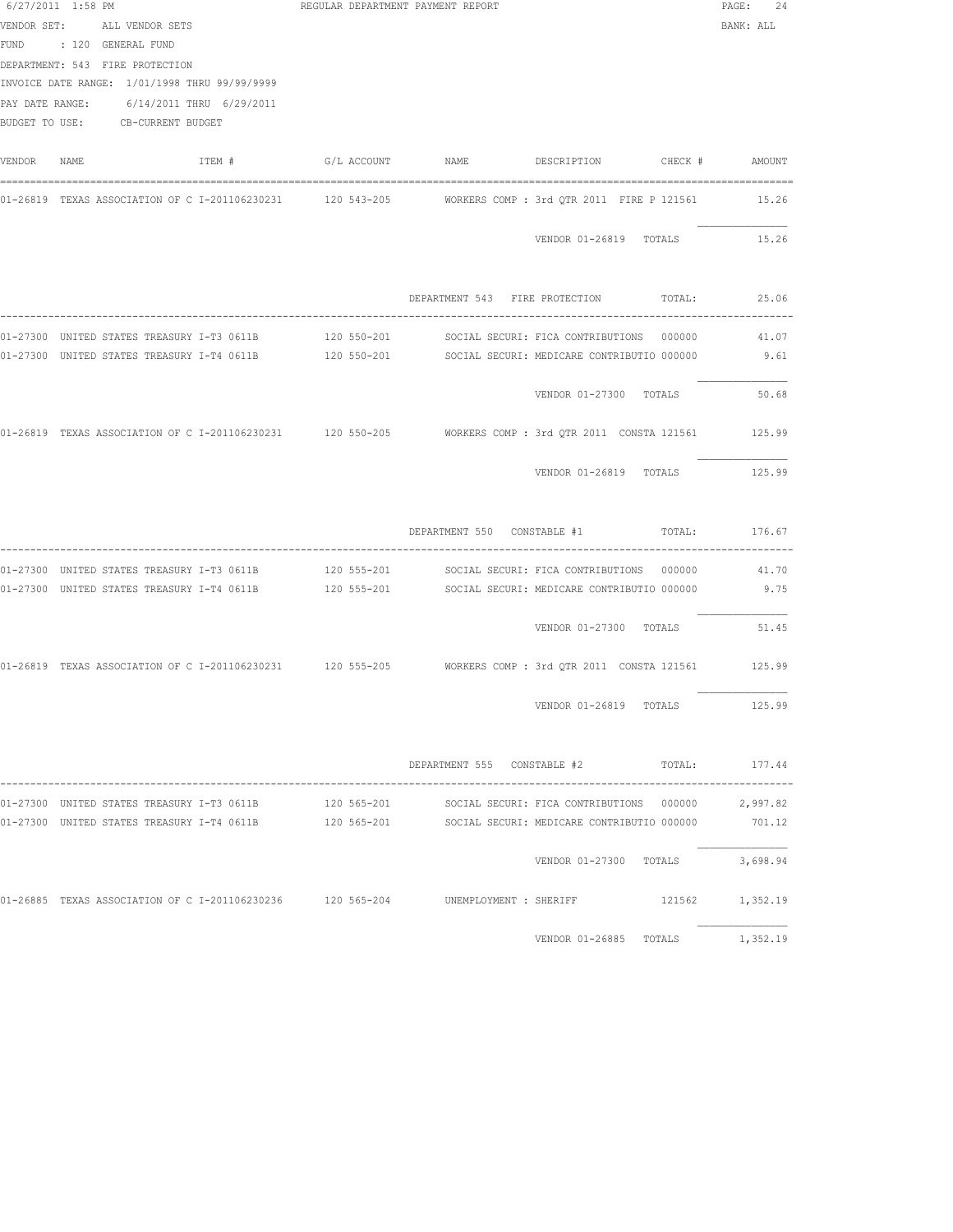|        | 6/27/2011 1:58 PM                                                                                                                          | REGULAR DEPARTMENT PAYMENT REPORT |                                                                                                            | PAGE:<br>24 |
|--------|--------------------------------------------------------------------------------------------------------------------------------------------|-----------------------------------|------------------------------------------------------------------------------------------------------------|-------------|
|        | VENDOR SET: ALL VENDOR SETS<br>FUND : 120 GENERAL FUND<br>DEPARTMENT: 543 FIRE PROTECTION<br>INVOICE DATE RANGE: 1/01/1998 THRU 99/99/9999 |                                   |                                                                                                            | BANK: ALL   |
|        | PAY DATE RANGE: 6/14/2011 THRU 6/29/2011<br>BUDGET TO USE: CB-CURRENT BUDGET                                                               |                                   |                                                                                                            |             |
| VENDOR | NAME                                                                                                                                       |                                   | ITEM # G/L ACCOUNT NAME DESCRIPTION CHECK # AMOUNT                                                         |             |
|        |                                                                                                                                            |                                   | 01-26819 TEXAS ASSOCIATION OF C I-201106230231 120 543-205 WORKERS COMP : 3rd QTR 2011 FIRE P 121561 15.26 |             |
|        |                                                                                                                                            |                                   | VENDOR 01-26819 TOTALS                                                                                     | 15.26       |
|        |                                                                                                                                            |                                   | DEPARTMENT 543 FIRE PROTECTION TOTAL: 25.06                                                                |             |
|        |                                                                                                                                            |                                   | 01-27300 UNITED STATES TREASURY I-T3 0611B 120 550-201 SOCIAL SECURI: FICA CONTRIBUTIONS 000000 41.07      |             |
|        |                                                                                                                                            |                                   | 01-27300 UNITED STATES TREASURY I-T4 0611B 120 550-201 SOCIAL SECURI: MEDICARE CONTRIBUTIO 000000 9.61     |             |
|        |                                                                                                                                            |                                   | VENDOR 01-27300 TOTALS                                                                                     | 50.68       |
|        |                                                                                                                                            |                                   | 01-26819 TEXAS ASSOCIATION OF C I-201106230231 120 550-205 WORKERS COMP: 3rd QTR 2011 CONSTA 121561 125.99 |             |
|        |                                                                                                                                            |                                   | VENDOR 01-26819 TOTALS                                                                                     | 125.99      |
|        |                                                                                                                                            |                                   | DEPARTMENT 550 CONSTABLE #1 TOTAL: 176.67                                                                  |             |
|        |                                                                                                                                            |                                   | 01-27300 UNITED STATES TREASURY I-T3 0611B 120 555-201 SOCIAL SECURI: FICA CONTRIBUTIONS 000000 41.70      |             |
|        |                                                                                                                                            |                                   | 01-27300 UNITED STATES TREASURY I-T4 0611B 120 555-201 SOCIAL SECURI: MEDICARE CONTRIBUTIO 000000 9.75     |             |
|        |                                                                                                                                            |                                   | VENDOR 01-27300 TOTALS 51.45                                                                               |             |
|        |                                                                                                                                            |                                   | 01-26819 TEXAS ASSOCIATION OF C I-201106230231 120 555-205 WORKERS COMP: 3rd QTR 2011 CONSTA 121561 125.99 |             |
|        |                                                                                                                                            |                                   | VENDOR 01-26819 TOTALS                                                                                     | 125.99      |
|        |                                                                                                                                            |                                   | DEPARTMENT 555 CONSTABLE #2 TOTAL: 177.44                                                                  |             |
|        | 01-27300 UNITED STATES TREASURY I-T3 0611B                                                                                                 |                                   | 120 565-201 SOCIAL SECURI: FICA CONTRIBUTIONS 000000                                                       | 2,997.82    |
|        |                                                                                                                                            |                                   | 01-27300 UNITED STATES TREASURY I-T4 0611B 120 565-201 SOCIAL SECURI: MEDICARE CONTRIBUTIO 000000          | 701.12      |
|        |                                                                                                                                            |                                   | VENDOR 01-27300 TOTALS                                                                                     | 3,698.94    |
|        |                                                                                                                                            |                                   | 01-26885 TEXAS ASSOCIATION OF C I-201106230236 120 565-204 UNEMPLOYMENT : SHERIFF 6 121562 1,352.19        |             |
|        |                                                                                                                                            |                                   | VENDOR 01-26885 TOTALS                                                                                     | 1,352.19    |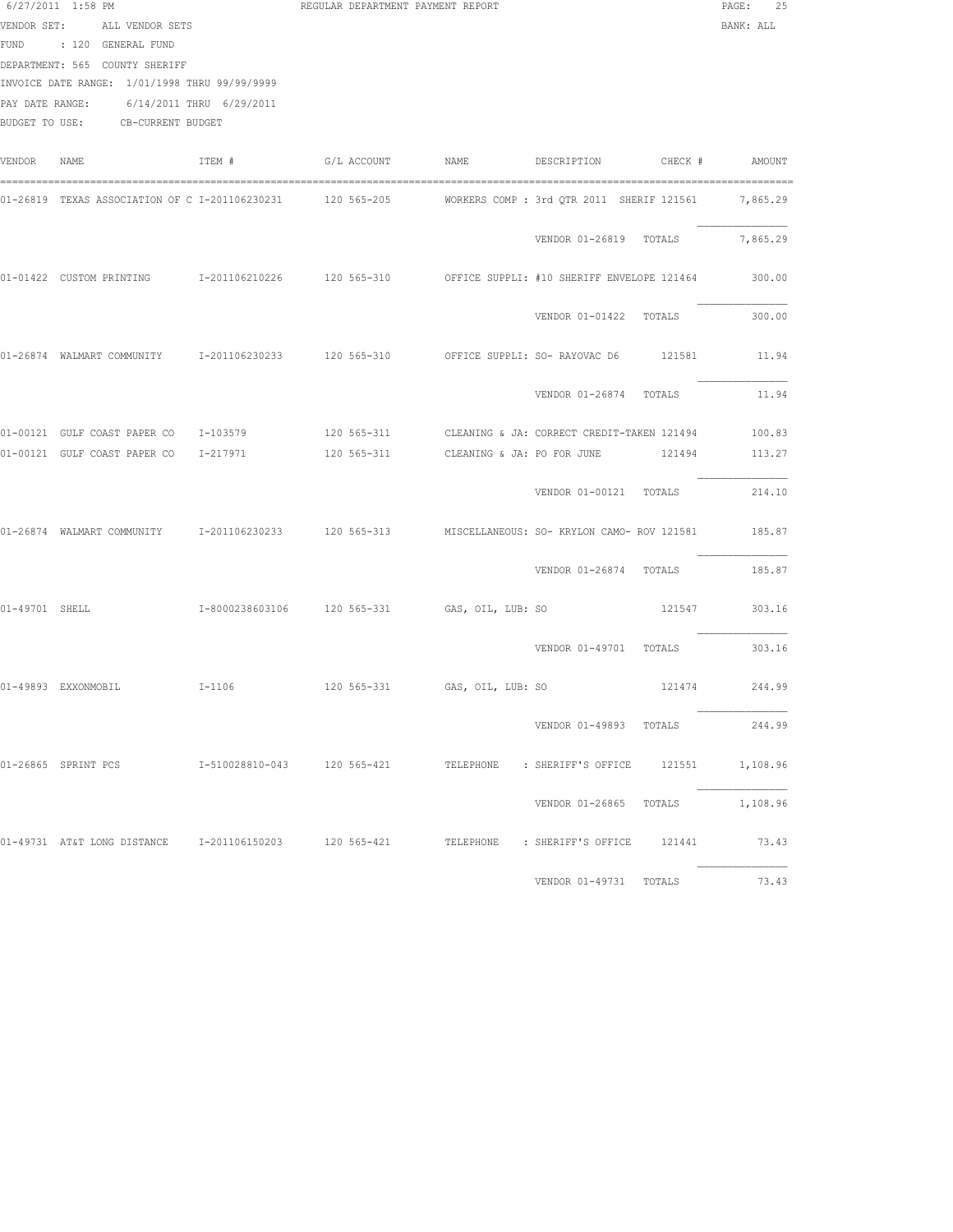|                | 6/27/2011 1:58 PM                                        |        | REGULAR DEPARTMENT PAYMENT REPORT |                                                                                                               | PAGE:<br>25   |
|----------------|----------------------------------------------------------|--------|-----------------------------------|---------------------------------------------------------------------------------------------------------------|---------------|
|                | VENDOR SET: ALL VENDOR SETS                              |        |                                   |                                                                                                               | BANK: ALL     |
|                | FUND : 120 GENERAL FUND                                  |        |                                   |                                                                                                               |               |
|                | DEPARTMENT: 565 COUNTY SHERIFF                           |        |                                   |                                                                                                               |               |
|                | INVOICE DATE RANGE: 1/01/1998 THRU 99/99/9999            |        |                                   |                                                                                                               |               |
|                | PAY DATE RANGE: 6/14/2011 THRU 6/29/2011                 |        |                                   |                                                                                                               |               |
|                | BUDGET TO USE: CB-CURRENT BUDGET                         |        |                                   |                                                                                                               |               |
|                |                                                          |        |                                   |                                                                                                               |               |
| VENDOR         | NAME                                                     | ITEM # |                                   |                                                                                                               |               |
|                |                                                          |        |                                   | 01-26819 TEXAS ASSOCIATION OF C I-201106230231 120 565-205 NORKERS COMP : 3rd QTR 2011 SHERIF 121561 7,865.29 |               |
|                |                                                          |        |                                   | VENDOR 01-26819 TOTALS                                                                                        | 7,865.29      |
|                |                                                          |        |                                   |                                                                                                               |               |
|                |                                                          |        |                                   | 01-01422 CUSTOM PRINTING 1-201106210226 120 565-310 OFFICE SUPPLI: #10 SHERIFF ENVELOPE 121464                | 300.00        |
|                |                                                          |        |                                   | VENDOR 01-01422 TOTALS                                                                                        | 300.00        |
|                |                                                          |        |                                   | 01-26874 WALMART COMMUNITY 1-201106230233 120 565-310 OFFICE SUPPLI: SO- RAYOVAC D6 121581                    | 11.94         |
|                |                                                          |        |                                   | VENDOR 01-26874 TOTALS                                                                                        | 11.94         |
|                |                                                          |        |                                   | 01-00121 GULF COAST PAPER CO 1-103579 120 565-311 CLEANING & JA: CORRECT CREDIT-TAKEN 121494 100.83           |               |
|                | 01-00121 GULF COAST PAPER CO 1-217971                    |        |                                   | 120 565-311 CLEANING & JA: PO FOR JUNE 121494                                                                 | 113.27        |
|                |                                                          |        |                                   | VENDOR 01-00121 TOTALS                                                                                        | 214.10        |
|                |                                                          |        |                                   | 01-26874 WALMART COMMUNITY 1-201106230233 120 565-313 MISCELLANEOUS: SO- KRYLON CAMO- ROV 121581 185.87       |               |
|                |                                                          |        |                                   | VENDOR 01-26874 TOTALS                                                                                        | 185.87        |
| 01-49701 SHELL |                                                          |        |                                   |                                                                                                               | 121547 303.16 |
|                |                                                          |        |                                   | VENDOR 01-49701 TOTALS 303.16                                                                                 |               |
|                | 01-49893 EXXONMOBIL 1-1106 120 565-331 GAS, OIL, LUB: SO |        |                                   | 121474 244.99                                                                                                 |               |
|                |                                                          |        |                                   | VENDOR 01-49893 TOTALS                                                                                        | 244.99        |
|                |                                                          |        |                                   |                                                                                                               |               |
|                |                                                          |        |                                   | VENDOR 01-26865 TOTALS 1,108.96                                                                               |               |
|                |                                                          |        |                                   | 01-49731 AT&T LONG DISTANCE 1-201106150203 120 565-421 TELEPHONE : SHERIFF'S OFFICE 121441 73.43              |               |
|                |                                                          |        |                                   | VENDOR 01-49731 TOTALS 73.43                                                                                  |               |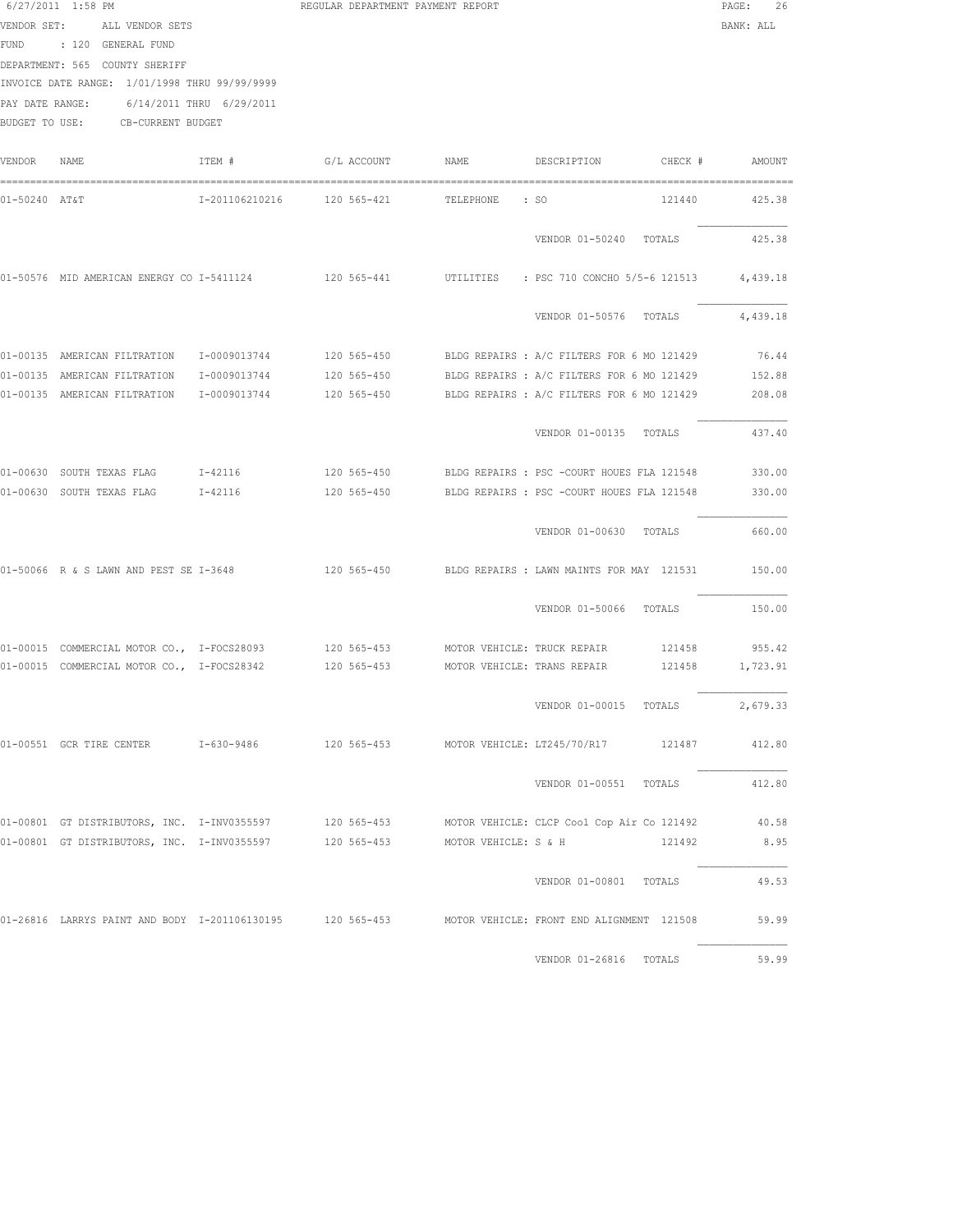| VENDOR SET:     | ALL VENDOR SETS<br>FUND : 120 GENERAL FUND<br>DEPARTMENT: 565 COUNTY SHERIFF                                  |                |             |           |                                                                                                     | BANK: ALL     |
|-----------------|---------------------------------------------------------------------------------------------------------------|----------------|-------------|-----------|-----------------------------------------------------------------------------------------------------|---------------|
| PAY DATE RANGE: | INVOICE DATE RANGE: 1/01/1998 THRU 99/99/9999<br>6/14/2011 THRU 6/29/2011<br>BUDGET TO USE: CB-CURRENT BUDGET |                |             |           |                                                                                                     |               |
| VENDOR          | NAME                                                                                                          | ITEM #         | G/L ACCOUNT | NAME      | DESCRIPTION<br>CHECK #                                                                              | AMOUNT        |
| 01-50240 AT&T   |                                                                                                               | I-201106210216 | 120 565-421 | TELEPHONE | : SO<br>121440                                                                                      | 425.38        |
|                 |                                                                                                               |                |             |           | VENDOR 01-50240 TOTALS                                                                              | 425.38        |
|                 | 01-50576 MID AMERICAN ENERGY CO I-5411124                                                                     |                | 120 565-441 | UTILITIES | : PSC 710 CONCHO 5/5-6 121513 4,439.18                                                              |               |
|                 |                                                                                                               |                |             |           | VENDOR 01-50576 TOTALS                                                                              | 4,439.18      |
|                 |                                                                                                               |                |             |           | 01-00135 AMERICAN FILTRATION 1-0009013744 120 565-450 BLDG REPAIRS : A/C FILTERS FOR 6 MO 121429    | 76.44         |
|                 | 01-00135 AMERICAN FILTRATION                                                                                  | I-0009013744   | 120 565-450 |           | BLDG REPAIRS : A/C FILTERS FOR 6 MO 121429                                                          | 152.88        |
|                 | 01-00135 AMERICAN FILTRATION                                                                                  | I-0009013744   | 120 565-450 |           | BLDG REPAIRS : A/C FILTERS FOR 6 MO 121429                                                          | 208.08        |
|                 |                                                                                                               |                |             |           | VENDOR 01-00135 TOTALS                                                                              | 437.40        |
|                 | 01-00630 SOUTH TEXAS FLAG                                                                                     | I-42116        | 120 565-450 |           | BLDG REPAIRS : PSC -COURT HOUES FLA 121548                                                          | 330.00        |
|                 | 01-00630 SOUTH TEXAS FLAG                                                                                     | I-42116        | 120 565-450 |           | BLDG REPAIRS : PSC -COURT HOUES FLA 121548                                                          | 330.00        |
|                 |                                                                                                               |                |             |           | VENDOR 01-00630 TOTALS                                                                              | 660.00        |
|                 |                                                                                                               |                |             |           | 01-50066 R & S LAWN AND PEST SE I-3648 120 565-450 BLDG REPAIRS : LAWN MAINTS FOR MAY 121531        | 150.00        |
|                 |                                                                                                               |                |             |           | VENDOR 01-50066 TOTALS                                                                              | 150.00        |
|                 | 01-00015 COMMERCIAL MOTOR CO., I-FOCS28093 120 565-453 MOTOR VEHICLE: TRUCK REPAIR                            |                |             |           |                                                                                                     | 121458 955.42 |
|                 | 01-00015 COMMERCIAL MOTOR CO., I-FOCS28342 120 565-453 MOTOR VEHICLE: TRANS REPAIR                            |                |             |           | 121458                                                                                              | 1,723.91      |
|                 |                                                                                                               |                |             |           | VENDOR 01-00015 TOTALS                                                                              | 2,679.33      |
|                 | 01-00551 GCR TIRE CENTER 1-630-9486                                                                           |                |             |           | 120 565-453 MOTOR VEHICLE: LT245/70/R17 121487                                                      | 412.80        |
|                 |                                                                                                               |                |             |           | VENDOR 01-00551 TOTALS                                                                              | 412.80        |
|                 |                                                                                                               |                |             |           | 01-00801 GT DISTRIBUTORS, INC. I-INV0355597 120 565-453 MOTOR VEHICLE: CLCP Cool Cop Air Co 121492  | 40.58         |
|                 | 01-00801 GT DISTRIBUTORS, INC. I-INV0355597 120 565-453 MOTOR VEHICLE: S & H                                  |                |             |           | 121492                                                                                              | 8.95          |
|                 |                                                                                                               |                |             |           | VENDOR 01-00801 TOTALS                                                                              | 49.53         |
|                 |                                                                                                               |                |             |           | 01-26816 LARRYS PAINT AND BODY I-201106130195 120 565-453 MOTOR VEHICLE: FRONT END ALIGNMENT 121508 | 59.99         |
|                 |                                                                                                               |                |             |           | VENDOR 01-26816 TOTALS                                                                              | 59.99         |

6/27/2011 1:58 PM REGULAR DEPARTMENT PAYMENT REPORT PAGE: 26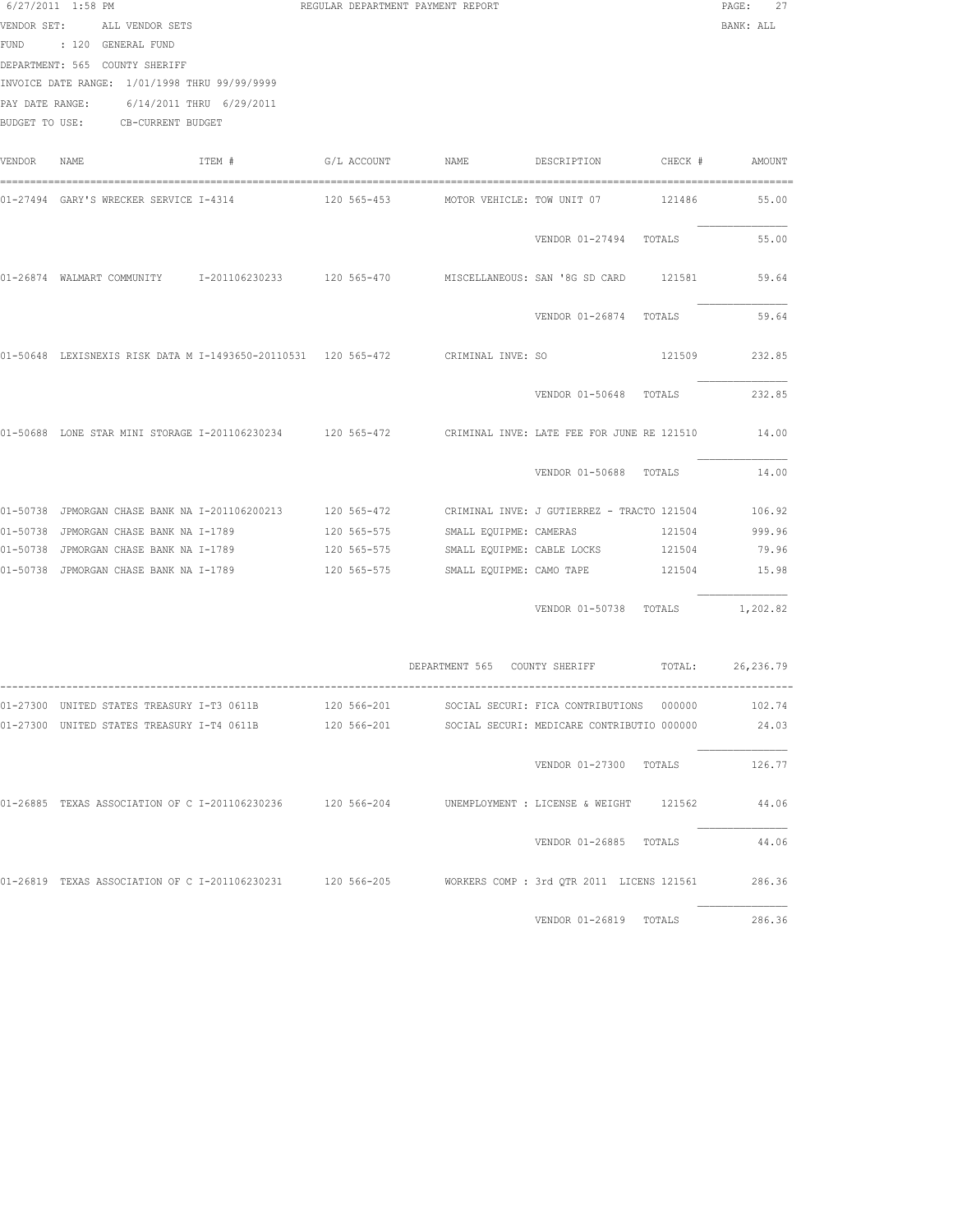|        | 6/27/2011 1:58 PM<br>VENDOR SET: ALL VENDOR SETS<br>FUND : 120 GENERAL FUND<br>DEPARTMENT: 565 COUNTY SHERIFF<br>INVOICE DATE RANGE: 1/01/1998 THRU 99/99/9999<br>PAY DATE RANGE: 6/14/2011 THRU 6/29/2011<br>BUDGET TO USE: CB-CURRENT BUDGET | REGULAR DEPARTMENT PAYMENT REPORT |                            |                                                      |        | 27<br>PAGE:<br>BANK: ALL |
|--------|------------------------------------------------------------------------------------------------------------------------------------------------------------------------------------------------------------------------------------------------|-----------------------------------|----------------------------|------------------------------------------------------|--------|--------------------------|
| VENDOR | TTEM #<br>NAME                                                                                                                                                                                                                                 |                                   |                            |                                                      |        |                          |
|        | 01-27494  GARY'S WRECKER SERVICE I-4314                       120 565-453            MOTOR VEHICLE: TOW UNIT 07                121486                                                                                                          |                                   |                            |                                                      |        | 55.00                    |
|        |                                                                                                                                                                                                                                                |                                   |                            | VENDOR 01-27494 TOTALS                               |        | 55.00                    |
|        | 01-26874 WALMART COMMUNITY 1-201106230233 120 565-470 MISCELLANEOUS: SAN '8G SD CARD 121581                                                                                                                                                    |                                   |                            |                                                      |        | 59.64                    |
|        |                                                                                                                                                                                                                                                |                                   |                            | VENDOR 01-26874 TOTALS                               |        | 59.64                    |
|        | 01-50648 LEXISNEXIS RISK DATA M I-1493650-20110531 120 565-472 CRIMINAL INVE: SO                                                                                                                                                               |                                   |                            |                                                      |        | 121509 232.85            |
|        |                                                                                                                                                                                                                                                |                                   |                            | VENDOR 01-50648 TOTALS                               |        | 232.85                   |
|        | 01-50688 LONE STAR MINI STORAGE I-201106230234 120 565-472 CRIMINAL INVE: LATE FEE FOR JUNE RE 121510 14.00                                                                                                                                    |                                   |                            |                                                      |        |                          |
|        |                                                                                                                                                                                                                                                |                                   |                            | VENDOR 01-50688 TOTALS                               |        | 14.00                    |
|        | 01-50738 JPMORGAN CHASE BANK NA I-201106200213 120 565-472 CRIMINAL INVE: J GUTIERREZ - TRACTO 121504                                                                                                                                          |                                   |                            |                                                      |        | 106.92                   |
|        | 01-50738 JPMORGAN CHASE BANK NA I-1789                                                                                                                                                                                                         | 120 565-575                       | SMALL EQUIPME: CAMERAS     |                                                      | 121504 | 999.96                   |
|        | 01-50738 JPMORGAN CHASE BANK NA I-1789                                                                                                                                                                                                         | 120 565-575                       | SMALL EQUIPME: CABLE LOCKS |                                                      | 121504 | 79.96                    |
|        | 01-50738 JPMORGAN CHASE BANK NA I-1789                                                                                                                                                                                                         | 120 565-575                       | SMALL EQUIPME: CAMO TAPE   |                                                      |        | 121504 15.98             |
|        |                                                                                                                                                                                                                                                |                                   |                            | VENDOR 01-50738 TOTALS 1,202.82                      |        |                          |
|        |                                                                                                                                                                                                                                                |                                   |                            | DEPARTMENT 565 COUNTY SHERIFF TOTAL: 26,236.79       |        |                          |
|        | 01-27300 UNITED STATES TREASURY I-T3 0611B                                                                                                                                                                                                     |                                   |                            | 120 566-201 SOCIAL SECURI: FICA CONTRIBUTIONS 000000 |        | 102.74                   |
|        | 01-27300 UNITED STATES TREASURY I-T4 0611B                                                                                                                                                                                                     | 120 566-201                       |                            | SOCIAL SECURI: MEDICARE CONTRIBUTIO 000000           |        | 24.03                    |
|        |                                                                                                                                                                                                                                                |                                   |                            | VENDOR 01-27300 TOTALS                               |        | 126.77                   |
|        | 01-26885 TEXAS ASSOCIATION OF C I-201106230236 120 566-204 UNEMPLOYMENT : LICENSE & WEIGHT 121562                                                                                                                                              |                                   |                            |                                                      |        | 44.06                    |
|        |                                                                                                                                                                                                                                                |                                   |                            | VENDOR 01-26885 TOTALS                               |        | 44.06                    |
|        | 01-26819 TEXAS ASSOCIATION OF C I-201106230231 120 566-205 NORKERS COMP : 3rd QTR 2011 LICENS 121561                                                                                                                                           |                                   |                            |                                                      |        | 286.36                   |
|        |                                                                                                                                                                                                                                                |                                   |                            | VENDOR 01-26819 TOTALS                               |        | 286.36                   |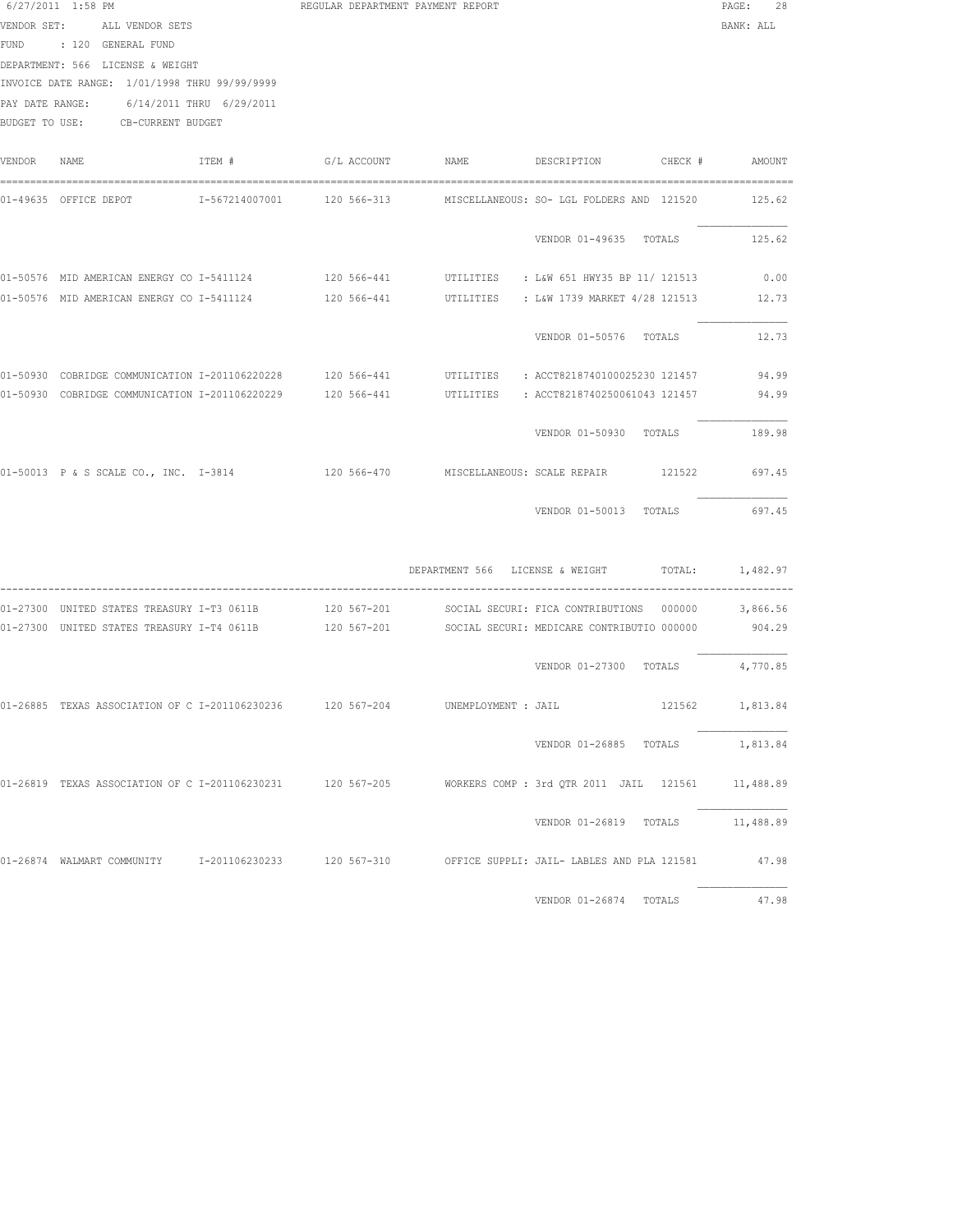|        | $6/27/2011$ 1:58 PM<br>VENDOR SET: ALL VENDOR SETS<br>FUND : 120 GENERAL FUND<br>DEPARTMENT: 566 LICENSE & WEIGHT<br>INVOICE DATE RANGE: 1/01/1998 THRU 99/99/9999<br>PAY DATE RANGE: 6/14/2011 THRU 6/29/2011<br>BUDGET TO USE: CB-CURRENT BUDGET |        | REGULAR DEPARTMENT PAYMENT REPORT |                                 |                                                                                                                        | PAGE:<br>28<br>BANK: ALL |
|--------|----------------------------------------------------------------------------------------------------------------------------------------------------------------------------------------------------------------------------------------------------|--------|-----------------------------------|---------------------------------|------------------------------------------------------------------------------------------------------------------------|--------------------------|
| VENDOR | NAME                                                                                                                                                                                                                                               | ITEM # | G/L ACCOUNT NAME                  |                                 | DESCRIPTION CHECK #                                                                                                    | AMOUNT                   |
|        |                                                                                                                                                                                                                                                    |        |                                   |                                 | 01-49635 OFFICE DEPOT       I-567214007001     120 566-313      MISCELLANEOUS: SO- LGL FOLDERS AND 121520              | 125.62                   |
|        |                                                                                                                                                                                                                                                    |        |                                   |                                 | VENDOR 01-49635 TOTALS                                                                                                 | 125.62                   |
|        |                                                                                                                                                                                                                                                    |        |                                   |                                 | 01-50576 MID AMERICAN ENERGY CO I-5411124 120 566-441 UTILITIES : L&W 651 HWY35 BP 11/ 121513                          | 0.00                     |
|        | 01-50576 MID AMERICAN ENERGY CO I-5411124                                                                                                                                                                                                          |        |                                   |                                 | 120 566-441 UTILITIES : L&W 1739 MARKET 4/28 121513                                                                    | 12.73                    |
|        |                                                                                                                                                                                                                                                    |        |                                   |                                 | VENDOR 01-50576 TOTALS                                                                                                 | 12.73                    |
|        |                                                                                                                                                                                                                                                    |        |                                   |                                 | 01-50930 COBRIDGE COMMUNICATION I-201106220228 120 566-441 UTILITIES : ACCT8218740100025230 121457                     | 94.99                    |
|        |                                                                                                                                                                                                                                                    |        |                                   |                                 | 01-50930 COBRIDGE COMMUNICATION I-201106220229 120 566-441 UTILITIES : ACCT8218740250061043 121457                     | 94.99                    |
|        |                                                                                                                                                                                                                                                    |        |                                   |                                 | VENDOR 01-50930 TOTALS                                                                                                 | 189.98                   |
|        |                                                                                                                                                                                                                                                    |        |                                   |                                 | 01-50013 P & S SCALE CO., INC. I-3814 120 566-470 MISCELLANEOUS: SCALE REPAIR 121522                                   | 697.45                   |
|        |                                                                                                                                                                                                                                                    |        |                                   |                                 | VENDOR 01-50013 TOTALS                                                                                                 | 697.45                   |
|        |                                                                                                                                                                                                                                                    |        |                                   | DEPARTMENT 566 LICENSE & WEIGHT | TOTAL:                                                                                                                 | 1,482.97                 |
|        |                                                                                                                                                                                                                                                    |        |                                   |                                 | 01-27300 UNITED STATES TREASURY I-T3 0611B       120 567-201      SOCIAL SECURI: FICA CONTRIBUTIONS 000000    3,866.56 |                          |
|        |                                                                                                                                                                                                                                                    |        |                                   |                                 | 01-27300 UNITED STATES TREASURY I-T4 0611B 120 567-201 SOCIAL SECURI: MEDICARE CONTRIBUTIO 000000                      | 904.29                   |
|        |                                                                                                                                                                                                                                                    |        |                                   |                                 | VENDOR 01-27300 TOTALS                                                                                                 | 4,770.85                 |
|        | 01-26885 TEXAS ASSOCIATION OF C I-201106230236 120 567-204                                                                                                                                                                                         |        |                                   | UNEMPLOYMENT : JAIL             |                                                                                                                        | 121562 1,813.84          |
|        |                                                                                                                                                                                                                                                    |        |                                   |                                 | VENDOR 01-26885 TOTALS                                                                                                 | 1,813.84                 |
|        |                                                                                                                                                                                                                                                    |        |                                   |                                 | 01-26819 TEXAS ASSOCIATION OF C I-201106230231 120 567-205 NORKERS COMP: 3rd OTR 2011 JAIL 121561 11,488.89            |                          |
|        |                                                                                                                                                                                                                                                    |        |                                   |                                 | VENDOR 01-26819 TOTALS 11,488.89                                                                                       |                          |
|        |                                                                                                                                                                                                                                                    |        |                                   |                                 | 01-26874 WALMART COMMUNITY 1-201106230233 120 567-310 OFFICE SUPPLI: JAIL- LABLES AND PLA 121581                       | 47.98                    |

VENDOR 01-26874 TOTALS 47.98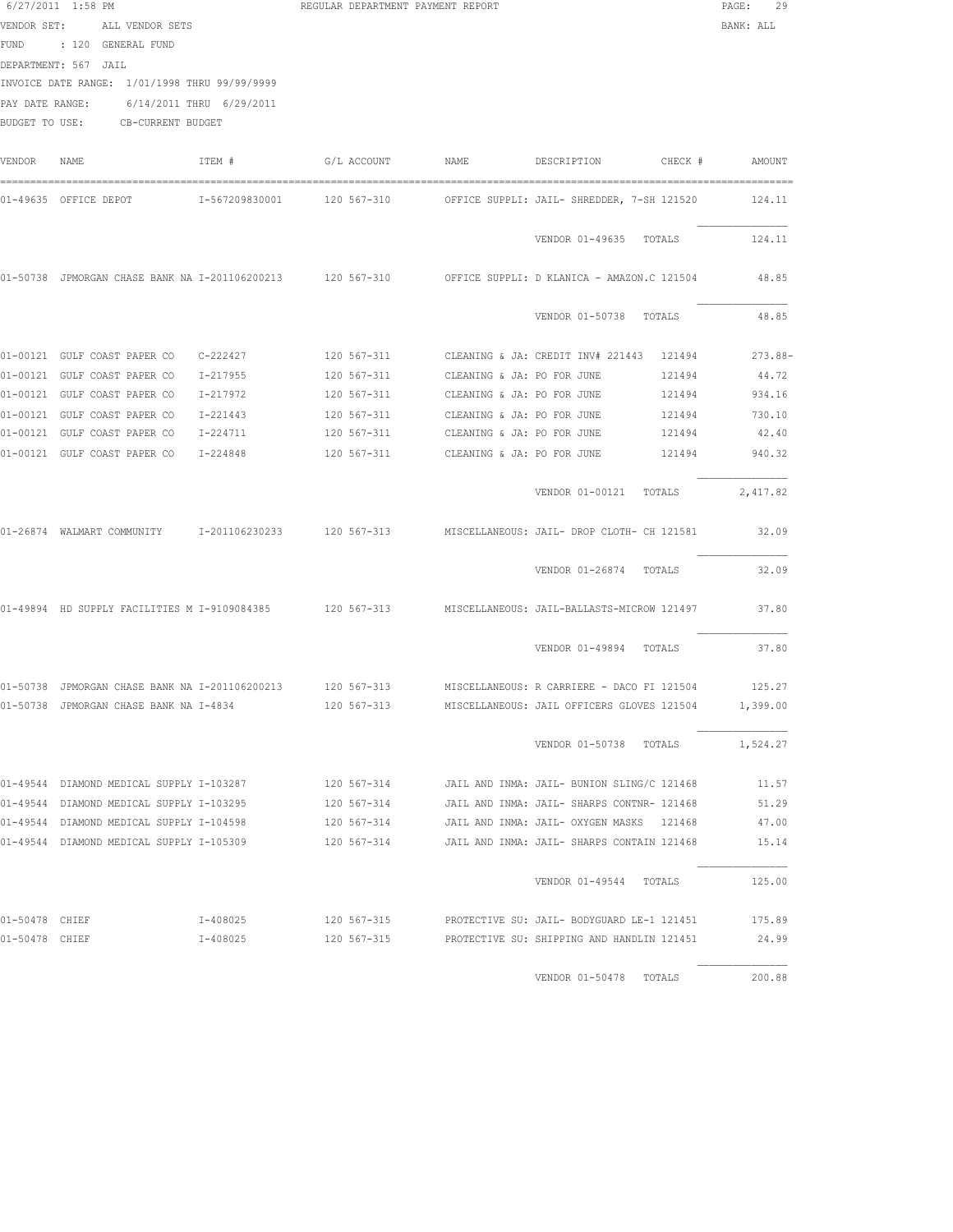|                | 6/27/2011 1:58 PM                              |              | REGULAR DEPARTMENT PAYMENT REPORT      |                            |                                                                                                               | $\mathtt{PAGE}$ :<br>29 |
|----------------|------------------------------------------------|--------------|----------------------------------------|----------------------------|---------------------------------------------------------------------------------------------------------------|-------------------------|
|                | VENDOR SET: ALL VENDOR SETS                    |              |                                        |                            |                                                                                                               | BANK: ALL               |
|                | FUND : 120 GENERAL FUND                        |              |                                        |                            |                                                                                                               |                         |
|                | DEPARTMENT: 567 JAIL                           |              |                                        |                            |                                                                                                               |                         |
|                | INVOICE DATE RANGE: 1/01/1998 THRU 99/99/9999  |              |                                        |                            |                                                                                                               |                         |
|                | PAY DATE RANGE: 6/14/2011 THRU 6/29/2011       |              |                                        |                            |                                                                                                               |                         |
|                | BUDGET TO USE: CB-CURRENT BUDGET               |              |                                        |                            |                                                                                                               |                         |
| VENDOR         | NAME                                           | ITEM #       | G/L ACCOUNT NAME                       |                            | DESCRIPTION CHECK # AMOUNT                                                                                    |                         |
|                | 01-49635 OFFICE DEPOT                          |              | I-567209830001 120 567-310             |                            | OFFICE SUPPLI: JAIL- SHREDDER, 7-SH 121520                                                                    | 124.11                  |
|                |                                                |              |                                        |                            | VENDOR 01-49635 TOTALS                                                                                        | 124.11                  |
|                |                                                |              |                                        |                            | 01-50738 JPMORGAN CHASE BANK NA I-201106200213 120 567-310 OFFICE SUPPLI: D KLANICA - AMAZON.C 121504         | 48.85                   |
|                |                                                |              |                                        |                            | VENDOR 01-50738 TOTALS                                                                                        | 48.85                   |
|                | 01-00121 GULF COAST PAPER CO  C-222427         |              |                                        |                            | 120 567-311     CLEANING & JA: CREDIT INV# 221443   121494                                                    | $273.88 -$              |
|                | 01-00121 GULF COAST PAPER CO                   | $I - 217955$ | 120 567-311 CLEANING & JA: PO FOR JUNE |                            | 121494                                                                                                        | 44.72                   |
|                | 01-00121 GULF COAST PAPER CO                   | I-217972     | 120 567-311 CLEANING & JA: PO FOR JUNE |                            | 121494                                                                                                        | 934.16                  |
|                | 01-00121 GULF COAST PAPER CO                   | I-221443     | 120 567-311                            | CLEANING & JA: PO FOR JUNE | 121494                                                                                                        | 730.10                  |
|                | 01-00121 GULF COAST PAPER CO                   | I-224711     | 120 567-311                            | CLEANING & JA: PO FOR JUNE | 121494                                                                                                        | 42.40                   |
|                | 01-00121 GULF COAST PAPER CO 1-224848          |              | 120 567-311                            | CLEANING & JA: PO FOR JUNE | 121494                                                                                                        | 940.32                  |
|                |                                                |              |                                        |                            | VENDOR 01-00121 TOTALS                                                                                        | 2,417.82                |
|                |                                                |              |                                        |                            | 01-26874 WALMART COMMUNITY 1-201106230233 120 567-313 MISCELLANEOUS: JAIL- DROP CLOTH- CH 121581              | 32.09                   |
|                |                                                |              |                                        |                            | VENDOR 01-26874 TOTALS                                                                                        | 32.09                   |
|                |                                                |              |                                        |                            | 01-49894 HD SUPPLY FACILITIES M I-9109084385 120 567-313 MISCELLANEOUS: JAIL-BALLASTS-MICROW 121497           | 37.80                   |
|                |                                                |              |                                        |                            | VENDOR 01-49894 TOTALS                                                                                        | 37.80                   |
|                | 01-50738 JPMORGAN CHASE BANK NA I-201106200213 |              |                                        |                            | 120 567-313 MISCELLANEOUS: R CARRIERE - DACO FI 121504                                                        | 125.27                  |
|                | 01-50738 JPMORGAN CHASE BANK NA I-4834         |              |                                        |                            | 120 567-313 MISCELLANEOUS: JAIL OFFICERS GLOVES 121504 1,399.00                                               |                         |
|                |                                                |              |                                        |                            | VENDOR 01-50738 TOTALS 1,524.27                                                                               |                         |
|                |                                                |              |                                        |                            | 01-49544 DIAMOND MEDICAL SUPPLY I-103287 120 567-314 JAIL AND INMA: JAIL- BUNION SLING/C 121468               | 11.57                   |
|                |                                                |              |                                        |                            | 01-49544 DIAMOND MEDICAL SUPPLY I-103295 120 567-314 JAIL AND INMA: JAIL- SHARPS CONTNR- 121468               | 51.29                   |
|                |                                                |              |                                        |                            | 01-49544 DIAMOND MEDICAL SUPPLY I-104598 120 567-314 JAIL AND INMA: JAIL- OXYGEN MASKS 121468 47.00           |                         |
|                |                                                |              |                                        |                            | 01-49544 DIAMOND MEDICAL SUPPLY I-105309 45.14 4 120 567-314 JAIL AND INMA: JAIL- SHARPS CONTAIN 121468 45.14 |                         |
|                |                                                |              |                                        |                            | VENDOR 01-49544 TOTALS 125.00                                                                                 |                         |
| 01-50478 CHIEF |                                                | $I - 408025$ | 120 567-315                            |                            | PROTECTIVE SU: JAIL- BODYGUARD LE-1 121451                                                                    | 175.89                  |
| 01-50478 CHIEF |                                                | $I - 408025$ | 120 567-315                            |                            | PROTECTIVE SU: SHIPPING AND HANDLIN 121451                                                                    | 24.99                   |
|                |                                                |              |                                        |                            |                                                                                                               |                         |

VENDOR 01-50478 TOTALS 200.88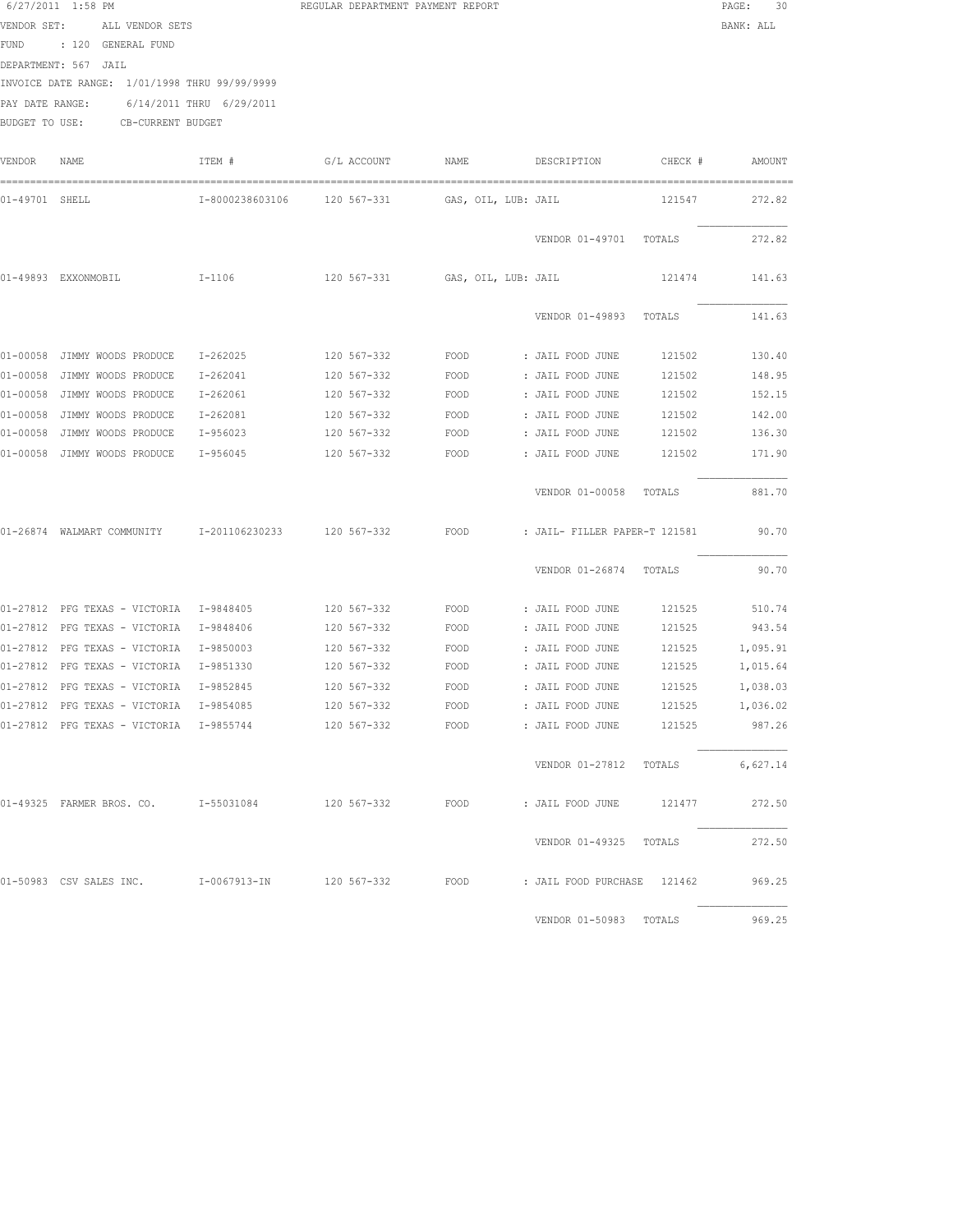| 6/27/2011 1:58 PM |                 | REGULAR DEPARTMENT PAYMENT REPORT | PAGE:     | 30 |
|-------------------|-----------------|-----------------------------------|-----------|----|
| VENDOR SET:       | ALL VENDOR SETS |                                   | BANK: ALI |    |

FUND : 120 GENERAL FUND DEPARTMENT: 567 JAIL INVOICE DATE RANGE: 1/01/1998 THRU 99/99/9999

PAY DATE RANGE: 6/14/2011 THRU 6/29/2011

BUDGET TO USE: CB-CURRENT BUDGET

| VENDOR         | NAME                          | ITEM #          | G/L ACCOUNT | NAME                | DESCRIPTION                   | CHECK # | AMOUNT   |
|----------------|-------------------------------|-----------------|-------------|---------------------|-------------------------------|---------|----------|
| 01-49701 SHELL |                               | I-8000238603106 | 120 567-331 | GAS, OIL, LUB: JAIL |                               | 121547  | 272.82   |
|                |                               |                 |             |                     | VENDOR 01-49701               | TOTALS  | 272.82   |
|                | 01-49893 EXXONMOBIL           | $I-1106$        | 120 567-331 | GAS, OIL, LUB: JAIL |                               | 121474  | 141.63   |
|                |                               |                 |             |                     | VENDOR 01-49893               | TOTALS  | 141.63   |
| 01-00058       | JIMMY WOODS PRODUCE           | $I - 262025$    | 120 567-332 | FOOD                | : JAIL FOOD JUNE              | 121502  | 130.40   |
| $01 - 00058$   | JIMMY WOODS PRODUCE           | $I - 262041$    | 120 567-332 | FOOD                | : JAIL FOOD JUNE              | 121502  | 148.95   |
| $01 - 00058$   | JIMMY WOODS PRODUCE           | I-262061        | 120 567-332 | FOOD                | : JAIL FOOD JUNE              | 121502  | 152.15   |
| $01 - 00058$   | JIMMY WOODS PRODUCE           | $I - 262081$    | 120 567-332 | FOOD                | : JAIL FOOD JUNE              | 121502  | 142.00   |
| $01 - 00058$   | JIMMY WOODS PRODUCE           | $I-956023$      | 120 567-332 | FOOD                | : JAIL FOOD JUNE              | 121502  | 136.30   |
| 01-00058       | JIMMY WOODS PRODUCE           | I-956045        | 120 567-332 | FOOD                | : JAIL FOOD JUNE              | 121502  | 171.90   |
|                |                               |                 |             |                     | VENDOR 01-00058               | TOTALS  | 881.70   |
|                | 01-26874 WALMART COMMUNITY    | I-201106230233  | 120 567-332 | FOOD                | : JAIL- FILLER PAPER-T 121581 |         | 90.70    |
|                |                               |                 |             |                     | VENDOR 01-26874               | TOTALS  | 90.70    |
| 01-27812       | PFG TEXAS - VICTORIA          | I-9848405       | 120 567-332 | FOOD                | : JAIL FOOD JUNE              | 121525  | 510.74   |
| $01 - 27812$   | PFG TEXAS - VICTORIA          | I-9848406       | 120 567-332 | FOOD                | : JAIL FOOD JUNE              | 121525  | 943.54   |
|                | 01-27812 PFG TEXAS - VICTORIA | I-9850003       | 120 567-332 | FOOD                | : JAIL FOOD JUNE              | 121525  | 1,095.91 |
|                | 01-27812 PFG TEXAS - VICTORIA | I-9851330       | 120 567-332 | FOOD                | : JAIL FOOD JUNE              | 121525  | 1,015.64 |
| $01 - 27812$   | PFG TEXAS - VICTORIA          | I-9852845       | 120 567-332 | FOOD                | : JAIL FOOD JUNE              | 121525  | 1,038.03 |
| $01 - 27812$   | PFG TEXAS - VICTORIA          | I-9854085       | 120 567-332 | FOOD                | : JAIL FOOD JUNE              | 121525  | 1,036.02 |
|                | 01-27812 PFG TEXAS - VICTORIA | I-9855744       | 120 567-332 | FOOD                | : JAIL FOOD JUNE              | 121525  | 987.26   |
|                |                               |                 |             |                     | VENDOR 01-27812               | TOTALS  | 6,627.14 |
|                | 01-49325 FARMER BROS. CO.     | I-55031084      | 120 567-332 | FOOD                | : JAIL FOOD JUNE              | 121477  | 272.50   |
|                |                               |                 |             |                     | VENDOR 01-49325               | TOTALS  | 272.50   |
|                | 01-50983 CSV SALES INC.       | I-0067913-IN    | 120 567-332 | FOOD                | : JAIL FOOD PURCHASE          | 121462  | 969.25   |
|                |                               |                 |             |                     | VENDOR 01-50983               | TOTALS  | 969.25   |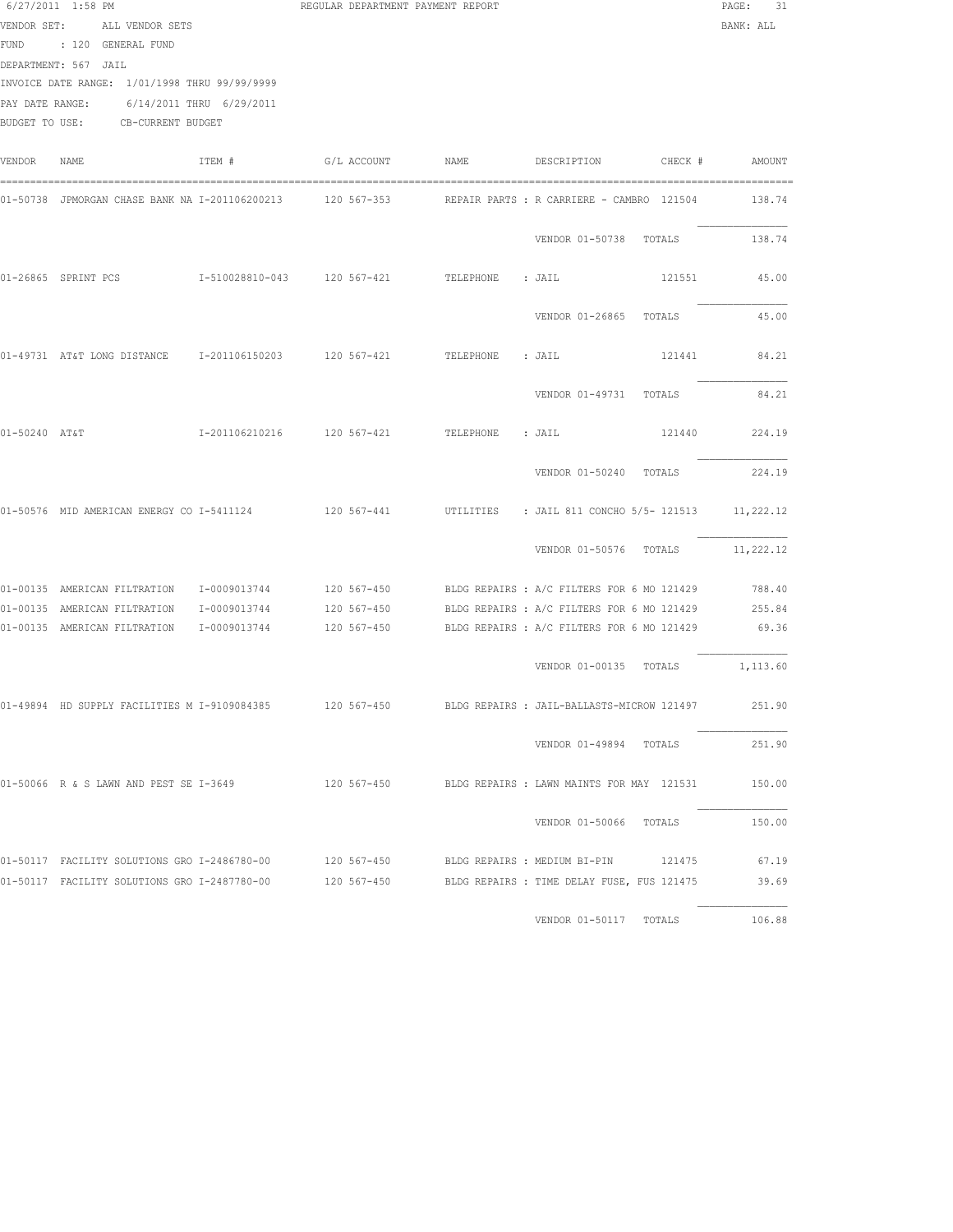|               | $6/27/2011$ 1:58 PM<br>VENDOR SET: ALL VENDOR SETS<br>FUND : 120 GENERAL FUND<br>DEPARTMENT: 567 JAIL<br>INVOICE DATE RANGE: 1/01/1998 THRU 99/99/9999<br>PAY DATE RANGE: 6/14/2011 THRU 6/29/2011<br>BUDGET TO USE: CB-CURRENT BUDGET |        | REGULAR DEPARTMENT PAYMENT REPORT |                                                                                                            | PAGE: 31<br>BANK: ALL |
|---------------|----------------------------------------------------------------------------------------------------------------------------------------------------------------------------------------------------------------------------------------|--------|-----------------------------------|------------------------------------------------------------------------------------------------------------|-----------------------|
| VENDOR        | NAME                                                                                                                                                                                                                                   | ITEM # | G/L ACCOUNT NAME                  | DESCRIPTION CHECK # AMOUNT                                                                                 |                       |
|               |                                                                                                                                                                                                                                        |        |                                   | 01-50738 JPMORGAN CHASE BANK NA I-201106200213 120 567-353 REPAIR PARTS : R CARRIERE - CAMBRO 121504       | 138.74                |
|               |                                                                                                                                                                                                                                        |        |                                   | VENDOR 01-50738 TOTALS                                                                                     | 138.74                |
|               |                                                                                                                                                                                                                                        |        |                                   | 121551                                                                                                     | 45.00                 |
|               |                                                                                                                                                                                                                                        |        |                                   | VENDOR 01-26865 TOTALS                                                                                     | 45.00                 |
|               | 01-49731 AT&T LONG DISTANCE 1-201106150203 120 567-421 TELEPHONE : JAIL                                                                                                                                                                |        |                                   | 121441                                                                                                     | 84.21                 |
|               |                                                                                                                                                                                                                                        |        |                                   | VENDOR 01-49731 TOTALS                                                                                     | 84.21                 |
| 01-50240 AT&T |                                                                                                                                                                                                                                        |        |                                   | 121440                                                                                                     | 224.19                |
|               |                                                                                                                                                                                                                                        |        |                                   | VENDOR 01-50240 TOTALS 224.19                                                                              |                       |
|               | 01-50576 MID AMERICAN ENERGY CO I-5411124 120 567-441                                                                                                                                                                                  |        |                                   | UTILITIES : JAIL 811 CONCHO 5/5- 121513 11,222.12                                                          |                       |
|               |                                                                                                                                                                                                                                        |        |                                   | VENDOR 01-50576 TOTALS                                                                                     | 11,222.12             |
|               |                                                                                                                                                                                                                                        |        |                                   | 01-00135 AMERICAN FILTRATION 1-0009013744 120 567-450 BLDG REPAIRS : A/C FILTERS FOR 6 MO 121429           | 788.40                |
|               | 01-00135 AMERICAN FILTRATION I-0009013744                                                                                                                                                                                              |        |                                   | 120 567-450 BLDG REPAIRS : A/C FILTERS FOR 6 MO 121429                                                     | 255.84                |
|               |                                                                                                                                                                                                                                        |        |                                   | 01-00135 AMERICAN FILTRATION 1-0009013744 120 567-450 BLDG REPAIRS : A/C FILTERS FOR 6 MO 121429           | 69.36                 |
|               |                                                                                                                                                                                                                                        |        |                                   | VENDOR 01-00135 TOTALS 1,113.60                                                                            |                       |
|               | 01-49894 HD SUPPLY FACILITIES M I-9109084385                                                                                                                                                                                           |        | 120 567-450                       | BLDG REPAIRS : JAIL-BALLASTS-MICROW 121497                                                                 | 251.90                |
|               |                                                                                                                                                                                                                                        |        |                                   | VENDOR 01-49894 TOTALS                                                                                     | 251.90                |
|               | 01-50066 R & S LAWN AND PEST SE I-3649                                                                                                                                                                                                 |        |                                   | 120 567-450 BLDG REPAIRS : LAWN MAINTS FOR MAY 121531                                                      | 150.00                |
|               |                                                                                                                                                                                                                                        |        |                                   | VENDOR 01-50066 TOTALS                                                                                     | 150.00                |
|               |                                                                                                                                                                                                                                        |        |                                   | 01-50117 FACILITY SOLUTIONS GRO I-2486780-00      120 567-450      BLDG REPAIRS : MEDIUM BI-PIN     121475 | 67.19                 |
|               |                                                                                                                                                                                                                                        |        |                                   | 01-50117 FACILITY SOLUTIONS GRO I-2487780-00 120 567-450 BLDG REPAIRS : TIME DELAY FUSE, FUS 121475        | 39.69                 |
|               |                                                                                                                                                                                                                                        |        |                                   | VENDOR 01-50117 TOTALS 106.88                                                                              |                       |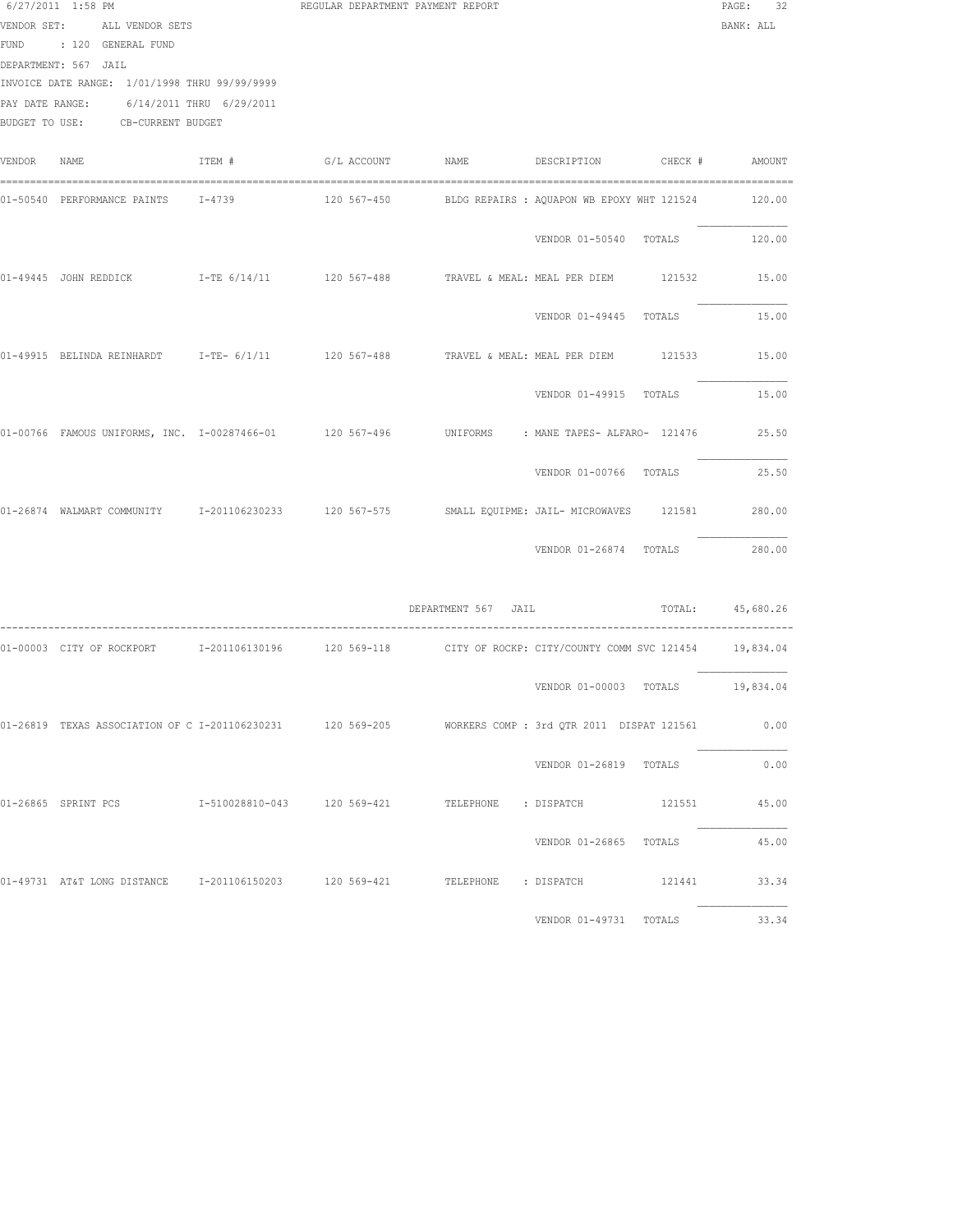|             | 6/27/2011 1:58 PM<br>VENDOR SET: ALL VENDOR SETS<br>FUND : 120 GENERAL FUND<br>DEPARTMENT: 567 JAIL<br>INVOICE DATE RANGE: 1/01/1998 THRU 99/99/9999<br>PAY DATE RANGE:<br>BUDGET TO USE: CB-CURRENT BUDGET | 6/14/2011 THRU 6/29/2011 | REGULAR DEPARTMENT PAYMENT REPORT |                     |                                            | PAGE:<br>32<br>BANK: ALL |
|-------------|-------------------------------------------------------------------------------------------------------------------------------------------------------------------------------------------------------------|--------------------------|-----------------------------------|---------------------|--------------------------------------------|--------------------------|
| VENDOR NAME |                                                                                                                                                                                                             | ITEM #                   | G/L ACCOUNT NAME                  |                     | DESCRIPTION CHECK # AMOUNT                 |                          |
|             | 01-50540 PERFORMANCE PAINTS 1-4739                                                                                                                                                                          |                          | $120\,567 - 450$                  |                     | BLDG REPAIRS : AQUAPON WB EPOXY WHT 121524 | 120.00                   |
|             |                                                                                                                                                                                                             |                          |                                   |                     | VENDOR 01-50540 TOTALS                     | 120.00                   |
|             | 01-49445 JOHN REDDICK T-TE 6/14/11 120 567-488 TRAVEL & MEAL: MEAL PER DIEM 121532                                                                                                                          |                          |                                   |                     |                                            | 15.00                    |
|             |                                                                                                                                                                                                             |                          |                                   |                     | VENDOR 01-49445 TOTALS                     | 15.00                    |
|             | 01-49915 BELINDA REINHARDT 1-TE- 6/1/11 120 567-488 TRAVEL & MEAL: MEAL PER DIEM 121533                                                                                                                     |                          |                                   |                     |                                            | 15.00                    |
|             |                                                                                                                                                                                                             |                          |                                   |                     | VENDOR 01-49915 TOTALS                     | 15.00                    |
|             | 01-00766 FAMOUS UNIFORMS, INC. 1-00287466-01 120 567-496 UNIFORMS : MANE TAPES-ALFARO- 121476 25.50                                                                                                         |                          |                                   |                     |                                            |                          |
|             |                                                                                                                                                                                                             |                          |                                   |                     | VENDOR 01-00766 TOTALS                     | 25.50                    |
|             | 01-26874 WALMART COMMUNITY 1-201106230233 120 567-575 SMALL EQUIPME: JAIL- MICROWAVES 121581                                                                                                                |                          |                                   |                     |                                            | 280.00                   |
|             |                                                                                                                                                                                                             |                          |                                   |                     | VENDOR 01-26874 TOTALS                     | 280.00                   |
|             |                                                                                                                                                                                                             |                          |                                   | DEPARTMENT 567 JAIL |                                            | TOTAL: 45,680.26         |
|             | 01-00003 CITY OF ROCKPORT 1-201106130196 120 569-118 CITY OF ROCKP: CITY/COUNTY COMM SVC 121454 19,834.04                                                                                                   |                          |                                   |                     |                                            |                          |
|             |                                                                                                                                                                                                             |                          |                                   |                     | VENDOR 01-00003 TOTALS 19,834.04           |                          |
|             | 01-26819 TEXAS ASSOCIATION OF C I-201106230231 120 569-205 WORKERS COMP : 3rd OTR 2011 DISPAT 121561                                                                                                        |                          |                                   |                     |                                            | 0.00                     |
|             |                                                                                                                                                                                                             |                          |                                   |                     | VENDOR 01-26819 TOTALS                     | 0.00                     |
|             |                                                                                                                                                                                                             |                          |                                   |                     |                                            | 45.00                    |
|             |                                                                                                                                                                                                             |                          |                                   |                     | VENDOR 01-26865 TOTALS                     | 45.00                    |
|             | 01-49731 AT&T LONG DISTANCE 1-201106150203 120 569-421 TELEPHONE : DISPATCH 121441                                                                                                                          |                          |                                   |                     |                                            | 33.34                    |
|             |                                                                                                                                                                                                             |                          |                                   |                     | VENDOR 01-49731 TOTALS                     | 33.34                    |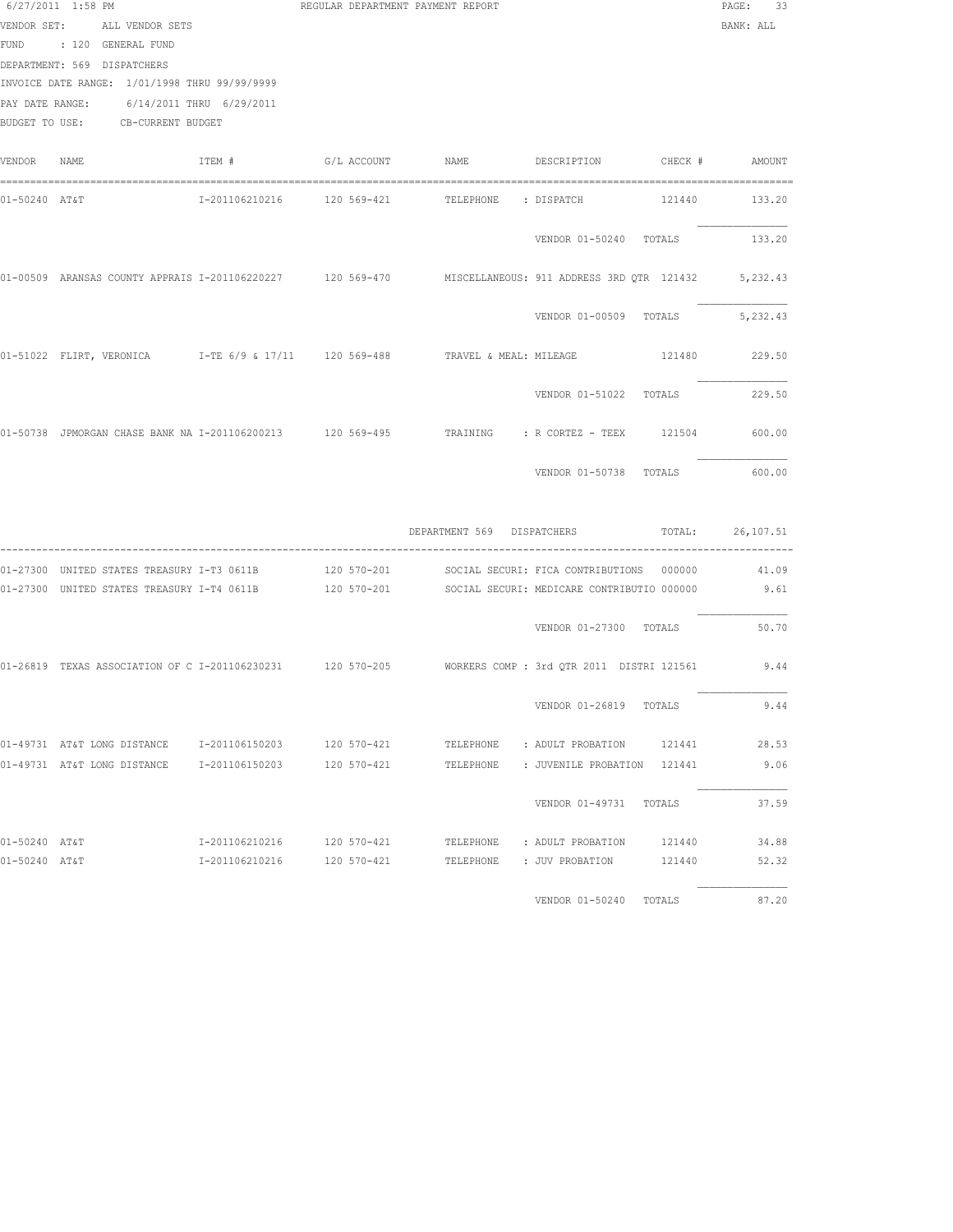|               | 6/27/2011 1:58 PM<br>VENDOR SET: ALL VENDOR SETS                                                                                                    |                            | REGULAR DEPARTMENT PAYMENT REPORT |                            |                                                                                                                                                                                                      | PAGE: 33<br>BANK: ALL |
|---------------|-----------------------------------------------------------------------------------------------------------------------------------------------------|----------------------------|-----------------------------------|----------------------------|------------------------------------------------------------------------------------------------------------------------------------------------------------------------------------------------------|-----------------------|
|               | FUND : 120 GENERAL FUND<br>DEPARTMENT: 569 DISPATCHERS<br>INVOICE DATE RANGE: 1/01/1998 THRU 99/99/9999<br>PAY DATE RANGE: 6/14/2011 THRU 6/29/2011 |                            |                                   |                            |                                                                                                                                                                                                      |                       |
|               | BUDGET TO USE: CB-CURRENT BUDGET                                                                                                                    |                            |                                   |                            |                                                                                                                                                                                                      |                       |
| VENDOR        | NAME                                                                                                                                                | ITEM #                     |                                   |                            |                                                                                                                                                                                                      |                       |
| 01-50240 AT&T |                                                                                                                                                     |                            | I-201106210216 120 569-421        | TELEPHONE : DISPATCH       |                                                                                                                                                                                                      | 121440 133.20         |
|               |                                                                                                                                                     |                            |                                   |                            | VENDOR 01-50240 TOTALS                                                                                                                                                                               | 133.20                |
|               |                                                                                                                                                     |                            |                                   |                            | 01-00509 ARANSAS COUNTY APPRAIS I-201106220227 120 569-470 MISCELLANEOUS: 911 ADDRESS 3RD QTR 121432                                                                                                 | 5,232.43              |
|               |                                                                                                                                                     |                            |                                   |                            | VENDOR 01-00509 TOTALS                                                                                                                                                                               | 5,232.43              |
|               |                                                                                                                                                     |                            |                                   |                            | 01-51022 FLIRT, VERONICA 1-TE 6/9 & 17/11 120 569-488 TRAVEL & MEAL: MILEAGE 121480 229.50                                                                                                           |                       |
|               |                                                                                                                                                     |                            |                                   |                            | VENDOR 01-51022 TOTALS                                                                                                                                                                               | 229.50                |
|               |                                                                                                                                                     |                            |                                   |                            | 01-50738 JPMORGAN CHASE BANK NA I-201106200213 120 569-495 TRAINING : R CORTEZ - TEEX 121504 600.00                                                                                                  |                       |
|               |                                                                                                                                                     |                            |                                   |                            | VENDOR 01-50738 TOTALS                                                                                                                                                                               | 600.00                |
|               |                                                                                                                                                     |                            |                                   | DEPARTMENT 569 DISPATCHERS |                                                                                                                                                                                                      | TOTAL: 26,107.51      |
|               |                                                                                                                                                     |                            |                                   |                            | 01-27300 UNITED STATES TREASURY I-T3 0611B 120 570-201 SOCIAL SECURI: FICA CONTRIBUTIONS 000000<br>01-27300 UNITED STATES TREASURY I-T4 0611B 120 570-201 SOCIAL SECURI: MEDICARE CONTRIBUTIO 000000 | 41.09<br>9.61         |
|               |                                                                                                                                                     |                            |                                   |                            | VENDOR 01-27300 TOTALS                                                                                                                                                                               | 50.70                 |
|               |                                                                                                                                                     |                            |                                   |                            | 01-26819 TEXAS ASSOCIATION OF C I-201106230231 120 570-205 WORKERS COMP: 3rd QTR 2011 DISTRI 121561 9.44                                                                                             |                       |
|               |                                                                                                                                                     |                            |                                   |                            | VENDOR 01-26819 TOTALS                                                                                                                                                                               | 9.44                  |
|               | 01-49731 AT&T LONG DISTANCE 1-201106150203                                                                                                          |                            | 120 570-421                       |                            | TELEPHONE : ADULT PROBATION<br>121441                                                                                                                                                                | 28.53                 |
|               | 01-49731 AT&T LONG DISTANCE                                                                                                                         | I-201106150203             | 120 570-421                       |                            | TELEPHONE : JUVENILE PROBATION 121441                                                                                                                                                                | 9.06                  |
|               |                                                                                                                                                     |                            |                                   |                            | VENDOR 01-49731 TOTALS                                                                                                                                                                               | 37.59                 |
| 01-50240 AT&T |                                                                                                                                                     | I-201106210216 120 570-421 |                                   |                            | TELEPHONE : ADULT PROBATION<br>121440                                                                                                                                                                | 34.88                 |
| 01-50240 AT&T |                                                                                                                                                     | I-201106210216 120 570-421 |                                   |                            | TELEPHONE : JUV PROBATION<br>121440                                                                                                                                                                  | 52.32                 |
|               |                                                                                                                                                     |                            |                                   |                            | VENDOR 01-50240 TOTALS                                                                                                                                                                               | 87.20                 |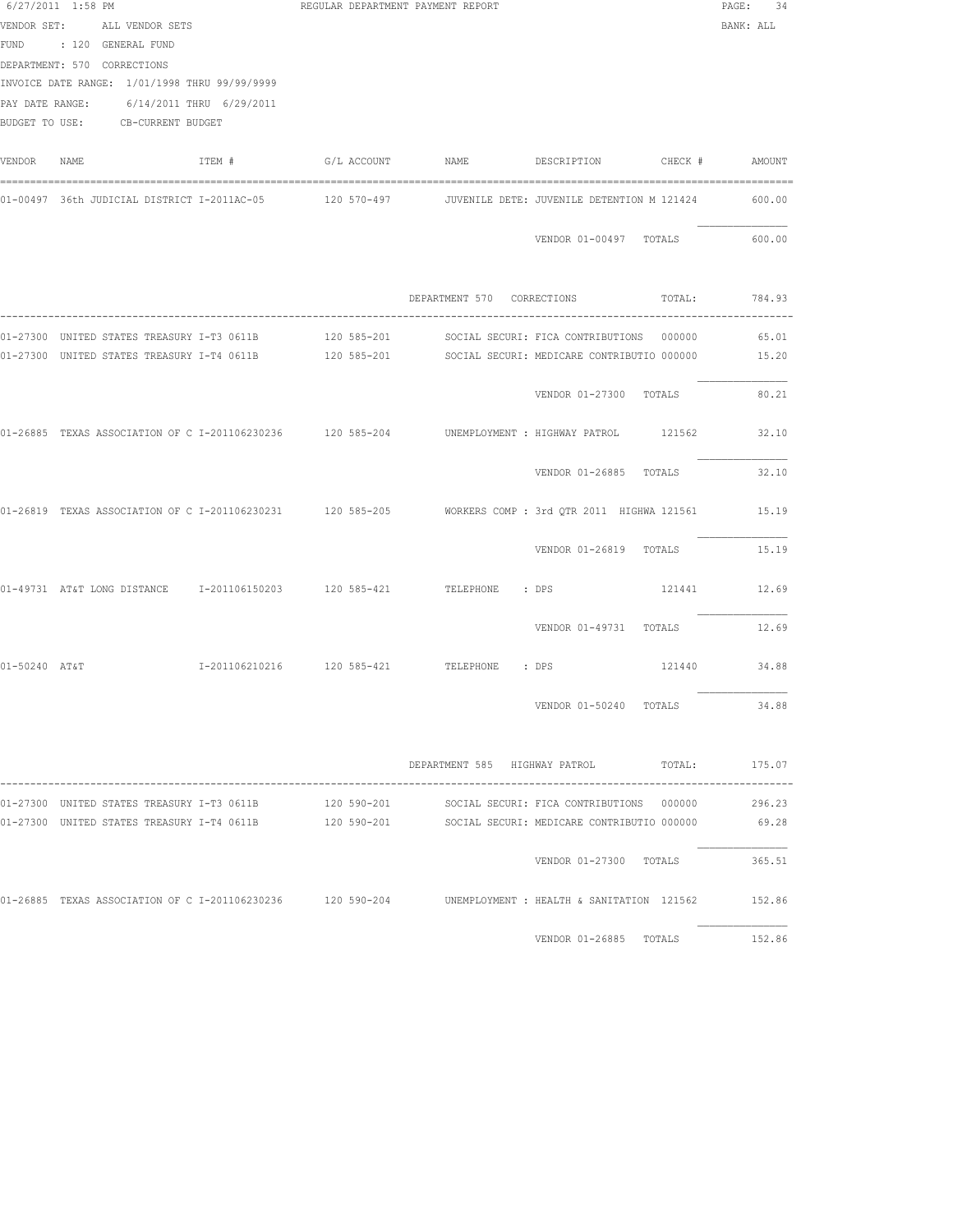|               | 6/27/2011 1:58 PM<br>VENDOR SET: ALL VENDOR SETS<br>FUND : 120 GENERAL FUND<br>DEPARTMENT: 570 CORRECTIONS<br>INVOICE DATE RANGE: 1/01/1998 THRU 99/99/9999<br>PAY DATE RANGE: 6/14/2011 THRU 6/29/2011<br>BUDGET TO USE: CB-CURRENT BUDGET | REGULAR DEPARTMENT PAYMENT REPORT |                                             | PAGE: 34<br>BANK: ALL |
|---------------|---------------------------------------------------------------------------------------------------------------------------------------------------------------------------------------------------------------------------------------------|-----------------------------------|---------------------------------------------|-----------------------|
| VENDOR NAME   | ITEM #                                                                                                                                                                                                                                      |                                   |                                             |                       |
|               | 01-00497 36th JUDICIAL DISTRICT I-2011AC-05      120 570-497      JUVENILE DETE: JUVENILE DETENTION M 121424                                                                                                                                |                                   |                                             | 600.00                |
|               |                                                                                                                                                                                                                                             |                                   | VENDOR 01-00497 TOTALS                      | 600.00                |
|               |                                                                                                                                                                                                                                             |                                   | DEPARTMENT 570 CORRECTIONS TOTAL: 784.93    |                       |
|               | 01-27300 UNITED STATES TREASURY I-T3 0611B 120 585-201 SOCIAL SECURI: FICA CONTRIBUTIONS 000000                                                                                                                                             |                                   |                                             | 65.01                 |
|               | 01-27300 UNITED STATES TREASURY I-T4 0611B 120 585-201 SOCIAL SECURI: MEDICARE CONTRIBUTIO 000000 15.20                                                                                                                                     |                                   |                                             |                       |
|               |                                                                                                                                                                                                                                             |                                   | VENDOR 01-27300 TOTALS                      | 80.21                 |
|               | 01-26885 TEXAS ASSOCIATION OF C I-201106230236 120 585-204 UNEMPLOYMENT : HIGHWAY PATROL 121562                                                                                                                                             |                                   |                                             | 32.10                 |
|               |                                                                                                                                                                                                                                             |                                   | VENDOR 01-26885 TOTALS                      | 32.10                 |
|               | 01-26819 TEXAS ASSOCIATION OF C I-201106230231 120 585-205 NORKERS COMP : 3rd QTR 2011 HIGHWA 121561 15.19                                                                                                                                  |                                   |                                             |                       |
|               |                                                                                                                                                                                                                                             |                                   | VENDOR 01-26819 TOTALS                      | 15.19                 |
|               | 01-49731 AT&T LONG DISTANCE 1-201106150203 120 585-421 TELEPHONE : DPS                                                                                                                                                                      |                                   | 121441 12.69                                |                       |
|               |                                                                                                                                                                                                                                             |                                   | VENDOR 01-49731 TOTALS                      | 12.69                 |
| 01-50240 AT&T | I-201106210216 120 585-421 TELEPHONE : DPS                                                                                                                                                                                                  |                                   |                                             | 121440 34.88          |
|               |                                                                                                                                                                                                                                             |                                   | VENDOR 01-50240 TOTALS                      | 34.88                 |
|               |                                                                                                                                                                                                                                             |                                   | DEPARTMENT 585 HIGHWAY PATROL TOTAL: 175.07 |                       |
|               | 01-27300 UNITED STATES TREASURY I-T3 0611B 120 590-201                                                                                                                                                                                      |                                   | SOCIAL SECURI: FICA CONTRIBUTIONS 000000    | 296.23                |
|               | 01-27300 UNITED STATES TREASURY I-T4 0611B 120 590-201 SOCIAL SECURI: MEDICARE CONTRIBUTIO 000000 69.28                                                                                                                                     |                                   |                                             |                       |
|               |                                                                                                                                                                                                                                             |                                   | VENDOR 01-27300 TOTALS                      | 365.51                |
|               | 01-26885 TEXAS ASSOCIATION OF C I-201106230236 120 590-204 UNEMPLOYMENT : HEALTH & SANITATION 121562                                                                                                                                        |                                   |                                             | 152.86                |
|               |                                                                                                                                                                                                                                             |                                   | VENDOR 01-26885 TOTALS                      | 152.86                |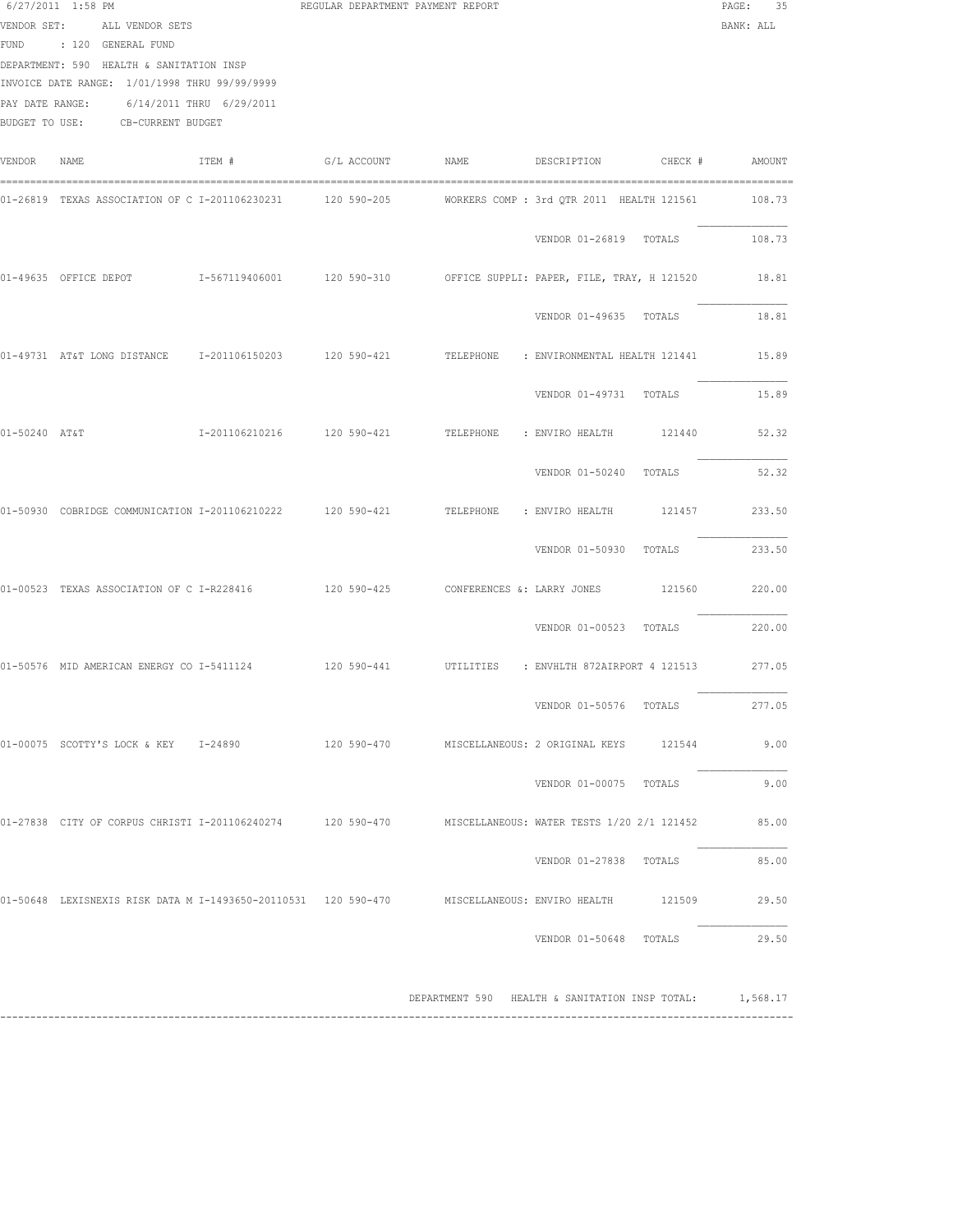|               | $6/27/2011$ 1:58 PM<br>VENDOR SET: ALL VENDOR SETS<br>FUND : 120 GENERAL FUND<br>DEPARTMENT: 590 HEALTH & SANITATION INSP<br>INVOICE DATE RANGE: 1/01/1998 THRU 99/99/9999<br>PAY DATE RANGE: 6/14/2011 THRU 6/29/2011<br>BUDGET TO USE: CB-CURRENT BUDGET |        | REGULAR DEPARTMENT PAYMENT REPORT |                                                         |                                           |        | 35<br>PAGE:<br>BANK: ALL |
|---------------|------------------------------------------------------------------------------------------------------------------------------------------------------------------------------------------------------------------------------------------------------------|--------|-----------------------------------|---------------------------------------------------------|-------------------------------------------|--------|--------------------------|
| VENDOR        | NAME                                                                                                                                                                                                                                                       | ITEM # | G/L ACCOUNT NAME                  |                                                         | DESCRIPTION CHECK # AMOUNT                |        |                          |
|               | 01-26819 TEXAS ASSOCIATION OF C I-201106230231 120 590-205                                                                                                                                                                                                 |        |                                   |                                                         | WORKERS COMP : 3rd QTR 2011 HEALTH 121561 |        | 108.73                   |
|               |                                                                                                                                                                                                                                                            |        |                                   |                                                         | VENDOR 01-26819 TOTALS                    |        | 108.73                   |
|               | 01-49635 OFFICE DEPOT T-567119406001 120 590-310 OFFICE SUPPLI: PAPER, FILE, TRAY, H 121520                                                                                                                                                                |        |                                   |                                                         |                                           |        | 18.81                    |
|               |                                                                                                                                                                                                                                                            |        |                                   |                                                         | VENDOR 01-49635 TOTALS                    |        | 18.81                    |
|               | 01-49731 AT&T LONG DISTANCE 1-201106150203 120 590-421 TELEPHONE : ENVIRONMENTAL HEALTH 121441                                                                                                                                                             |        |                                   |                                                         |                                           |        | 15.89                    |
|               |                                                                                                                                                                                                                                                            |        |                                   |                                                         | VENDOR 01-49731 TOTALS                    |        | 15.89                    |
| 01-50240 AT&T |                                                                                                                                                                                                                                                            |        |                                   |                                                         |                                           |        | 52.32                    |
|               |                                                                                                                                                                                                                                                            |        |                                   |                                                         | VENDOR 01-50240 TOTALS                    |        | 52.32                    |
|               | 01-50930 COBRIDGE COMMUNICATION I-201106210222 120 590-421                                                                                                                                                                                                 |        |                                   |                                                         | TELEPHONE : ENVIRO HEALTH                 | 121457 | 233.50                   |
|               |                                                                                                                                                                                                                                                            |        |                                   |                                                         | VENDOR 01-50930 TOTALS                    |        | 233.50                   |
|               | 01-00523 TEXAS ASSOCIATION OF C I-R228416 120 590-425 CONFERENCES &: LARRY JONES                                                                                                                                                                           |        |                                   |                                                         |                                           | 121560 | 220.00                   |
|               |                                                                                                                                                                                                                                                            |        |                                   |                                                         | VENDOR 01-00523 TOTALS                    |        | 220.00                   |
|               | 01-50576 MID AMERICAN ENERGY CO I-5411124 120 590-441 UTILITIES : ENVHLTH 872AIRPORT 4 121513                                                                                                                                                              |        |                                   |                                                         |                                           |        | 277.05                   |
|               |                                                                                                                                                                                                                                                            |        |                                   |                                                         | VENDOR 01-50576 TOTALS                    |        | 277.05                   |
|               | 01-00075 SCOTTY'S LOCK & KEY 1-24890                                                                                                                                                                                                                       |        | 120 590-470                       |                                                         | MISCELLANEOUS: 2 ORIGINAL KEYS 121544     |        | 9.00                     |
|               |                                                                                                                                                                                                                                                            |        |                                   |                                                         | VENDOR 01-00075 TOTALS                    |        | 9.00                     |
|               | 01-27838 CITY OF CORPUS CHRISTI I-201106240274 120 590-470 MISCELLANEOUS: WATER TESTS 1/20 2/1 121452                                                                                                                                                      |        |                                   |                                                         |                                           |        | 85.00                    |
|               |                                                                                                                                                                                                                                                            |        |                                   |                                                         | VENDOR 01-27838 TOTALS                    |        | 85.00                    |
|               | 01-50648 LEXISNEXIS RISK DATA M I-1493650-20110531 120 590-470 MISCELLANEOUS: ENVIRO HEALTH 121509                                                                                                                                                         |        |                                   |                                                         |                                           |        | 29.50                    |
|               |                                                                                                                                                                                                                                                            |        |                                   |                                                         | VENDOR 01-50648 TOTALS                    |        | 29.50                    |
|               |                                                                                                                                                                                                                                                            |        |                                   | DEPARTMENT 590 HEALTH & SANITATION INSP TOTAL: 1,568.17 |                                           |        |                          |

------------------------------------------------------------------------------------------------------------------------------------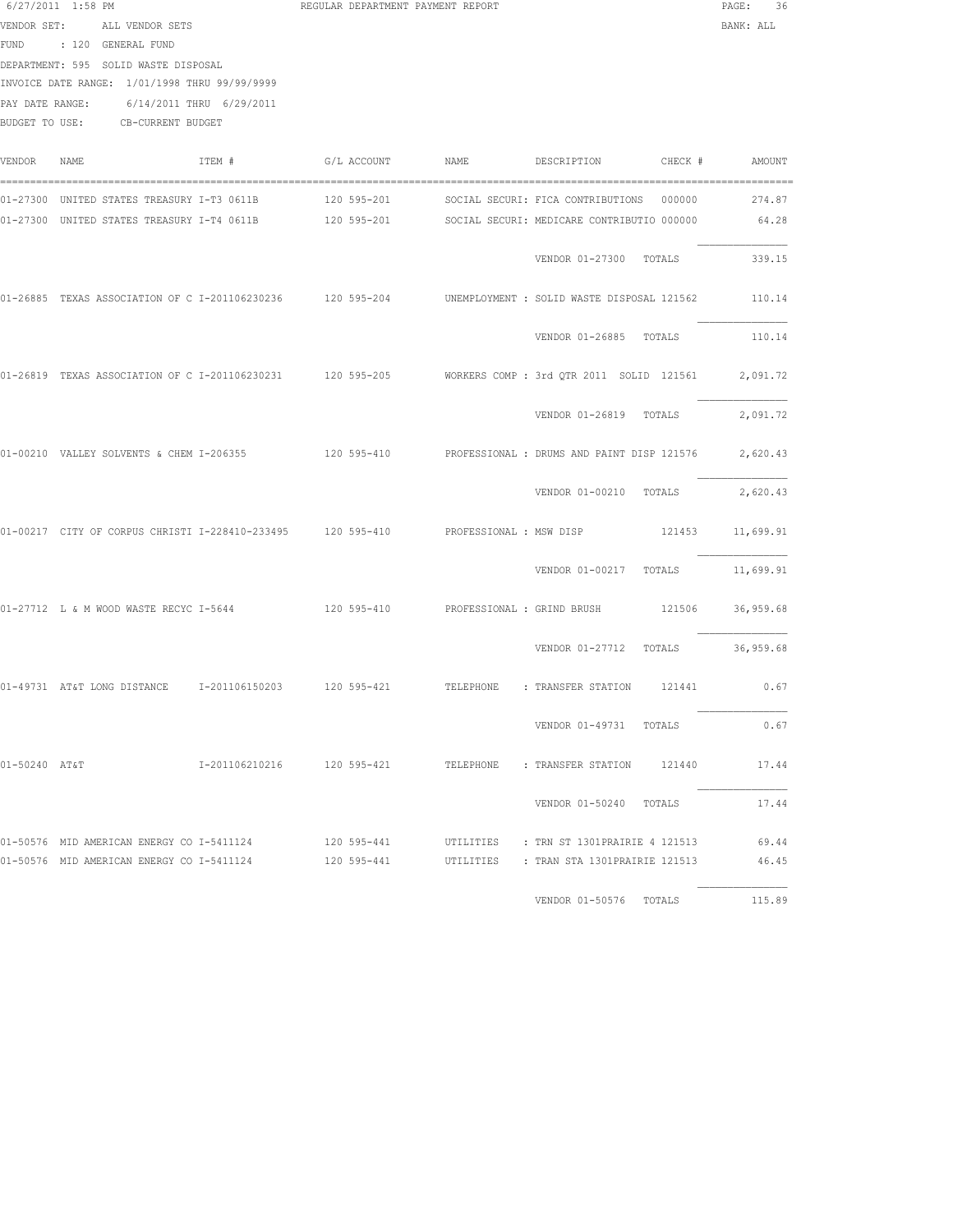|                                                                                                                                                                                                                                    | $6/27/2011$ 1:58 PM                                         |        | REGULAR DEPARTMENT PAYMENT REPORT |                         |                                                                                                                                                                                                      | PAGE:<br>36      |
|------------------------------------------------------------------------------------------------------------------------------------------------------------------------------------------------------------------------------------|-------------------------------------------------------------|--------|-----------------------------------|-------------------------|------------------------------------------------------------------------------------------------------------------------------------------------------------------------------------------------------|------------------|
| VENDOR SET: ALL VENDOR SETS<br>FUND : 120 GENERAL FUND<br>DEPARTMENT: 595 SOLID WASTE DISPOSAL<br>INVOICE DATE RANGE: 1/01/1998 THRU 99/99/9999<br>6/14/2011 THRU 6/29/2011<br>PAY DATE RANGE:<br>BUDGET TO USE: CB-CURRENT BUDGET |                                                             |        |                                   |                         |                                                                                                                                                                                                      | BANK: ALL        |
| VENDOR                                                                                                                                                                                                                             | NAME                                                        | ITEM # |                                   |                         |                                                                                                                                                                                                      | AMOUNT           |
|                                                                                                                                                                                                                                    |                                                             |        |                                   |                         | 01-27300 UNITED STATES TREASURY I-T3 0611B 120 595-201 SOCIAL SECURI: FICA CONTRIBUTIONS 000000<br>01-27300 UNITED STATES TREASURY I-T4 0611B 120 595-201 SOCIAL SECURI: MEDICARE CONTRIBUTIO 000000 | 274.87<br>64.28  |
|                                                                                                                                                                                                                                    |                                                             |        |                                   |                         | VENDOR 01-27300 TOTALS                                                                                                                                                                               | 339.15           |
|                                                                                                                                                                                                                                    |                                                             |        |                                   |                         | 01-26885 TEXAS ASSOCIATION OF C I-201106230236 120 595-204 UNEMPLOYMENT : SOLID WASTE DISPOSAL 121562                                                                                                | 110.14           |
|                                                                                                                                                                                                                                    |                                                             |        |                                   |                         | VENDOR 01-26885 TOTALS                                                                                                                                                                               | 110.14           |
|                                                                                                                                                                                                                                    |                                                             |        |                                   |                         | 01-26819 TEXAS ASSOCIATION OF C I-201106230231 120 595-205 WORKERS COMP : 3rd QTR 2011 SOLID 121561 2,091.72                                                                                         |                  |
|                                                                                                                                                                                                                                    |                                                             |        |                                   |                         | VENDOR 01-26819 TOTALS                                                                                                                                                                               | 2,091.72         |
|                                                                                                                                                                                                                                    |                                                             |        |                                   |                         | 01-00210 VALLEY SOLVENTS & CHEM I-206355 420 595-410 PROFESSIONAL : DRUMS AND PAINT DISP 121576                                                                                                      | 2,620.43         |
|                                                                                                                                                                                                                                    |                                                             |        |                                   |                         | VENDOR 01-00210 TOTALS                                                                                                                                                                               | 2,620.43         |
|                                                                                                                                                                                                                                    | 01-00217 CITY OF CORPUS CHRISTI I-228410-233495 120 595-410 |        |                                   | PROFESSIONAL : MSW DISP |                                                                                                                                                                                                      | 121453 11,699.91 |
|                                                                                                                                                                                                                                    |                                                             |        |                                   |                         | VENDOR 01-00217 TOTALS 11,699.91                                                                                                                                                                     |                  |
|                                                                                                                                                                                                                                    | 01-27712 L & M WOOD WASTE RECYC I-5644                      |        |                                   |                         | 120 595-410 PROFESSIONAL : GRIND BRUSH 121506 36,959.68                                                                                                                                              |                  |
|                                                                                                                                                                                                                                    |                                                             |        |                                   |                         | VENDOR 01-27712 TOTALS 36,959.68                                                                                                                                                                     |                  |
|                                                                                                                                                                                                                                    |                                                             |        |                                   |                         | 01-49731 AT&T LONG DISTANCE 1-201106150203 120 595-421 TELEPHONE : TRANSFER STATION 121441 0.67                                                                                                      |                  |
|                                                                                                                                                                                                                                    |                                                             |        |                                   |                         | VENDOR 01-49731 TOTALS                                                                                                                                                                               | 0.67             |
| 01-50240 AT&T                                                                                                                                                                                                                      |                                                             |        |                                   |                         |                                                                                                                                                                                                      | 17.44            |
|                                                                                                                                                                                                                                    |                                                             |        |                                   |                         | VENDOR 01-50240 TOTALS                                                                                                                                                                               | 17.44            |
|                                                                                                                                                                                                                                    |                                                             |        |                                   |                         | 01-50576 MID AMERICAN ENERGY CO I-5411124 120 595-441 UTILITIES : TRN ST 1301PRAIRIE 4 121513<br>01-50576 MID AMERICAN ENERGY CO I-5411124 120 595-441 UTILITIES : TRAN STA 1301PRAIRIE 121513       | 69.44<br>46.45   |
|                                                                                                                                                                                                                                    |                                                             |        |                                   |                         | VENDOR 01-50576 TOTALS                                                                                                                                                                               | 115.89           |
|                                                                                                                                                                                                                                    |                                                             |        |                                   |                         |                                                                                                                                                                                                      |                  |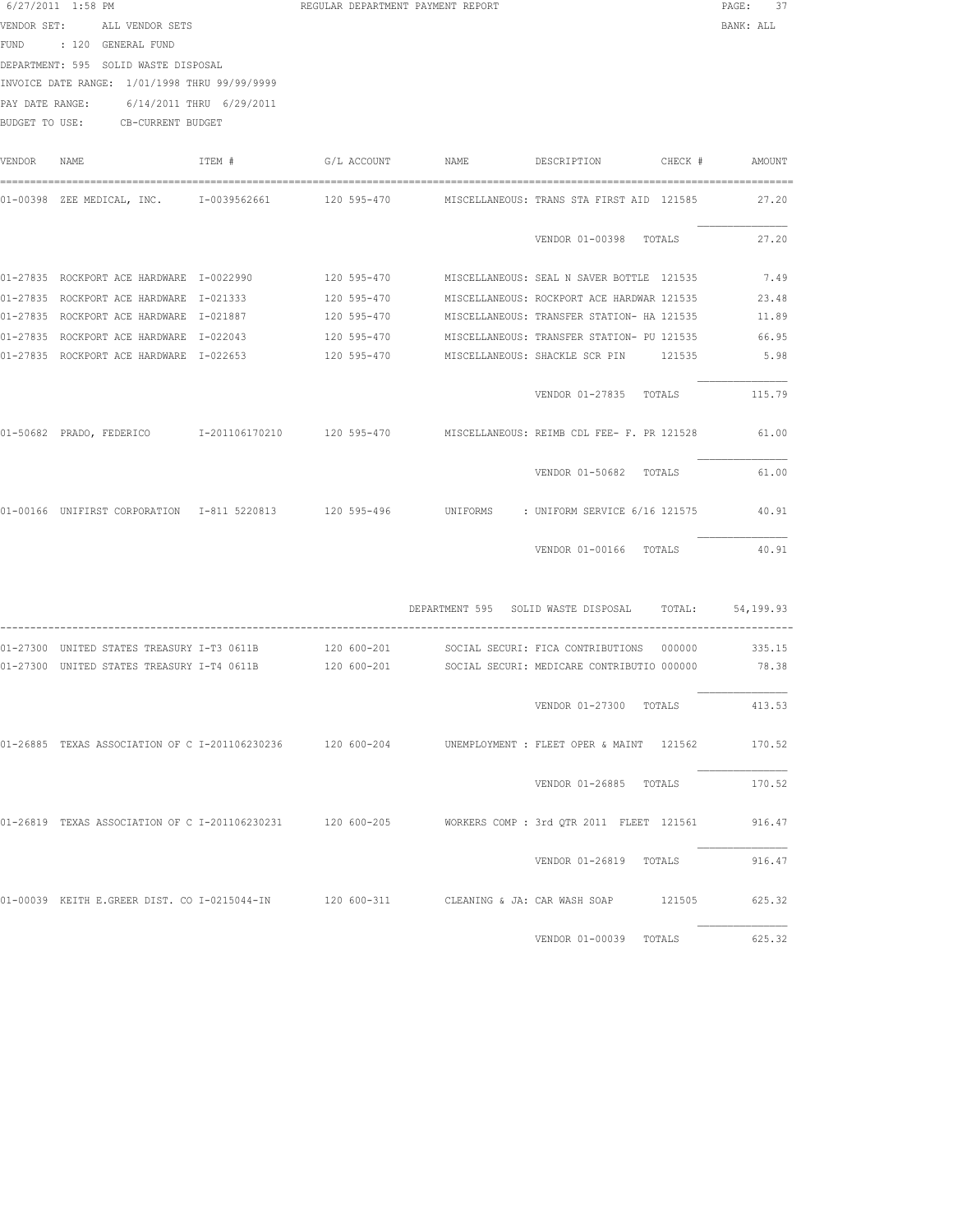|             | 6/27/2011 1:58 PM                                                                                           |        | REGULAR DEPARTMENT PAYMENT REPORT | PAGE:<br>37                                            |           |  |
|-------------|-------------------------------------------------------------------------------------------------------------|--------|-----------------------------------|--------------------------------------------------------|-----------|--|
|             | VENDOR SET: ALL VENDOR SETS                                                                                 |        |                                   |                                                        | BANK: ALL |  |
|             | FUND : 120 GENERAL FUND                                                                                     |        |                                   |                                                        |           |  |
|             | DEPARTMENT: 595 SOLID WASTE DISPOSAL                                                                        |        |                                   |                                                        |           |  |
|             | INVOICE DATE RANGE: 1/01/1998 THRU 99/99/9999                                                               |        |                                   |                                                        |           |  |
|             | PAY DATE RANGE: 6/14/2011 THRU 6/29/2011                                                                    |        |                                   |                                                        |           |  |
|             | BUDGET TO USE: CB-CURRENT BUDGET                                                                            |        |                                   |                                                        |           |  |
|             |                                                                                                             |        |                                   |                                                        |           |  |
| VENDOR NAME |                                                                                                             | ITEM # |                                   |                                                        |           |  |
|             | 01-00398 ZEE MEDICAL, INC.     I-0039562661       120 595-470     MISCELLANEOUS: TRANS STA FIRST AID 121585 |        |                                   |                                                        | 27.20     |  |
|             |                                                                                                             |        |                                   | VENDOR 01-00398 TOTALS                                 | 27.20     |  |
|             | 01-27835 ROCKPORT ACE HARDWARE 1-0022990 120 595-470 MISCELLANEOUS: SEAL N SAVER BOTTLE 121535              |        |                                   |                                                        | 7.49      |  |
|             | 01-27835 ROCKPORT ACE HARDWARE I-021333                                                                     |        |                                   | 120 595-470 MISCELLANEOUS: ROCKPORT ACE HARDWAR 121535 | 23.48     |  |
|             | 01-27835 ROCKPORT ACE HARDWARE I-021887                                                                     |        |                                   | 120 595-470 MISCELLANEOUS: TRANSFER STATION- HA 121535 | 11.89     |  |
|             | 01-27835 ROCKPORT ACE HARDWARE I-022043                                                                     |        | 120 595-470                       | MISCELLANEOUS: TRANSFER STATION- PU 121535             | 66.95     |  |
|             | 01-27835 ROCKPORT ACE HARDWARE I-022653                                                                     |        | 120 595-470                       |                                                        | 5.98      |  |
|             |                                                                                                             |        |                                   | VENDOR 01-27835 TOTALS                                 | 115.79    |  |
|             | 01-50682 PRADO, FEDERICO 1-201106170210 120 595-470 MISCELLANEOUS: REIMB CDL FEE- F. PR 121528 61.00        |        |                                   |                                                        |           |  |
|             |                                                                                                             |        |                                   | VENDOR 01-50682 TOTALS                                 | 61.00     |  |
|             | 01-00166 UNIFIRST CORPORATION 1-811 5220813 120 595-496 UNIFORMS : UNIFORM SERVICE 6/16 121575 40.91        |        |                                   |                                                        |           |  |
|             |                                                                                                             |        |                                   | VENDOR 01-00166 TOTALS                                 | 40.91     |  |
|             |                                                                                                             |        |                                   | DEPARTMENT 595 SOLID WASTE DISPOSAL TOTAL:             | 54,199.93 |  |
|             | 01-27300 UNITED STATES TREASURY I-T3 0611B                                                                  |        | 120 600-201                       | SOCIAL SECURI: FICA CONTRIBUTIONS 000000               | 335.15    |  |
|             | 01-27300 UNITED STATES TREASURY I-T4 0611B                                                                  |        |                                   | 120 600-201 SOCIAL SECURI: MEDICARE CONTRIBUTIO 000000 | 78.38     |  |
|             |                                                                                                             |        |                                   |                                                        |           |  |

VENDOR 01-27300 TOTALS 413.53 01-26885 TEXAS ASSOCIATION OF C I-201106230236 120 600-204 UNEMPLOYMENT : FLEET OPER & MAINT 121562 170.52 VENDOR 01-26885 TOTALS 170.52 01-26819 TEXAS ASSOCIATION OF C I-201106230231 120 600-205 WORKERS COMP : 3rd QTR 2011 FLEET 121561 916.47 VENDOR 01-26819 TOTALS 916.47 01-00039 KEITH E.GREER DIST. CO I-0215044-IN 120 600-311 CLEANING & JA: CAR WASH SOAP 121505 625.32

VENDOR 01-00039 TOTALS 625.32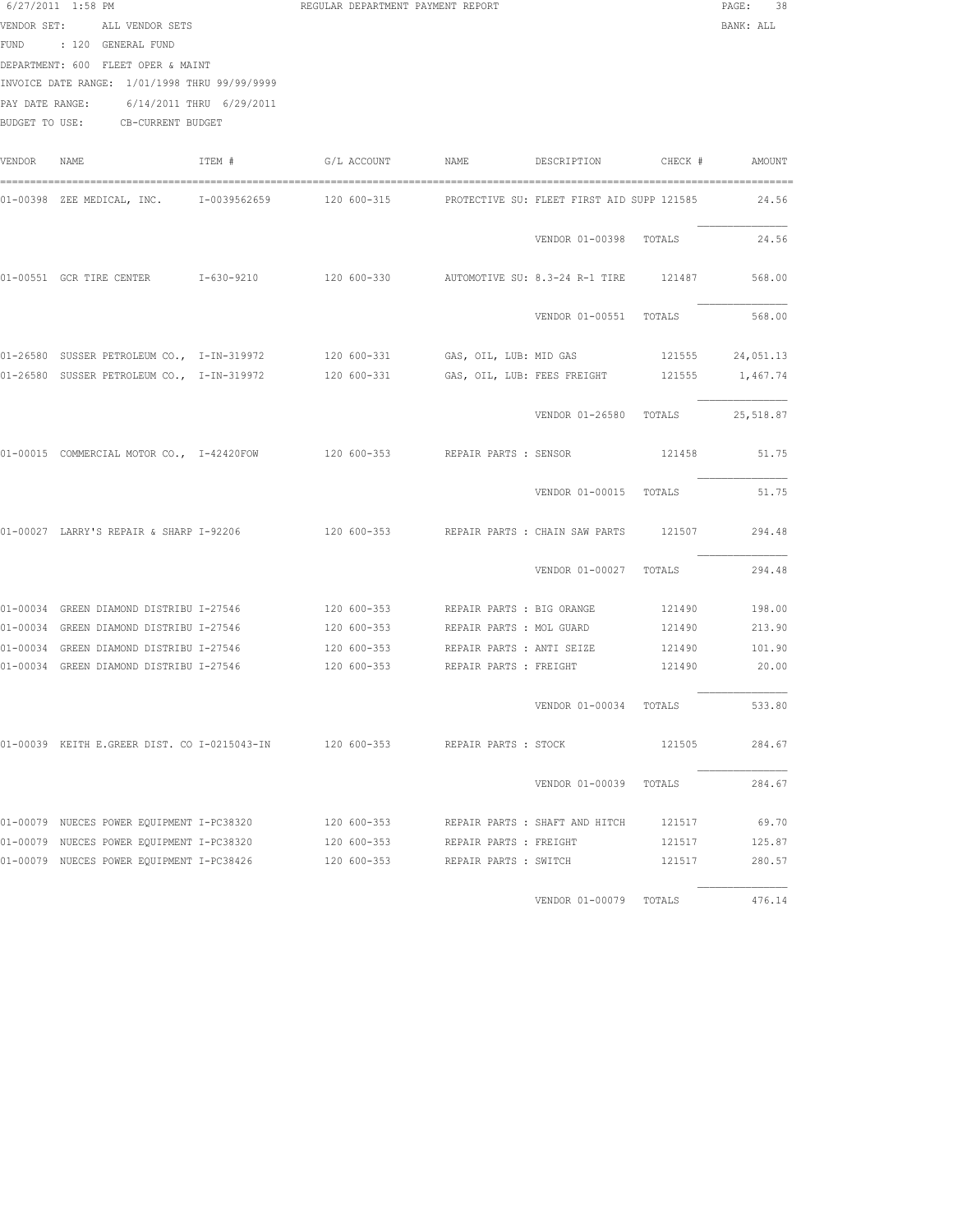|        | $6/27/2011$ 1:58 PM<br>VENDOR SET: ALL VENDOR SETS<br>FUND : 120 GENERAL FUND<br>DEPARTMENT: 600 FLEET OPER & MAINT<br>INVOICE DATE RANGE: 1/01/1998 THRU 99/99/9999<br>PAY DATE RANGE: 6/14/2011 THRU 6/29/2011<br>BUDGET TO USE: CB-CURRENT BUDGET |        | REGULAR DEPARTMENT PAYMENT REPORT                 |  |                                  |        |        |  |  |
|--------|------------------------------------------------------------------------------------------------------------------------------------------------------------------------------------------------------------------------------------------------------|--------|---------------------------------------------------|--|----------------------------------|--------|--------|--|--|
| VENDOR | NAME                                                                                                                                                                                                                                                 | TTEM # |                                                   |  |                                  |        |        |  |  |
|        | 01-00398 ZEE MEDICAL, INC.     I-0039562659       120 600-315       PROTECTIVE SU: FLEET FIRST AID SUPP 121585                                                                                                                                       |        |                                                   |  |                                  |        | 24.56  |  |  |
|        |                                                                                                                                                                                                                                                      |        |                                                   |  | VENDOR 01-00398 TOTALS           |        | 24.56  |  |  |
|        | 01-00551 GCR TIRE CENTER 1-630-9210                                                                                                                                                                                                                  |        | 120 600-330 AUTOMOTIVE SU: 8.3-24 R-1 TIRE 121487 |  |                                  |        | 568.00 |  |  |
|        |                                                                                                                                                                                                                                                      |        |                                                   |  | VENDOR 01-00551 TOTALS           |        | 568.00 |  |  |
|        | 01-26580 SUSSER PETROLEUM CO., I-IN-319972 120 600-331 GAS, OIL, LUB: MID GAS 121555 24,051.13                                                                                                                                                       |        |                                                   |  |                                  |        |        |  |  |
|        | 01-26580 SUSSER PETROLEUM CO., I-IN-319972 120 600-331 GAS, OIL, LUB: FEES FREIGHT 121555 1,467.74                                                                                                                                                   |        |                                                   |  |                                  |        |        |  |  |
|        |                                                                                                                                                                                                                                                      |        |                                                   |  | VENDOR 01-26580 TOTALS 25,518.87 |        |        |  |  |
|        | 01-00015 COMMERCIAL MOTOR CO., I-42420FOW 120 600-353 REPAIR PARTS : SENSOR                                                                                                                                                                          |        |                                                   |  |                                  | 121458 | 51.75  |  |  |
|        |                                                                                                                                                                                                                                                      |        |                                                   |  | VENDOR 01-00015 TOTALS           |        | 51.75  |  |  |
|        | 01-00027 LARRY'S REPAIR & SHARP I-92206                                                                                                                                                                                                              |        | 120 600-353 REPAIR PARTS : CHAIN SAW PARTS        |  |                                  | 121507 | 294.48 |  |  |
|        |                                                                                                                                                                                                                                                      |        |                                                   |  | VENDOR 01-00027 TOTALS           |        | 294.48 |  |  |
|        | 01-00034 GREEN DIAMOND DISTRIBU I-27546                                                                                                                                                                                                              |        | 120 600-353 REPAIR PARTS : BIG ORANGE             |  |                                  | 121490 | 198.00 |  |  |
|        | 01-00034 GREEN DIAMOND DISTRIBU I-27546 120 600-353 REPAIR PARTS : MOL GUARD                                                                                                                                                                         |        |                                                   |  |                                  | 121490 | 213.90 |  |  |
|        | 01-00034 GREEN DIAMOND DISTRIBU I-27546               120 600-353       REPAIR PARTS : ANTI SEIZE         121490       101.90                                                                                                                        |        |                                                   |  |                                  |        |        |  |  |
|        | 01-00034 GREEN DIAMOND DISTRIBU I-27546 $120\,$ 600-353 REPAIR PARTS : FREIGHT $121490$ 20.00                                                                                                                                                        |        |                                                   |  |                                  |        |        |  |  |
|        |                                                                                                                                                                                                                                                      |        |                                                   |  | VENDOR 01-00034 TOTALS           |        | 533.80 |  |  |
|        | 01-00039 KEITH E.GREER DIST. CO I-0215043-IN 120 600-353 REPAIR PARTS : STOCK                                                                                                                                                                        |        |                                                   |  |                                  | 121505 | 284.67 |  |  |
|        |                                                                                                                                                                                                                                                      |        |                                                   |  | VENDOR 01-00039 TOTALS           |        | 284.67 |  |  |
|        | 01-00079 NUECES POWER EQUIPMENT I-PC38320               120 600-353       REPAIR PARTS : SHAFT AND HITCH       121517                                                                                                                                |        |                                                   |  |                                  |        | 69.70  |  |  |
|        | 01-00079 NUECES POWER EQUIPMENT I-PC38320 120 600-353 REPAIR PARTS : FREIGHT                                                                                                                                                                         |        |                                                   |  |                                  | 121517 | 125.87 |  |  |
|        | 01-00079 NUECES POWER EQUIPMENT I-PC38426 120 600-353 REPAIR PARTS : SWITCH                                                                                                                                                                          |        |                                                   |  |                                  | 121517 | 280.57 |  |  |
|        |                                                                                                                                                                                                                                                      |        |                                                   |  | VENDOR 01-00079 TOTALS           |        | 476.14 |  |  |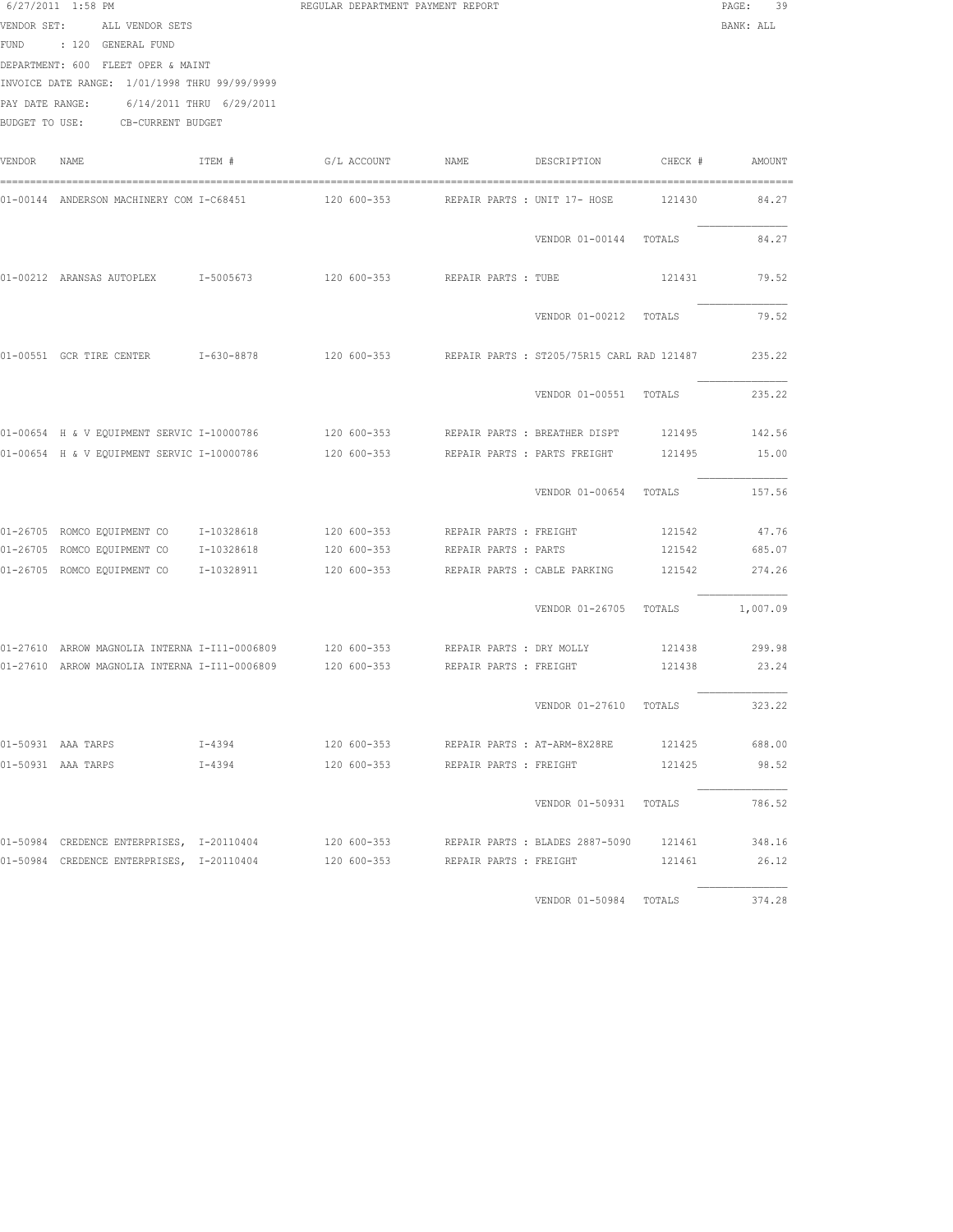| $6/27/2011$ 1:58 PM<br>VENDOR SET:<br>ALL VENDOR SETS<br>FUND : 120 GENERAL FUND<br>DEPARTMENT: 600 FLEET OPER & MAINT<br>INVOICE DATE RANGE: 1/01/1998 THRU 99/99/9999<br>PAY DATE RANGE:<br>6/14/2011 THRU 6/29/2011<br>BUDGET TO USE: CB-CURRENT BUDGET |                                                                                                     |            | REGULAR DEPARTMENT PAYMENT REPORT | PAGE:<br>-39<br>BANK: ALL                              |                              |         |               |
|------------------------------------------------------------------------------------------------------------------------------------------------------------------------------------------------------------------------------------------------------------|-----------------------------------------------------------------------------------------------------|------------|-----------------------------------|--------------------------------------------------------|------------------------------|---------|---------------|
| VENDOR                                                                                                                                                                                                                                                     | NAME                                                                                                | ITEM #     | G/L ACCOUNT NAME                  |                                                        | DESCRIPTION                  | CHECK # | AMOUNT        |
|                                                                                                                                                                                                                                                            | 01-00144 ANDERSON MACHINERY COM I-C68451                                                            |            |                                   | 120 600-353     REPAIR PARTS : UNIT 17- HOSE           |                              | 121430  | 84.27         |
|                                                                                                                                                                                                                                                            |                                                                                                     |            |                                   |                                                        | VENDOR 01-00144 TOTALS       |         | 84.27         |
|                                                                                                                                                                                                                                                            | 01-00212 ARANSAS AUTOPLEX 1-5005673                                                                 |            | 120 600-353                       | REPAIR PARTS : TUBE                                    |                              | 121431  | 79.52         |
|                                                                                                                                                                                                                                                            |                                                                                                     |            |                                   |                                                        | VENDOR 01-00212 TOTALS       |         | 79.52         |
|                                                                                                                                                                                                                                                            | 01-00551 GCR TIRE CENTER 1-630-8878                                                                 |            |                                   | 120 600-353 REPAIR PARTS : ST205/75R15 CARL RAD 121487 |                              |         | 235.22        |
|                                                                                                                                                                                                                                                            |                                                                                                     |            |                                   |                                                        | VENDOR 01-00551 TOTALS       |         | 235.22        |
|                                                                                                                                                                                                                                                            |                                                                                                     |            |                                   |                                                        |                              |         | 121495 142.56 |
|                                                                                                                                                                                                                                                            | 01-00654 H & V EQUIPMENT SERVIC I-10000786                                                          |            |                                   | 120 600-353 REPAIR PARTS : PARTS FREIGHT               |                              | 121495  | 15.00         |
|                                                                                                                                                                                                                                                            |                                                                                                     |            |                                   |                                                        | VENDOR 01-00654 TOTALS       |         | 157.56        |
|                                                                                                                                                                                                                                                            | 01-26705 ROMCO EQUIPMENT CO 1-10328618                                                              |            | 120 600-353                       | REPAIR PARTS : FREIGHT                                 |                              | 121542  | 47.76         |
|                                                                                                                                                                                                                                                            | 01-26705 ROMCO EQUIPMENT CO 1-10328618                                                              |            | 120 600-353                       | REPAIR PARTS : PARTS                                   |                              | 121542  | 685.07        |
|                                                                                                                                                                                                                                                            | 01-26705 ROMCO EQUIPMENT CO 1-10328911                                                              |            | 120 600-353                       |                                                        | REPAIR PARTS : CABLE PARKING | 121542  | 274.26        |
|                                                                                                                                                                                                                                                            |                                                                                                     |            |                                   |                                                        | VENDOR 01-26705 TOTALS       |         | 1,007.09      |
|                                                                                                                                                                                                                                                            | 01-27610 ARROW MAGNOLIA INTERNA I-I11-0006809 120 600-353 REPAIR PARTS : DRY MOLLY                  |            |                                   |                                                        |                              |         | 121438 299.98 |
|                                                                                                                                                                                                                                                            | 01-27610 ARROW MAGNOLIA INTERNA I-I11-0006809 120 600-353                                           |            |                                   | REPAIR PARTS : FREIGHT                                 |                              |         | 121438 23.24  |
|                                                                                                                                                                                                                                                            |                                                                                                     |            |                                   |                                                        | VENDOR 01-27610 TOTALS       |         | 323.22        |
|                                                                                                                                                                                                                                                            | 01-50931 AAA TARPS 1-4394                                                                           |            |                                   | 120 600-353 REPAIR PARTS: AT-ARM-8X28RE 121425 688.00  |                              |         |               |
|                                                                                                                                                                                                                                                            | 01-50931 AAA TARPS                                                                                  | $I - 4394$ |                                   | 120 600-353 REPAIR PARTS : FREIGHT                     |                              | 121425  | 98.52         |
|                                                                                                                                                                                                                                                            |                                                                                                     |            |                                   |                                                        | VENDOR 01-50931 TOTALS       |         | 786.52        |
|                                                                                                                                                                                                                                                            | 01-50984 CREDENCE ENTERPRISES, I-20110404 120 600-353 REPAIR PARTS : BLADES 2887-5090 121461 348.16 |            |                                   |                                                        |                              |         |               |
|                                                                                                                                                                                                                                                            | 01-50984 CREDENCE ENTERPRISES, I-20110404 120 600-353 REPAIR PARTS : FREIGHT                        |            |                                   |                                                        |                              |         | 121461 26.12  |
|                                                                                                                                                                                                                                                            |                                                                                                     |            |                                   |                                                        | VENDOR 01-50984 TOTALS       |         | 374.28        |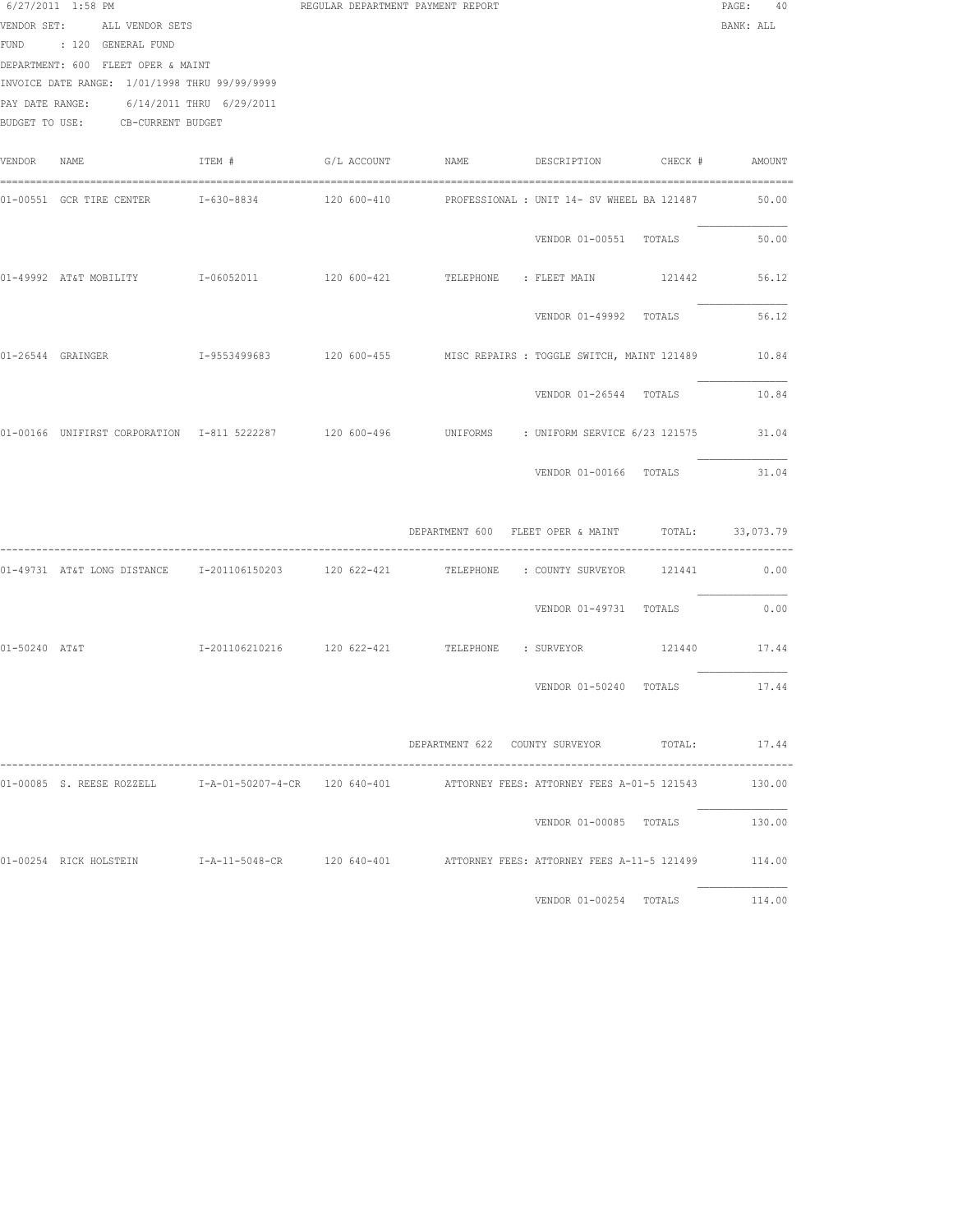|               | 6/27/2011 1:58 PM<br>VENDOR SET: ALL VENDOR SETS<br>FUND : 120 GENERAL FUND<br>DEPARTMENT: 600 FLEET OPER & MAINT<br>INVOICE DATE RANGE: 1/01/1998 THRU 99/99/9999<br>PAY DATE RANGE: 6/14/2011 THRU 6/29/2011<br>BUDGET TO USE: CB-CURRENT BUDGET |        | REGULAR DEPARTMENT PAYMENT REPORT                                |                              | PAGE: 40<br>BANK: ALL |
|---------------|----------------------------------------------------------------------------------------------------------------------------------------------------------------------------------------------------------------------------------------------------|--------|------------------------------------------------------------------|------------------------------|-----------------------|
| VENDOR        | NAME                                                                                                                                                                                                                                               | ITEM # | G/L ACCOUNT NAME DESCRIPTION CHECK # AMOUNT                      |                              |                       |
|               | 01-00551 GCR TIRE CENTER 1-630-8834 120 600-410 PROFESSIONAL : UNIT 14- SV WHEEL BA 121487                                                                                                                                                         |        |                                                                  |                              | 50.00                 |
|               |                                                                                                                                                                                                                                                    |        |                                                                  | VENDOR 01-00551 TOTALS       | 50.00                 |
|               |                                                                                                                                                                                                                                                    |        |                                                                  |                              | 56.12                 |
|               |                                                                                                                                                                                                                                                    |        |                                                                  | VENDOR 01-49992 TOTALS       | 56.12                 |
|               |                                                                                                                                                                                                                                                    |        |                                                                  |                              |                       |
|               |                                                                                                                                                                                                                                                    |        |                                                                  | VENDOR 01-26544 TOTALS       | 10.84                 |
|               | 01-00166 UNIFIRST CORPORATION 1-811 5222287 120 600-496 UNIFORMS : UNIFORM SERVICE 6/23 121575                                                                                                                                                     |        |                                                                  |                              | 31.04                 |
|               |                                                                                                                                                                                                                                                    |        |                                                                  | VENDOR 01-00166 TOTALS       | 31.04                 |
|               |                                                                                                                                                                                                                                                    |        | DEPARTMENT 600 FLEET OPER & MAINT TOTAL: 33,073.79               |                              |                       |
|               | 01-49731 AT&T LONG DISTANCE 1-201106150203 120 622-421 TELEPHONE : COUNTY SURVEYOR 121441 0.00                                                                                                                                                     |        |                                                                  |                              |                       |
|               |                                                                                                                                                                                                                                                    |        |                                                                  | VENDOR 01-49731 TOTALS       | 0.00                  |
| 01-50240 AT&T |                                                                                                                                                                                                                                                    |        | I-201106210216  120 622-421  TELEPHONE : SURVEYOR  121440  17.44 |                              |                       |
|               |                                                                                                                                                                                                                                                    |        |                                                                  | VENDOR 01-50240 TOTALS 17.44 |                       |
|               |                                                                                                                                                                                                                                                    |        | DEPARTMENT 622 COUNTY SURVEYOR TOTAL: 17.44                      |                              |                       |
|               | 01-00085 S. REESE ROZZELL 1-A-01-50207-4-CR 120 640-401 ATTORNEY FEES: ATTORNEY FEES A-01-5 121543                                                                                                                                                 |        |                                                                  |                              | 130.00                |
|               |                                                                                                                                                                                                                                                    |        |                                                                  | VENDOR 01-00085 TOTALS       | 130.00                |
|               | 01-00254 RICK HOLSTEIN T-A-11-5048-CR 120 640-401 ATTORNEY FEES: ATTORNEY FEES A-11-5 121499 114.00                                                                                                                                                |        |                                                                  |                              |                       |
|               |                                                                                                                                                                                                                                                    |        |                                                                  | VENDOR 01-00254 TOTALS       | 114.00                |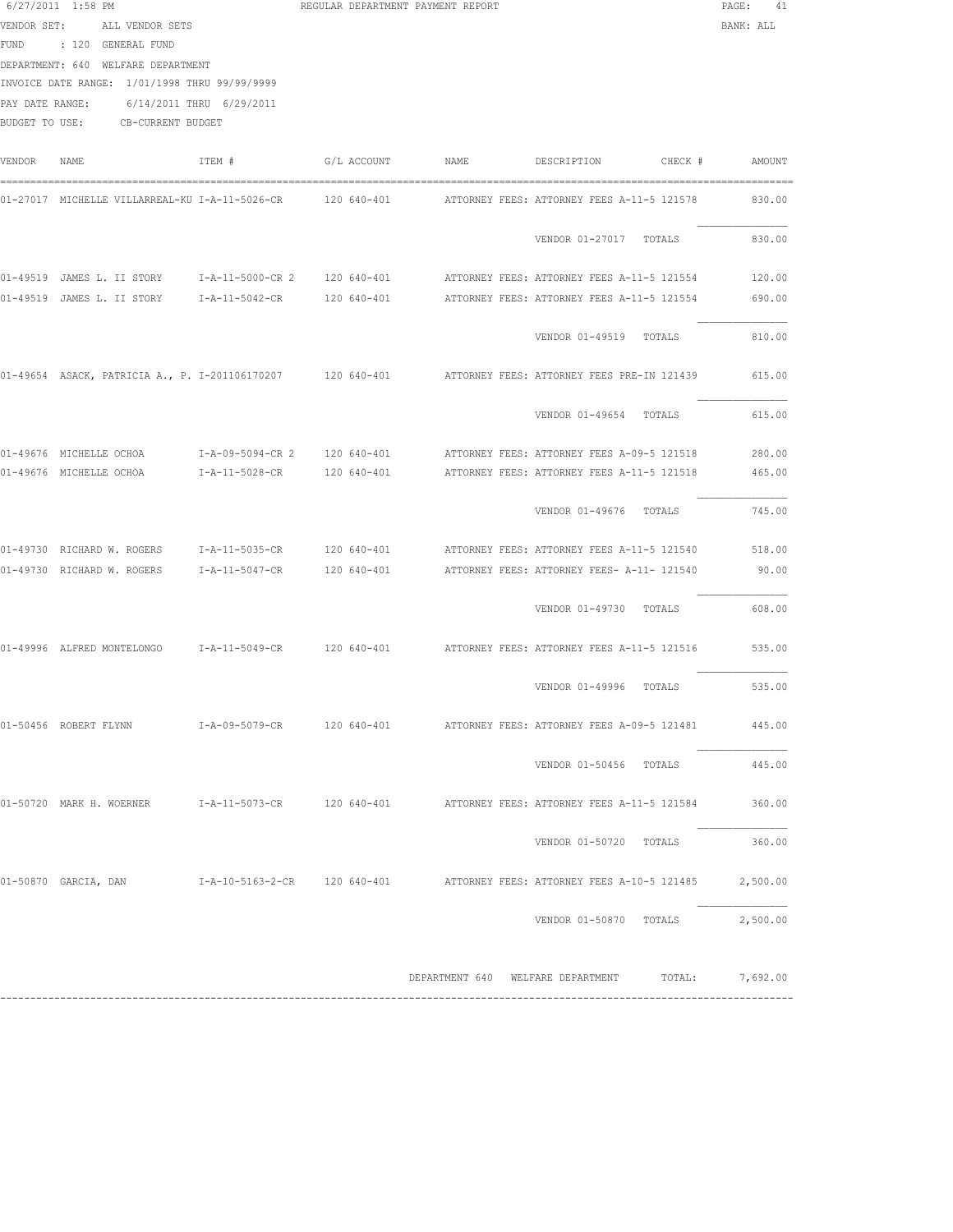|             | 6/27/2011 1:58 PM                                       |                          | REGULAR DEPARTMENT PAYMENT REPORT |                                   |                                                                                                              | $\mathtt{PAGE}$ :<br>41 |
|-------------|---------------------------------------------------------|--------------------------|-----------------------------------|-----------------------------------|--------------------------------------------------------------------------------------------------------------|-------------------------|
| VENDOR SET: | ALL VENDOR SETS                                         |                          |                                   |                                   |                                                                                                              | BANK: ALL               |
|             | FUND : 120 GENERAL FUND                                 |                          |                                   |                                   |                                                                                                              |                         |
|             | DEPARTMENT: 640 WELFARE DEPARTMENT                      |                          |                                   |                                   |                                                                                                              |                         |
|             | INVOICE DATE RANGE: 1/01/1998 THRU 99/99/9999           |                          |                                   |                                   |                                                                                                              |                         |
|             | PAY DATE RANGE:                                         | 6/14/2011 THRU 6/29/2011 |                                   |                                   |                                                                                                              |                         |
|             | BUDGET TO USE: CB-CURRENT BUDGET                        |                          |                                   |                                   |                                                                                                              |                         |
|             |                                                         |                          |                                   |                                   |                                                                                                              |                         |
| VENDOR      | NAME                                                    | ITEM #                   | G/L ACCOUNT NAME                  |                                   | DESCRIPTION<br>CHECK #                                                                                       | AMOUNT                  |
|             |                                                         |                          |                                   |                                   | 01-27017 MICHELLE VILLARREAL-KU I-A-11-5026-CR    120 640-401     ATTORNEY FEES: ATTORNEY FEES A-11-5 121578 | 830.00                  |
|             |                                                         |                          |                                   |                                   | VENDOR 01-27017 TOTALS                                                                                       | 830.00                  |
|             | 01-49519 JAMES L. II STORY 1-A-11-5000-CR 2 120 640-401 |                          |                                   |                                   | ATTORNEY FEES: ATTORNEY FEES A-11-5 121554                                                                   | 120.00                  |
|             | 01-49519 JAMES L. II STORY                              | I-A-11-5042-CR           | 120 640-401                       |                                   | ATTORNEY FEES: ATTORNEY FEES A-11-5 121554                                                                   | 690.00                  |
|             |                                                         |                          |                                   |                                   |                                                                                                              |                         |
|             |                                                         |                          |                                   |                                   | VENDOR 01-49519 TOTALS                                                                                       | 810.00                  |
|             |                                                         |                          |                                   |                                   | 01-49654 ASACK, PATRICIA A., P. I-201106170207 120 640-401 ATTORNEY FEES: ATTORNEY FEES PRE-IN 121439        | 615.00                  |
|             |                                                         |                          |                                   |                                   | VENDOR 01-49654 TOTALS                                                                                       | 615.00                  |
|             |                                                         |                          |                                   |                                   | ATTORNEY FEES: ATTORNEY FEES A-09-5 121518                                                                   | 280.00                  |
|             | 01-49676 MICHELLE OCHOA                                 | I-A-11-5028-CR           | 120 640-401                       |                                   | ATTORNEY FEES: ATTORNEY FEES A-11-5 121518                                                                   | 465.00                  |
|             |                                                         |                          |                                   |                                   |                                                                                                              |                         |
|             |                                                         |                          |                                   |                                   | VENDOR 01-49676 TOTALS                                                                                       | 745.00                  |
|             | 01-49730 RICHARD W. ROGERS I-A-11-5035-CR               |                          | 120 640-401                       |                                   | ATTORNEY FEES: ATTORNEY FEES A-11-5 121540                                                                   | 518.00                  |
|             | 01-49730 RICHARD W. ROGERS                              |                          | I-A-11-5047-CR 120 640-401        |                                   | ATTORNEY FEES: ATTORNEY FEES- A-11- 121540                                                                   | 90.00                   |
|             |                                                         |                          |                                   |                                   |                                                                                                              |                         |
|             |                                                         |                          |                                   |                                   | VENDOR 01-49730 TOTALS                                                                                       | 608.00                  |
|             |                                                         |                          |                                   |                                   | 01-49996 ALFRED MONTELONGO 1-A-11-5049-CR 120 640-401 ATTORNEY FEES: ATTORNEY FEES A-11-5 121516             | 535.00                  |
|             |                                                         |                          |                                   |                                   |                                                                                                              |                         |
|             |                                                         |                          |                                   |                                   | VENDOR 01-49996 TOTALS                                                                                       | 535.00                  |
|             | 01-50456 ROBERT FLYNN                                   |                          |                                   |                                   | I-A-09-5079-CR 120 640-401 ATTORNEY FEES: ATTORNEY FEES A-09-5 121481                                        | 445.00                  |
|             |                                                         |                          |                                   |                                   |                                                                                                              |                         |
|             |                                                         |                          |                                   |                                   | VENDOR 01-50456 TOTALS                                                                                       | 445.00                  |
|             |                                                         |                          |                                   |                                   | 01-50720 MARK H. WOERNER 1-A-11-5073-CR 120 640-401 ATTORNEY FEES: ATTORNEY FEES A-11-5 121584               | 360.00                  |
|             |                                                         |                          |                                   |                                   |                                                                                                              |                         |
|             |                                                         |                          |                                   |                                   | VENDOR 01-50720 TOTALS                                                                                       | 360.00                  |
|             |                                                         |                          |                                   |                                   | 01-50870 GARCIA, DAN     I-A-10-5163-2-CR   120 640-401     ATTORNEY FEES: ATTORNEY FEES A-10-5 121485       | 2,500.00                |
|             |                                                         |                          |                                   |                                   | VENDOR 01-50870 TOTALS                                                                                       | 2,500.00                |
|             |                                                         |                          |                                   |                                   |                                                                                                              |                         |
|             |                                                         |                          |                                   | DEPARTMENT 640 WELFARE DEPARTMENT | TOTAL:                                                                                                       | 7,692.00                |

------------------------------------------------------------------------------------------------------------------------------------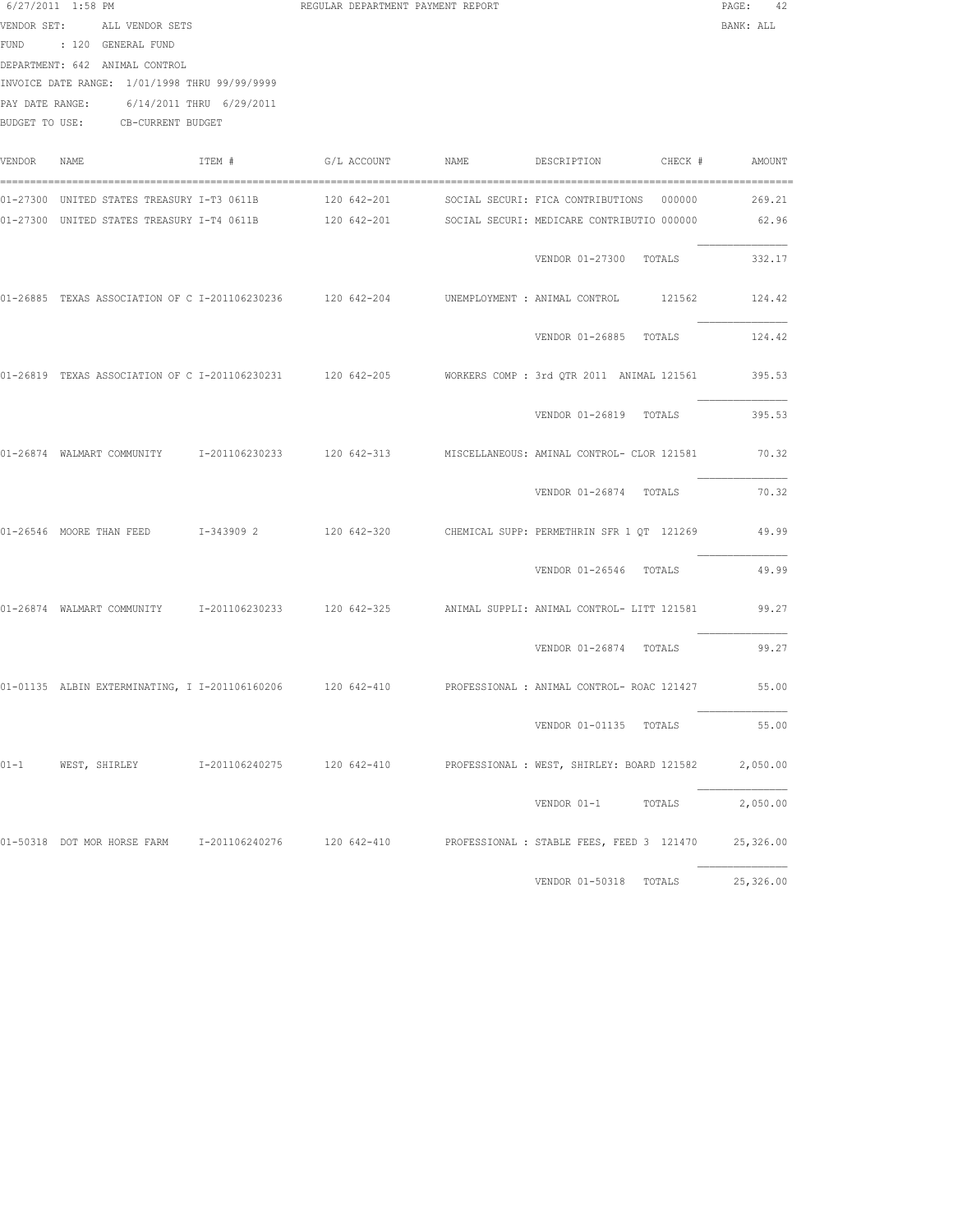|          | $6/27/2011$ 1:58 PM<br>VENDOR SET: ALL VENDOR SETS<br>FUND : 120 GENERAL FUND<br>DEPARTMENT: 642 ANIMAL CONTROL<br>INVOICE DATE RANGE: 1/01/1998 THRU 99/99/9999<br>PAY DATE RANGE: 6/14/2011 THRU 6/29/2011<br>BUDGET TO USE: CB-CURRENT BUDGET |        | REGULAR DEPARTMENT PAYMENT REPORT |                                                                                                                                                                                                                  | $\texttt{PAGE}$ :<br>42<br>BANK: ALL |
|----------|--------------------------------------------------------------------------------------------------------------------------------------------------------------------------------------------------------------------------------------------------|--------|-----------------------------------|------------------------------------------------------------------------------------------------------------------------------------------------------------------------------------------------------------------|--------------------------------------|
| VENDOR   | NAME                                                                                                                                                                                                                                             | ITEM # | G/L ACCOUNT NAME                  | DESCRIPTION CHECK # AMOUNT                                                                                                                                                                                       |                                      |
|          |                                                                                                                                                                                                                                                  |        |                                   | 01-27300 UNITED STATES TREASURY I-T3 0611B       120 642-201      SOCIAL SECURI: FICA CONTRIBUTIONS  000000<br>01-27300 UNITED STATES TREASURY I-T4 0611B 120 642-201 SOCIAL SECURI: MEDICARE CONTRIBUTIO 000000 | 269.21<br>62.96                      |
|          |                                                                                                                                                                                                                                                  |        |                                   | VENDOR 01-27300 TOTALS                                                                                                                                                                                           | 332.17                               |
|          | 01-26885 TEXAS ASSOCIATION OF C I-201106230236 120 642-204 UNEMPLOYMENT : ANIMAL CONTROL                                                                                                                                                         |        |                                   | 121562                                                                                                                                                                                                           | 124.42                               |
|          |                                                                                                                                                                                                                                                  |        |                                   | VENDOR 01-26885 TOTALS                                                                                                                                                                                           | 124.42                               |
|          |                                                                                                                                                                                                                                                  |        |                                   | 01-26819 TEXAS ASSOCIATION OF C I-201106230231 120 642-205 NORKERS COMP : 3rd QTR 2011 ANIMAL 121561 395.53                                                                                                      |                                      |
|          |                                                                                                                                                                                                                                                  |        |                                   | VENDOR 01-26819 TOTALS                                                                                                                                                                                           | 395.53                               |
|          |                                                                                                                                                                                                                                                  |        |                                   | 01-26874 WALMART COMMUNITY 1-201106230233 120 642-313 MISCELLANEOUS: AMINAL CONTROL- CLOR 121581                                                                                                                 | 70.32                                |
|          |                                                                                                                                                                                                                                                  |        |                                   | VENDOR 01-26874 TOTALS                                                                                                                                                                                           | 70.32                                |
|          |                                                                                                                                                                                                                                                  |        |                                   | 01-26546 MOORE THAN FEED 1-343909 2 120 642-320 CHEMICAL SUPP: PERMETHRIN SFR 1 QT 121269                                                                                                                        | 49.99                                |
|          |                                                                                                                                                                                                                                                  |        |                                   | VENDOR 01-26546 TOTALS                                                                                                                                                                                           | 49.99                                |
|          |                                                                                                                                                                                                                                                  |        |                                   | 01-26874 WALMART COMMUNITY 1-201106230233 120 642-325 ANIMAL SUPPLI: ANIMAL CONTROL- LITT 121581                                                                                                                 | 99.27                                |
|          |                                                                                                                                                                                                                                                  |        |                                   | VENDOR 01-26874 TOTALS                                                                                                                                                                                           | 99.27                                |
|          |                                                                                                                                                                                                                                                  |        |                                   | 01-01135 ALBIN EXTERMINATING, I I-201106160206 120 642-410 PROFESSIONAL : ANIMAL CONTROL- ROAC 121427 55.00                                                                                                      |                                      |
|          |                                                                                                                                                                                                                                                  |        |                                   | VENDOR 01-01135 TOTALS                                                                                                                                                                                           | 55.00                                |
| $01 - 1$ | WEST, SHIRLEY 1-201106240275 120 642-410                                                                                                                                                                                                         |        |                                   | PROFESSIONAL : WEST, SHIRLEY: BOARD 121582                                                                                                                                                                       | 2,050.00                             |
|          |                                                                                                                                                                                                                                                  |        |                                   | VENDOR 01-1<br>TOTALS                                                                                                                                                                                            | 2,050.00                             |
|          | 01-50318 DOT MOR HORSE FARM 1-201106240276 120 642-410                                                                                                                                                                                           |        |                                   | PROFESSIONAL : STABLE FEES, FEED 3 121470                                                                                                                                                                        | 25,326.00                            |
|          |                                                                                                                                                                                                                                                  |        |                                   | VENDOR 01-50318 TOTALS                                                                                                                                                                                           | 25,326.00                            |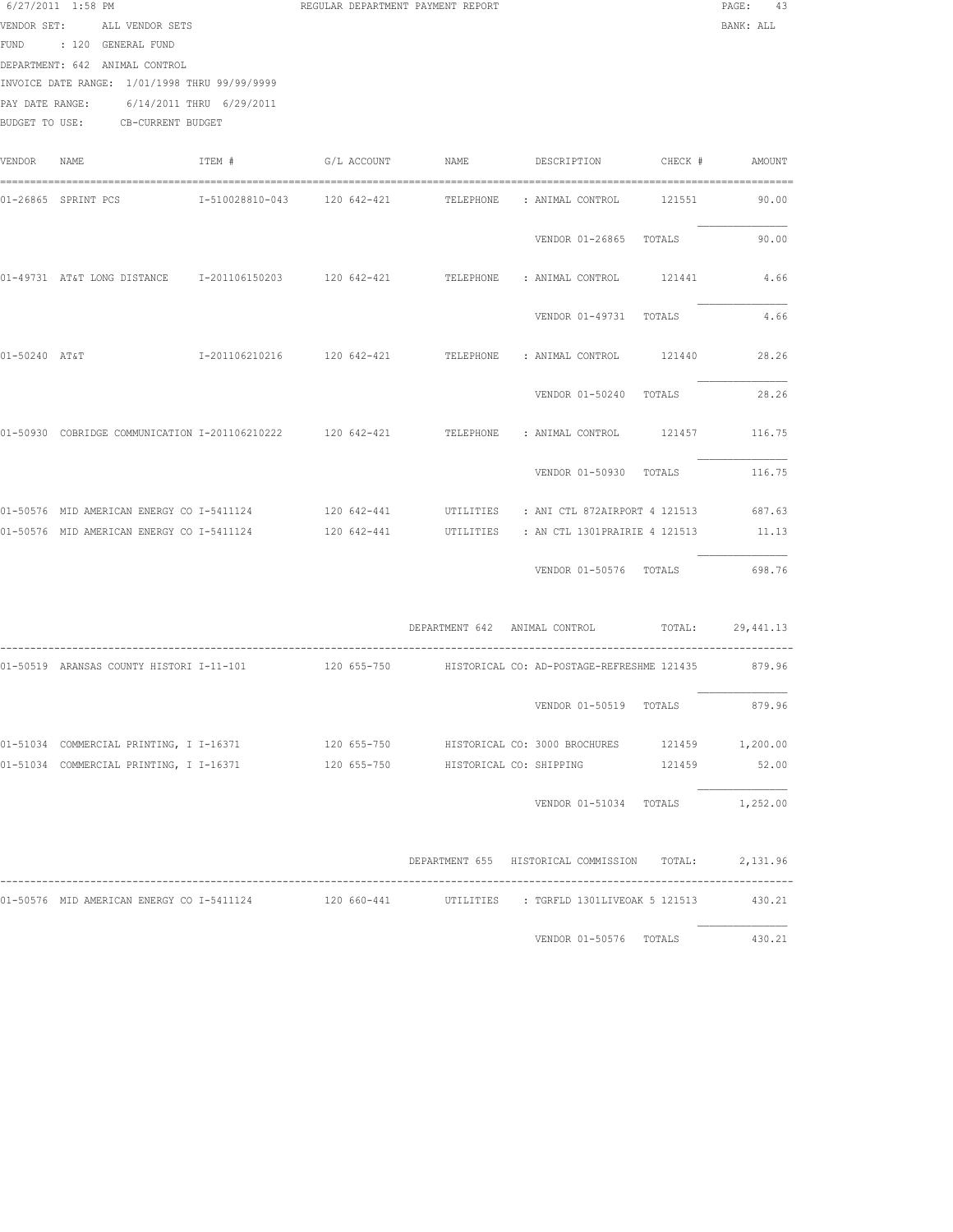|             | 6/27/2011 1:58 PM<br>VENDOR SET: ALL VENDOR SETS<br>FUND : 120 GENERAL FUND<br>DEPARTMENT: 642 ANIMAL CONTROL<br>INVOICE DATE RANGE: 1/01/1998 THRU 99/99/9999<br>PAY DATE RANGE: | 6/14/2011 THRU 6/29/2011 | REGULAR DEPARTMENT PAYMENT REPORT |                                                                                                                | PAGE: 43<br>BANK: ALL |
|-------------|-----------------------------------------------------------------------------------------------------------------------------------------------------------------------------------|--------------------------|-----------------------------------|----------------------------------------------------------------------------------------------------------------|-----------------------|
|             | BUDGET TO USE: CB-CURRENT BUDGET                                                                                                                                                  |                          |                                   |                                                                                                                |                       |
| VENDOR NAME |                                                                                                                                                                                   |                          | ITEM # G/L ACCOUNT NAME           | DESCRIPTION CHECK # AMOUNT                                                                                     |                       |
|             |                                                                                                                                                                                   |                          |                                   | 01-26865 SPRINT_PCS        I-510028810-043    120 642-421      TELEPHONE     ANIMAL_CONTROL     121551      90 |                       |
|             |                                                                                                                                                                                   |                          |                                   | VENDOR 01-26865 TOTALS                                                                                         | 90.00                 |
|             |                                                                                                                                                                                   |                          |                                   | 01-49731 AT&T LONG DISTANCE 1-201106150203 120 642-421 TELEPHONE : ANIMAL CONTROL 121441                       | 4.66                  |
|             |                                                                                                                                                                                   |                          |                                   | VENDOR 01-49731 TOTALS                                                                                         | 4.66                  |
|             | 01-50240 AT&T                                                                                                                                                                     |                          |                                   | I-201106210216  120 642-421  TELEPHONE : ANIMAL CONTROL  121440                                                | 28.26                 |
|             |                                                                                                                                                                                   |                          |                                   | VENDOR 01-50240 TOTALS                                                                                         | 28.26                 |
|             |                                                                                                                                                                                   |                          |                                   | 01-50930 COBRIDGE COMMUNICATION I-201106210222 120 642-421 TELEPHONE : ANIMAL CONTROL 121457 116.75            |                       |
|             |                                                                                                                                                                                   |                          |                                   | VENDOR 01-50930 TOTALS 116.75                                                                                  |                       |
|             |                                                                                                                                                                                   |                          |                                   | 01-50576 MID AMERICAN ENERGY CO I-5411124 120 642-441 UTILITIES : ANI CTL 872AIRPORT 4 121513 687.63           |                       |
|             | 01-50576 MID AMERICAN ENERGY CO I-5411124                                                                                                                                         |                          | 120 642-441                       | UTILITIES : AN CTL 1301PRAIRIE 4 121513                                                                        | 11.13                 |
|             |                                                                                                                                                                                   |                          |                                   | VENDOR 01-50576 TOTALS                                                                                         | 698.76                |
|             |                                                                                                                                                                                   |                          |                                   | DEPARTMENT 642 ANIMAL CONTROL TOTAL: 29,441.13                                                                 |                       |
|             |                                                                                                                                                                                   |                          |                                   | 01-50519 ARANSAS COUNTY HISTORI I-11-101 120 655-750 HISTORICAL CO: AD-POSTAGE-REFRESHME 121435 879.96         |                       |
|             |                                                                                                                                                                                   |                          |                                   | VENDOR 01-50519 TOTALS                                                                                         | 879.96                |
|             |                                                                                                                                                                                   |                          |                                   | 01-51034 COMMERCIAL PRINTING, I I-16371 120 655-750 HISTORICAL CO: 3000 BROCHURES 121459 1,200.00              |                       |
|             |                                                                                                                                                                                   |                          |                                   | 01-51034 COMMERCIAL PRINTING, I I-16371 120 655-750 HISTORICAL CO: SHIPPING 121459 52.00                       |                       |
|             |                                                                                                                                                                                   |                          |                                   | VENDOR 01-51034 TOTALS 1,252.00                                                                                |                       |
|             |                                                                                                                                                                                   |                          |                                   | DEPARTMENT 655 HISTORICAL COMMISSION TOTAL: 2,131.96                                                           |                       |
|             |                                                                                                                                                                                   |                          |                                   | 01-50576 MID AMERICAN ENERGY CO I-5411124 120 660-441 UTILITIES : TGRFLD 1301LIVEOAK 5 121513 430.21           |                       |
|             |                                                                                                                                                                                   |                          |                                   | VENDOR 01-50576 TOTALS 430.21                                                                                  |                       |
|             |                                                                                                                                                                                   |                          |                                   |                                                                                                                |                       |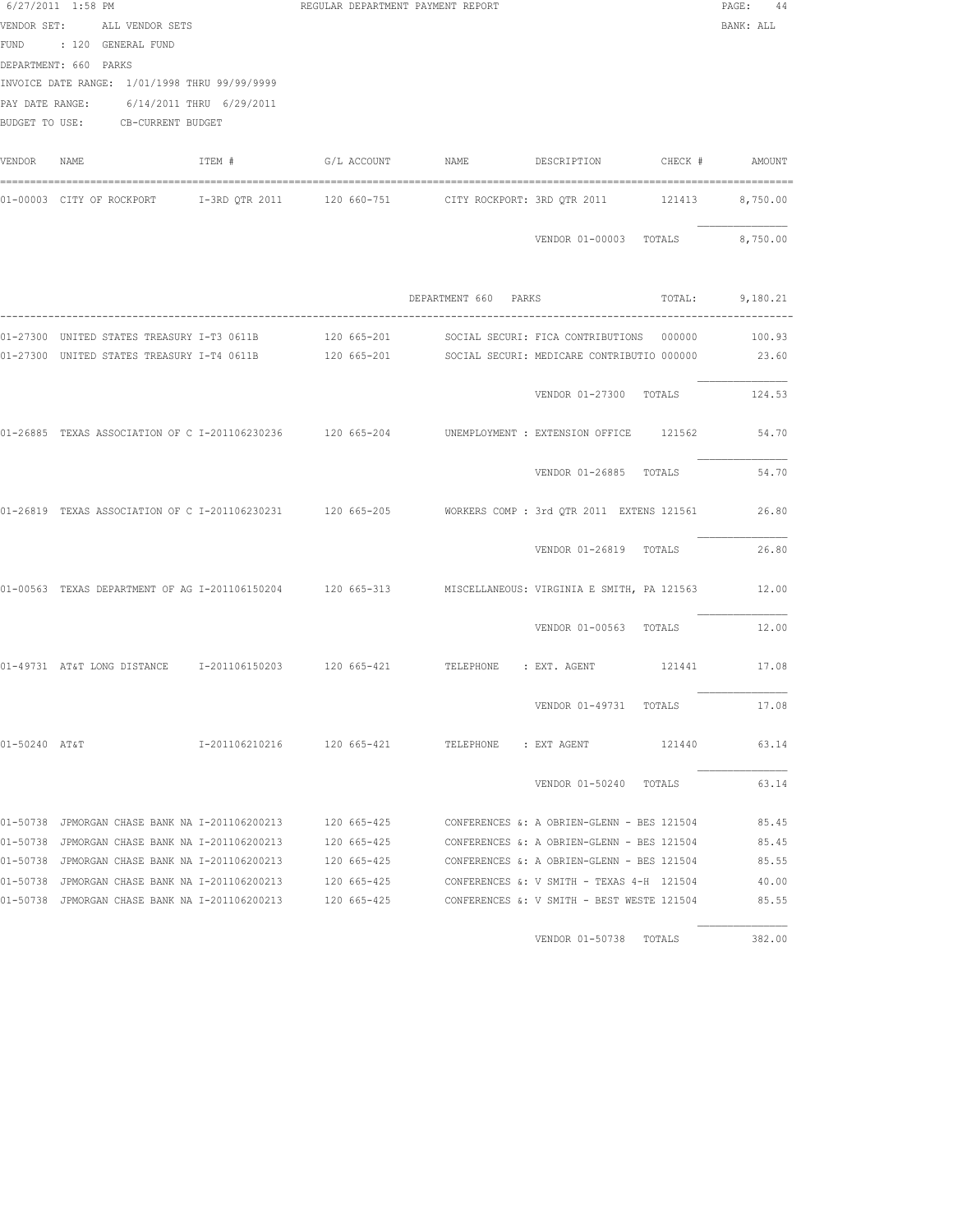|               | 6/27/2011 1:58 PM<br>VENDOR SET: ALL VENDOR SETS<br>FUND : 120 GENERAL FUND<br>DEPARTMENT: 660 PARKS<br>INVOICE DATE RANGE: 1/01/1998 THRU 99/99/9999<br>PAY DATE RANGE: 6/14/2011 THRU 6/29/2011<br>BUDGET TO USE: CB-CURRENT BUDGET |        | REGULAR DEPARTMENT PAYMENT REPORT |                      |                                                                                                               | PAGE: 44<br>BANK: ALL |
|---------------|---------------------------------------------------------------------------------------------------------------------------------------------------------------------------------------------------------------------------------------|--------|-----------------------------------|----------------------|---------------------------------------------------------------------------------------------------------------|-----------------------|
| VENDOR NAME   |                                                                                                                                                                                                                                       | ITEM # |                                   |                      |                                                                                                               |                       |
|               |                                                                                                                                                                                                                                       |        |                                   |                      | 01-00003 CITY OF ROCKPORT 1-3RD QTR 2011 120 660-751 CITY ROCKPORT: 3RD QTR 2011 121413 8,750.00              |                       |
|               |                                                                                                                                                                                                                                       |        |                                   |                      | VENDOR 01-00003 TOTALS 8,750.00                                                                               |                       |
|               |                                                                                                                                                                                                                                       |        |                                   | DEPARTMENT 660 PARKS | TOTAL: 9,180.21                                                                                               |                       |
|               |                                                                                                                                                                                                                                       |        |                                   |                      | 01-27300 UNITED STATES TREASURY I-T3 0611B 400 120 665-201 48 SOCIAL SECURI: FICA CONTRIBUTIONS 000000 100.93 |                       |
|               |                                                                                                                                                                                                                                       |        |                                   |                      | 01-27300 UNITED STATES TREASURY I-T4 0611B 120 665-201 SOCIAL SECURI: MEDICARE CONTRIBUTIO 000000 23.60       |                       |
|               |                                                                                                                                                                                                                                       |        |                                   |                      | VENDOR 01-27300 TOTALS 124.53                                                                                 |                       |
|               |                                                                                                                                                                                                                                       |        |                                   |                      | 01-26885 TEXAS ASSOCIATION OF C I-201106230236 120 665-204 UNEMPLOYMENT : EXTENSION OFFICE 121562             | 54.70                 |
|               |                                                                                                                                                                                                                                       |        |                                   |                      | VENDOR 01-26885 TOTALS                                                                                        | 54.70                 |
|               |                                                                                                                                                                                                                                       |        |                                   |                      | 01-26819 TEXAS ASSOCIATION OF C I-201106230231 120 665-205 WORKERS COMP: 3rd QTR 2011 EXTENS 121561 26.80     |                       |
|               |                                                                                                                                                                                                                                       |        |                                   |                      | VENDOR 01-26819 TOTALS                                                                                        | 26.80                 |
|               |                                                                                                                                                                                                                                       |        |                                   |                      | 01-00563 TEXAS DEPARTMENT OF AG I-201106150204 120 665-313 MISCELLANEOUS: VIRGINIA E SMITH, PA 121563 12.00   |                       |
|               |                                                                                                                                                                                                                                       |        |                                   |                      | VENDOR 01-00563 TOTALS                                                                                        | 12.00                 |
|               |                                                                                                                                                                                                                                       |        |                                   |                      | 01-49731 AT&T LONG DISTANCE 1-201106150203 120 665-421 TELEPHONE : EXT. AGENT 121441 17.08                    |                       |
|               |                                                                                                                                                                                                                                       |        |                                   |                      | VENDOR 01-49731 TOTALS                                                                                        | 17.08                 |
| 01-50240 AT&T |                                                                                                                                                                                                                                       |        |                                   |                      |                                                                                                               | 63.14                 |
|               |                                                                                                                                                                                                                                       |        |                                   |                      | VENDOR 01-50240 TOTALS                                                                                        | 63.14                 |
|               |                                                                                                                                                                                                                                       |        |                                   |                      | 01-50738 JPMORGAN CHASE BANK NA I-201106200213 120 665-425 CONFERENCES &: A OBRIEN-GLENN - BES 121504         | 85.45                 |
|               |                                                                                                                                                                                                                                       |        |                                   |                      | 01-50738 JPMORGAN CHASE BANK NA I-201106200213 120 665-425 CONFERENCES &: A OBRIEN-GLENN - BES 121504         | 85.45                 |
|               |                                                                                                                                                                                                                                       |        |                                   |                      | 01-50738 JPMORGAN CHASE BANK NA I-201106200213 120 665-425 CONFERENCES &: A OBRIEN-GLENN - BES 121504         | 85.55                 |
|               | 01-50738 JPMORGAN CHASE BANK NA I-201106200213                                                                                                                                                                                        |        | 120 665-425                       |                      | CONFERENCES &: V SMITH - TEXAS 4-H 121504                                                                     | 40.00                 |
|               | 01-50738 JPMORGAN CHASE BANK NA I-201106200213                                                                                                                                                                                        |        | 120 665-425                       |                      | CONFERENCES &: V SMITH - BEST WESTE 121504                                                                    | 85.55                 |
|               |                                                                                                                                                                                                                                       |        |                                   |                      | VENDOR 01-50738 TOTALS                                                                                        | 382.00                |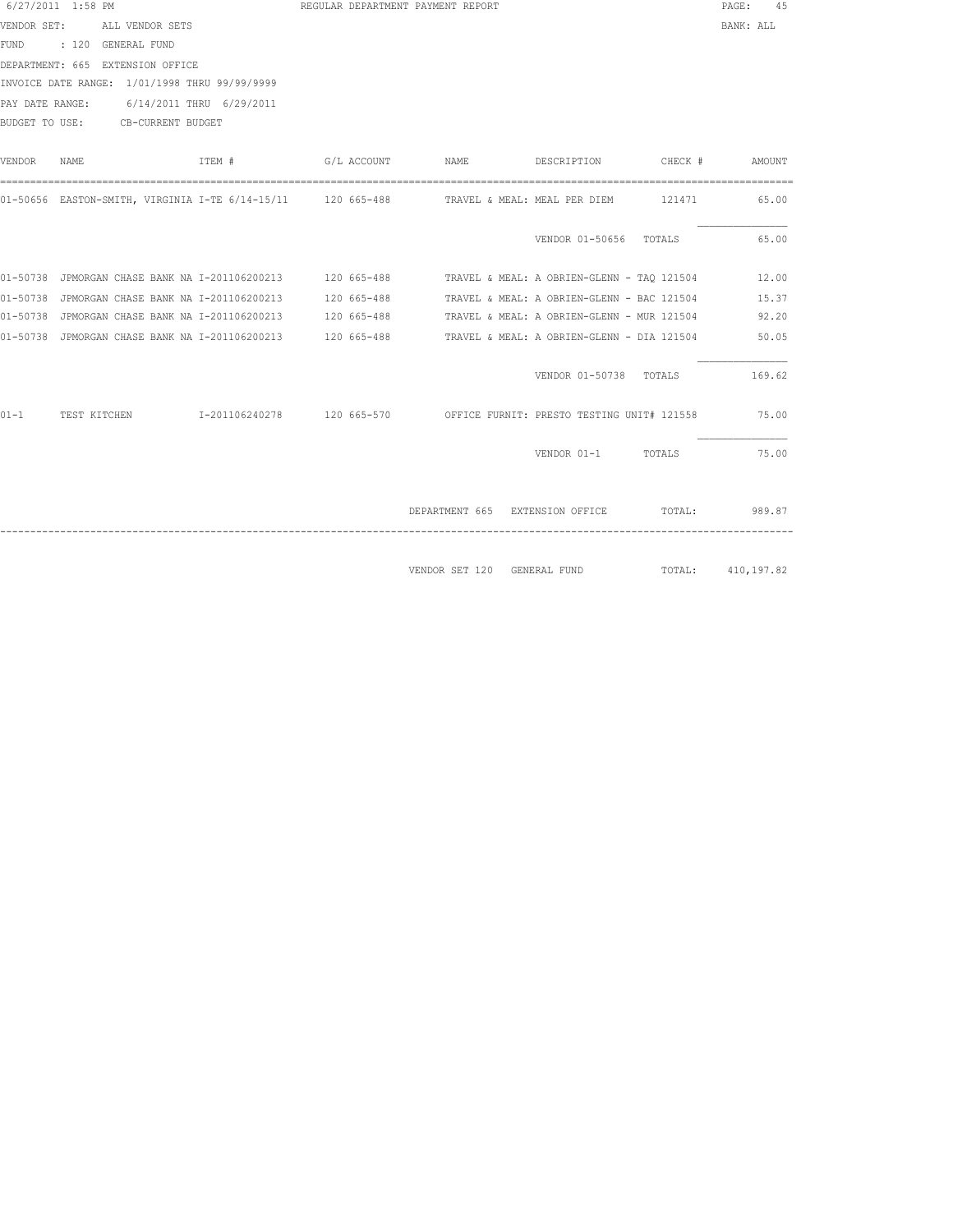|          | 6/27/2011 1:58 PM |                                  |                                                                                                       |             | REGULAR DEPARTMENT PAYMENT REPORT |                                            |                | PAGE:<br>45       |
|----------|-------------------|----------------------------------|-------------------------------------------------------------------------------------------------------|-------------|-----------------------------------|--------------------------------------------|----------------|-------------------|
|          |                   | VENDOR SET: ALL VENDOR SETS      |                                                                                                       |             |                                   |                                            |                | BANK: ALL         |
|          |                   | FUND : 120 GENERAL FUND          |                                                                                                       |             |                                   |                                            |                |                   |
|          |                   | DEPARTMENT: 665 EXTENSION OFFICE |                                                                                                       |             |                                   |                                            |                |                   |
|          |                   |                                  | INVOICE DATE RANGE: 1/01/1998 THRU 99/99/9999                                                         |             |                                   |                                            |                |                   |
|          |                   |                                  | PAY DATE RANGE: 6/14/2011 THRU 6/29/2011                                                              |             |                                   |                                            |                |                   |
|          |                   | BUDGET TO USE: CB-CURRENT BUDGET |                                                                                                       |             |                                   |                                            |                |                   |
|          |                   |                                  |                                                                                                       |             |                                   |                                            |                |                   |
| VENDOR   | NAME              |                                  | ITEM #                                                                                                | G/L ACCOUNT | NAME                              | DESCRIPTION                                | CHECK # AMOUNT |                   |
|          |                   |                                  |                                                                                                       |             |                                   |                                            |                |                   |
|          |                   |                                  | 01-50656 EASTON-SMITH, VIRGINIA I-TE 6/14-15/11 120 665-488 TRAVEL & MEAL: MEAL PER DIEM 121471 65.00 |             |                                   |                                            |                |                   |
|          |                   |                                  |                                                                                                       |             |                                   |                                            |                |                   |
|          |                   |                                  |                                                                                                       |             |                                   | VENDOR 01-50656 TOTALS                     |                | 65.00             |
|          |                   |                                  |                                                                                                       |             |                                   |                                            |                |                   |
|          |                   |                                  | 01-50738 JPMORGAN CHASE BANK NA I-201106200213 120 665-488 TRAVEL & MEAL: A OBRIEN-GLENN - TAQ 121504 |             |                                   |                                            |                | 12.00             |
|          |                   |                                  | 01-50738 JPMORGAN CHASE BANK NA I-201106200213 120 665-488                                            |             |                                   | TRAVEL & MEAL: A OBRIEN-GLENN - BAC 121504 |                | 15.37             |
|          |                   |                                  | 01-50738 JPMORGAN CHASE BANK NA I-201106200213 120 665-488                                            |             |                                   | TRAVEL & MEAL: A OBRIEN-GLENN - MUR 121504 |                | 92.20             |
|          |                   |                                  |                                                                                                       |             |                                   |                                            |                | 50.05             |
|          |                   |                                  |                                                                                                       |             |                                   |                                            |                |                   |
|          |                   |                                  |                                                                                                       |             |                                   | VENDOR 01-50738 TOTALS                     |                | 169.62            |
|          |                   |                                  |                                                                                                       |             |                                   |                                            |                |                   |
| $01 - 1$ |                   |                                  | TEST KITCHEN T-201106240278 120 665-570 OFFICE FURNIT: PRESTO TESTING UNIT# 121558 75.00              |             |                                   |                                            |                |                   |
|          |                   |                                  |                                                                                                       |             |                                   |                                            |                |                   |
|          |                   |                                  |                                                                                                       |             |                                   | VENDOR 01-1 TOTALS                         |                | 75.00             |
|          |                   |                                  |                                                                                                       |             |                                   |                                            |                |                   |
|          |                   |                                  |                                                                                                       |             |                                   |                                            |                |                   |
|          |                   |                                  |                                                                                                       |             |                                   | DEPARTMENT 665 EXTENSION OFFICE TOTAL:     |                | 989.87            |
|          |                   |                                  |                                                                                                       |             |                                   |                                            |                |                   |
|          |                   |                                  |                                                                                                       |             |                                   |                                            |                |                   |
|          |                   |                                  |                                                                                                       |             |                                   | VENDOR SET 120 GENERAL FUND                |                | TOTAL: 410,197.82 |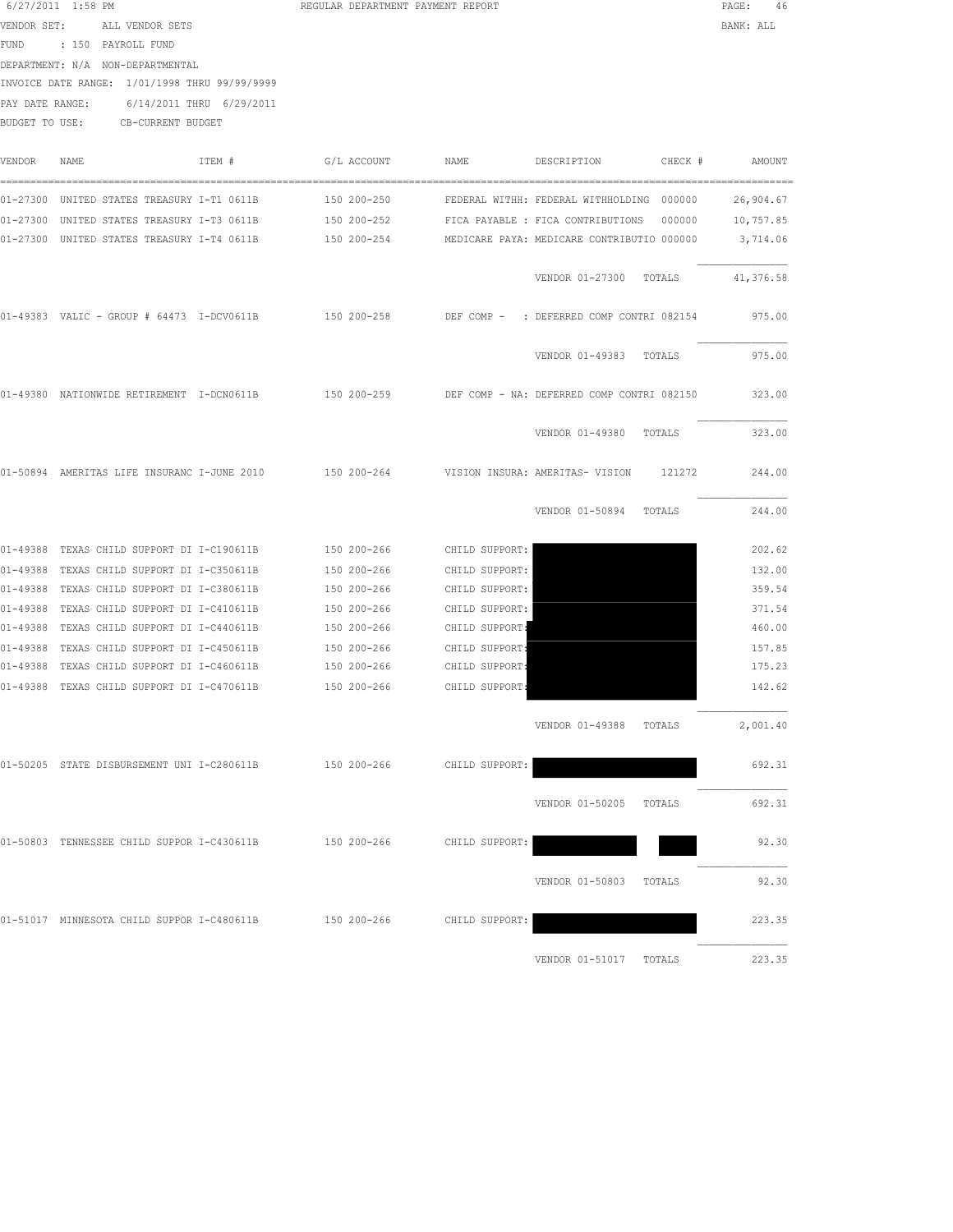|        | $6/27/2011$ 1:58 PM<br>VENDOR SET: ALL VENDOR SETS<br>FUND : 150 PAYROLL FUND<br>DEPARTMENT: N/A NON-DEPARTMENTAL<br>INVOICE DATE RANGE: 1/01/1998 THRU 99/99/9999<br>PAY DATE RANGE: 6/14/2011 THRU 6/29/2011<br>BUDGET TO USE: CB-CURRENT BUDGET |        | REGULAR DEPARTMENT PAYMENT REPORT |                |                                                                                                                      |           |  |  |  |
|--------|----------------------------------------------------------------------------------------------------------------------------------------------------------------------------------------------------------------------------------------------------|--------|-----------------------------------|----------------|----------------------------------------------------------------------------------------------------------------------|-----------|--|--|--|
| VENDOR | NAME                                                                                                                                                                                                                                               | ITEM # | G/L ACCOUNT                       | NAME           | DESCRIPTION CHECK # AMOUNT                                                                                           |           |  |  |  |
|        |                                                                                                                                                                                                                                                    |        |                                   |                | 01-27300 UNITED STATES TREASURY I-T1 0611B             150 200-250         FEDERAL WITHH: FEDERAL WITHHOLDING 000000 | 26,904.67 |  |  |  |
|        |                                                                                                                                                                                                                                                    |        |                                   |                | 01-27300 UNITED STATES TREASURY I-T4 0611B 150 200-254 MEDICARE PAYA: MEDICARE CONTRIBUTIO 000000                    | 3,714.06  |  |  |  |
|        |                                                                                                                                                                                                                                                    |        |                                   |                | VENDOR 01-27300 TOTALS                                                                                               | 41,376.58 |  |  |  |
|        |                                                                                                                                                                                                                                                    |        |                                   |                | 01-49383 VALIC - GROUP # 64473 I-DCV0611B 150 200-258 DEF COMP - : DEFERRED COMP CONTRI 082154                       | 975.00    |  |  |  |
|        |                                                                                                                                                                                                                                                    |        |                                   |                | VENDOR 01-49383 TOTALS                                                                                               | 975.00    |  |  |  |
|        |                                                                                                                                                                                                                                                    |        |                                   |                | 01-49380 NATIONWIDE RETIREMENT I-DCN0611B 150 200-259 DEF COMP - NA: DEFERRED COMP CONTRI 082150 323.00              |           |  |  |  |
|        |                                                                                                                                                                                                                                                    |        |                                   |                | VENDOR 01-49380 TOTALS                                                                                               | 323.00    |  |  |  |
|        |                                                                                                                                                                                                                                                    |        |                                   |                | 01-50894 AMERITAS LIFE INSURANC I-JUNE 2010 150 200-264 VISION INSURA: AMERITAS- VISION 121272                       | 244.00    |  |  |  |
|        |                                                                                                                                                                                                                                                    |        |                                   |                | VENDOR 01-50894 TOTALS                                                                                               | 244.00    |  |  |  |
|        | 01-49388 TEXAS CHILD SUPPORT DI I-C190611B 150 200-266                                                                                                                                                                                             |        |                                   | CHILD SUPPORT: |                                                                                                                      | 202.62    |  |  |  |
|        | 01-49388 TEXAS CHILD SUPPORT DI I-C350611B                                                                                                                                                                                                         |        | 150 200-266                       | CHILD SUPPORT: |                                                                                                                      | 132.00    |  |  |  |
|        | 01-49388 TEXAS CHILD SUPPORT DI I-C380611B                                                                                                                                                                                                         |        | 150 200-266                       | CHILD SUPPORT: |                                                                                                                      | 359.54    |  |  |  |
|        | 01-49388 TEXAS CHILD SUPPORT DI I-C410611B                                                                                                                                                                                                         |        | 150 200-266                       | CHILD SUPPORT: |                                                                                                                      | 371.54    |  |  |  |
|        | 01-49388 TEXAS CHILD SUPPORT DI I-C440611B 150 200-266                                                                                                                                                                                             |        |                                   | CHILD SUPPORT: |                                                                                                                      | 460.00    |  |  |  |
|        | 01-49388 TEXAS CHILD SUPPORT DI I-C450611B                                                                                                                                                                                                         |        | 150 200-266 CHILD SUPPORT:        |                |                                                                                                                      | 157.85    |  |  |  |
|        | 01-49388 TEXAS CHILD SUPPORT DI I-C460611B 150 200-266 CHILD SUPPORT:                                                                                                                                                                              |        |                                   |                |                                                                                                                      | 175.23    |  |  |  |
|        | 01-49388 TEXAS CHILD SUPPORT DI I-C470611B 150 200-266                                                                                                                                                                                             |        |                                   | CHILD SUPPORT: |                                                                                                                      | 142.62    |  |  |  |
|        |                                                                                                                                                                                                                                                    |        |                                   |                | VENDOR 01-49388 TOTALS                                                                                               | 2,001.40  |  |  |  |
|        | 01-50205 STATE DISBURSEMENT UNI I-C280611B                                                                                                                                                                                                         |        | 150 200-266                       | CHILD SUPPORT: |                                                                                                                      | 692.31    |  |  |  |
|        |                                                                                                                                                                                                                                                    |        |                                   |                | VENDOR 01-50205 TOTALS                                                                                               | 692.31    |  |  |  |
|        | 01-50803 TENNESSEE CHILD SUPPOR I-C430611B                                                                                                                                                                                                         |        | 150 200-266                       | CHILD SUPPORT: |                                                                                                                      | 92.30     |  |  |  |
|        |                                                                                                                                                                                                                                                    |        |                                   |                | VENDOR 01-50803 TOTALS                                                                                               | 92.30     |  |  |  |
|        | 01-51017 MINNESOTA CHILD SUPPOR I-C480611B                                                                                                                                                                                                         |        | 150 200-266                       | CHILD SUPPORT: |                                                                                                                      | 223.35    |  |  |  |

VENDOR 01-51017 TOTALS 223.35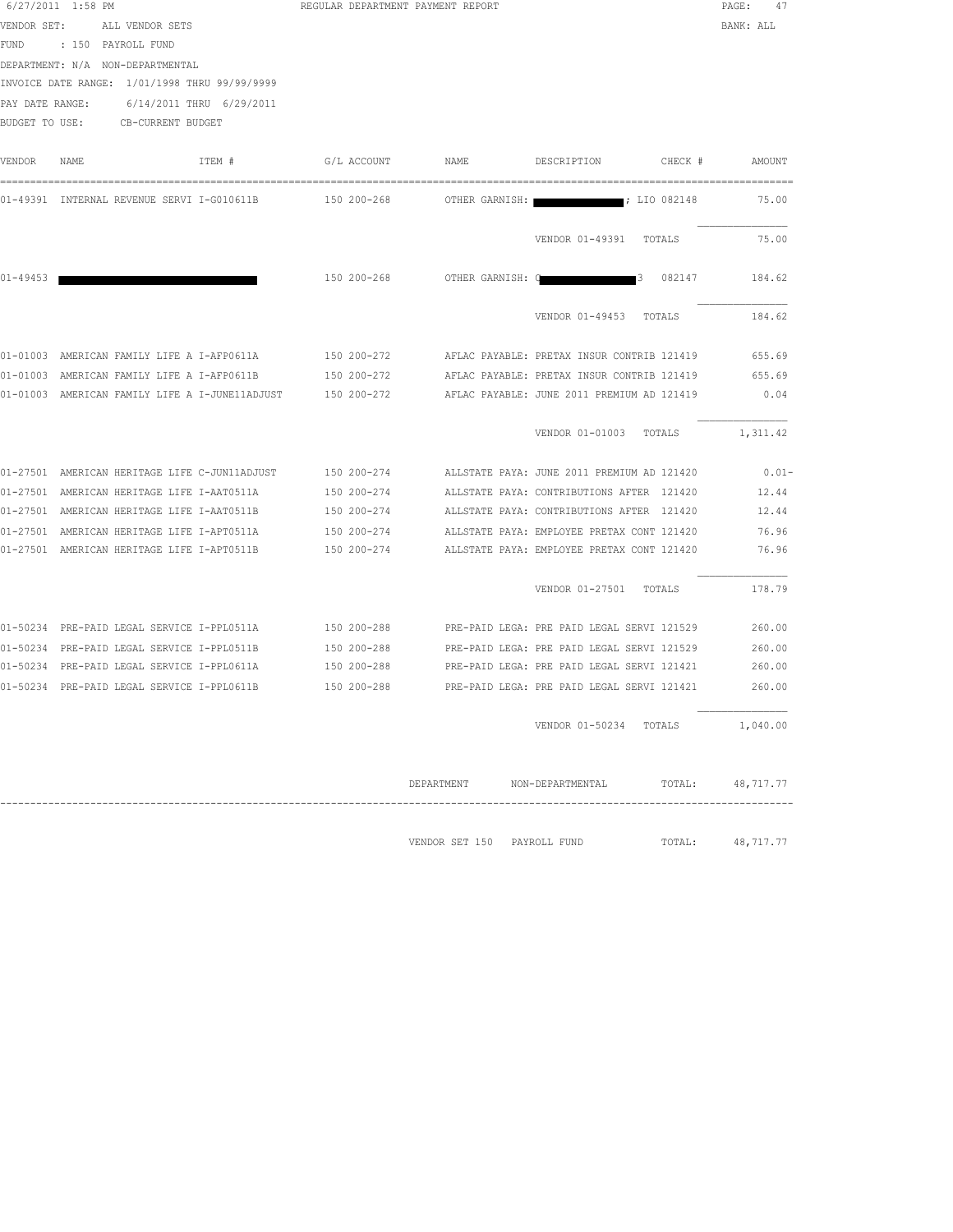|              | 6/27/2011 1:58 PM<br>VENDOR SET: ALL VENDOR SETS<br>FUND : 150 PAYROLL FUND<br>DEPARTMENT: N/A NON-DEPARTMENTAL<br>INVOICE DATE RANGE: 1/01/1998 THRU 99/99/9999<br>PAY DATE RANGE: 6/14/2011 THRU 6/29/2011<br>BUDGET TO USE: CB-CURRENT BUDGET | REGULAR DEPARTMENT PAYMENT REPORT | PAGE: 47<br>BANK: ALL       |                                                        |           |
|--------------|--------------------------------------------------------------------------------------------------------------------------------------------------------------------------------------------------------------------------------------------------|-----------------------------------|-----------------------------|--------------------------------------------------------|-----------|
| VENDOR       | ITEM #<br>NAME                                                                                                                                                                                                                                   | G/L ACCOUNT                       | NAME                        | DESCRIPTION<br>CHECK #                                 | AMOUNT    |
|              | 01-49391 INTERNAL REVENUE SERVI I-G010611B 150 200-268 OTHER GARNISH:                                                                                                                                                                            |                                   |                             | $\;$ $\;$ LIO 082148                                   | 75.00     |
|              |                                                                                                                                                                                                                                                  |                                   |                             | VENDOR 01-49391 TOTALS                                 | 75.00     |
| $01 - 49453$ |                                                                                                                                                                                                                                                  |                                   |                             | 150 200-268 OTHER GARNISH: Q 3 082147 184.62           |           |
|              |                                                                                                                                                                                                                                                  |                                   |                             | VENDOR 01-49453 TOTALS                                 | 184.62    |
|              | 01-01003 AMERICAN FAMILY LIFE A I-AFP0611A 150 200-272 AFLAC PAYABLE: PRETAX INSUR CONTRIB 121419                                                                                                                                                |                                   |                             |                                                        | 655.69    |
|              | 01-01003 AMERICAN FAMILY LIFE A I-AFP0611B                                                                                                                                                                                                       | 150 200-272                       |                             | AFLAC PAYABLE: PRETAX INSUR CONTRIB 121419             | 655.69    |
|              | 01-01003 AMERICAN FAMILY LIFE A I-JUNE11ADJUST                                                                                                                                                                                                   | 150 200-272                       |                             | AFLAC PAYABLE: JUNE 2011 PREMIUM AD 121419             | 0.04      |
|              |                                                                                                                                                                                                                                                  |                                   |                             | VENDOR 01-01003 TOTALS                                 | 1,311.42  |
|              | 01-27501 AMERICAN HERITAGE LIFE C-JUN11ADJUST 150 200-274 ALLSTATE PAYA: JUNE 2011 PREMIUM AD 121420                                                                                                                                             |                                   |                             |                                                        | $0.01 -$  |
|              | 01-27501 AMERICAN HERITAGE LIFE I-AAT0511A 150 200-274 ALLSTATE PAYA: CONTRIBUTIONS AFTER 121420                                                                                                                                                 |                                   |                             |                                                        | 12.44     |
|              | 01-27501 AMERICAN HERITAGE LIFE I-AAT0511B 150 200-274 ALLSTATE PAYA: CONTRIBUTIONS AFTER 121420                                                                                                                                                 |                                   |                             |                                                        | 12.44     |
|              | 01-27501 AMERICAN HERITAGE LIFE I-APT0511A 150 200-274 ALLSTATE PAYA: EMPLOYEE PRETAX CONT 121420                                                                                                                                                |                                   |                             |                                                        | 76.96     |
|              | 01-27501 AMERICAN HERITAGE LIFE I-APT0511B                                                                                                                                                                                                       |                                   |                             | 150 200-274 ALLSTATE PAYA: EMPLOYEE PRETAX CONT 121420 | 76.96     |
|              |                                                                                                                                                                                                                                                  |                                   |                             | VENDOR 01-27501 TOTALS                                 | 178.79    |
|              | 01-50234 PRE-PAID LEGAL SERVICE I-PPL0511A 150 200-288 PRE-PAID LEGA: PRE PAID LEGAL SERVI 121529                                                                                                                                                |                                   |                             |                                                        | 260.00    |
|              | 01-50234 PRE-PAID LEGAL SERVICE I-PPL0511B                                                                                                                                                                                                       | 150 200-288                       |                             | PRE-PAID LEGA: PRE PAID LEGAL SERVI 121529             | 260.00    |
|              | 01-50234 PRE-PAID LEGAL SERVICE I-PPL0611A          150 200-288        PRE-PAID LEGA: PRE PAID LEGAL SERVI 121421                                                                                                                                |                                   |                             |                                                        | 260.00    |
|              | 01-50234 PRE-PAID LEGAL SERVICE I-PPL0611B                                                                                                                                                                                                       | 150 200-288                       |                             | PRE-PAID LEGA: PRE PAID LEGAL SERVI 121421             | 260.00    |
|              |                                                                                                                                                                                                                                                  |                                   |                             | VENDOR 01-50234 TOTALS                                 | 1,040.00  |
|              |                                                                                                                                                                                                                                                  |                                   | DEPARTMENT                  | NON-DEPARTMENTAL TOTAL:                                | 48,717.77 |
|              |                                                                                                                                                                                                                                                  |                                   | VENDOR SET 150 PAYROLL FUND | TOTAL:                                                 | 48,717.77 |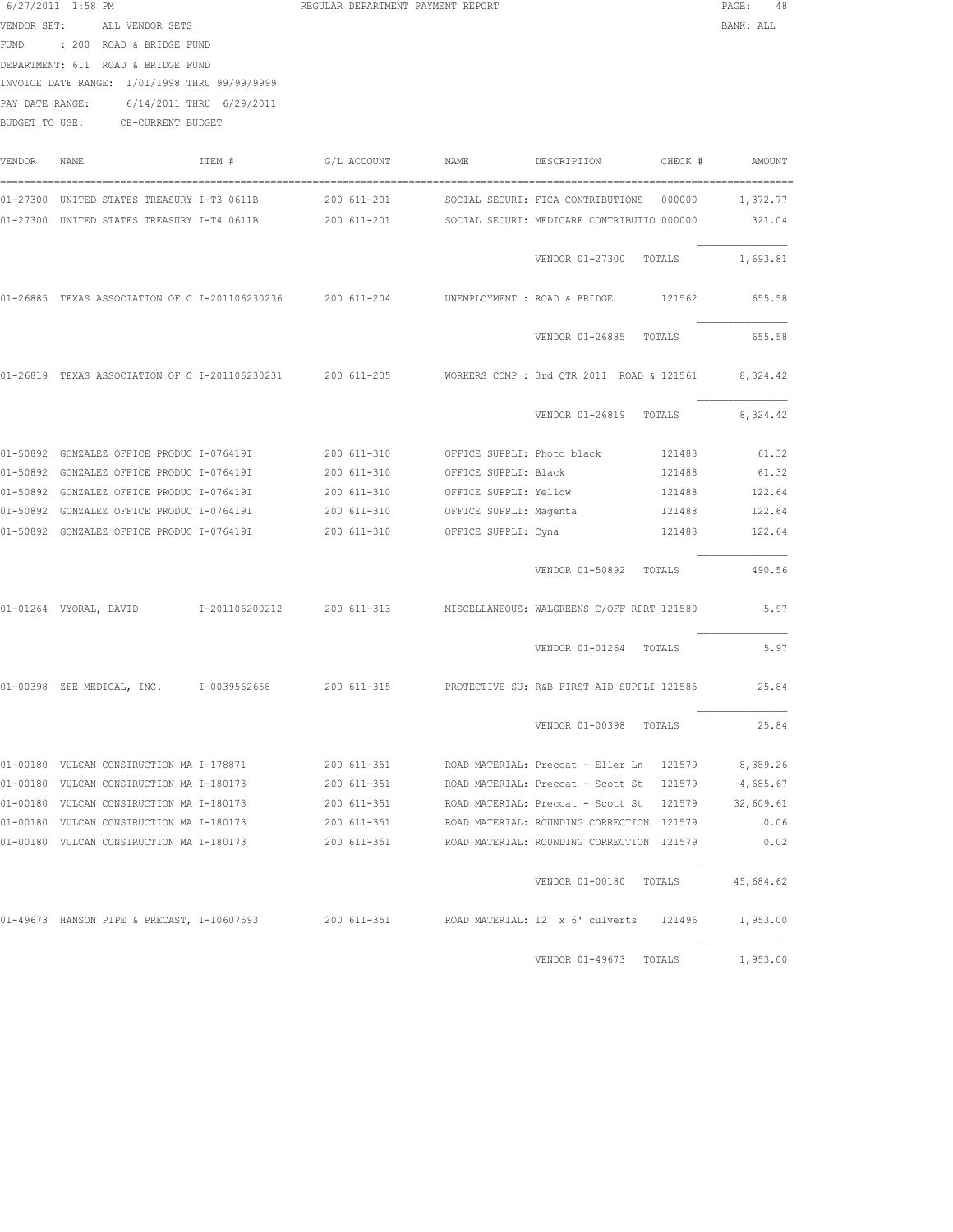|             | 6/27/2011 1:58 PM                                                                                            |        | REGULAR DEPARTMENT PAYMENT REPORT |                        |                                                       |         | PAGE:<br>48 |  |
|-------------|--------------------------------------------------------------------------------------------------------------|--------|-----------------------------------|------------------------|-------------------------------------------------------|---------|-------------|--|
| VENDOR SET: | ALL VENDOR SETS                                                                                              |        |                                   |                        |                                                       |         | BANK: ALL   |  |
|             | FUND : 200 ROAD & BRIDGE FUND                                                                                |        |                                   |                        |                                                       |         |             |  |
|             | DEPARTMENT: 611 ROAD & BRIDGE FUND                                                                           |        |                                   |                        |                                                       |         |             |  |
|             | INVOICE DATE RANGE: 1/01/1998 THRU 99/99/9999                                                                |        |                                   |                        |                                                       |         |             |  |
|             | 6/14/2011 THRU 6/29/2011<br>PAY DATE RANGE:                                                                  |        |                                   |                        |                                                       |         |             |  |
|             | BUDGET TO USE: CB-CURRENT BUDGET                                                                             |        |                                   |                        |                                                       |         |             |  |
|             |                                                                                                              |        |                                   |                        |                                                       |         |             |  |
| VENDOR      | NAME                                                                                                         | ITEM # | G/L ACCOUNT                       | NAME                   | DESCRIPTION                                           | CHECK # | AMOUNT      |  |
|             | 01-27300 UNITED STATES TREASURY I-T3 0611B 200 611-201                                                       |        |                                   |                        | SOCIAL SECURI: FICA CONTRIBUTIONS                     | 000000  | 1,372.77    |  |
|             | 01-27300 UNITED STATES TREASURY I-T4 0611B 200 611-201 SOCIAL SECURI: MEDICARE CONTRIBUTIO 000000            |        |                                   |                        |                                                       |         | 321.04      |  |
|             |                                                                                                              |        |                                   |                        | VENDOR 01-27300 TOTALS                                |         | 1,693.81    |  |
|             | 01-26885 TEXAS ASSOCIATION OF C I-201106230236 200 611-204                                                   |        |                                   |                        | UNEMPLOYMENT : ROAD & BRIDGE 121562                   |         | 655.58      |  |
|             |                                                                                                              |        |                                   |                        | VENDOR 01-26885                                       | TOTALS  | 655.58      |  |
|             | 01-26819 TEXAS ASSOCIATION OF C I-201106230231 200 611-205 WORKERS COMP: 3rd QTR 2011 ROAD & 121561 8,324.42 |        |                                   |                        |                                                       |         |             |  |
|             |                                                                                                              |        |                                   |                        | VENDOR 01-26819 TOTALS                                |         | 8,324.42    |  |
|             | 01-50892 GONZALEZ OFFICE PRODUC I-076419I 200 611-310                                                        |        |                                   |                        | OFFICE SUPPLI: Photo black                            | 121488  | 61.32       |  |
|             | 01-50892 GONZALEZ OFFICE PRODUC I-076419I                                                                    |        | 200 611-310                       | OFFICE SUPPLI: Black   |                                                       | 121488  | 61.32       |  |
|             | 01-50892 GONZALEZ OFFICE PRODUC I-076419I                                                                    |        | 200 611-310                       | OFFICE SUPPLI: Yellow  |                                                       | 121488  | 122.64      |  |
|             | 01-50892 GONZALEZ OFFICE PRODUC I-076419I                                                                    |        | 200 611-310                       | OFFICE SUPPLI: Magenta |                                                       | 121488  | 122.64      |  |
|             | 01-50892 GONZALEZ OFFICE PRODUC I-076419I                                                                    |        | 200 611-310                       | OFFICE SUPPLI: Cyna    |                                                       | 121488  | 122.64      |  |
|             |                                                                                                              |        |                                   |                        | VENDOR 01-50892 TOTALS                                |         | 490.56      |  |
|             | 01-01264 VYORAL, DAVID 1-201106200212 200 611-313 MISCELLANEOUS: WALGREENS C/OFF RPRT 121580                 |        |                                   |                        |                                                       |         | 5.97        |  |
|             |                                                                                                              |        |                                   |                        | VENDOR 01-01264 TOTALS                                |         | 5.97        |  |
|             | 01-00398 ZEE MEDICAL, INC. 1-0039562658 200 611-315 PROTECTIVE SU: R&B FIRST AID SUPPLI 121585               |        |                                   |                        |                                                       |         | 25.84       |  |
|             |                                                                                                              |        |                                   |                        | VENDOR 01-00398 TOTALS                                |         | 25.84       |  |
|             | 01-00180 VULCAN CONSTRUCTION MA I-178871                                                                     |        | 200 611-351                       |                        | ROAD MATERIAL: Precoat - Eller Ln 121579              |         | 8,389.26    |  |
|             | 01-00180 VULCAN CONSTRUCTION MA I-180173                                                                     |        | 200 611-351                       |                        | ROAD MATERIAL: Precoat - Scott St 121579              |         | 4,685.67    |  |
|             | 01-00180 VULCAN CONSTRUCTION MA I-180173                                                                     |        | 200 611-351                       |                        | ROAD MATERIAL: Precoat - Scott St 121579 32,609.61    |         |             |  |
|             | 01-00180 VULCAN CONSTRUCTION MA I-180173                                                                     |        | 200 611-351                       |                        | ROAD MATERIAL: ROUNDING CORRECTION 121579             |         | 0.06        |  |
|             | 01-00180 VULCAN CONSTRUCTION MA I-180173                                                                     |        |                                   |                        | 200 611-351 ROAD MATERIAL: ROUNDING CORRECTION 121579 |         | 0.02        |  |
|             |                                                                                                              |        |                                   |                        | VENDOR 01-00180 TOTALS 45,684.62                      |         |             |  |
|             | 01-49673 HANSON PIPE & PRECAST, I-10607593 200 611-351 ROAD MATERIAL: 12' x 6' culverts 121496               |        |                                   |                        |                                                       |         | 1,953.00    |  |
|             |                                                                                                              |        |                                   |                        | VENDOR 01-49673 TOTALS                                |         | 1,953.00    |  |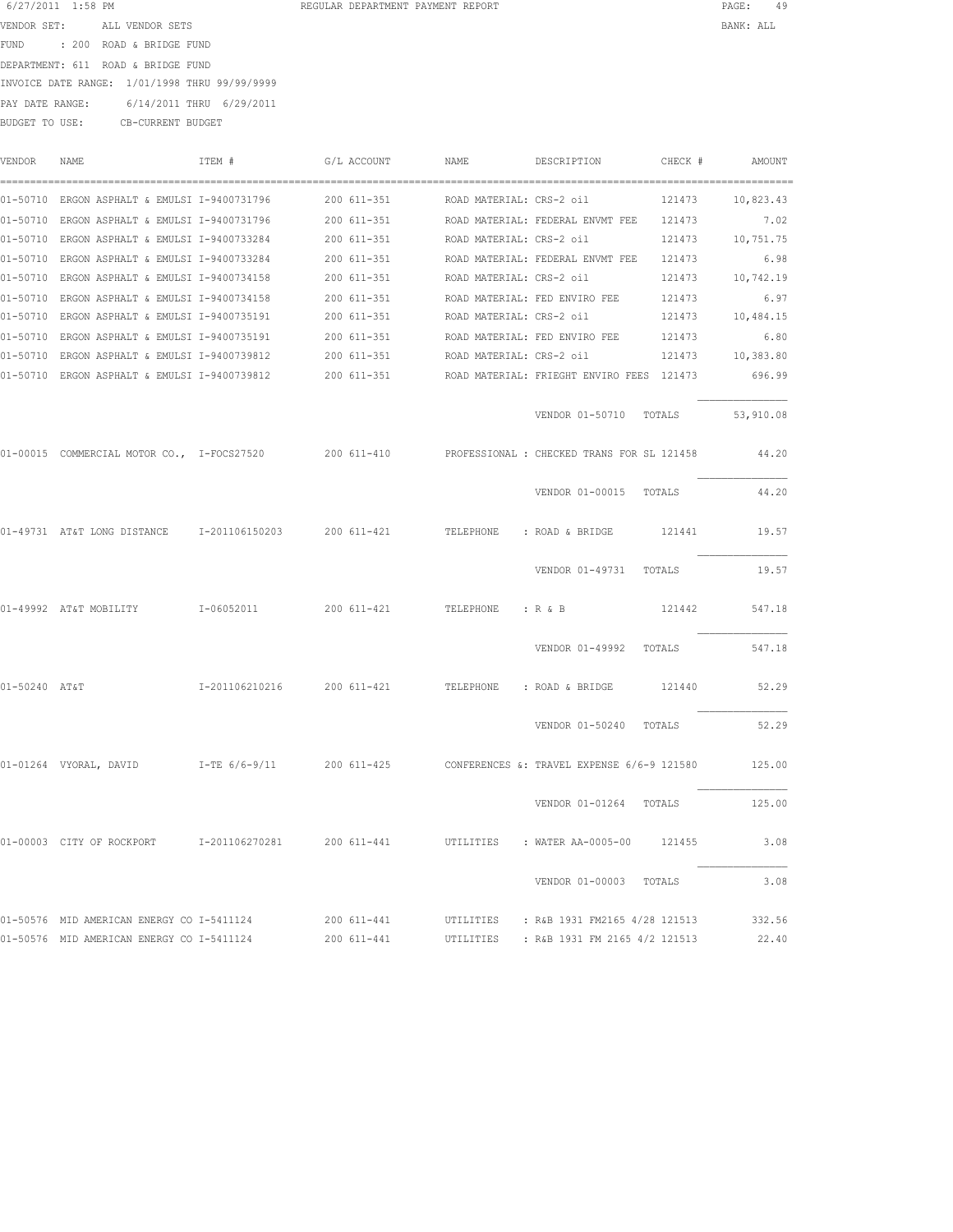| 6/27/2011 1:58 PM                             |                          |                          | REGULAR DEPARTMENT PAYMENT REPORT |  | PAGE:     |  |
|-----------------------------------------------|--------------------------|--------------------------|-----------------------------------|--|-----------|--|
| VENDOR SET:                                   | ALL VENDOR SETS          |                          |                                   |  | BANK: ALL |  |
| FUND                                          | : 200 ROAD & BRIDGE FUND |                          |                                   |  |           |  |
| DEPARTMENT: 611 ROAD & BRIDGE FUND            |                          |                          |                                   |  |           |  |
| INVOICE DATE RANGE: 1/01/1998 THRU 99/99/9999 |                          |                          |                                   |  |           |  |
| PAY DATE RANGE:                               |                          | 6/14/2011 THRU 6/29/2011 |                                   |  |           |  |
| BUDGET TO USE:                                | CB-CURRENT BUDGET        |                          |                                   |  |           |  |

VENDOR NAME ITEM # G/L ACCOUNT NAME DESCRIPTION CHECK # AMOUNT

|               | 01-50710 ERGON ASPHALT & EMULSI I-9400731796      200 611-351      ROAD MATERIAL: CRS-2 oil          |                                                                |                                                     |                          |                                         | 121473 10,823.43 |           |
|---------------|------------------------------------------------------------------------------------------------------|----------------------------------------------------------------|-----------------------------------------------------|--------------------------|-----------------------------------------|------------------|-----------|
|               | 01-50710 ERGON ASPHALT & EMULSI I-9400731796 200 611-351 ROAD MATERIAL: FEDERAL ENVMT FEE 121473     |                                                                |                                                     |                          |                                         |                  | 7.02      |
|               | 01-50710 ERGON ASPHALT & EMULSI I-9400733284 200 611-351 ROAD MATERIAL: CRS-2 oil 121473 10,751.75   |                                                                |                                                     |                          |                                         |                  |           |
|               | 01-50710 ERGON ASPHALT & EMULSI I-9400733284                                                         |                                                                | 200 611-351 ROAD MATERIAL: FEDERAL ENVMT FEE 121473 |                          |                                         |                  | 6.98      |
|               | 01-50710 ERGON ASPHALT & EMULSI I-9400734158                                                         |                                                                | 200 611-351                                         |                          | ROAD MATERIAL: CRS-2 oil                | 121473 10,742.19 |           |
|               | 01-50710 ERGON ASPHALT & EMULSI I-9400734158                                                         |                                                                | 200 611-351                                         |                          | ROAD MATERIAL: FED ENVIRO FEE           | 121473           | 6.97      |
|               | 01-50710 ERGON ASPHALT & EMULSI I-9400735191                                                         |                                                                | 200 611-351                                         |                          | ROAD MATERIAL: CRS-2 oil                | 121473           | 10,484.15 |
|               | 01-50710 ERGON ASPHALT & EMULSI I-9400735191                                                         |                                                                | 200 611-351                                         |                          | ROAD MATERIAL: FED ENVIRO FEE           | 121473           | 6.80      |
|               | 01-50710 ERGON ASPHALT & EMULSI I-9400739812                                                         |                                                                | 200 611-351                                         | ROAD MATERIAL: CRS-2 oil |                                         | 121473 10,383.80 |           |
|               | 01-50710 ERGON ASPHALT & EMULSI I-9400739812 200 611-351 ROAD MATERIAL: FRIEGHT ENVIRO FEES 121473   |                                                                |                                                     |                          |                                         |                  | 696.99    |
|               |                                                                                                      |                                                                |                                                     |                          | VENDOR 01-50710 TOTALS 53,910.08        |                  |           |
|               | 01-00015 COMMERCIAL MOTOR CO., I-FOCS27520 200 611-410 PROFESSIONAL : CHECKED TRANS FOR SL 121458    |                                                                |                                                     |                          |                                         |                  | 44.20     |
|               |                                                                                                      |                                                                |                                                     |                          | VENDOR 01-00015 TOTALS                  |                  | 44.20     |
|               | 01-49731 AT&T LONG DISTANCE 1-201106150203 200 611-421 TELEPHONE : ROAD & BRIDGE 121441              |                                                                |                                                     |                          |                                         |                  | 19.57     |
|               |                                                                                                      |                                                                |                                                     |                          | VENDOR 01-49731 TOTALS 19.57            |                  |           |
|               | $01-49992$ AT&T MOBILITY $1-06052011$ 200 611-421 TELEPHONE : R & B 21442 547.18                     |                                                                |                                                     |                          |                                         |                  |           |
|               |                                                                                                      |                                                                |                                                     |                          | VENDOR 01-49992 TOTALS                  |                  | 547.18    |
| 01-50240 AT&T |                                                                                                      | I-201106210216  200 611-421  TELEPHONE : ROAD & BRIDGE  121440 |                                                     |                          |                                         |                  | 52.29     |
|               |                                                                                                      |                                                                |                                                     |                          | VENDOR 01-50240 TOTALS 52.29            |                  |           |
|               | 01-01264 VYORAL, DAVID T-TE 6/6-9/11 200 611-425 CONFERENCES &: TRAVEL EXPENSE 6/6-9 121580 125.00   |                                                                |                                                     |                          |                                         |                  |           |
|               |                                                                                                      |                                                                |                                                     |                          | VENDOR 01-01264 TOTALS 125.00           |                  |           |
|               | 01-00003 CITY OF ROCKPORT 1-201106270281 200 611-441 UTILITIES : WATER AA-0005-00 121455             |                                                                |                                                     |                          |                                         |                  | 3.08      |
|               |                                                                                                      |                                                                |                                                     |                          | VENDOR 01-00003 TOTALS                  |                  | 3.08      |
|               | 01-50576 MID AMERICAN ENERGY CO I-5411124 200 611-441 UTILITIES : R&B 1931 FM2165 4/28 121513 332.56 |                                                                |                                                     |                          |                                         |                  |           |
|               | 01-50576 MID AMERICAN ENERGY CO I-5411124                                                            |                                                                | 200 611-441                                         |                          | UTILITIES : R&B 1931 FM 2165 4/2 121513 |                  | 22.40     |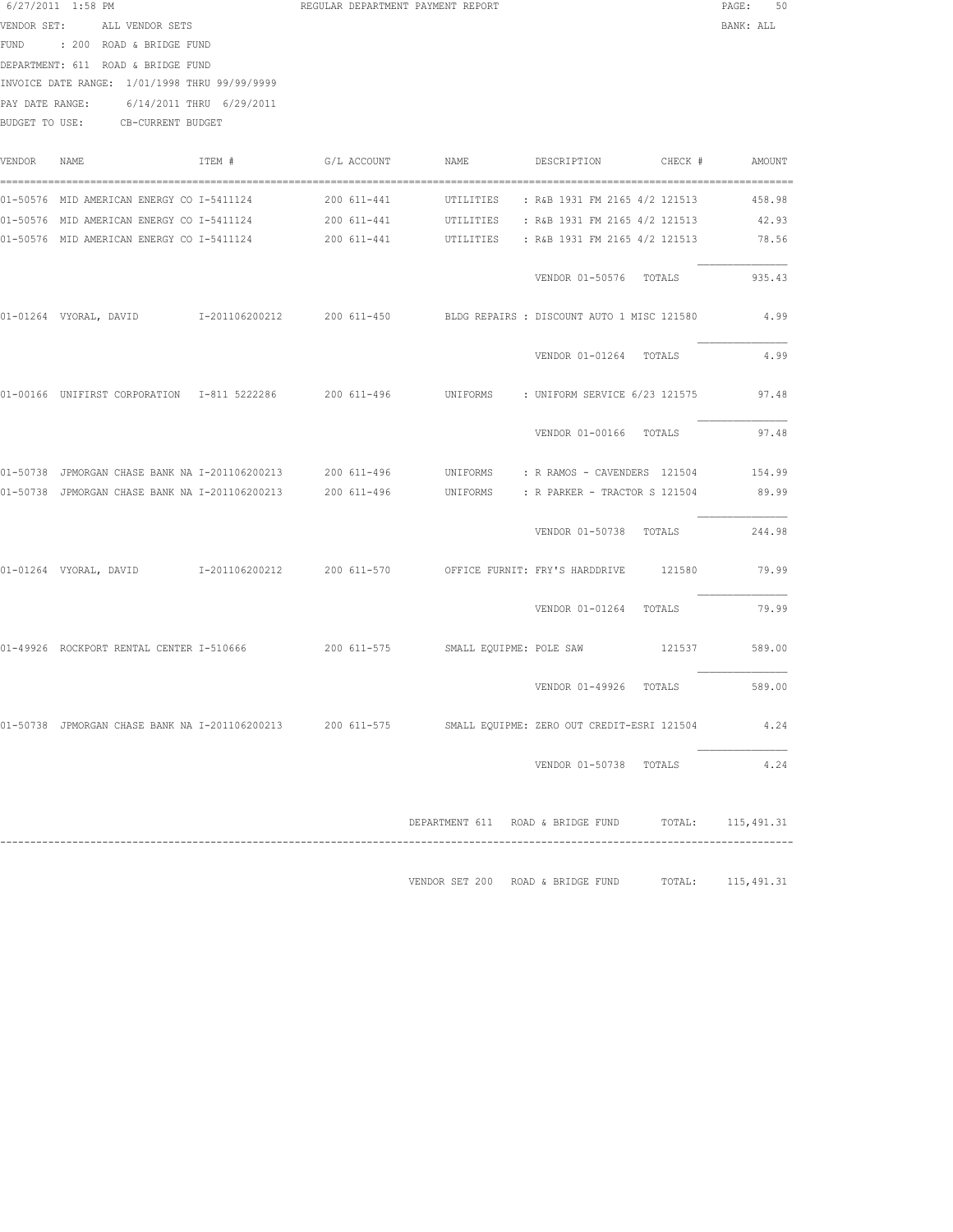|             | 6/27/2011 1:58 PM                                                                                         |        | REGULAR DEPARTMENT PAYMENT REPORT |                                            |         | 50<br>PAGE:       |
|-------------|-----------------------------------------------------------------------------------------------------------|--------|-----------------------------------|--------------------------------------------|---------|-------------------|
|             | VENDOR SET: ALL VENDOR SETS                                                                               |        |                                   |                                            |         | BANK: ALL         |
|             | FUND : 200 ROAD & BRIDGE FUND                                                                             |        |                                   |                                            |         |                   |
|             | DEPARTMENT: 611 ROAD & BRIDGE FUND                                                                        |        |                                   |                                            |         |                   |
|             | INVOICE DATE RANGE: 1/01/1998 THRU 99/99/9999                                                             |        |                                   |                                            |         |                   |
|             | PAY DATE RANGE: 6/14/2011 THRU 6/29/2011                                                                  |        |                                   |                                            |         |                   |
|             | BUDGET TO USE: CB-CURRENT BUDGET                                                                          |        |                                   |                                            |         |                   |
|             |                                                                                                           |        |                                   |                                            |         |                   |
| VENDOR NAME |                                                                                                           | ITEM # | G/L ACCOUNT NAME                  | DESCRIPTION                                | CHECK # | AMOUNT            |
|             | 01-50576 MID AMERICAN ENERGY CO I-5411124                                                                 |        |                                   |                                            |         |                   |
|             | 01-50576 MID AMERICAN ENERGY CO I-5411124 200 611-441 UTILITIES : R&B 1931 FM 2165 4/2 121513 42.93       |        |                                   |                                            |         |                   |
|             | 01-50576 MID AMERICAN ENERGY CO I-5411124       200 611-441     UTILITIES   : R&B 1931 FM 2165 4/2 121513 |        |                                   |                                            |         | 78.56             |
|             |                                                                                                           |        |                                   |                                            |         |                   |
|             |                                                                                                           |        |                                   | VENDOR 01-50576 TOTALS                     |         | 935.43            |
|             |                                                                                                           |        |                                   | BLDG REPAIRS : DISCOUNT AUTO 1 MISC 121580 |         | 4.99              |
|             |                                                                                                           |        |                                   | VENDOR 01-01264 TOTALS                     |         | 4.99              |
|             |                                                                                                           |        |                                   |                                            |         |                   |
|             | 01-00166 UNIFIRST CORPORATION 1-811 5222286 200 611-496 UNIFORMS : UNIFORM SERVICE 6/23 121575            |        |                                   |                                            |         | 97.48             |
|             |                                                                                                           |        |                                   | VENDOR 01-00166 TOTALS                     |         | 97.48             |
|             | 01-50738 JPMORGAN CHASE BANK NA I-201106200213 200 611-496 UNIFORMS : R RAMOS - CAVENDERS 121504 154.99   |        |                                   |                                            |         |                   |
|             | 01-50738 JPMORGAN CHASE BANK NA I-201106200213 200 611-496 UNIFORMS : R PARKER - TRACTOR S 121504         |        |                                   |                                            |         | 89.99             |
|             |                                                                                                           |        |                                   |                                            |         |                   |
|             |                                                                                                           |        |                                   | VENDOR 01-50738 TOTALS                     |         | 244.98            |
|             | 01-01264 VYORAL, DAVID      I-201106200212     200 611-570      OFFICE FURNIT: FRY'S HARDDRIVE            |        |                                   |                                            | 121580  | 79.99             |
|             |                                                                                                           |        |                                   | VENDOR 01-01264 TOTALS                     |         | 79.99             |
|             |                                                                                                           |        |                                   |                                            |         |                   |
|             | 01-49926 ROCKPORT RENTAL CENTER I-510666 68 200 611-575 SMALL EQUIPME: POLE SAW                           |        |                                   |                                            | 121537  | 589.00            |
|             |                                                                                                           |        |                                   | VENDOR 01-49926 TOTALS                     |         | 589.00            |
|             | 01-50738 JPMORGAN CHASE BANK NA I-201106200213 200 611-575 SMALL EQUIPME: ZERO OUT CREDIT-ESRI 121504     |        |                                   |                                            |         | 4.24              |
|             |                                                                                                           |        |                                   |                                            |         |                   |
|             |                                                                                                           |        |                                   | VENDOR 01-50738 TOTALS                     |         | 4.24              |
|             |                                                                                                           |        |                                   |                                            |         |                   |
|             |                                                                                                           |        |                                   | DEPARTMENT 611 ROAD & BRIDGE FUND          |         | TOTAL: 115,491.31 |

------------------------------------------------------------------------------------------------------------------------------------ VENDOR SET 200 ROAD & BRIDGE FUND TOTAL: 115,491.31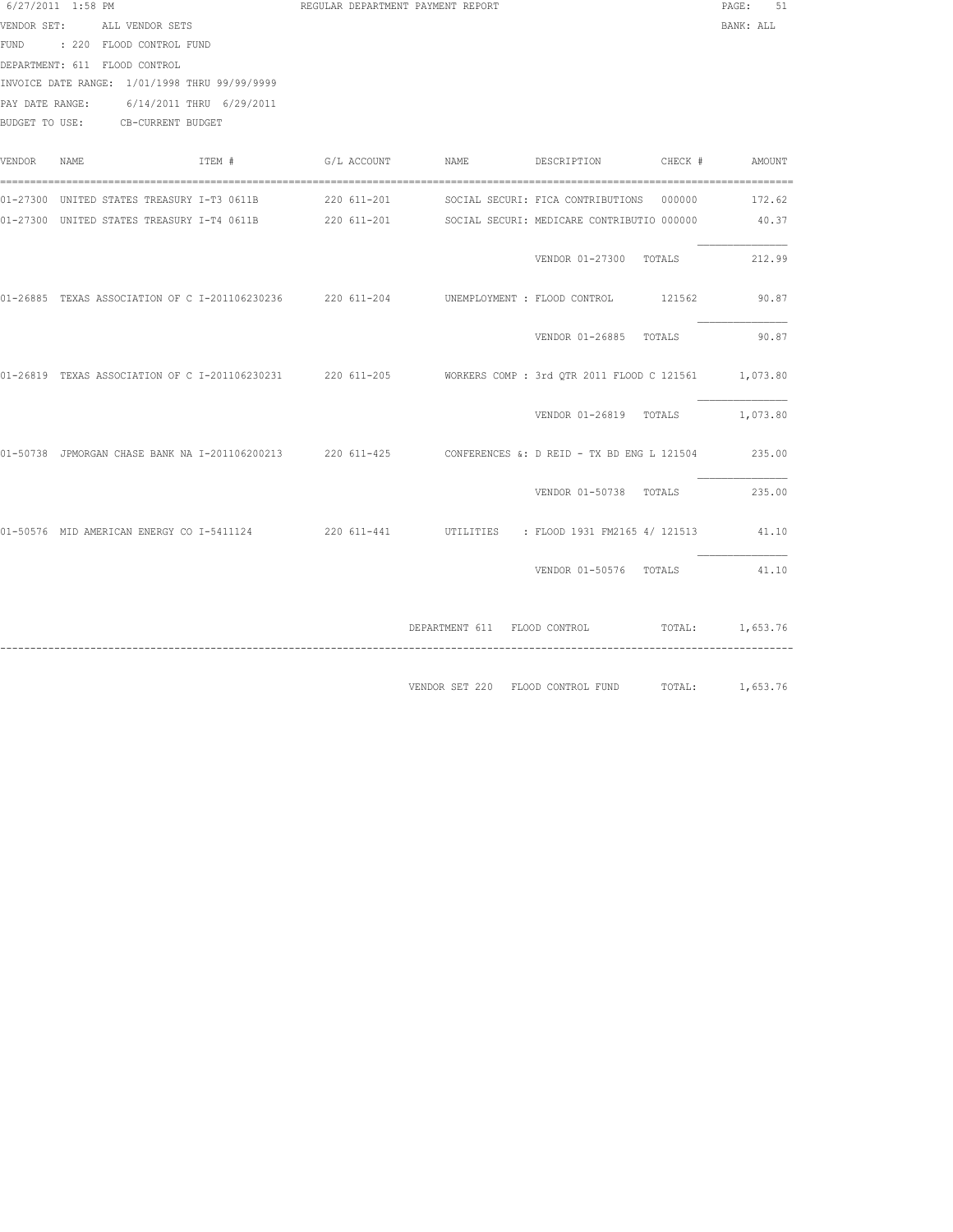|        | 6/27/2011 1:58 PM                                                                                             | REGULAR DEPARTMENT PAYMENT REPORT |                                                   |                                 | PAGE: 51  |
|--------|---------------------------------------------------------------------------------------------------------------|-----------------------------------|---------------------------------------------------|---------------------------------|-----------|
|        | VENDOR SET: ALL VENDOR SETS                                                                                   |                                   |                                                   |                                 | BANK: ALL |
|        | FUND : 220 FLOOD CONTROL FUND                                                                                 |                                   |                                                   |                                 |           |
|        | DEPARTMENT: 611 FLOOD CONTROL                                                                                 |                                   |                                                   |                                 |           |
|        | INVOICE DATE RANGE: 1/01/1998 THRU 99/99/9999                                                                 |                                   |                                                   |                                 |           |
|        | PAY DATE RANGE: 6/14/2011 THRU 6/29/2011                                                                      |                                   |                                                   |                                 |           |
|        | BUDGET TO USE: CB-CURRENT BUDGET                                                                              |                                   |                                                   |                                 |           |
|        |                                                                                                               |                                   |                                                   |                                 |           |
| VENDOR | ITEM #<br>NAME                                                                                                |                                   |                                                   |                                 |           |
|        |                                                                                                               |                                   |                                                   |                                 |           |
|        | 01-27300 UNITED STATES TREASURY I-T4 0611B 220 611-201 SOCIAL SECURI: MEDICARE CONTRIBUTIO 000000             |                                   |                                                   |                                 | 40.37     |
|        |                                                                                                               |                                   |                                                   |                                 |           |
|        |                                                                                                               |                                   |                                                   | VENDOR 01-27300 TOTALS          | 212.99    |
|        |                                                                                                               |                                   |                                                   |                                 |           |
|        | 01-26885 TEXAS ASSOCIATION OF C I-201106230236 220 611-204 UNEMPLOYMENT : FLOOD CONTROL 121562 90.87          |                                   |                                                   |                                 |           |
|        |                                                                                                               |                                   |                                                   |                                 |           |
|        |                                                                                                               |                                   |                                                   | VENDOR 01-26885 TOTALS 90.87    |           |
|        |                                                                                                               |                                   |                                                   |                                 |           |
|        | 01-26819 TEXAS ASSOCIATION OF C I-201106230231 220 611-205 WORKERS COMP: 3rd QTR 2011 FLOOD C 121561 1,073.80 |                                   |                                                   |                                 |           |
|        |                                                                                                               |                                   |                                                   |                                 |           |
|        |                                                                                                               |                                   |                                                   | VENDOR 01-26819 TOTALS 1,073.80 |           |
|        |                                                                                                               |                                   |                                                   |                                 |           |
|        | 01-50738 JPMORGAN CHASE BANK NA I-201106200213 220 611-425 CONFERENCES &: D REID - TX BD ENG L 121504 235.00  |                                   |                                                   |                                 |           |
|        |                                                                                                               |                                   |                                                   |                                 |           |
|        |                                                                                                               |                                   |                                                   | VENDOR 01-50738 TOTALS 235.00   |           |
|        |                                                                                                               |                                   |                                                   |                                 |           |
|        | 01-50576 MID AMERICAN ENERGY CO I-5411124 220 611-441 UTILITIES : FLOOD 1931 FM2165 4/ 121513 41.10           |                                   |                                                   |                                 |           |
|        |                                                                                                               |                                   |                                                   |                                 |           |
|        |                                                                                                               |                                   |                                                   | VENDOR 01-50576 TOTALS 41.10    |           |
|        |                                                                                                               |                                   |                                                   |                                 |           |
|        |                                                                                                               |                                   |                                                   |                                 |           |
|        |                                                                                                               |                                   | DEPARTMENT 611 FLOOD CONTROL TOTAL: 1,653.76      |                                 |           |
|        |                                                                                                               |                                   |                                                   |                                 |           |
|        |                                                                                                               |                                   |                                                   |                                 |           |
|        |                                                                                                               |                                   | VENDOR SET 220 FLOOD CONTROL FUND TOTAL: 1,653.76 |                                 |           |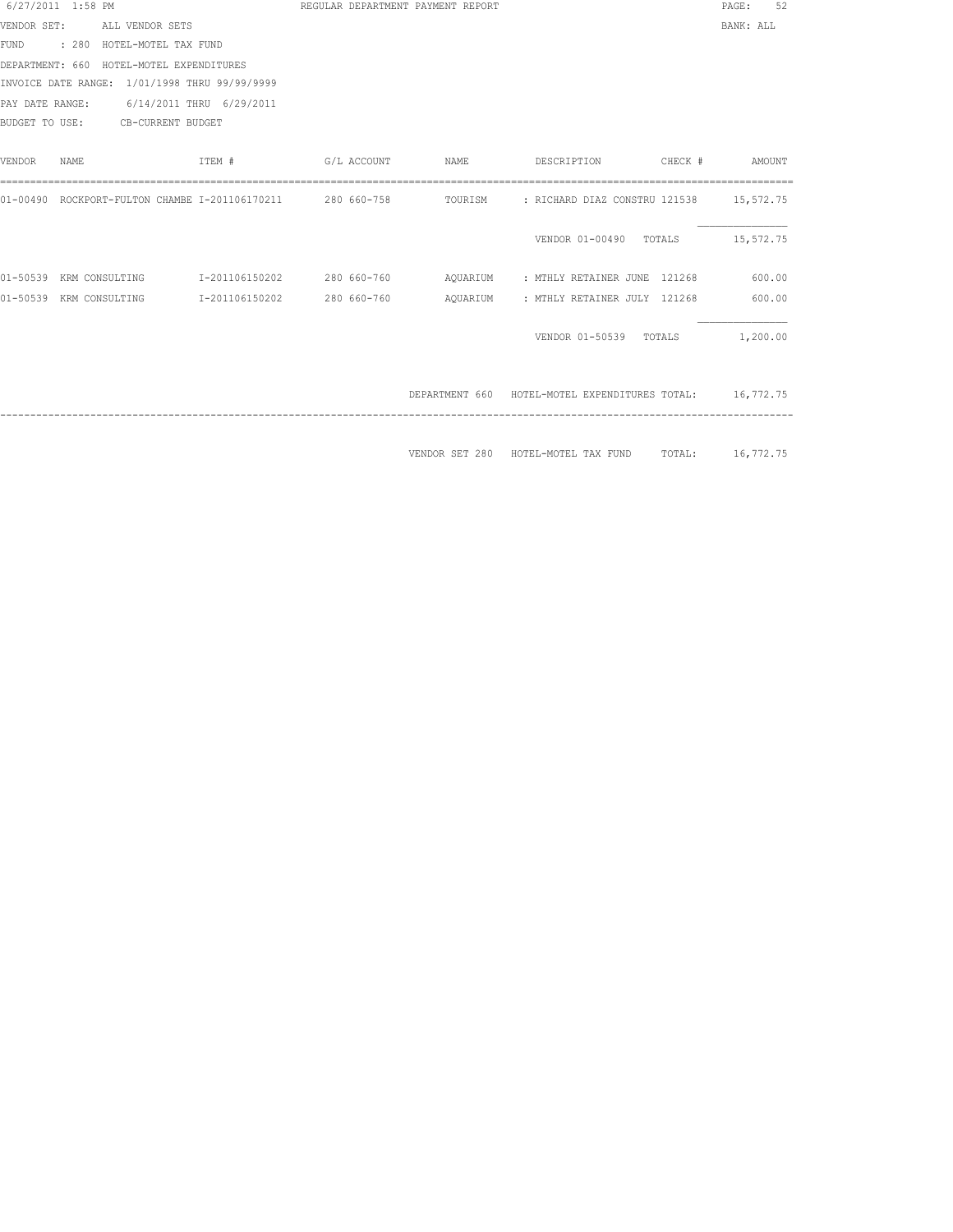| 6/27/2011 1:58 PM |      |                                               |                                                            |             | REGULAR DEPARTMENT PAYMENT REPORT |                                                          |                  | PAGE:     | 52       |
|-------------------|------|-----------------------------------------------|------------------------------------------------------------|-------------|-----------------------------------|----------------------------------------------------------|------------------|-----------|----------|
| VENDOR SET:       |      | ALL VENDOR SETS                               |                                                            |             |                                   |                                                          |                  | BANK: ALL |          |
|                   |      | FUND : 280 HOTEL-MOTEL TAX FUND               |                                                            |             |                                   |                                                          |                  |           |          |
|                   |      | DEPARTMENT: 660 HOTEL-MOTEL EXPENDITURES      |                                                            |             |                                   |                                                          |                  |           |          |
|                   |      | INVOICE DATE RANGE: 1/01/1998 THRU 99/99/9999 |                                                            |             |                                   |                                                          |                  |           |          |
|                   |      | PAY DATE RANGE: 6/14/2011 THRU 6/29/2011      |                                                            |             |                                   |                                                          |                  |           |          |
| BUDGET TO USE:    |      | CB-CURRENT BUDGET                             |                                                            |             |                                   |                                                          |                  |           |          |
|                   |      |                                               |                                                            |             |                                   |                                                          |                  |           |          |
| <b>VENDOR</b>     | NAME |                                               | ITEM #                                                     | G/L ACCOUNT | NAME                              | DESCRIPTION                                              | CHECK #          |           | AMOUNT   |
|                   |      |                                               |                                                            |             |                                   |                                                          |                  |           |          |
|                   |      |                                               | 01-00490 ROCKPORT-FULTON CHAMBE I-201106170211 280 660-758 |             |                                   | TOURISM : RICHARD DIAZ CONSTRU 121538 15,572.75          |                  |           |          |
|                   |      |                                               |                                                            |             |                                   |                                                          |                  |           |          |
|                   |      |                                               |                                                            |             |                                   | VENDOR 01-00490 TOTALS                                   |                  | 15,572.75 |          |
|                   |      |                                               |                                                            |             |                                   |                                                          |                  |           |          |
| 01-50539          |      | KRM CONSULTING                                | I-201106150202                                             |             |                                   |                                                          |                  |           |          |
| 01-50539          |      | KRM CONSULTING                                | I-201106150202                                             | 280 660-760 | AQUARIUM                          | : MTHLY RETAINER JULY 121268                             |                  |           | 600.00   |
|                   |      |                                               |                                                            |             |                                   |                                                          |                  |           |          |
|                   |      |                                               |                                                            |             |                                   | VENDOR 01-50539 TOTALS                                   |                  |           | 1,200.00 |
|                   |      |                                               |                                                            |             |                                   |                                                          |                  |           |          |
|                   |      |                                               |                                                            |             |                                   |                                                          |                  |           |          |
|                   |      |                                               |                                                            |             |                                   | DEPARTMENT 660 HOTEL-MOTEL EXPENDITURES TOTAL: 16,772.75 |                  |           |          |
|                   |      |                                               |                                                            |             |                                   |                                                          |                  |           |          |
|                   |      |                                               |                                                            |             |                                   |                                                          |                  |           |          |
|                   |      |                                               |                                                            |             | VENDOR SET 280                    | HOTEL-MOTEL TAX FUND                                     | TOTAL: 16,772.75 |           |          |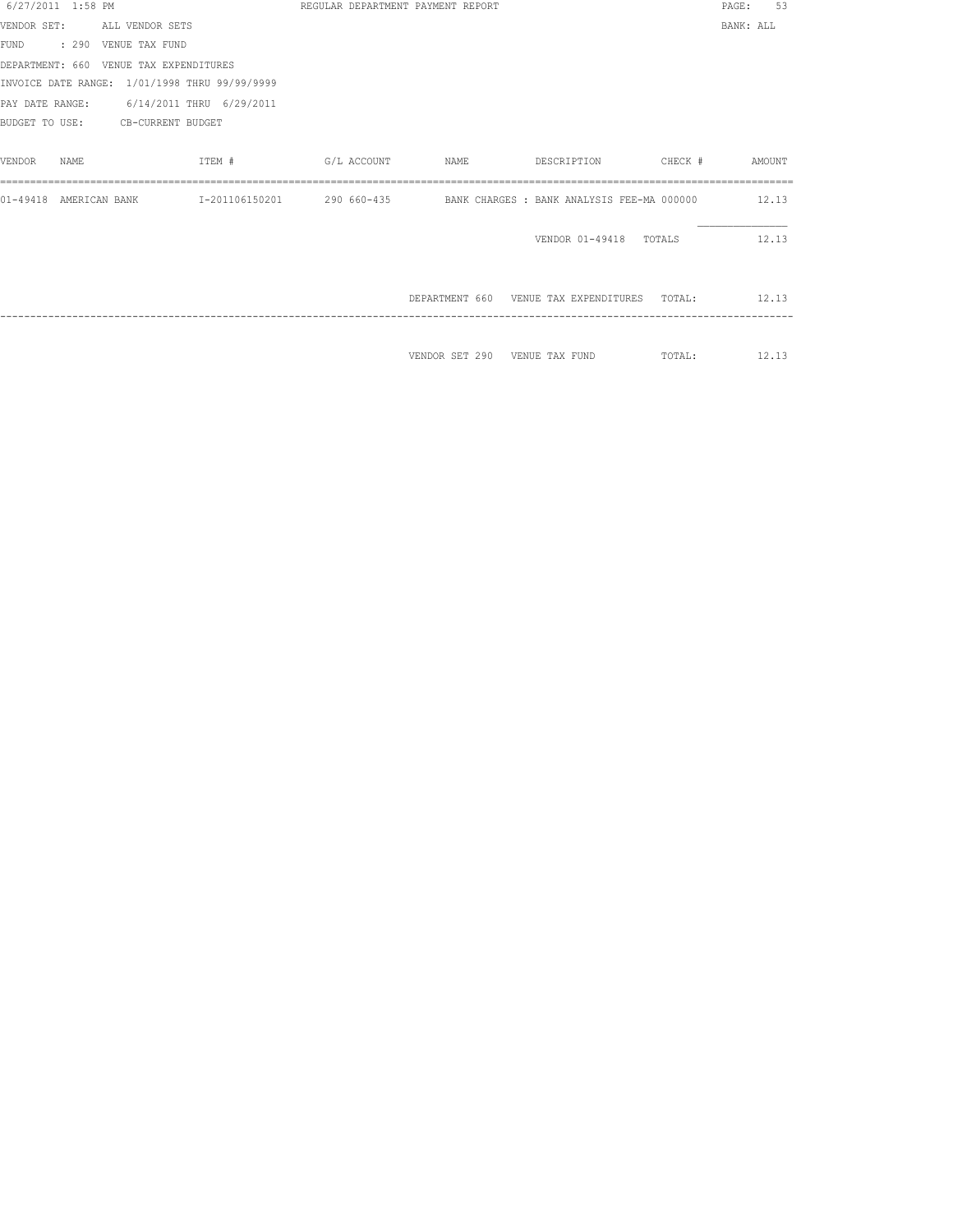| 6/27/2011 1:58 PM         |                                               |                                                                                | REGULAR DEPARTMENT PAYMENT REPORT |  |                                                    | PAGE:     | 53 |
|---------------------------|-----------------------------------------------|--------------------------------------------------------------------------------|-----------------------------------|--|----------------------------------------------------|-----------|----|
|                           | VENDOR SET: ALL VENDOR SETS                   |                                                                                |                                   |  |                                                    | BANK: ALL |    |
| FUND : 290 VENUE TAX FUND |                                               |                                                                                |                                   |  |                                                    |           |    |
|                           | DEPARTMENT: 660 VENUE TAX EXPENDITURES        |                                                                                |                                   |  |                                                    |           |    |
|                           | INVOICE DATE RANGE: 1/01/1998 THRU 99/99/9999 |                                                                                |                                   |  |                                                    |           |    |
|                           | PAY DATE RANGE: 6/14/2011 THRU 6/29/2011      |                                                                                |                                   |  |                                                    |           |    |
|                           | BUDGET TO USE: CB-CURRENT BUDGET              |                                                                                |                                   |  |                                                    |           |    |
|                           |                                               |                                                                                |                                   |  |                                                    |           |    |
| VENDOR<br>NAMF.           | ITEM #                                        |                                                                                |                                   |  |                                                    |           |    |
|                           |                                               |                                                                                |                                   |  |                                                    |           |    |
| 01-49418 AMERICAN BANK    |                                               | I-201106150201  290 660-435  BANK CHARGES : BANK ANALYSIS FEE-MA 000000  12.13 |                                   |  |                                                    |           |    |
|                           |                                               |                                                                                |                                   |  |                                                    |           |    |
|                           |                                               |                                                                                |                                   |  | VENDOR 01-49418 TOTALS                             | 12.13     |    |
|                           |                                               |                                                                                |                                   |  |                                                    |           |    |
|                           |                                               |                                                                                |                                   |  |                                                    |           |    |
|                           |                                               |                                                                                |                                   |  | DEPARTMENT 660 VENUE TAX EXPENDITURES TOTAL: 12.13 |           |    |
|                           |                                               |                                                                                |                                   |  |                                                    |           |    |
|                           |                                               |                                                                                |                                   |  |                                                    |           |    |
|                           |                                               |                                                                                |                                   |  | VENDOR SET 290 VENUE TAX FUND TOTAL: 12.13         |           |    |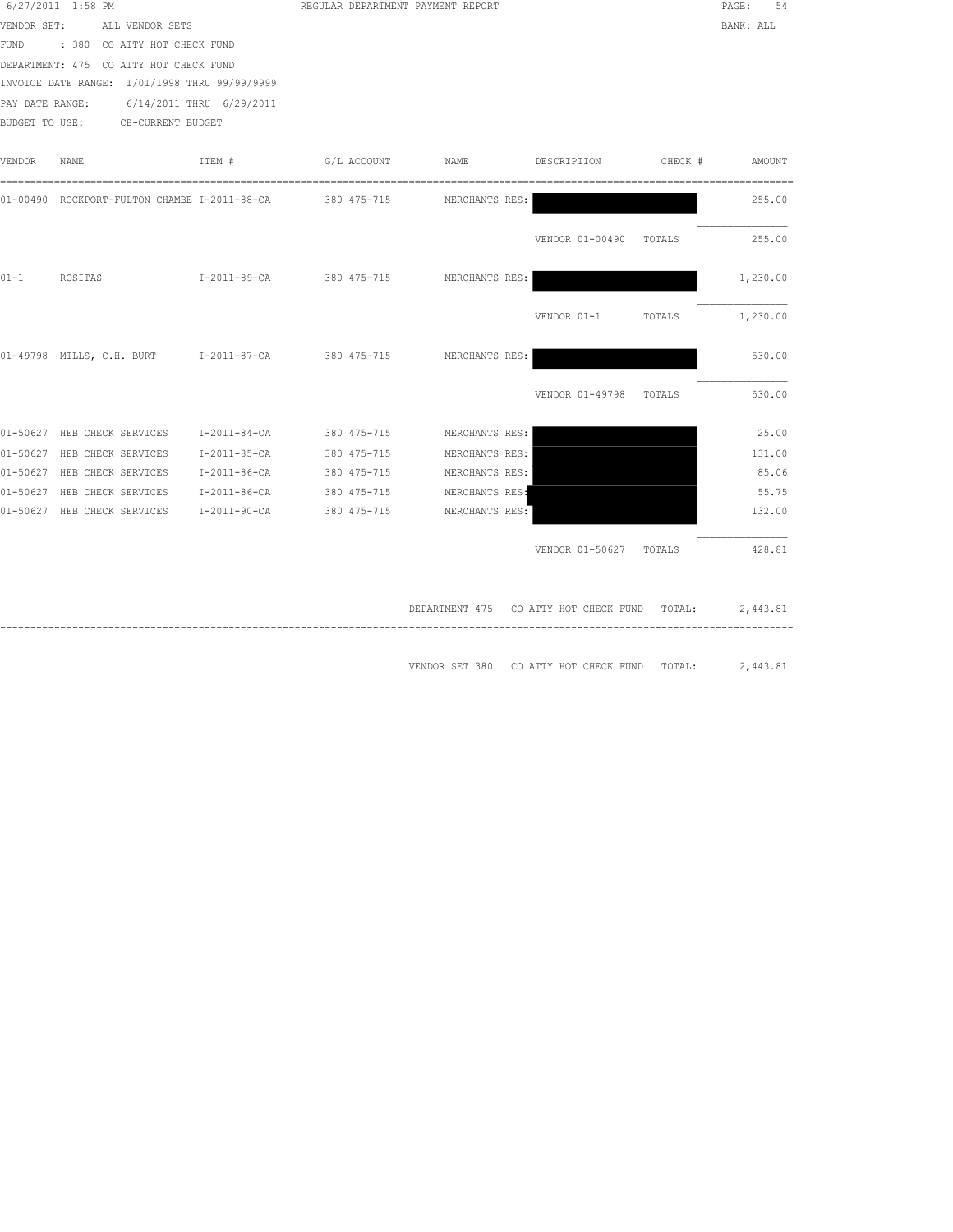| 6/27/2011 1:58 PM                                        |                          | REGULAR DEPARTMENT PAYMENT REPORT                     |                        |         | PAGE:<br>54 |
|----------------------------------------------------------|--------------------------|-------------------------------------------------------|------------------------|---------|-------------|
| VENDOR SET:<br>ALL VENDOR SETS                           |                          |                                                       |                        |         | BANK: ALL   |
| FUND<br>: 380 CO ATTY HOT CHECK FUND                     |                          |                                                       |                        |         |             |
| DEPARTMENT: 475 CO ATTY HOT CHECK FUND                   |                          |                                                       |                        |         |             |
| INVOICE DATE RANGE: 1/01/1998 THRU 99/99/9999            |                          |                                                       |                        |         |             |
| PAY DATE RANGE: 6/14/2011 THRU 6/29/2011                 |                          |                                                       |                        |         |             |
| BUDGET TO USE: CB-CURRENT BUDGET                         |                          |                                                       |                        |         |             |
|                                                          |                          |                                                       |                        |         |             |
| VENDOR<br>NAME<br>ITEM #                                 | G/L ACCOUNT              | NAME                                                  | DESCRIPTION            | CHECK # | AMOUNT      |
| 01-00490 ROCKPORT-FULTON CHAMBE I-2011-88-CA 380 475-715 |                          | MERCHANTS RES:                                        |                        |         | 255.00      |
|                                                          |                          |                                                       |                        |         |             |
|                                                          |                          |                                                       | VENDOR 01-00490 TOTALS |         | 255.00      |
| $01 - 1$<br>ROSITAS                                      | I-2011-89-CA 380 475-715 | MERCHANTS RES:                                        |                        |         | 1,230.00    |
|                                                          |                          |                                                       |                        |         |             |
|                                                          |                          |                                                       | VENDOR 01-1            | TOTALS  | 1,230.00    |
| 01-49798 MILLS, C.H. BURT 1-2011-87-CA 380 475-715       |                          | MERCHANTS RES:                                        |                        |         | 530.00      |
|                                                          |                          |                                                       |                        |         |             |
|                                                          |                          |                                                       | VENDOR 01-49798 TOTALS |         | 530.00      |
| 01-50627 HEB CHECK SERVICES                              | I-2011-84-CA 380 475-715 | MERCHANTS RES:                                        |                        |         | 25.00       |
| 01-50627 HEB CHECK SERVICES                              | I-2011-85-CA 380 475-715 | MERCHANTS RES:                                        |                        |         | 131.00      |
| 01-50627 HEB CHECK SERVICES                              | I-2011-86-CA 380 475-715 | MERCHANTS RES:                                        |                        |         | 85.06       |
| 01-50627 HEB CHECK SERVICES<br>I-2011-86-CA              | 380 475-715              | MERCHANTS RES:                                        |                        |         | 55.75       |
| 01-50627 HEB CHECK SERVICES<br>I-2011-90-CA              | 380 475-715              | MERCHANTS RES:                                        |                        |         | 132.00      |
|                                                          |                          |                                                       | VENDOR 01-50627 TOTALS |         | 428.81      |
|                                                          |                          |                                                       |                        |         |             |
|                                                          |                          | DEPARTMENT 475 CO ATTY HOT CHECK FUND TOTAL: 2,443.81 |                        |         |             |
|                                                          |                          |                                                       |                        |         |             |
|                                                          |                          | VENDOR SET 380 CO ATTY HOT CHECK FUND TOTAL:          |                        |         | 2,443.81    |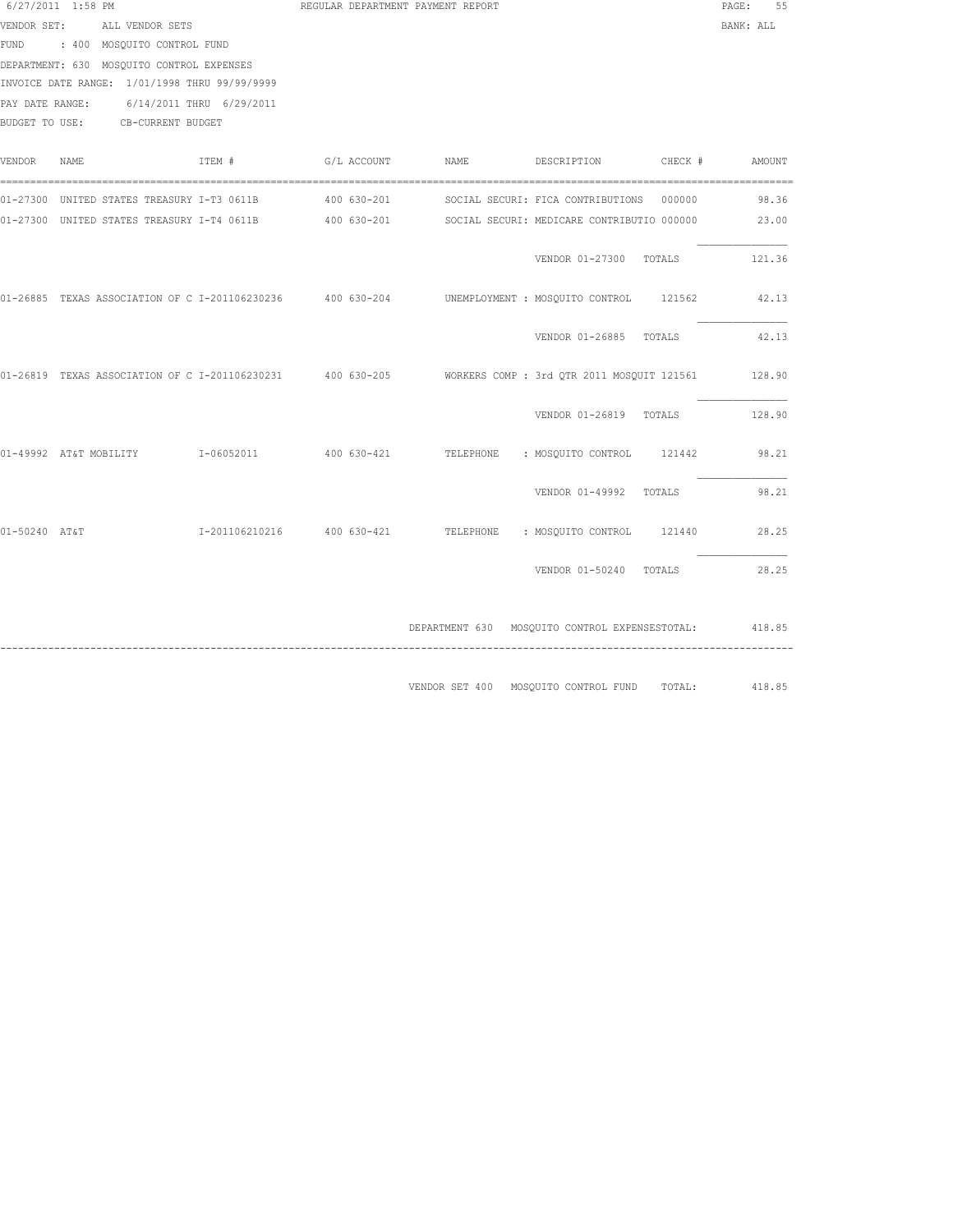| 6/27/2011 1:58 PM |                                               |        | REGULAR DEPARTMENT PAYMENT REPORT                      |                                                                                                                  |                                          | PAGE: 55       |
|-------------------|-----------------------------------------------|--------|--------------------------------------------------------|------------------------------------------------------------------------------------------------------------------|------------------------------------------|----------------|
|                   | VENDOR SET: ALL VENDOR SETS                   |        |                                                        |                                                                                                                  |                                          | BANK: ALL      |
|                   | FUND : 400 MOSQUITO CONTROL FUND              |        |                                                        |                                                                                                                  |                                          |                |
|                   | DEPARTMENT: 630 MOSQUITO CONTROL EXPENSES     |        |                                                        |                                                                                                                  |                                          |                |
|                   | INVOICE DATE RANGE: 1/01/1998 THRU 99/99/9999 |        |                                                        |                                                                                                                  |                                          |                |
|                   | PAY DATE RANGE: 6/14/2011 THRU 6/29/2011      |        |                                                        |                                                                                                                  |                                          |                |
|                   | BUDGET TO USE: CB-CURRENT BUDGET              |        |                                                        |                                                                                                                  |                                          |                |
| VENDOR NAME       |                                               | ITEM # |                                                        | G/L ACCOUNT NAME                                                                                                 | DESCRIPTION                              | CHECK # AMOUNT |
|                   |                                               |        | 01-27300 UNITED STATES TREASURY I-T3 0611B 400 630-201 |                                                                                                                  | SOCIAL SECURI: FICA CONTRIBUTIONS 000000 | 98.36          |
|                   |                                               |        |                                                        | 01-27300 UNITED STATES TREASURY I-T4 0611B 400 630-201 SOCIAL SECURI: MEDICARE CONTRIBUTIO 000000 23.00          |                                          |                |
|                   |                                               |        |                                                        |                                                                                                                  |                                          |                |
|                   |                                               |        |                                                        |                                                                                                                  | VENDOR 01-27300 TOTALS 121.36            |                |
|                   |                                               |        |                                                        | 01-26885 TEXAS ASSOCIATION OF C I-201106230236 400 630-204 UNEMPLOYMENT : MOSQUITO CONTROL 121562 42.13          |                                          |                |
|                   |                                               |        |                                                        |                                                                                                                  | VENDOR 01-26885 TOTALS                   | 42.13          |
|                   |                                               |        |                                                        | 01-26819 TEXAS ASSOCIATION OF C I-201106230231 400 630-205 WORKERS COMP : 3rd QTR 2011 MOSQUIT 121561 128.90     |                                          |                |
|                   |                                               |        |                                                        |                                                                                                                  | VENDOR 01-26819 TOTALS                   | 128.90         |
|                   |                                               |        |                                                        | 01-49992 AT&T_MOBILITY      I-06052011       400 630-421      TELEPHONE   : MOSQUITO_CONTROL   121442      98.21 |                                          |                |
|                   |                                               |        |                                                        |                                                                                                                  | VENDOR 01-49992 TOTALS                   | 98.21          |
| 01-50240 AT&T     |                                               |        |                                                        | I-201106210216  400 630-421  TELEPHONE : MOSQUITO CONTROL  121440  28.25                                         |                                          |                |
|                   |                                               |        |                                                        |                                                                                                                  | VENDOR 01-50240 TOTALS                   | 28.25          |
|                   |                                               |        |                                                        | DEPARTMENT 630 MOSQUITO CONTROL EXPENSESTOTAL: 418.85                                                            |                                          |                |
|                   |                                               |        |                                                        | VENDOR SET 400 MOSQUITO CONTROL FUND TOTAL:                                                                      |                                          | 418.85         |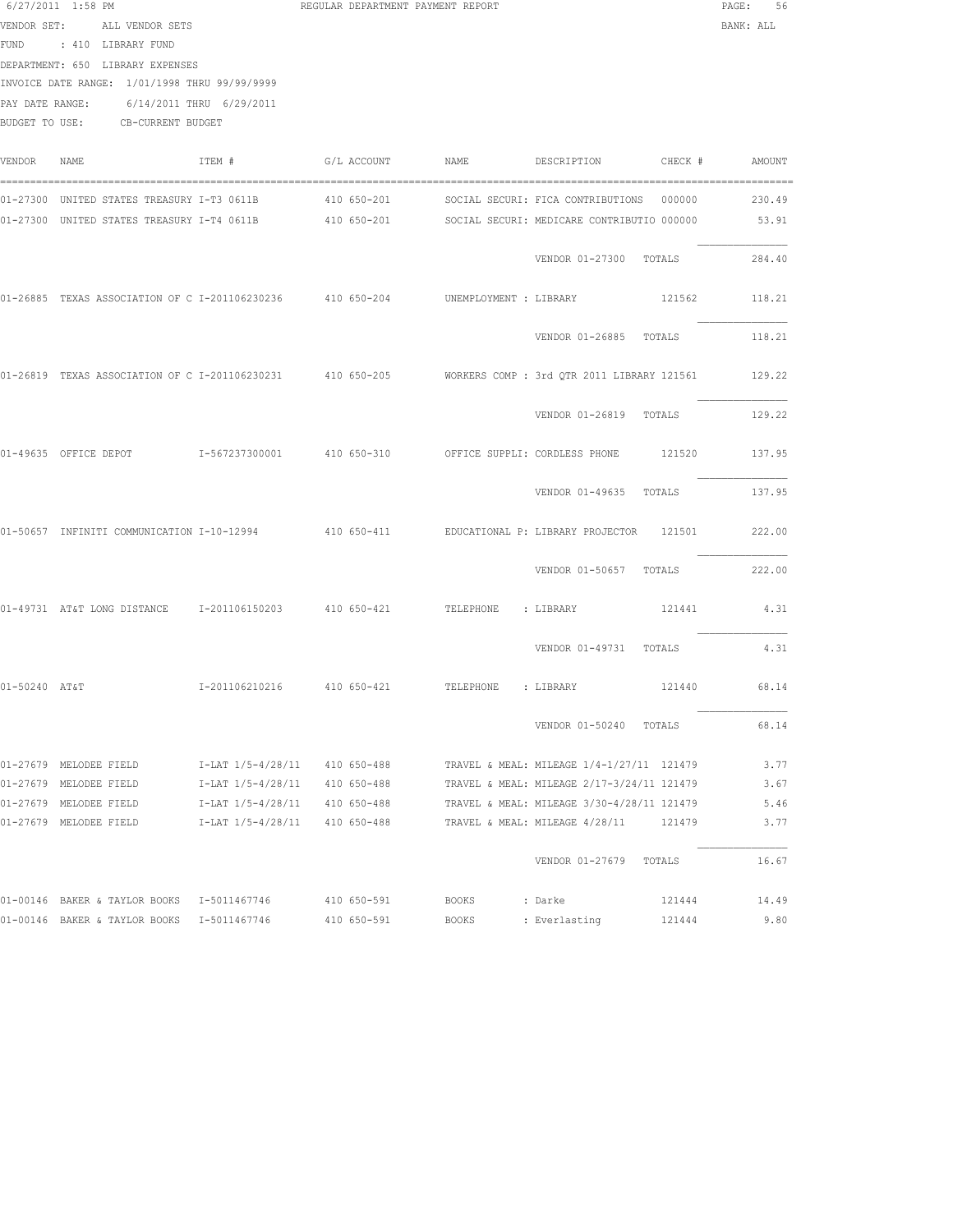|               | 6/27/2011 1:58 PM<br>VENDOR SET: ALL VENDOR SETS<br>FUND : 410 LIBRARY FUND<br>DEPARTMENT: 650 LIBRARY EXPENSES<br>INVOICE DATE RANGE: 1/01/1998 THRU 99/99/9999<br>PAY DATE RANGE: 6/14/2011 THRU 6/29/2011<br>BUDGET TO USE: CB-CURRENT BUDGET |                                                                                              |                                           | REGULAR DEPARTMENT PAYMENT REPORT |                                                                                                                                                                                                                  | PAGE: 56<br>BANK: ALL        |
|---------------|--------------------------------------------------------------------------------------------------------------------------------------------------------------------------------------------------------------------------------------------------|----------------------------------------------------------------------------------------------|-------------------------------------------|-----------------------------------|------------------------------------------------------------------------------------------------------------------------------------------------------------------------------------------------------------------|------------------------------|
| VENDOR        | NAME                                                                                                                                                                                                                                             | ITEM #                                                                                       |                                           | G/L ACCOUNT NAME                  | DESCRIPTION CHECK # AMOUNT                                                                                                                                                                                       |                              |
|               |                                                                                                                                                                                                                                                  |                                                                                              |                                           |                                   | 01-27300 UNITED STATES TREASURY I-T3 0611B       410 650-201      SOCIAL SECURI: FICA CONTRIBUTIONS  000000<br>01-27300 UNITED STATES TREASURY I-T4 0611B 410 650-201 SOCIAL SECURI: MEDICARE CONTRIBUTIO 000000 | 230.49<br>53.91              |
|               |                                                                                                                                                                                                                                                  |                                                                                              |                                           |                                   | VENDOR 01-27300 TOTALS                                                                                                                                                                                           | 284.40                       |
|               | 01-26885 TEXAS ASSOCIATION OF C I-201106230236 410 650-204 UNEMPLOYMENT : LIBRARY                                                                                                                                                                |                                                                                              |                                           |                                   | 121562                                                                                                                                                                                                           | 118.21                       |
|               |                                                                                                                                                                                                                                                  |                                                                                              |                                           |                                   | VENDOR 01-26885 TOTALS                                                                                                                                                                                           | 118.21                       |
|               |                                                                                                                                                                                                                                                  |                                                                                              |                                           |                                   | 01-26819 TEXAS ASSOCIATION OF C I-201106230231 410 650-205 WORKERS COMP : 3rd QTR 2011 LIBRARY 121561 129.22                                                                                                     |                              |
|               |                                                                                                                                                                                                                                                  |                                                                                              |                                           |                                   | VENDOR 01-26819 TOTALS                                                                                                                                                                                           | 129.22                       |
|               |                                                                                                                                                                                                                                                  |                                                                                              |                                           |                                   | 01-49635 OFFICE DEPOT T-567237300001 410 650-310 OFFICE SUPPLI: CORDLESS PHONE 121520 137.95                                                                                                                     |                              |
|               |                                                                                                                                                                                                                                                  |                                                                                              |                                           |                                   | VENDOR 01-49635 TOTALS                                                                                                                                                                                           | 137.95                       |
|               | 01-50657 INFINITI COMMUNICATION I-10-12994                                                                                                                                                                                                       |                                                                                              |                                           |                                   |                                                                                                                                                                                                                  | 222.00                       |
|               |                                                                                                                                                                                                                                                  |                                                                                              |                                           |                                   | VENDOR 01-50657 TOTALS                                                                                                                                                                                           | 222.00                       |
|               | 01-49731 AT&T LONG DISTANCE 1-201106150203 410 650-421 TELEPHONE : LIBRARY                                                                                                                                                                       |                                                                                              |                                           |                                   |                                                                                                                                                                                                                  | 121441 4.31                  |
|               |                                                                                                                                                                                                                                                  |                                                                                              |                                           |                                   | VENDOR 01-49731 TOTALS                                                                                                                                                                                           | 4.31                         |
| 01-50240 AT&T |                                                                                                                                                                                                                                                  |                                                                                              |                                           |                                   | I-201106210216  410 650-421  TELEPHONE : LIBRARY  121440  68.14                                                                                                                                                  |                              |
|               |                                                                                                                                                                                                                                                  |                                                                                              |                                           |                                   | VENDOR 01-50240 TOTALS                                                                                                                                                                                           | 68.14                        |
|               | 01-27679 MELODEE FIELD<br>01-27679 MELODEE FIELD<br>01-27679 MELODEE FIELD<br>01-27679 MELODEE FIELD                                                                                                                                             | I-LAT 1/5-4/28/11<br>I-LAT 1/5-4/28/11<br>I-LAT 1/5-4/28/11<br>I-LAT 1/5-4/28/11 410 650-488 | 410 650-488<br>410 650-488<br>410 650-488 |                                   | TRAVEL & MEAL: MILEAGE 1/4-1/27/11 121479<br>TRAVEL & MEAL: MILEAGE 2/17-3/24/11 121479<br>TRAVEL & MEAL: MILEAGE 3/30-4/28/11 121479<br>TRAVEL & MEAL: MILEAGE 4/28/11<br>121479                                | 3.77<br>3.67<br>5.46<br>3.77 |
|               |                                                                                                                                                                                                                                                  |                                                                                              |                                           |                                   | VENDOR 01-27679 TOTALS                                                                                                                                                                                           | 16.67                        |
|               | 01-00146 BAKER & TAYLOR BOOKS I-5011467746 410 650-591<br>01-00146 BAKER & TAYLOR BOOKS 1-5011467746                                                                                                                                             |                                                                                              | 410 650-591                               | BOOKS<br>BOOKS                    | 121444<br>: Darke<br>121444<br>: Everlasting                                                                                                                                                                     | 14.49<br>9.80                |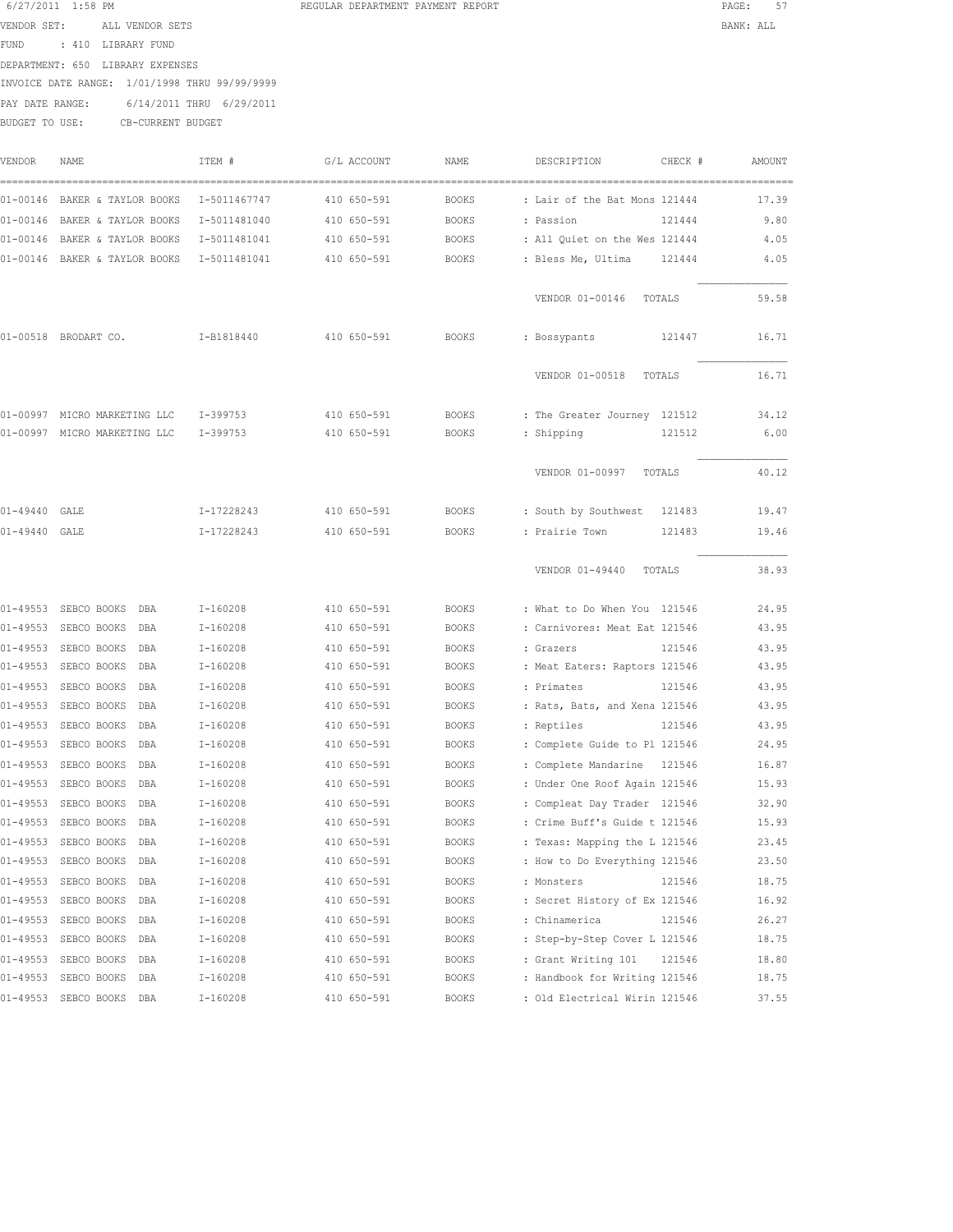6/27/2011 1:58 PM **REGULAR DEPARTMENT PAYMENT REPORT PAGE:** 57 VENDOR SET: ALL VENDOR SETS BANK: ALL FUND : 410 LIBRARY FUND DEPARTMENT: 650 LIBRARY EXPENSES INVOICE DATE RANGE: 1/01/1998 THRU 99/99/9999 PAY DATE RANGE: 6/14/2011 THRU 6/29/2011 BUDGET TO USE: CB-CURRENT BUDGET

| VENDOR       | NAME                        | ITEM #       | G/L ACCOUNT | NAME         | DESCRIPTION<br>CHECK #         | AMOUNT |
|--------------|-----------------------------|--------------|-------------|--------------|--------------------------------|--------|
| $01 - 00146$ | BAKER & TAYLOR BOOKS        | I-5011467747 | 410 650-591 | <b>BOOKS</b> | : Lair of the Bat Mons 121444  | 17.39  |
| $01 - 00146$ | BAKER & TAYLOR BOOKS        | I-5011481040 | 410 650-591 | <b>BOOKS</b> | : Passion<br>121444            | 9.80   |
| $01 - 00146$ | BAKER & TAYLOR BOOKS        | I-5011481041 | 410 650-591 | <b>BOOKS</b> | : All Ouiet on the Wes 121444  | 4.05   |
| $01 - 00146$ | BAKER & TAYLOR BOOKS        | I-5011481041 | 410 650-591 | <b>BOOKS</b> | : Bless Me, Ultima<br>121444   | 4.05   |
|              |                             |              |             |              | VENDOR 01-00146<br>TOTALS      | 59.58  |
|              | 01-00518 BRODART CO.        | I-B1818440   | 410 650-591 | <b>BOOKS</b> | : Bossypants<br>121447         | 16.71  |
|              |                             |              |             |              | VENDOR 01-00518<br>TOTALS      | 16.71  |
| 01-00997     | MICRO MARKETING LLC         | I-399753     | 410 650-591 | <b>BOOKS</b> | : The Greater Journey 121512   | 34.12  |
| 01-00997     | MICRO MARKETING LLC         | $I-399753$   | 410 650-591 | <b>BOOKS</b> | : Shipping<br>121512           | 6.00   |
|              |                             |              |             |              | VENDOR 01-00997<br>TOTALS      | 40.12  |
| $01 - 49440$ | GALE                        | I-17228243   | 410 650-591 | <b>BOOKS</b> | : South by Southwest<br>121483 | 19.47  |
| $01 - 49440$ | GALE                        | I-17228243   | 410 650-591 | <b>BOOKS</b> | : Prairie Town<br>121483       | 19.46  |
|              |                             |              |             |              | VENDOR 01-49440<br>TOTALS      | 38.93  |
| $01 - 49553$ | SEBCO BOOKS<br>DBA          | $I-160208$   | 410 650-591 | <b>BOOKS</b> | : What to Do When You 121546   | 24.95  |
| $01 - 49553$ | SEBCO BOOKS<br>DBA          | $I-160208$   | 410 650-591 | <b>BOOKS</b> | : Carnivores: Meat Eat 121546  | 43.95  |
| $01 - 49553$ | SEBCO BOOKS<br>DBA          | $I-160208$   | 410 650-591 | <b>BOOKS</b> | : Grazers<br>121546            | 43.95  |
| $01 - 49553$ | SEBCO BOOKS<br>DBA          | I-160208     | 410 650-591 | <b>BOOKS</b> | : Meat Eaters: Raptors 121546  | 43.95  |
| $01 - 49553$ | SEBCO BOOKS<br>DBA          | $I-160208$   | 410 650-591 | <b>BOOKS</b> | 121546<br>: Primates           | 43.95  |
| $01 - 49553$ | SEBCO BOOKS<br>DBA          | I-160208     | 410 650-591 | <b>BOOKS</b> | : Rats, Bats, and Xena 121546  | 43.95  |
| $01 - 49553$ | SEBCO BOOKS<br>DBA          | I-160208     | 410 650-591 | <b>BOOKS</b> | : Reptiles<br>121546           | 43.95  |
| $01 - 49553$ | SEBCO BOOKS<br>DBA          | I-160208     | 410 650-591 | <b>BOOKS</b> | : Complete Guide to Pl 121546  | 24.95  |
| $01 - 49553$ | SEBCO BOOKS<br>DBA          | $I-160208$   | 410 650-591 | <b>BOOKS</b> | : Complete Mandarine<br>121546 | 16.87  |
| $01 - 49553$ | SEBCO BOOKS<br>DBA          | $I-160208$   | 410 650-591 | <b>BOOKS</b> | : Under One Roof Again 121546  | 15.93  |
| $01 - 49553$ | SEBCO BOOKS<br>DBA          | I-160208     | 410 650-591 | <b>BOOKS</b> | : Compleat Day Trader 121546   | 32.90  |
| $01 - 49553$ | SEBCO BOOKS<br>DBA          | I-160208     | 410 650-591 | <b>BOOKS</b> | : Crime Buff's Guide t 121546  | 15.93  |
| $01 - 49553$ | SEBCO BOOKS<br>DBA          | $I-160208$   | 410 650-591 | <b>BOOKS</b> | : Texas: Mapping the L 121546  | 23.45  |
|              | 01-49553 SEBCO BOOKS<br>DBA | $I-160208$   | 410 650-591 | <b>BOOKS</b> | : How to Do Everything 121546  | 23.50  |
| $01 - 49553$ | SEBCO BOOKS<br>DBA          | $I-160208$   | 410 650-591 | <b>BOOKS</b> | 121546<br>: Monsters           | 18.75  |
|              | 01-49553 SEBCO BOOKS<br>DBA | $I-160208$   | 410 650-591 | <b>BOOKS</b> | : Secret History of Ex 121546  | 16.92  |
| $01 - 49553$ | SEBCO BOOKS<br>DBA          | $I-160208$   | 410 650-591 | <b>BOOKS</b> | : Chinamerica<br>121546        | 26.27  |
| $01 - 49553$ | SEBCO BOOKS<br>DBA          | $I-160208$   | 410 650-591 | <b>BOOKS</b> | : Step-by-Step Cover L 121546  | 18.75  |
| $01 - 49553$ | SEBCO BOOKS<br>DBA          | $I-160208$   | 410 650-591 | <b>BOOKS</b> | : Grant Writing 101<br>121546  | 18.80  |
| $01 - 49553$ | SEBCO BOOKS<br>DBA          | I-160208     | 410 650-591 | <b>BOOKS</b> | : Handbook for Writing 121546  | 18.75  |
|              | 01-49553 SEBCO BOOKS DBA    | $I-160208$   | 410 650-591 | <b>BOOKS</b> | : Old Electrical Wirin 121546  | 37.55  |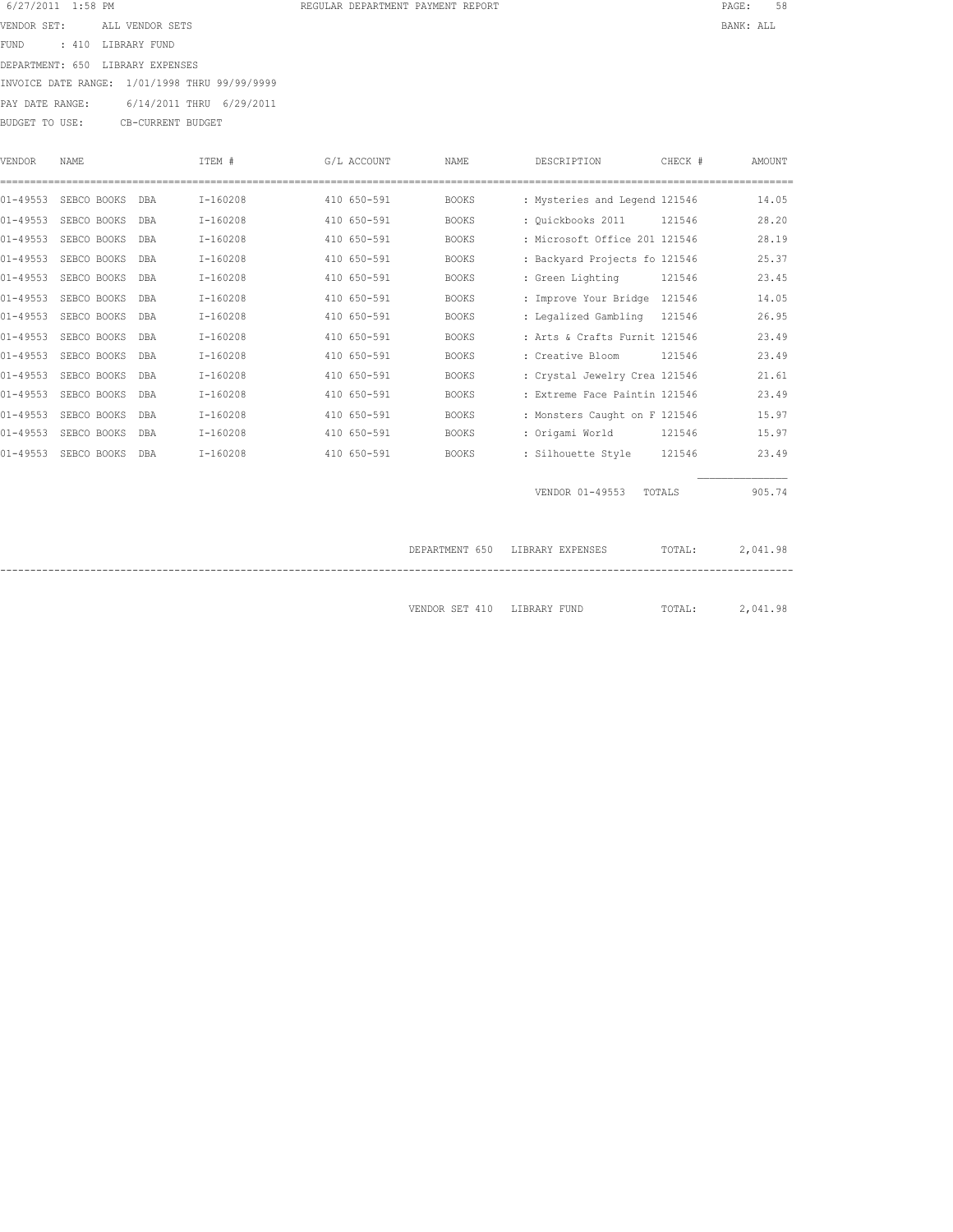| 6/27/2011 1:58 PM       |                                               | REGULAR DEPARTMENT PAYMENT REPORT | PAGE:     |
|-------------------------|-----------------------------------------------|-----------------------------------|-----------|
| VENDOR SET:             | ALL VENDOR SETS                               |                                   | BANK: ALL |
| FUND : 410 LIBRARY FUND |                                               |                                   |           |
|                         | DEPARTMENT: 650 LIBRARY EXPENSES              |                                   |           |
|                         | INVOICE DATE RANGE: 1/01/1998 THRU 99/99/9999 |                                   |           |
|                         | PAY DATE RANGE: 6/14/2011 THRU 6/29/2011      |                                   |           |
| BUDGET TO USE:          | CB-CURRENT BUDGET                             |                                   |           |

| <b>VENDOR</b> | NAME        |            | ITEM #     | G/L ACCOUNT | <b>NAME</b>    | DESCRIPTION                   | CHECK # | AMOUNT   |
|---------------|-------------|------------|------------|-------------|----------------|-------------------------------|---------|----------|
| $01 - 49553$  | SEBCO BOOKS | DBA        | $I-160208$ | 410 650-591 | <b>BOOKS</b>   | : Mysteries and Legend 121546 |         | 14.05    |
| $01 - 49553$  | SEBCO BOOKS | DBA        | $I-160208$ | 410 650-591 | <b>BOOKS</b>   | : Ouickbooks 2011             | 121546  | 28.20    |
| $01 - 49553$  | SEBCO BOOKS | DBA        | $I-160208$ | 410 650-591 | <b>BOOKS</b>   | : Microsoft Office 201 121546 |         | 28.19    |
| $01 - 49553$  | SEBCO BOOKS | DBA        | $I-160208$ | 410 650-591 | <b>BOOKS</b>   | : Backyard Projects fo 121546 |         | 25.37    |
| $01 - 49553$  | SEBCO BOOKS | DBA        | $I-160208$ | 410 650-591 | <b>BOOKS</b>   | : Green Lighting              | 121546  | 23.45    |
| $01 - 49553$  | SEBCO BOOKS | DBA        | $I-160208$ | 410 650-591 | <b>BOOKS</b>   | : Improve Your Bridge 121546  |         | 14.05    |
| $01 - 49553$  | SEBCO BOOKS | DBA        | $I-160208$ | 410 650-591 | <b>BOOKS</b>   | : Legalized Gambling 121546   |         | 26.95    |
| $01 - 49553$  | SEBCO BOOKS | <b>DBA</b> | $I-160208$ | 410 650-591 | <b>BOOKS</b>   | : Arts & Crafts Furnit 121546 |         | 23.49    |
| $01 - 49553$  | SEBCO BOOKS | DBA        | $I-160208$ | 410 650-591 | <b>BOOKS</b>   | : Creative Bloom              | 121546  | 23.49    |
| $01 - 49553$  | SEBCO BOOKS | DBA        | $I-160208$ | 410 650-591 | <b>BOOKS</b>   | : Crystal Jewelry Crea 121546 |         | 21.61    |
| $01 - 49553$  | SEBCO BOOKS | DBA        | $I-160208$ | 410 650-591 | <b>BOOKS</b>   | : Extreme Face Paintin 121546 |         | 23.49    |
| $01 - 49553$  | SEBCO BOOKS | DBA        | $I-160208$ | 410 650-591 | <b>BOOKS</b>   | : Monsters Caught on F 121546 |         | 15.97    |
| $01 - 49553$  | SEBCO BOOKS | DBA        | $I-160208$ | 410 650-591 | <b>BOOKS</b>   | : Origami World               | 121546  | 15.97    |
| $01 - 49553$  | SEBCO BOOKS | DBA        | $I-160208$ | 410 650-591 | <b>BOOKS</b>   | : Silhouette Style            | 121546  | 23.49    |
|               |             |            |            |             |                | VENDOR 01-49553               | TOTALS  | 905.74   |
|               |             |            |            |             | DEPARTMENT 650 | LIBRARY EXPENSES              | TOTAL:  | 2,041.98 |

VENDOR SET 410 LIBRARY FUND TOTAL: 2,041.98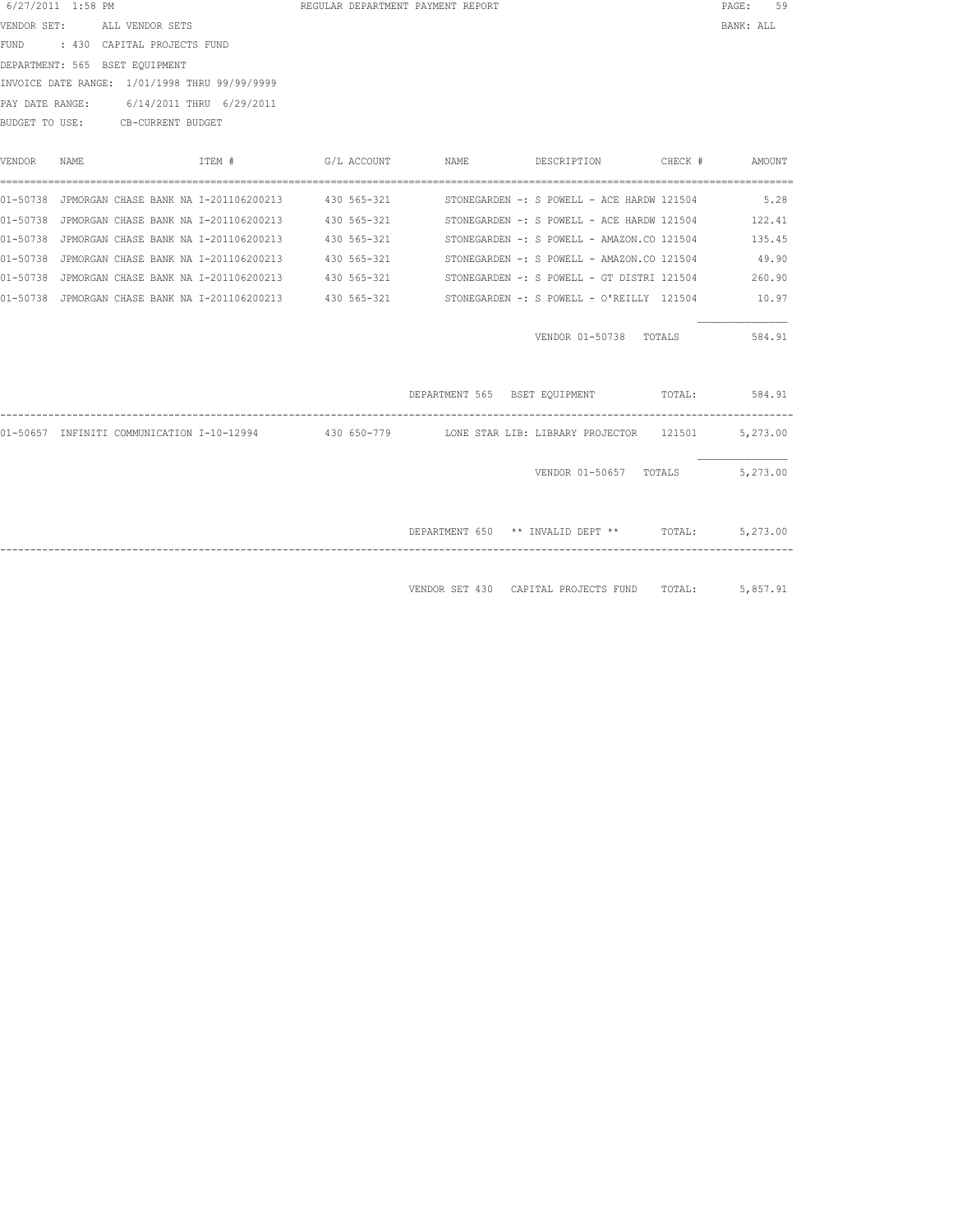| $6/27/2011$ 1:58 PM |                 |                                |                                                                                                                                                              | REGULAR DEPARTMENT PAYMENT REPORT              |                                                                           |         | PAGE:<br>59                                                                                                                                                                                                                                                                                                                                                                                                                                                                                                                                                                                                                                                                                                                 |
|---------------------|-----------------|--------------------------------|--------------------------------------------------------------------------------------------------------------------------------------------------------------|------------------------------------------------|---------------------------------------------------------------------------|---------|-----------------------------------------------------------------------------------------------------------------------------------------------------------------------------------------------------------------------------------------------------------------------------------------------------------------------------------------------------------------------------------------------------------------------------------------------------------------------------------------------------------------------------------------------------------------------------------------------------------------------------------------------------------------------------------------------------------------------------|
| VENDOR SET:         | ALL VENDOR SETS |                                |                                                                                                                                                              |                                                |                                                                           |         | BANK: ALL                                                                                                                                                                                                                                                                                                                                                                                                                                                                                                                                                                                                                                                                                                                   |
|                     |                 |                                |                                                                                                                                                              |                                                |                                                                           |         |                                                                                                                                                                                                                                                                                                                                                                                                                                                                                                                                                                                                                                                                                                                             |
|                     |                 |                                |                                                                                                                                                              |                                                |                                                                           |         |                                                                                                                                                                                                                                                                                                                                                                                                                                                                                                                                                                                                                                                                                                                             |
|                     |                 |                                |                                                                                                                                                              |                                                |                                                                           |         |                                                                                                                                                                                                                                                                                                                                                                                                                                                                                                                                                                                                                                                                                                                             |
|                     |                 |                                |                                                                                                                                                              |                                                |                                                                           |         |                                                                                                                                                                                                                                                                                                                                                                                                                                                                                                                                                                                                                                                                                                                             |
|                     |                 |                                |                                                                                                                                                              |                                                |                                                                           |         |                                                                                                                                                                                                                                                                                                                                                                                                                                                                                                                                                                                                                                                                                                                             |
| NAME                |                 | ITEM #                         | G/L ACCOUNT                                                                                                                                                  | NAME                                           | DESCRIPTION                                                               | CHECK # | AMOUNT                                                                                                                                                                                                                                                                                                                                                                                                                                                                                                                                                                                                                                                                                                                      |
|                     |                 |                                |                                                                                                                                                              |                                                |                                                                           |         | 5.28                                                                                                                                                                                                                                                                                                                                                                                                                                                                                                                                                                                                                                                                                                                        |
|                     |                 |                                |                                                                                                                                                              |                                                |                                                                           |         | 122.41                                                                                                                                                                                                                                                                                                                                                                                                                                                                                                                                                                                                                                                                                                                      |
|                     |                 |                                |                                                                                                                                                              |                                                |                                                                           |         | 135.45                                                                                                                                                                                                                                                                                                                                                                                                                                                                                                                                                                                                                                                                                                                      |
|                     |                 |                                |                                                                                                                                                              |                                                |                                                                           |         | 49.90                                                                                                                                                                                                                                                                                                                                                                                                                                                                                                                                                                                                                                                                                                                       |
|                     |                 |                                |                                                                                                                                                              |                                                |                                                                           |         | 260.90                                                                                                                                                                                                                                                                                                                                                                                                                                                                                                                                                                                                                                                                                                                      |
|                     |                 |                                |                                                                                                                                                              |                                                |                                                                           |         | 10.97                                                                                                                                                                                                                                                                                                                                                                                                                                                                                                                                                                                                                                                                                                                       |
|                     |                 |                                |                                                                                                                                                              |                                                |                                                                           |         | 584.91                                                                                                                                                                                                                                                                                                                                                                                                                                                                                                                                                                                                                                                                                                                      |
|                     |                 |                                |                                                                                                                                                              |                                                |                                                                           | TOTAL:  | 584.91                                                                                                                                                                                                                                                                                                                                                                                                                                                                                                                                                                                                                                                                                                                      |
|                     |                 |                                |                                                                                                                                                              |                                                |                                                                           |         |                                                                                                                                                                                                                                                                                                                                                                                                                                                                                                                                                                                                                                                                                                                             |
|                     |                 |                                |                                                                                                                                                              |                                                |                                                                           |         | 5,273.00                                                                                                                                                                                                                                                                                                                                                                                                                                                                                                                                                                                                                                                                                                                    |
|                     |                 |                                |                                                                                                                                                              |                                                | DEPARTMENT 650 ** INVALID DEPT ** TOTAL:                                  |         | 5,273.00                                                                                                                                                                                                                                                                                                                                                                                                                                                                                                                                                                                                                                                                                                                    |
|                     |                 | DEPARTMENT: 565 BSET EQUIPMENT | : 430 CAPITAL PROJECTS FUND<br>INVOICE DATE RANGE: 1/01/1998 THRU 99/99/9999<br>PAY DATE RANGE: 6/14/2011 THRU 6/29/2011<br>BUDGET TO USE: CB-CURRENT BUDGET | 01-50738 JPMORGAN CHASE BANK NA I-201106200213 | 01-50738 JPMORGAN CHASE BANK NA I-201106200213 430 565-321<br>430 565-321 |         | 01-50738 JPMORGAN CHASE BANK NA I-201106200213 430 565-321 STONEGARDEN -: S POWELL - ACE HARDW 121504<br>01-50738 JPMORGAN CHASE BANK NA I-201106200213 430 565-321 STONEGARDEN -: S POWELL - ACE HARDW 121504<br>STONEGARDEN -: S POWELL - AMAZON.CO 121504<br>STONEGARDEN -: S POWELL - AMAZON.CO 121504<br>01-50738 JPMORGAN CHASE BANK NA I-201106200213 430 565-321 STONEGARDEN -: S POWELL - GT DISTRI 121504<br>01-50738 JPMORGAN CHASE BANK NA I-201106200213 430 565-321 STONEGARDEN -: S POWELL - O'REILLY 121504<br>VENDOR 01-50738 TOTALS<br>DEPARTMENT 565 BSET EQUIPMENT<br>01-50657 INFINITI COMMUNICATION I-10-12994 430 650-779 LONE STAR LIB: LIBRARY PROJECTOR 121501 5,273.00<br>VENDOR 01-50657 TOTALS |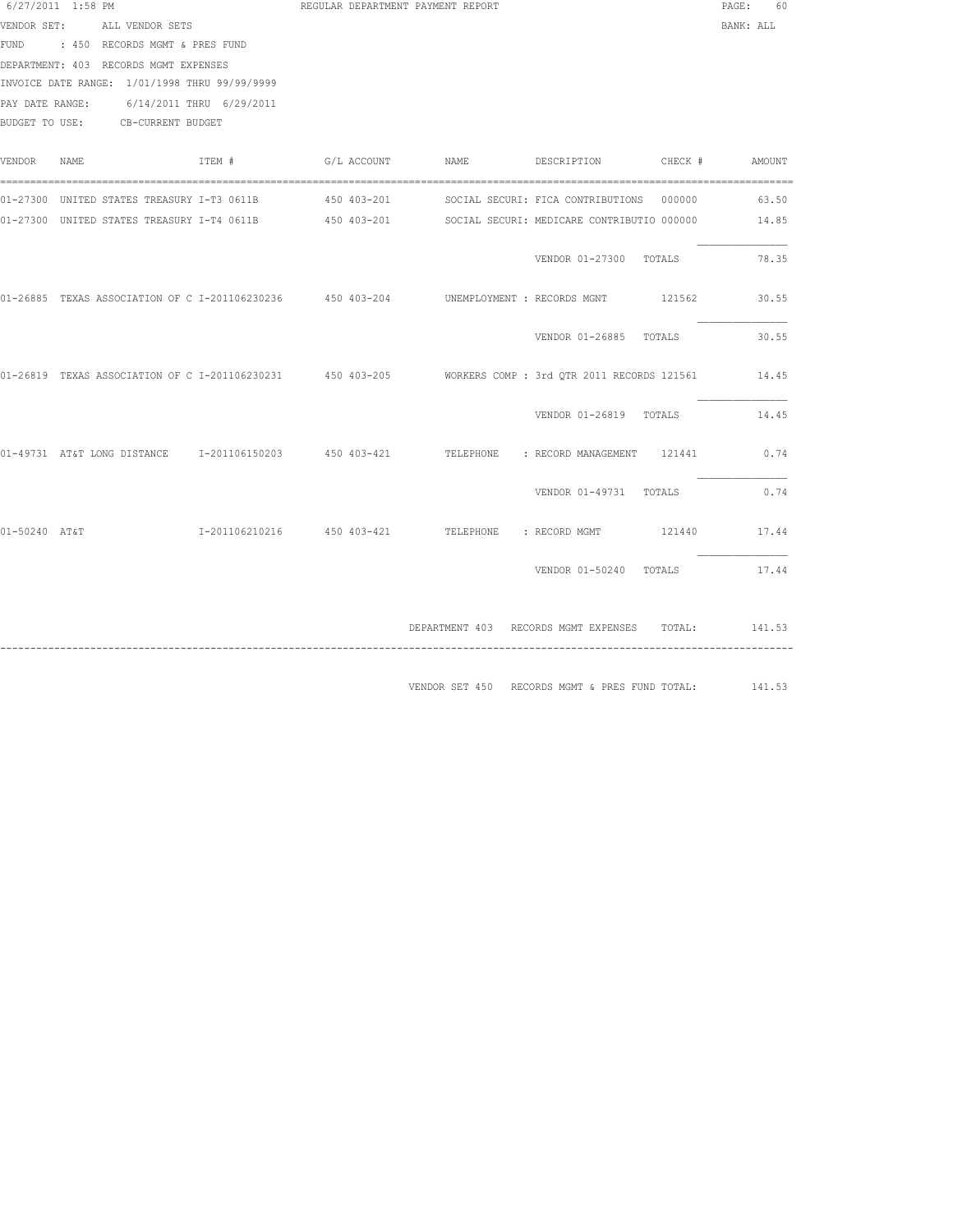|               | 6/27/2011 1:58 PM                             |        |  | REGULAR DEPARTMENT PAYMENT REPORT |                                                                                                            | PAGE: 60  |  |
|---------------|-----------------------------------------------|--------|--|-----------------------------------|------------------------------------------------------------------------------------------------------------|-----------|--|
|               | VENDOR SET: ALL VENDOR SETS                   |        |  |                                   |                                                                                                            | BANK: ALL |  |
|               | FUND : 450 RECORDS MGMT & PRES FUND           |        |  |                                   |                                                                                                            |           |  |
|               | DEPARTMENT: 403 RECORDS MGMT EXPENSES         |        |  |                                   |                                                                                                            |           |  |
|               | INVOICE DATE RANGE: 1/01/1998 THRU 99/99/9999 |        |  |                                   |                                                                                                            |           |  |
|               | PAY DATE RANGE: 6/14/2011 THRU 6/29/2011      |        |  |                                   |                                                                                                            |           |  |
|               | BUDGET TO USE: CB-CURRENT BUDGET              |        |  |                                   |                                                                                                            |           |  |
| VENDOR NAME   |                                               | ITEM # |  |                                   | G/L ACCOUNT NAME DESCRIPTION CHECK # AMOUNT                                                                |           |  |
|               | 01-27300 UNITED STATES TREASURY I-T3 0611B    |        |  |                                   | 450 403-201 SOCIAL SECURI: FICA CONTRIBUTIONS 000000                                                       | 63.50     |  |
|               |                                               |        |  |                                   | 01-27300 UNITED STATES TREASURY I-T4 0611B 450 403-201 SOCIAL SECURI: MEDICARE CONTRIBUTIO 000000          | 14.85     |  |
|               |                                               |        |  |                                   | VENDOR 01-27300 TOTALS                                                                                     | 78.35     |  |
|               |                                               |        |  |                                   | 01-26885 TEXAS ASSOCIATION OF C I-201106230236 450 403-204 UNEMPLOYMENT : RECORDS MGNT 121562 30.55        |           |  |
|               |                                               |        |  |                                   | VENDOR 01-26885 TOTALS                                                                                     | 30.55     |  |
|               |                                               |        |  |                                   | 01-26819 TEXAS ASSOCIATION OF C I-201106230231 450 403-205 WORKERS COMP: 3rd OTR 2011 RECORDS 121561 14.45 |           |  |
|               |                                               |        |  |                                   | VENDOR 01-26819 TOTALS                                                                                     | 14.45     |  |
|               |                                               |        |  |                                   | 01-49731 AT&T LONG DISTANCE 1-201106150203 450 403-421 TELEPHONE : RECORD MANAGEMENT 121441                | 0.74      |  |
|               |                                               |        |  |                                   | VENDOR 01-49731 TOTALS                                                                                     | 0.74      |  |
| 01-50240 AT&T |                                               |        |  |                                   | I-201106210216  450 403-421  TELEPHONE : RECORD MGMT  121440  17.44                                        |           |  |
|               |                                               |        |  |                                   | VENDOR 01-50240 TOTALS 17.44                                                                               |           |  |
|               |                                               |        |  |                                   | DEPARTMENT 403 RECORDS MGMT EXPENSES TOTAL: 141.53                                                         |           |  |
|               |                                               |        |  |                                   | VENDOR SET 450 RECORDS MGMT & PRES FUND TOTAL:                                                             | 141.53    |  |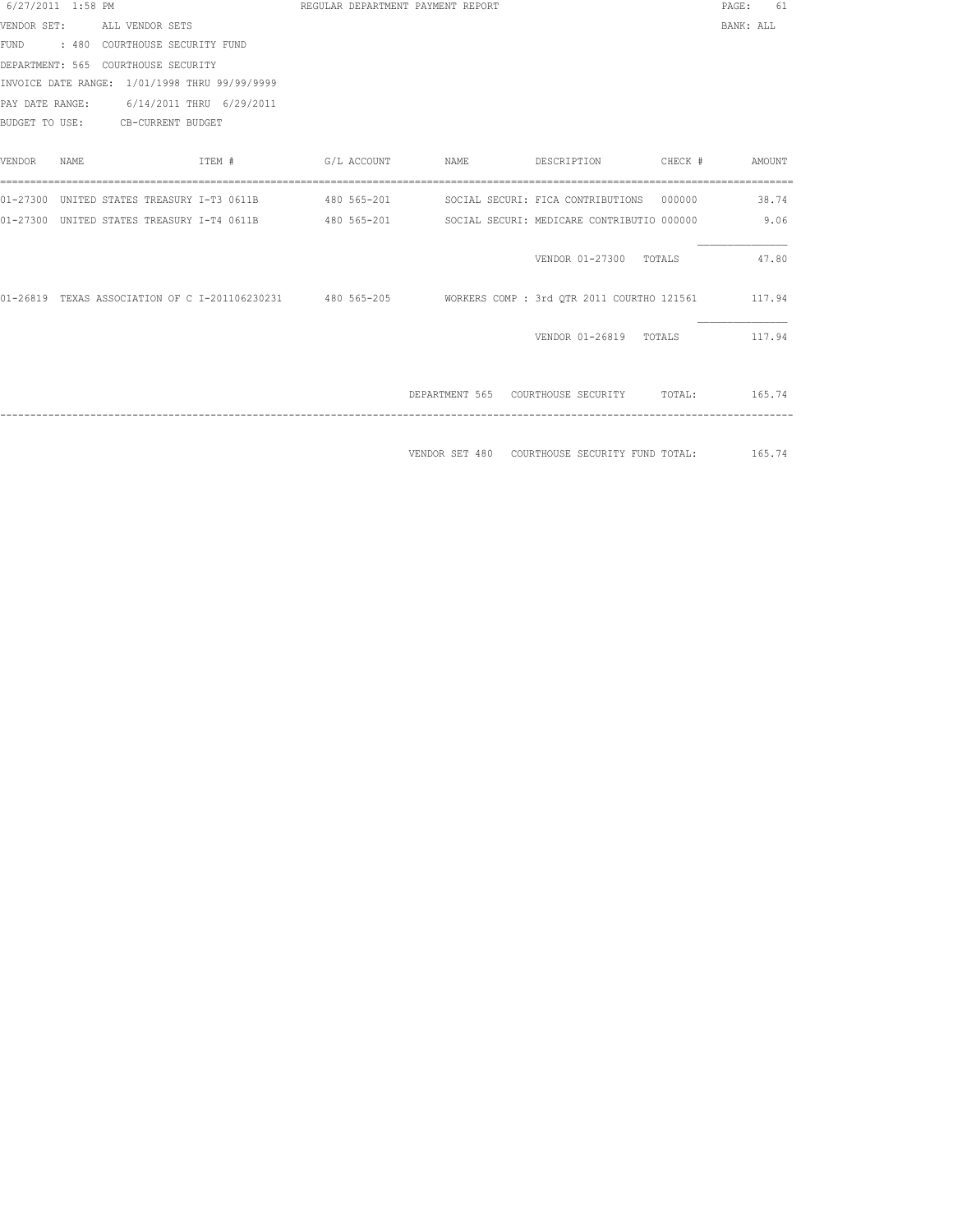| 6/27/2011 1:58 PM |      |                                                            |        |  | REGULAR DEPARTMENT PAYMENT REPORT |      |  |                                                                                                 |        |         | PAGE:     | 61     |  |
|-------------------|------|------------------------------------------------------------|--------|--|-----------------------------------|------|--|-------------------------------------------------------------------------------------------------|--------|---------|-----------|--------|--|
| VENDOR SET:       |      | ALL VENDOR SETS                                            |        |  |                                   |      |  |                                                                                                 |        |         | BANK: ALL |        |  |
|                   |      | FUND : 480 COURTHOUSE SECURITY FUND                        |        |  |                                   |      |  |                                                                                                 |        |         |           |        |  |
|                   |      | DEPARTMENT: 565 COURTHOUSE SECURITY                        |        |  |                                   |      |  |                                                                                                 |        |         |           |        |  |
|                   |      | INVOICE DATE RANGE: 1/01/1998 THRU 99/99/9999              |        |  |                                   |      |  |                                                                                                 |        |         |           |        |  |
|                   |      | PAY DATE RANGE: 6/14/2011 THRU 6/29/2011                   |        |  |                                   |      |  |                                                                                                 |        |         |           |        |  |
|                   |      | BUDGET TO USE: CB-CURRENT BUDGET                           |        |  |                                   |      |  |                                                                                                 |        |         |           |        |  |
|                   |      |                                                            |        |  |                                   |      |  |                                                                                                 |        |         |           |        |  |
| <b>VENDOR</b>     | NAME |                                                            | ITEM # |  | G/L ACCOUNT                       | NAME |  | DESCRIPTION                                                                                     |        | CHECK # |           | AMOUNT |  |
|                   |      |                                                            |        |  |                                   |      |  |                                                                                                 |        |         |           |        |  |
|                   |      |                                                            |        |  |                                   |      |  | 01-27300 UNITED STATES TREASURY I-T3 0611B 480 565-201 SOCIAL SECURI: FICA CONTRIBUTIONS 000000 |        |         |           | 38.74  |  |
|                   |      | 01-27300 UNITED STATES TREASURY I-T4 0611B 480 565-201     |        |  |                                   |      |  | SOCIAL SECURI: MEDICARE CONTRIBUTIO 000000                                                      |        |         |           | 9.06   |  |
|                   |      |                                                            |        |  |                                   |      |  |                                                                                                 |        |         |           |        |  |
|                   |      |                                                            |        |  |                                   |      |  | VENDOR 01-27300                                                                                 | TOTALS |         |           | 47.80  |  |
|                   |      |                                                            |        |  |                                   |      |  |                                                                                                 |        |         |           |        |  |
|                   |      | 01-26819 TEXAS ASSOCIATION OF C I-201106230231 480 565-205 |        |  |                                   |      |  | WORKERS COMP : 3rd OTR 2011 COURTHO 121561 117.94                                               |        |         |           |        |  |
|                   |      |                                                            |        |  |                                   |      |  |                                                                                                 |        |         |           |        |  |
|                   |      |                                                            |        |  |                                   |      |  | VENDOR 01-26819 TOTALS                                                                          |        |         |           | 117.94 |  |
|                   |      |                                                            |        |  |                                   |      |  |                                                                                                 |        |         |           |        |  |
|                   |      |                                                            |        |  |                                   |      |  |                                                                                                 |        |         |           |        |  |
|                   |      |                                                            |        |  |                                   |      |  | DEPARTMENT 565 COURTHOUSE SECURITY TOTAL:                                                       |        |         | 165.74    |        |  |
|                   |      |                                                            |        |  |                                   |      |  |                                                                                                 |        |         |           |        |  |
|                   |      |                                                            |        |  |                                   |      |  |                                                                                                 |        |         |           |        |  |
|                   |      |                                                            |        |  |                                   |      |  | VENDOR SET 480 COURTHOUSE SECURITY FUND TOTAL: 165.74                                           |        |         |           |        |  |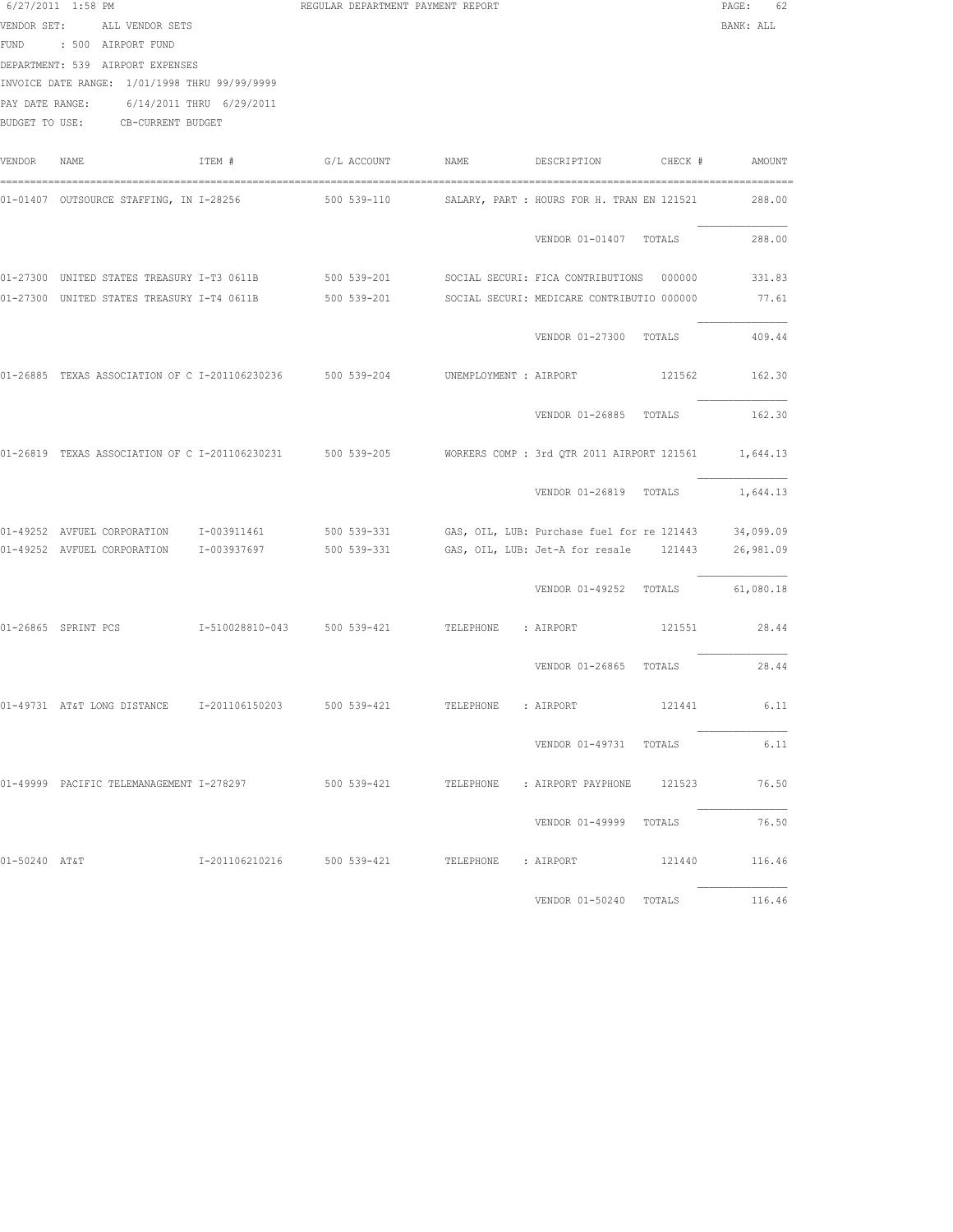| VENDOR SET:<br>PAY DATE RANGE: | 6/27/2011 1:58 PM<br>ALL VENDOR SETS<br>FUND : 500 AIRPORT FUND<br>DEPARTMENT: 539 AIRPORT EXPENSES<br>INVOICE DATE RANGE: 1/01/1998 THRU 99/99/9999<br>6/14/2011 THRU 6/29/2011<br>BUDGET TO USE: CB-CURRENT BUDGET |        | REGULAR DEPARTMENT PAYMENT REPORT               |                     |                                                                                                 | $\mathtt{PAGE}$ :<br>62<br>BANK: ALL |
|--------------------------------|----------------------------------------------------------------------------------------------------------------------------------------------------------------------------------------------------------------------|--------|-------------------------------------------------|---------------------|-------------------------------------------------------------------------------------------------|--------------------------------------|
| VENDOR                         | NAME                                                                                                                                                                                                                 | ITEM # | G/L ACCOUNT                                     | NAME                | DESCRIPTION<br>CHECK #                                                                          | AMOUNT                               |
|                                |                                                                                                                                                                                                                      |        |                                                 |                     | SALARY, PART : HOURS FOR H. TRAN EN 121521                                                      | 288.00                               |
|                                |                                                                                                                                                                                                                      |        |                                                 |                     | VENDOR 01-01407 TOTALS                                                                          | 288.00                               |
|                                |                                                                                                                                                                                                                      |        |                                                 |                     | 01-27300 UNITED STATES TREASURY I-T3 0611B 500 539-201 SOCIAL SECURI: FICA CONTRIBUTIONS 000000 | 331.83                               |
|                                | 01-27300 UNITED STATES TREASURY I-T4 0611B                                                                                                                                                                           |        |                                                 |                     | 500 539-201 SOCIAL SECURI: MEDICARE CONTRIBUTIO 000000                                          | 77.61                                |
|                                |                                                                                                                                                                                                                      |        |                                                 |                     | VENDOR 01-27300 TOTALS                                                                          | 409.44                               |
|                                | 01-26885 TEXAS ASSOCIATION OF C I-201106230236 500 539-204                                                                                                                                                           |        |                                                 |                     | UNEMPLOYMENT : AIRPORT<br>121562                                                                | 162.30                               |
|                                |                                                                                                                                                                                                                      |        |                                                 |                     | VENDOR 01-26885 TOTALS                                                                          | 162.30                               |
|                                | 01-26819 TEXAS ASSOCIATION OF C I-201106230231 500 539-205                                                                                                                                                           |        |                                                 |                     | WORKERS COMP : 3rd QTR 2011 AIRPORT 121561                                                      | 1,644.13                             |
|                                |                                                                                                                                                                                                                      |        |                                                 |                     | VENDOR 01-26819 TOTALS                                                                          | 1,644.13                             |
|                                | 01-49252 AVFUEL CORPORATION I-003911461                                                                                                                                                                              |        | 500 539-331                                     |                     | GAS, OIL, LUB: Purchase fuel for re 121443                                                      | 34,099.09                            |
|                                | 01-49252 AVFUEL CORPORATION 1-003937697                                                                                                                                                                              |        | 500 539-331                                     |                     | GAS, OIL, LUB: Jet-A for resale 121443                                                          | 26,981.09                            |
|                                |                                                                                                                                                                                                                      |        |                                                 |                     | VENDOR 01-49252 TOTALS 61,080.18                                                                |                                      |
|                                | 01-26865 SPRINT PCS                                                                                                                                                                                                  |        | I-510028810-043 500 539-421 TELEPHONE : AIRPORT |                     | 121551                                                                                          | 28.44                                |
|                                |                                                                                                                                                                                                                      |        |                                                 |                     | VENDOR 01-26865 TOTALS                                                                          | 28.44                                |
|                                |                                                                                                                                                                                                                      |        |                                                 | TELEPHONE : AIRPORT | 121441                                                                                          | 6.11                                 |
|                                |                                                                                                                                                                                                                      |        |                                                 |                     | VENDOR 01-49731 TOTALS                                                                          | 6.11                                 |
|                                | 01-49999 PACIFIC TELEMANAGEMENT I-278297                                                                                                                                                                             |        |                                                 |                     | 500 539-421 TELEPHONE : AIRPORT PAYPHONE 121523 76.50                                           |                                      |
|                                |                                                                                                                                                                                                                      |        |                                                 |                     | VENDOR 01-49999 TOTALS                                                                          | 76.50                                |
| 01-50240 AT&T                  |                                                                                                                                                                                                                      |        | I-201106210216 500 539-421 TELEPHONE : AIRPORT  |                     | 121440 116.46                                                                                   |                                      |

VENDOR 01-50240 TOTALS 116.46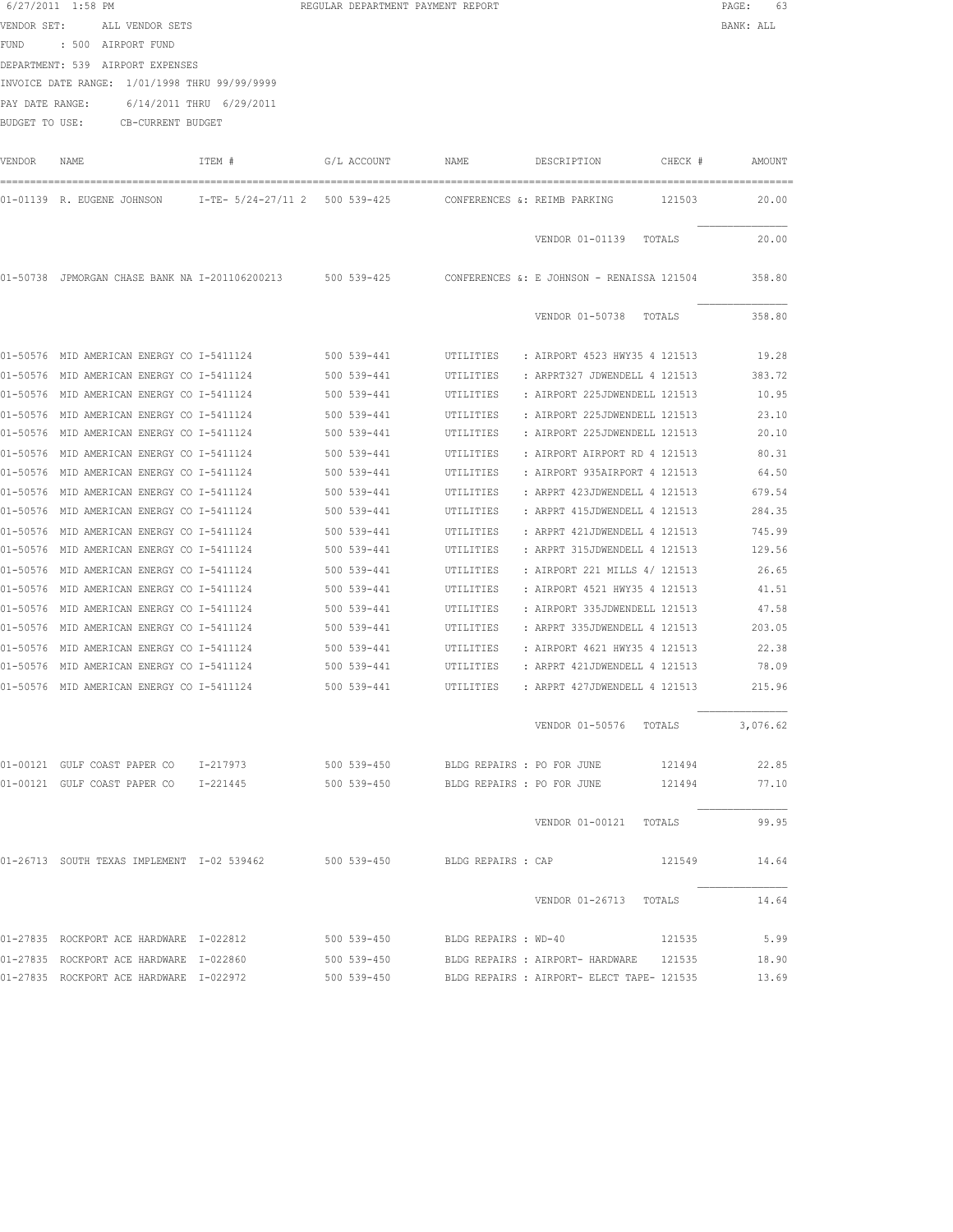|             | 6/27/2011 1:58 PM                                               | REGULAR DEPARTMENT PAYMENT REPORT |                       |                                                                                                              | PAGE: 63  |
|-------------|-----------------------------------------------------------------|-----------------------------------|-----------------------|--------------------------------------------------------------------------------------------------------------|-----------|
|             | VENDOR SET: ALL VENDOR SETS                                     |                                   |                       |                                                                                                              | BANK: ALL |
|             | FUND : 500 AIRPORT FUND                                         |                                   |                       |                                                                                                              |           |
|             | DEPARTMENT: 539 AIRPORT EXPENSES                                |                                   |                       |                                                                                                              |           |
|             | INVOICE DATE RANGE: 1/01/1998 THRU 99/99/9999                   |                                   |                       |                                                                                                              |           |
|             | PAY DATE RANGE: 6/14/2011 THRU 6/29/2011                        |                                   |                       |                                                                                                              |           |
|             | BUDGET TO USE: CB-CURRENT BUDGET                                |                                   |                       |                                                                                                              |           |
|             |                                                                 |                                   |                       |                                                                                                              |           |
| VENDOR NAME |                                                                 |                                   |                       | ITEM # G/L ACCOUNT NAME DESCRIPTION CHECK #                                                                  | AMOUNT    |
|             |                                                                 |                                   |                       | 01-01139 R. EUGENE JOHNSON 1-TE- 5/24-27/11 2 500 539-425 CONFERENCES &: REIMB PARKING 121503 20.00          |           |
|             |                                                                 |                                   |                       |                                                                                                              |           |
|             |                                                                 |                                   |                       | VENDOR 01-01139 TOTALS                                                                                       | 20.00     |
|             |                                                                 |                                   |                       | 01-50738 JPMORGAN CHASE BANK NA I-201106200213 500 539-425 CONFERENCES &: E JOHNSON - RENAISSA 121504 358.80 |           |
|             |                                                                 |                                   |                       | VENDOR 01-50738 TOTALS                                                                                       | 358.80    |
|             |                                                                 |                                   |                       | 01-50576 MID AMERICAN ENERGY CO I-5411124 500 539-441 UTILITIES : AIRPORT 4523 HWY35 4 121513 19.28          |           |
|             | 01-50576 MID AMERICAN ENERGY CO I-5411124 500 539-441           |                                   |                       | : ARPRT327 JDWENDELL 4 121513 383.72<br>UTILITIES                                                            |           |
|             | 01-50576 MID AMERICAN ENERGY CO I-5411124                       |                                   | 500 539-441           | : AIRPORT 225JDWENDELL 121513<br>UTILITIES                                                                   | 10.95     |
|             | 01-50576 MID AMERICAN ENERGY CO I-5411124                       |                                   | 500 539-441           | : AIRPORT 225JDWENDELL 121513<br>UTILITIES                                                                   | 23.10     |
|             | 01-50576 MID AMERICAN ENERGY CO I-5411124                       |                                   | 500 539-441           | UTILITIES<br>: AIRPORT 225JDWENDELL 121513                                                                   | 20.10     |
|             | 01-50576 MID AMERICAN ENERGY CO I-5411124                       |                                   | 500 539-441           | UTILITIES<br>: AIRPORT AIRPORT RD 4 121513                                                                   | 80.31     |
|             | 01-50576 MID AMERICAN ENERGY CO I-5411124                       |                                   | 500 539-441           | : AIRPORT 935AIRPORT 4 121513<br>UTILITIES                                                                   | 64.50     |
|             | 01-50576 MID AMERICAN ENERGY CO I-5411124                       |                                   | 500 539-441           | UTILITIES<br>: ARPRT 423JDWENDELL 4 121513                                                                   | 679.54    |
|             | 01-50576 MID AMERICAN ENERGY CO I-5411124 500 539-441 UTILITIES |                                   |                       | : ARPRT 415JDWENDELL 4 121513                                                                                | 284.35    |
|             | 01-50576 MID AMERICAN ENERGY CO I-5411124 500 539-441 UTILITIES |                                   |                       | : ARPRT 421JDWENDELL 4 121513                                                                                | 745.99    |
|             | 01-50576 MID AMERICAN ENERGY CO I-5411124 500 539-441 UTILITIES |                                   |                       | : ARPRT 315JDWENDELL 4 121513 129.56                                                                         |           |
|             | 01-50576 MID AMERICAN ENERGY CO I-5411124 500 539-441 UTILITIES |                                   |                       | : AIRPORT 221 MILLS 4/ 121513 26.65                                                                          |           |
|             | 01-50576 MID AMERICAN ENERGY CO I-5411124 500 539-441 UTILITIES |                                   |                       | : AIRPORT 4521 HWY35 4 121513 41.51                                                                          |           |
|             | 01-50576 MID AMERICAN ENERGY CO I-5411124                       |                                   | 500 539-441 UTILITIES | : AIRPORT 335JDWENDELL 121513                                                                                | 47.58     |
|             | 01-50576 MID AMERICAN ENERGY CO I-5411124                       |                                   | 500 539-441 UTILITIES | : ARPRT 335JDWENDELL 4 121513 203.05                                                                         |           |
|             | 01-50576 MID AMERICAN ENERGY CO I-5411124                       |                                   | 500 539-441           | UTILITIES<br>: AIRPORT 4621 HWY35 4 121513                                                                   | 22.38     |
|             | 01-50576 MID AMERICAN ENERGY CO I-5411124                       |                                   | 500 539-441           | UTILITIES : ARPRT 421JDWENDELL 4 121513                                                                      | 78.09     |
|             | 01-50576 MID AMERICAN ENERGY CO I-5411124                       |                                   | 500 539-441           | UTILITIES<br>: ARPRT 427JDWENDELL 4 121513                                                                   | 215.96    |
|             |                                                                 |                                   |                       | VENDOR 01-50576 TOTALS 3,076.62                                                                              |           |
|             |                                                                 |                                   |                       | 01-00121 GULF COAST PAPER CO 1-217973 500 539-450 BLDG REPAIRS : PO FOR JUNE 121494                          | 22.85     |
|             |                                                                 |                                   |                       | 01-00121 GULF COAST PAPER CO 1-221445 500 539-450 BLDG REPAIRS : PO FOR JUNE 121494 77.10                    |           |
|             |                                                                 |                                   |                       | VENDOR 01-00121 TOTALS 99.95                                                                                 |           |
|             |                                                                 |                                   |                       | 01-26713 SOUTH TEXAS IMPLEMENT 1-02 539462 500 539-450 BLDG REPAIRS : CAP<br>121549                          | 14.64     |
|             |                                                                 |                                   |                       | VENDOR 01-26713 TOTALS                                                                                       | 14.64     |
|             | 01-27835 ROCKPORT ACE HARDWARE I-022812 500 539-450             |                                   |                       | BLDG REPAIRS : WD-40 121535                                                                                  | 5.99      |
|             | 01-27835 ROCKPORT ACE HARDWARE I-022860                         |                                   |                       | 500 539-450 BLDG REPAIRS: AIRPORT- HARDWARE 121535 18.90                                                     |           |
|             |                                                                 |                                   |                       | 01-27835 ROCKPORT ACE HARDWARE 1-022972 500 539-450 BLDG REPAIRS : AIRPORT- ELECT TAPE- 121535 13.69         |           |
|             |                                                                 |                                   |                       |                                                                                                              |           |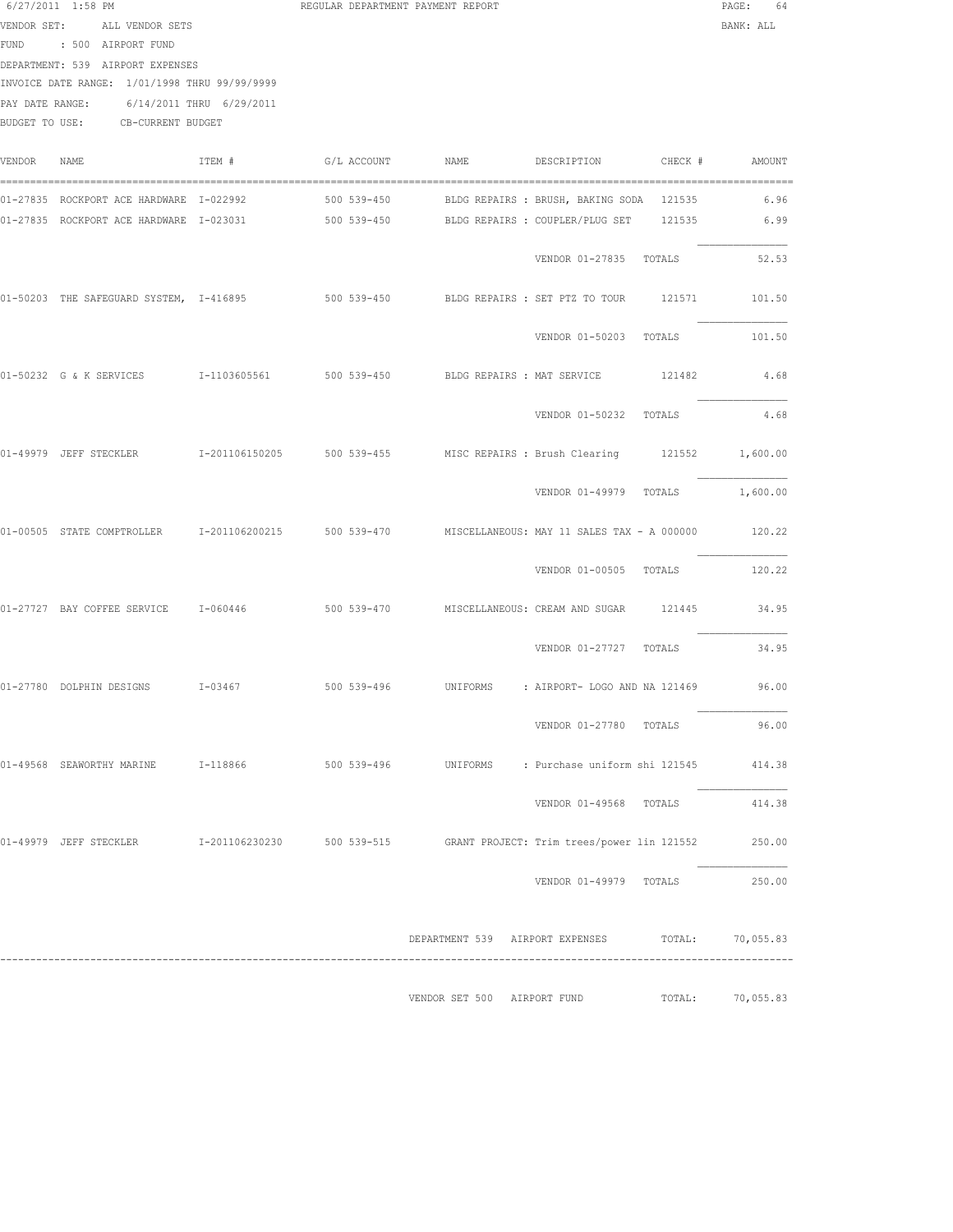|                 | VENDOR SET: ALL VENDOR SETS<br>FUND : 500 AIRPORT FUND                      |                          |             |                             |                                                                                                  | BANK: ALL |
|-----------------|-----------------------------------------------------------------------------|--------------------------|-------------|-----------------------------|--------------------------------------------------------------------------------------------------|-----------|
|                 | DEPARTMENT: 539 AIRPORT EXPENSES                                            |                          |             |                             |                                                                                                  |           |
|                 | INVOICE DATE RANGE: 1/01/1998 THRU 99/99/9999                               |                          |             |                             |                                                                                                  |           |
| PAY DATE RANGE: | BUDGET TO USE: CB-CURRENT BUDGET                                            | 6/14/2011 THRU 6/29/2011 |             |                             |                                                                                                  |           |
| VENDOR NAME     |                                                                             | ITEM #                   | G/L ACCOUNT | <b>NAME</b>                 | DESCRIPTION<br>CHECK #                                                                           | AMOUNT    |
|                 | 01-27835 ROCKPORT ACE HARDWARE I-022992                                     |                          |             |                             |                                                                                                  | 6.96      |
|                 |                                                                             |                          |             |                             | 01-27835 ROCKPORT ACE HARDWARE 1-023031 500 539-450 BLDG REPAIRS : COUPLER/PLUG SET 121535 6.99  |           |
|                 |                                                                             |                          |             |                             | VENDOR 01-27835 TOTALS                                                                           | 52.53     |
|                 |                                                                             |                          |             |                             | 01-50203 THE SAFEGUARD SYSTEM, I-416895 500 539-450 BLDG REPAIRS: SET PTZ TO TOUR 121571 101.50  |           |
|                 |                                                                             |                          |             |                             | VENDOR 01-50203 TOTALS                                                                           | 101.50    |
|                 | 01-50232 G & K SERVICES 1-1103605561 500 539-450 BLDG REPAIRS : MAT SERVICE |                          |             |                             | 121482                                                                                           | 4.68      |
|                 |                                                                             |                          |             |                             | VENDOR 01-50232 TOTALS                                                                           | 4.68      |
|                 |                                                                             |                          |             |                             | 01-49979 JEFF STECKLER 1-201106150205 500 539-455 MISC REPAIRS : Brush Clearing 121552 1,600.00  |           |
|                 |                                                                             |                          |             |                             | VENDOR 01-49979 TOTALS 1,600.00                                                                  |           |
|                 |                                                                             |                          |             |                             | 01-00505 STATE COMPTROLLER 1-201106200215 500 539-470 MISCELLANEOUS: MAY 11 SALES TAX - A 000000 | 120.22    |
|                 |                                                                             |                          |             |                             | VENDOR 01-00505 TOTALS                                                                           | 120.22    |
|                 |                                                                             |                          |             |                             | 01-27727 BAY COFFEE SERVICE 1-060446 500 539-470 MISCELLANEOUS: CREAM AND SUGAR 121445           | 34.95     |
|                 |                                                                             |                          |             |                             | VENDOR 01-27727 TOTALS                                                                           | 34.95     |
|                 |                                                                             |                          |             |                             |                                                                                                  |           |
|                 |                                                                             |                          |             |                             | VENDOR 01-27780 TOTALS                                                                           | 96.00     |
|                 | 01-49568 SEAWORTHY MARINE 1-118866                                          |                          |             |                             | 500 539-496     UNIFORMS     : Purchase uniform shi 121545                                       | 414.38    |
|                 |                                                                             |                          |             |                             | VENDOR 01-49568 TOTALS                                                                           | 414.38    |
|                 |                                                                             |                          |             |                             | 01-49979 JEFF STECKLER 1-201106230230 500 539-515 GRANT PROJECT: Trim trees/power lin 121552     | 250.00    |
|                 |                                                                             |                          |             |                             | VENDOR 01-49979 TOTALS                                                                           | 250.00    |
|                 |                                                                             |                          |             |                             | DEPARTMENT 539 AIRPORT EXPENSES TOTAL: 70,055.83                                                 |           |
|                 |                                                                             |                          |             | VENDOR SET 500 AIRPORT FUND | TOTAL:                                                                                           | 70,055.83 |

6/27/2011 1:58 PM **REGULAR DEPARTMENT PAYMENT REPORT PAGE:** 64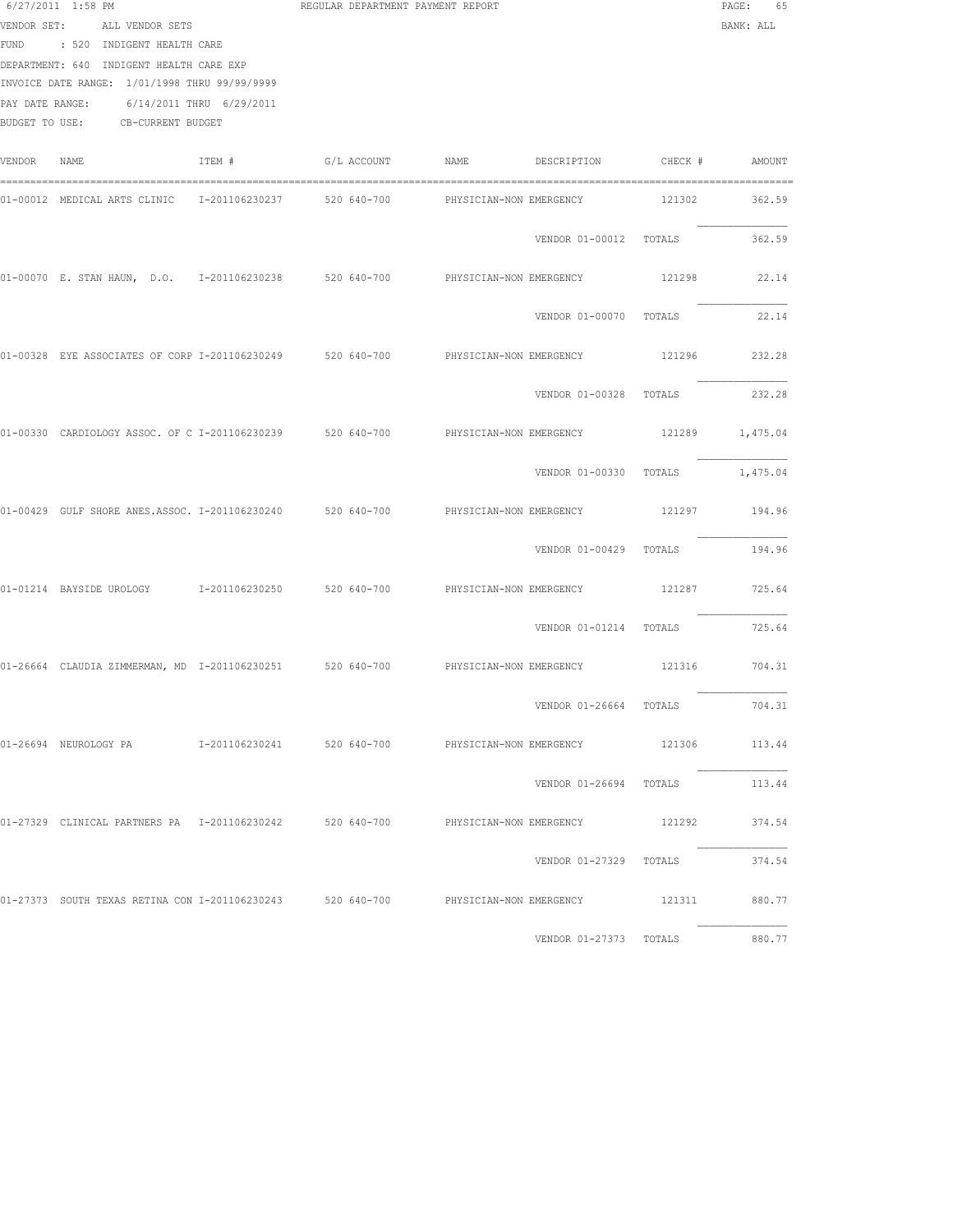|        | 6/27/2011 1:58 PM<br>VENDOR SET: ALL VENDOR SETS<br>FUND : 520 INDIGENT HEALTH CARE<br>DEPARTMENT: 640 INDIGENT HEALTH CARE EXP<br>INVOICE DATE RANGE: 1/01/1998 THRU 99/99/9999<br>PAY DATE RANGE: 6/14/2011 THRU 6/29/2011<br>BUDGET TO USE: CB-CURRENT BUDGET |        | REGULAR DEPARTMENT PAYMENT REPORT |                                                                                                    |                                 | $\texttt{PAGE}$ :<br>65<br>BANK: ALL |
|--------|------------------------------------------------------------------------------------------------------------------------------------------------------------------------------------------------------------------------------------------------------------------|--------|-----------------------------------|----------------------------------------------------------------------------------------------------|---------------------------------|--------------------------------------|
| VENDOR | NAME                                                                                                                                                                                                                                                             | ITEM # | G/L ACCOUNT NAME                  |                                                                                                    | DESCRIPTION CHECK #             | AMOUNT                               |
|        | 01-00012 MEDICAL ARTS CLINIC 1-201106230237 520 640-700                                                                                                                                                                                                          |        |                                   | PHYSICIAN-NON EMERGENCY                                                                            | 121302                          | 362.59                               |
|        |                                                                                                                                                                                                                                                                  |        |                                   | VENDOR 01-00012 TOTALS                                                                             |                                 | 362.59                               |
|        |                                                                                                                                                                                                                                                                  |        |                                   | 01-00070 E. STAN HAUN, D.O. I-201106230238 520 640-700 PHYSICIAN-NON EMERGENCY                     |                                 | 121298 22.14                         |
|        |                                                                                                                                                                                                                                                                  |        |                                   |                                                                                                    | VENDOR 01-00070 TOTALS          | 22.14                                |
|        |                                                                                                                                                                                                                                                                  |        |                                   | 01-00328 EYE ASSOCIATES OF CORP I-201106230249 520 640-700 PHYSICIAN-NON EMERGENCY                 | 121296                          | 232.28                               |
|        |                                                                                                                                                                                                                                                                  |        |                                   |                                                                                                    | VENDOR 01-00328 TOTALS          | 232.28                               |
|        |                                                                                                                                                                                                                                                                  |        |                                   | 01-00330 CARDIOLOGY ASSOC. OF C I-201106230239 520 640-700 PHYSICIAN-NON EMERGENCY 121289 1,475.04 |                                 |                                      |
|        |                                                                                                                                                                                                                                                                  |        |                                   |                                                                                                    | VENDOR 01-00330 TOTALS 1,475.04 |                                      |
|        |                                                                                                                                                                                                                                                                  |        |                                   | 01-00429 GULF SHORE ANES.ASSOC. I-201106230240 520 640-700 PHYSICIAN-NON EMERGENCY                 |                                 | 121297 194.96                        |
|        |                                                                                                                                                                                                                                                                  |        |                                   | VENDOR 01-00429 TOTALS                                                                             |                                 | 194.96                               |
|        |                                                                                                                                                                                                                                                                  |        |                                   | 01-01214 BAYSIDE UROLOGY 1-201106230250 520 640-700 PHYSICIAN-NON EMERGENCY                        | 121287                          | 725.64                               |
|        |                                                                                                                                                                                                                                                                  |        |                                   | VENDOR 01-01214 TOTALS                                                                             |                                 | 725.64                               |
|        |                                                                                                                                                                                                                                                                  |        |                                   | 01-26664 CLAUDIA ZIMMERMAN, MD I-201106230251 520 640-700 PHYSICIAN-NON EMERGENCY 121316 704.31    |                                 |                                      |
|        |                                                                                                                                                                                                                                                                  |        |                                   |                                                                                                    | VENDOR 01-26664 TOTALS          | 704.31                               |
|        |                                                                                                                                                                                                                                                                  |        |                                   |                                                                                                    |                                 |                                      |
|        |                                                                                                                                                                                                                                                                  |        |                                   |                                                                                                    | VENDOR 01-26694 TOTALS          | 113.44                               |
|        |                                                                                                                                                                                                                                                                  |        |                                   | 01-27329 CLINICAL PARTNERS PA 1-201106230242 520 640-700 PHYSICIAN-NON EMERGENCY 121292 374.54     |                                 |                                      |
|        |                                                                                                                                                                                                                                                                  |        |                                   |                                                                                                    | VENDOR 01-27329 TOTALS 374.54   |                                      |
|        |                                                                                                                                                                                                                                                                  |        |                                   | 01-27373 SOUTH TEXAS RETINA CON I-201106230243 520 640-700 PHYSICIAN-NON EMERGENCY 121311 880.77   |                                 |                                      |
|        |                                                                                                                                                                                                                                                                  |        |                                   |                                                                                                    | VENDOR 01-27373 TOTALS 880.77   |                                      |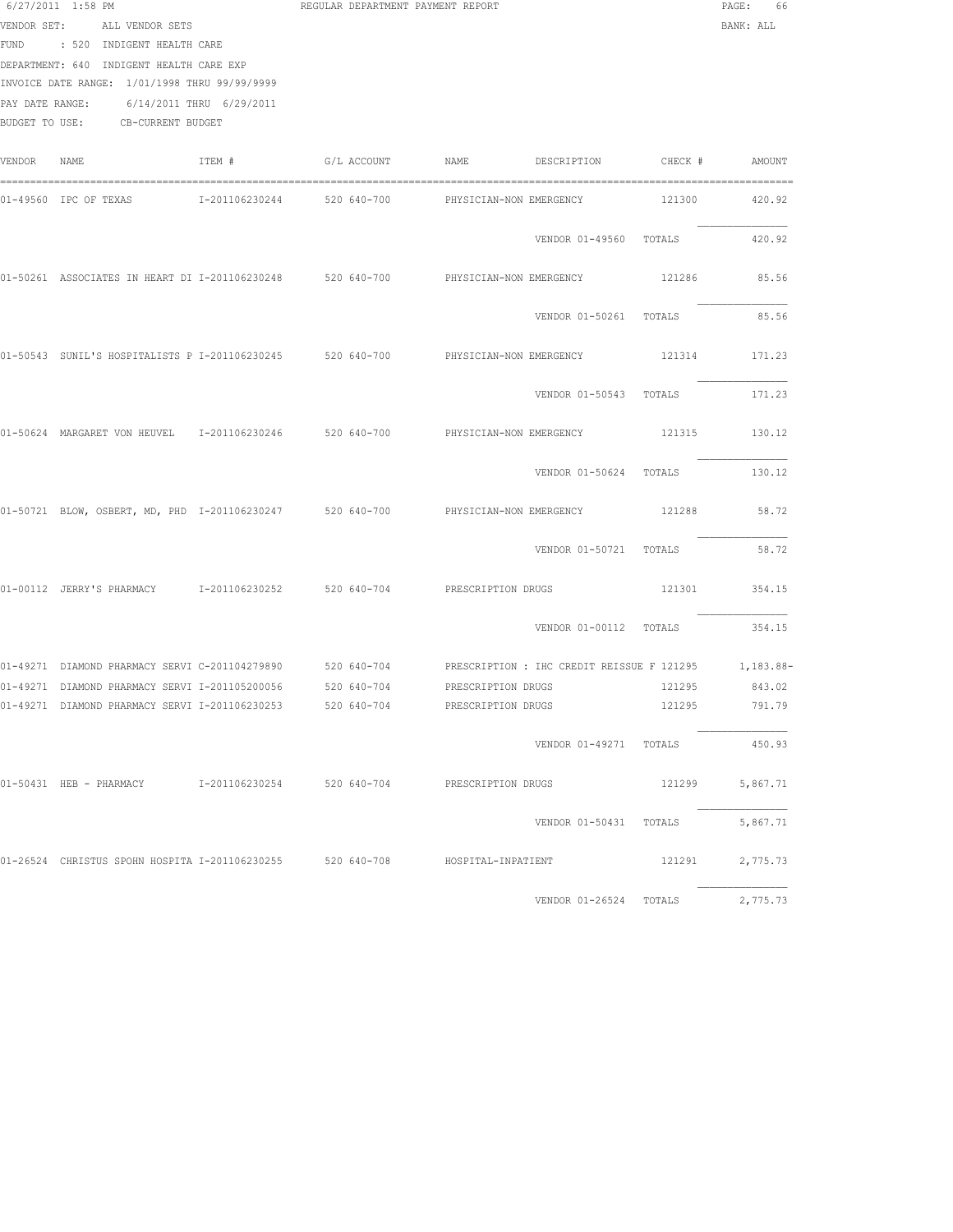|        | 6/27/2011 1:58 PM<br>VENDOR SET: ALL VENDOR SETS<br>FUND : 520 INDIGENT HEALTH CARE<br>DEPARTMENT: 640 INDIGENT HEALTH CARE EXP<br>INVOICE DATE RANGE: 1/01/1998 THRU 99/99/9999<br>PAY DATE RANGE: 6/14/2011 THRU 6/29/2011<br>BUDGET TO USE: CB-CURRENT BUDGET |                            | REGULAR DEPARTMENT PAYMENT REPORT |                         |                                       |        | PAGE:<br>66<br>BANK: ALL |
|--------|------------------------------------------------------------------------------------------------------------------------------------------------------------------------------------------------------------------------------------------------------------------|----------------------------|-----------------------------------|-------------------------|---------------------------------------|--------|--------------------------|
| VENDOR | NAME                                                                                                                                                                                                                                                             | ITEM #                     | G/L ACCOUNT                       | NAME                    | DESCRIPTION CHECK # AMOUNT            |        |                          |
|        | 01-49560 IPC OF TEXAS                                                                                                                                                                                                                                            | I-201106230244 520 640-700 |                                   | PHYSICIAN-NON EMERGENCY |                                       | 121300 | 420.92                   |
|        |                                                                                                                                                                                                                                                                  |                            |                                   |                         | VENDOR 01-49560 TOTALS                |        | 420.92                   |
|        | 01-50261 ASSOCIATES IN HEART DI I-201106230248 520 640-700                                                                                                                                                                                                       |                            |                                   | PHYSICIAN-NON EMERGENCY |                                       | 121286 | 85.56                    |
|        |                                                                                                                                                                                                                                                                  |                            |                                   |                         | VENDOR 01-50261 TOTALS                |        | 85.56                    |
|        | 01-50543 SUNIL'S HOSPITALISTS P I-201106230245 520 640-700 PHYSICIAN-NON EMERGENCY                                                                                                                                                                               |                            |                                   |                         |                                       | 121314 | 171.23                   |
|        |                                                                                                                                                                                                                                                                  |                            |                                   |                         | VENDOR 01-50543 TOTALS                |        | 171.23                   |
|        | 01-50624 MARGARET VON HEUVEL 1-201106230246 520 640-700                                                                                                                                                                                                          |                            |                                   |                         | PHYSICIAN-NON EMERGENCY 121315 130.12 |        |                          |
|        |                                                                                                                                                                                                                                                                  |                            |                                   |                         | VENDOR 01-50624 TOTALS                |        | 130.12                   |
|        | 01-50721 BLOW, OSBERT, MD, PHD I-201106230247 520 640-700 PHYSICIAN-NON EMERGENCY                                                                                                                                                                                |                            |                                   |                         |                                       | 121288 | 58.72                    |
|        |                                                                                                                                                                                                                                                                  |                            |                                   |                         | VENDOR 01-50721 TOTALS                |        | 58.72                    |
|        | 01-00112 JERRY'S PHARMACY 1-201106230252 520 640-704 PRESCRIPTION DRUGS                                                                                                                                                                                          |                            |                                   |                         |                                       | 121301 | 354.15                   |
|        |                                                                                                                                                                                                                                                                  |                            |                                   |                         | VENDOR 01-00112 TOTALS                |        | 354.15                   |
|        | 01-49271 DIAMOND PHARMACY SERVI C-201104279890 520 640-704 PRESCRIPTION: IHC CREDIT REISSUE F 121295 1,183.88-                                                                                                                                                   |                            |                                   |                         |                                       |        |                          |
|        | 01-49271 DIAMOND PHARMACY SERVI I-201105200056 520 640-704 PRESCRIPTION DRUGS                                                                                                                                                                                    |                            |                                   |                         |                                       |        | 121295 843.02            |
|        | 01-49271 DIAMOND PHARMACY SERVI I-201106230253 520 640-704                                                                                                                                                                                                       |                            |                                   | PRESCRIPTION DRUGS      |                                       | 121295 | 791.79                   |
|        |                                                                                                                                                                                                                                                                  |                            |                                   |                         | VENDOR 01-49271 TOTALS                |        | 450.93                   |
|        | 01-50431 HEB - PHARMACY 1-201106230254 520 640-704 PRESCRIPTION DRUGS                                                                                                                                                                                            |                            |                                   |                         |                                       | 121299 | 5,867.71                 |
|        |                                                                                                                                                                                                                                                                  |                            |                                   |                         | VENDOR 01-50431 TOTALS                |        | 5,867.71                 |
|        | 01-26524 CHRISTUS SPOHN HOSPITA I-201106230255 520 640-708 HOSPITAL-INPATIENT                                                                                                                                                                                    |                            |                                   |                         |                                       | 121291 | 2,775.73                 |
|        |                                                                                                                                                                                                                                                                  |                            |                                   |                         | VENDOR 01-26524 TOTALS 2,775.73       |        |                          |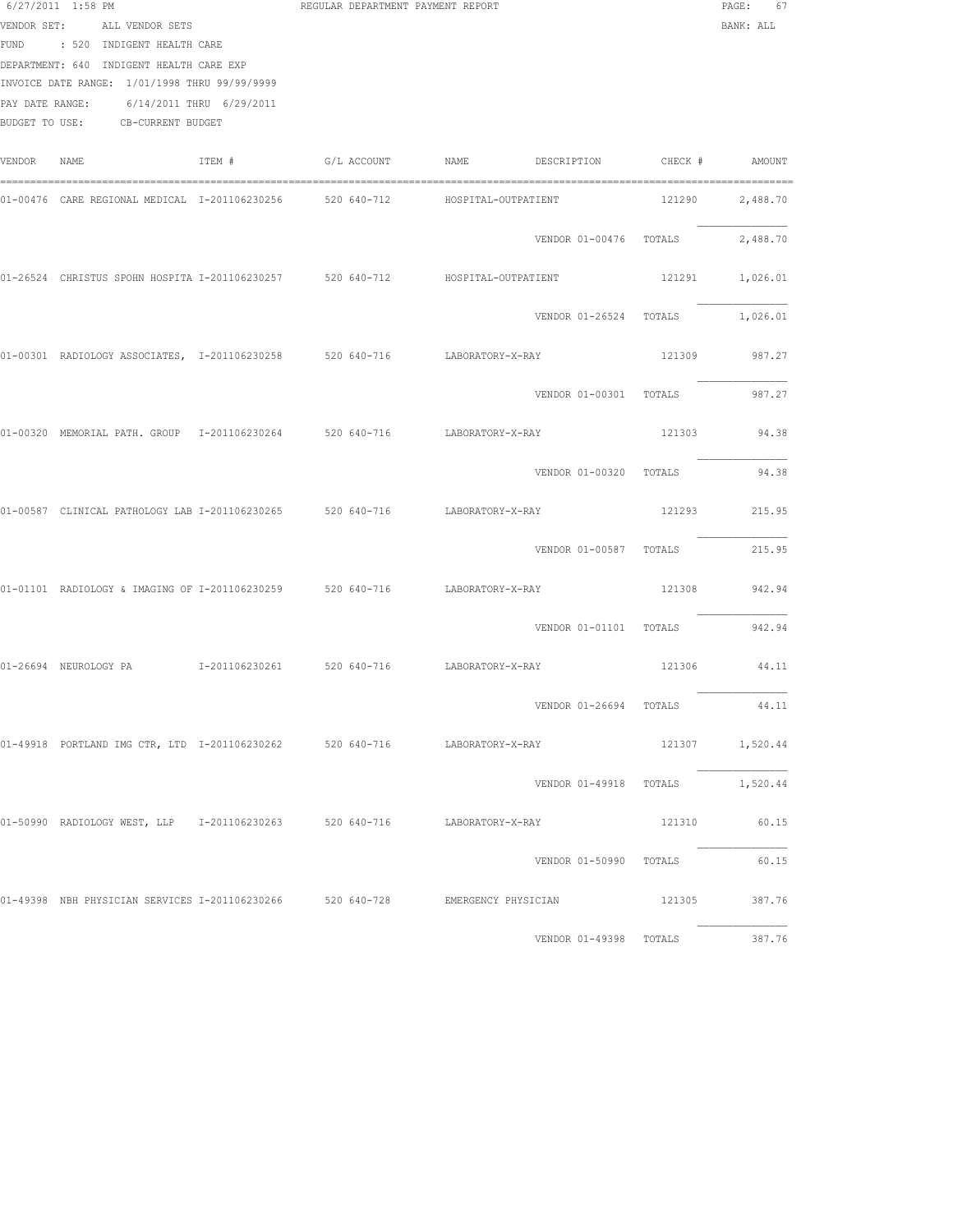|        | 6/27/2011 1:58 PM<br>VENDOR SET: ALL VENDOR SETS<br>FUND : 520 INDIGENT HEALTH CARE<br>DEPARTMENT: 640 INDIGENT HEALTH CARE EXP<br>INVOICE DATE RANGE: 1/01/1998 THRU 99/99/9999<br>PAY DATE RANGE: 6/14/2011 THRU 6/29/2011<br>BUDGET TO USE: CB-CURRENT BUDGET |        |  | REGULAR DEPARTMENT PAYMENT REPORT |                                 |        | PAGE: 67<br>BANK: ALL |
|--------|------------------------------------------------------------------------------------------------------------------------------------------------------------------------------------------------------------------------------------------------------------------|--------|--|-----------------------------------|---------------------------------|--------|-----------------------|
| VENDOR | NAME                                                                                                                                                                                                                                                             | ITEM # |  |                                   |                                 |        |                       |
|        | 01-00476 CARE REGIONAL MEDICAL 1-201106230256 520 640-712 HOSPITAL-OUTPATIENT                                                                                                                                                                                    |        |  |                                   |                                 | 121290 | 2,488.70              |
|        |                                                                                                                                                                                                                                                                  |        |  |                                   | VENDOR 01-00476 TOTALS 2,488.70 |        |                       |
|        | 01-26524 CHRISTUS SPOHN HOSPITA I-201106230257 520 640-712 HOSPITAL-OUTPATIENT                                                                                                                                                                                   |        |  |                                   |                                 |        | 121291 1,026.01       |
|        |                                                                                                                                                                                                                                                                  |        |  |                                   | VENDOR 01-26524 TOTALS          |        | 1,026.01              |
|        | 01-00301 RADIOLOGY ASSOCIATES, I-201106230258 520 640-716 LABORATORY-X-RAY                                                                                                                                                                                       |        |  |                                   |                                 | 121309 | 987.27                |
|        |                                                                                                                                                                                                                                                                  |        |  |                                   | VENDOR 01-00301 TOTALS          |        | 987.27                |
|        | 01-00320 MEMORIAL PATH. GROUP 1-201106230264 520 640-716 LABORATORY-X-RAY                                                                                                                                                                                        |        |  |                                   |                                 |        | 121303 94.38          |
|        |                                                                                                                                                                                                                                                                  |        |  |                                   | VENDOR 01-00320 TOTALS          |        | 94.38                 |
|        | 01-00587 CLINICAL PATHOLOGY LAB I-201106230265 520 640-716 LABORATORY-X-RAY                                                                                                                                                                                      |        |  |                                   |                                 |        | 121293 215.95         |
|        |                                                                                                                                                                                                                                                                  |        |  |                                   | VENDOR 01-00587 TOTALS          |        | 215.95                |
|        | 01-01101 RADIOLOGY & IMAGING OF I-201106230259 520 640-716 LABORATORY-X-RAY                                                                                                                                                                                      |        |  |                                   |                                 |        | 121308 942.94         |
|        |                                                                                                                                                                                                                                                                  |        |  |                                   | VENDOR 01-01101 TOTALS          |        | 942.94                |
|        |                                                                                                                                                                                                                                                                  |        |  |                                   |                                 |        | 121306 44.11          |
|        |                                                                                                                                                                                                                                                                  |        |  |                                   | VENDOR 01-26694 TOTALS          |        | 44.11                 |
|        | 01-49918 PORTLAND IMG CTR, LTD I-201106230262 520 640-716 LABORATORY-X-RAY                                                                                                                                                                                       |        |  |                                   |                                 |        | 121307 1,520.44       |
|        |                                                                                                                                                                                                                                                                  |        |  |                                   | VENDOR 01-49918 TOTALS 1,520.44 |        |                       |
|        | 01-50990 RADIOLOGYWEST, LLP 1-201106230263 520 640-716 LABORATORY-X-RAY                                                                                                                                                                                          |        |  |                                   |                                 |        | 121310 60.15          |
|        |                                                                                                                                                                                                                                                                  |        |  |                                   | VENDOR 01-50990 TOTALS          |        | 60.15                 |
|        | 01-49398 NBH PHYSICIAN SERVICES I-201106230266 520 640-728 EMERGENCY PHYSICIAN                                                                                                                                                                                   |        |  |                                   |                                 |        | 121305 387.76         |
|        |                                                                                                                                                                                                                                                                  |        |  |                                   | VENDOR 01-49398 TOTALS 387.76   |        |                       |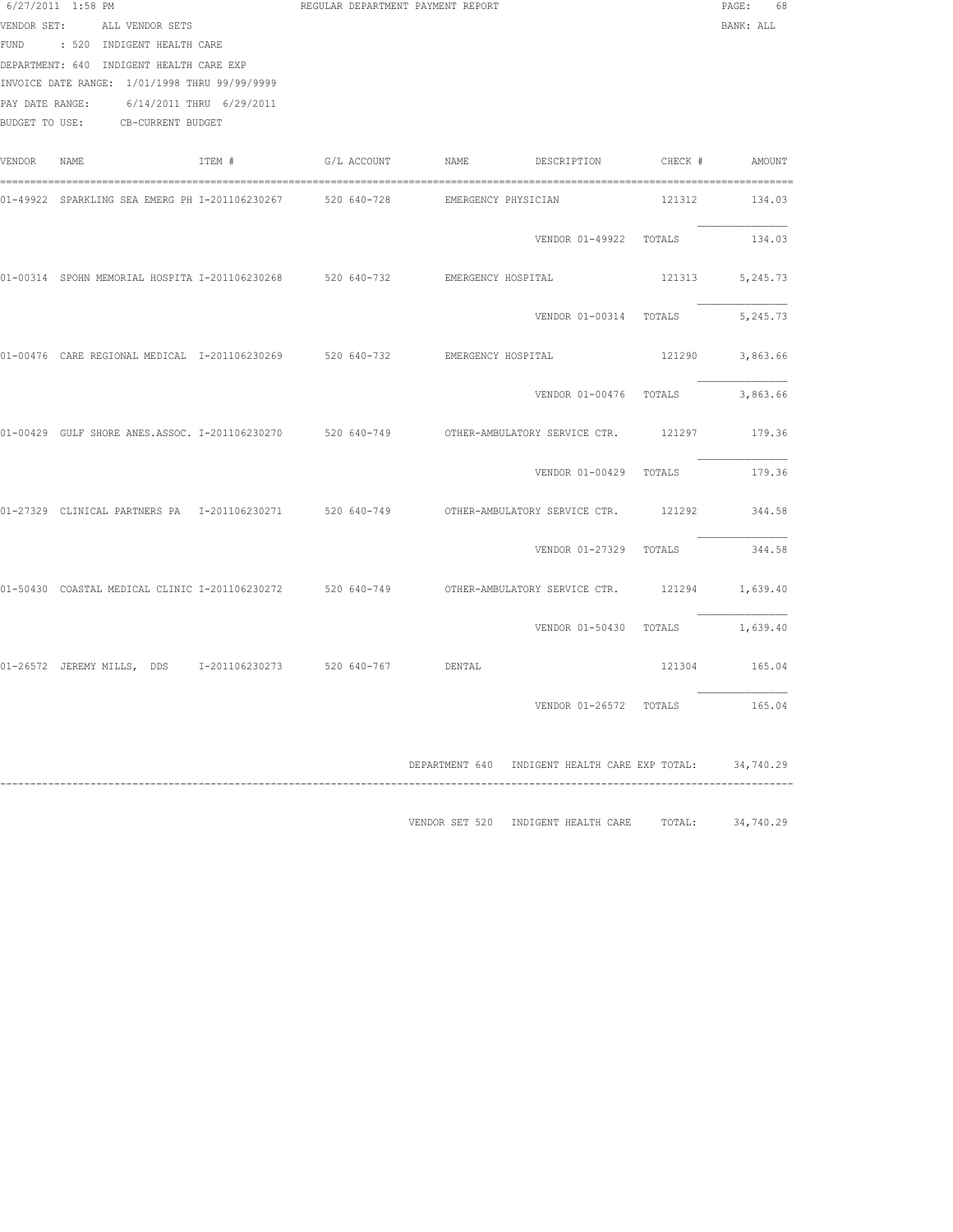|             | 6/27/2011 1:58 PM<br>VENDOR SET: ALL VENDOR SETS<br>FUND : 520 INDIGENT HEALTH CARE<br>DEPARTMENT: 640 INDIGENT HEALTH CARE EXP<br>INVOICE DATE RANGE: 1/01/1998 THRU 99/99/9999<br>PAY DATE RANGE: 6/14/2011 THRU 6/29/2011<br>BUDGET TO USE: CB-CURRENT BUDGET |        |  | REGULAR DEPARTMENT PAYMENT REPORT |                                                      | PAGE: 68<br>BANK: ALL       |
|-------------|------------------------------------------------------------------------------------------------------------------------------------------------------------------------------------------------------------------------------------------------------------------|--------|--|-----------------------------------|------------------------------------------------------|-----------------------------|
| VENDOR NAME |                                                                                                                                                                                                                                                                  | TTEM # |  |                                   |                                                      |                             |
|             | 01-49922 SPARKLING SEA EMERG PH I-201106230267 520 640-728 EMERGENCY PHYSICIAN                                                                                                                                                                                   |        |  |                                   |                                                      | 121312 134.03               |
|             |                                                                                                                                                                                                                                                                  |        |  |                                   | VENDOR 01-49922 TOTALS                               | 134.03                      |
|             | 01-00314 SPOHN MEMORIAL HOSPITA I-201106230268 520 640-732 EMERGENCY HOSPITAL                                                                                                                                                                                    |        |  |                                   |                                                      | 121313 5,245.73             |
|             |                                                                                                                                                                                                                                                                  |        |  |                                   | VENDOR 01-00314 TOTALS                               | 5,245.73                    |
|             | 01-00476 CARE REGIONAL MEDICAL I-201106230269 520 640-732 EMERGENCY HOSPITAL                                                                                                                                                                                     |        |  |                                   |                                                      | 121290 3,863.66             |
|             |                                                                                                                                                                                                                                                                  |        |  |                                   | VENDOR 01-00476 TOTALS 3,863.66                      |                             |
|             | 01-00429 GULF SHORE ANES.ASSOC. I-201106230270 520 640-749 OTHER-AMBULATORY SERVICE CTR. 121297 179.36                                                                                                                                                           |        |  |                                   |                                                      |                             |
|             |                                                                                                                                                                                                                                                                  |        |  |                                   | VENDOR 01-00429 TOTALS 179.36                        |                             |
|             | 01-27329 CLINICAL PARTNERS PA 1-201106230271 520 640-749 OTHER-AMBULATORY SERVICE CTR.                                                                                                                                                                           |        |  |                                   |                                                      | 121292 344.58               |
|             |                                                                                                                                                                                                                                                                  |        |  |                                   | VENDOR 01-27329 TOTALS                               | 344.58                      |
|             | 01-50430 COASTAL MEDICAL CLINIC I-201106230272 520 640-749 OTHER-AMBULATORY SERVICE CTR. 121294 1,639.40                                                                                                                                                         |        |  |                                   |                                                      |                             |
|             |                                                                                                                                                                                                                                                                  |        |  |                                   | VENDOR 01-50430 TOTALS 1,639.40                      |                             |
|             | 01-26572 JEREMY MILLS, DDS 1-201106230273 520 640-767 DENTAL                                                                                                                                                                                                     |        |  |                                   |                                                      | 121304 165.04               |
|             |                                                                                                                                                                                                                                                                  |        |  |                                   | VENDOR 01-26572 TOTALS                               | 165.04                      |
|             |                                                                                                                                                                                                                                                                  |        |  |                                   | DEPARTMENT 640 INDIGENT HEALTH CARE EXP TOTAL:       | 34,740.29<br>-------------- |
|             |                                                                                                                                                                                                                                                                  |        |  |                                   | VENDOR SET 520 INDIGENT HEALTH CARE TOTAL: 34,740.29 |                             |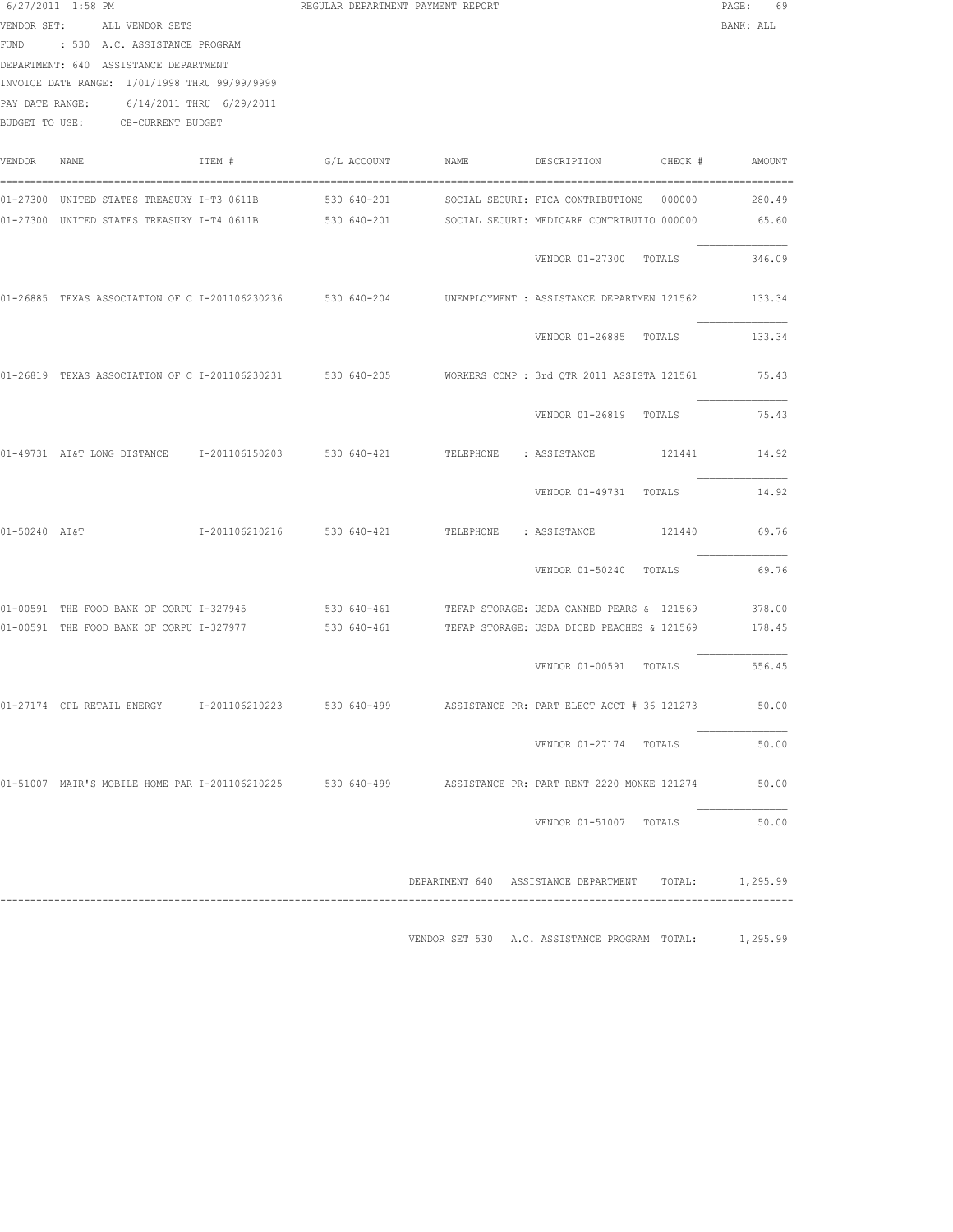|               | 6/27/2011 1:58 PM<br>VENDOR SET: ALL VENDOR SETS<br>FUND : 530 A.C. ASSISTANCE PROGRAM<br>DEPARTMENT: 640 ASSISTANCE DEPARTMENT<br>INVOICE DATE RANGE: 1/01/1998 THRU 99/99/9999<br>PAY DATE RANGE: 6/14/2011 THRU 6/29/2011<br>BUDGET TO USE: CB-CURRENT BUDGET |                            |             | REGULAR DEPARTMENT PAYMENT REPORT |                                                                                                                                               | PAGE:<br>69<br>BANK: ALL |
|---------------|------------------------------------------------------------------------------------------------------------------------------------------------------------------------------------------------------------------------------------------------------------------|----------------------------|-------------|-----------------------------------|-----------------------------------------------------------------------------------------------------------------------------------------------|--------------------------|
| VENDOR        | NAME                                                                                                                                                                                                                                                             | ITEM #                     | G/L ACCOUNT | <b>NAME</b>                       | DESCRIPTION                                                                                                                                   | $CHECK$ $#$<br>AMOUNT    |
|               | 01-27300 UNITED STATES TREASURY I-T3 0611B 530 640-201                                                                                                                                                                                                           |                            |             |                                   | SOCIAL SECURI: FICA CONTRIBUTIONS 000000<br>01-27300 UNITED STATES TREASURY I-T4 0611B 530 640-201 SOCIAL SECURI: MEDICARE CONTRIBUTIO 000000 | 280.49<br>65.60          |
|               |                                                                                                                                                                                                                                                                  |                            |             |                                   | VENDOR 01-27300 TOTALS                                                                                                                        | 346.09                   |
|               | 01-26885 TEXAS ASSOCIATION OF C I-201106230236 530 640-204                                                                                                                                                                                                       |                            |             |                                   | UNEMPLOYMENT : ASSISTANCE DEPARTMEN 121562                                                                                                    | 133.34                   |
|               |                                                                                                                                                                                                                                                                  |                            |             |                                   | VENDOR 01-26885 TOTALS                                                                                                                        | 133.34                   |
|               |                                                                                                                                                                                                                                                                  |                            |             |                                   | 01-26819 TEXAS ASSOCIATION OF C I-201106230231 530 640-205 WORKERS COMP : 3rd OTR 2011 ASSISTA 121561                                         | 75.43                    |
|               |                                                                                                                                                                                                                                                                  |                            |             |                                   | VENDOR 01-26819 TOTALS                                                                                                                        | 75.43                    |
|               | 01-49731 AT&T LONG DISTANCE 1-201106150203 530 640-421                                                                                                                                                                                                           |                            |             |                                   | TELEPHONE : ASSISTANCE 121441                                                                                                                 | 14.92                    |
|               |                                                                                                                                                                                                                                                                  |                            |             |                                   | VENDOR 01-49731 TOTALS                                                                                                                        | 14.92                    |
| 01-50240 AT&T |                                                                                                                                                                                                                                                                  | I-201106210216 530 640-421 |             |                                   | TELEPHONE : ASSISTANCE<br>121440                                                                                                              | 69.76                    |
|               |                                                                                                                                                                                                                                                                  |                            |             |                                   | VENDOR 01-50240 TOTALS                                                                                                                        | 69.76                    |
|               | 01-00591 THE FOOD BANK OF CORPU I-327945<br>01-00591 THE FOOD BANK OF CORPU I-327977                                                                                                                                                                             |                            |             |                                   | 530 640-461 TEFAP STORAGE: USDA CANNED PEARS & 121569<br>530 640-461 TEFAP STORAGE: USDA DICED PEACHES & 121569                               | 378.00<br>178.45         |
|               |                                                                                                                                                                                                                                                                  |                            |             |                                   | VENDOR 01-00591 TOTALS                                                                                                                        | 556.45                   |
|               | 01-27174 CPL RETAIL ENERGY 1-201106210223 530 640-499                                                                                                                                                                                                            |                            |             |                                   | ASSISTANCE PR: PART ELECT ACCT # 36 121273                                                                                                    | 50.00                    |
|               |                                                                                                                                                                                                                                                                  |                            |             |                                   | VENDOR 01-27174 TOTALS                                                                                                                        | 50.00                    |
|               |                                                                                                                                                                                                                                                                  |                            |             |                                   | 01-51007 MAIR'S MOBILE HOME PAR I-201106210225 530 640-499 ASSISTANCE PR: PART RENT 2220 MONKE 121274                                         | 50.00                    |
|               |                                                                                                                                                                                                                                                                  |                            |             |                                   | VENDOR 01-51007 TOTALS                                                                                                                        | 50.00                    |
|               |                                                                                                                                                                                                                                                                  |                            |             |                                   | DEPARTMENT 640 ASSISTANCE DEPARTMENT TOTAL: 1,295.99                                                                                          |                          |
|               |                                                                                                                                                                                                                                                                  |                            |             |                                   | VENDOR SET 530 A.C. ASSISTANCE PROGRAM TOTAL: 1,295.99                                                                                        |                          |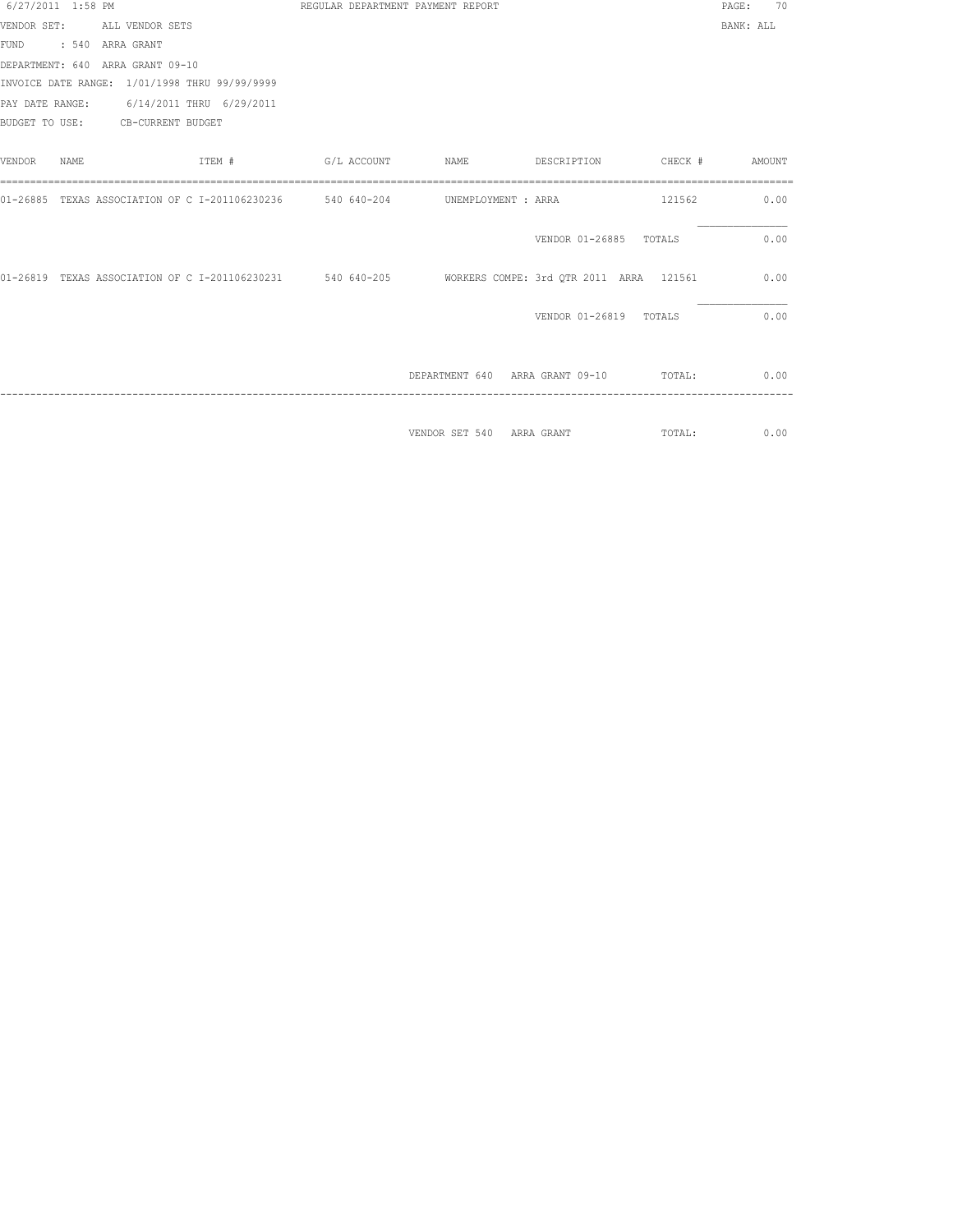| 6/27/2011 1:58 PM |       |                                                                                                         | REGULAR DEPARTMENT PAYMENT REPORT |                                        |                        |        | 70<br>PAGE: |
|-------------------|-------|---------------------------------------------------------------------------------------------------------|-----------------------------------|----------------------------------------|------------------------|--------|-------------|
|                   |       | VENDOR SET: ALL VENDOR SETS                                                                             |                                   |                                        |                        |        | BANK: ALL   |
|                   |       | FUND : 540 ARRA GRANT                                                                                   |                                   |                                        |                        |        |             |
|                   |       | DEPARTMENT: 640 ARRA GRANT 09-10                                                                        |                                   |                                        |                        |        |             |
|                   |       | INVOICE DATE RANGE: 1/01/1998 THRU 99/99/9999                                                           |                                   |                                        |                        |        |             |
|                   |       | PAY DATE RANGE: 6/14/2011 THRU 6/29/2011                                                                |                                   |                                        |                        |        |             |
|                   |       | BUDGET TO USE: CB-CURRENT BUDGET                                                                        |                                   |                                        |                        |        |             |
| VENDOR            | NAME. | ITEM #                                                                                                  | G/L ACCOUNT NAME                  |                                        | DESCRIPTION CHECK #    |        | AMOUNT      |
|                   |       | 01-26885 TEXAS ASSOCIATION OF C I-201106230236 540 640-204 UNEMPLOYMENT : ARRA                          |                                   |                                        |                        | 121562 | 0.00        |
|                   |       |                                                                                                         |                                   |                                        | VENDOR 01-26885        | TOTALS | 0.00        |
|                   |       | 01-26819 TEXAS ASSOCIATION OF C I-201106230231 540 640-205 WORKERS COMPE: 3rd QTR 2011 ARRA 121561 0.00 |                                   |                                        |                        |        |             |
|                   |       |                                                                                                         |                                   |                                        | VENDOR 01-26819 TOTALS |        | 0.00        |
|                   |       |                                                                                                         |                                   | DEPARTMENT 640 ARRA GRANT 09-10        |                        | TOTAL: | 0.00        |
|                   |       |                                                                                                         |                                   | VENDOR SET 540 ARRA GRANT (TOTAL: 0.00 |                        |        |             |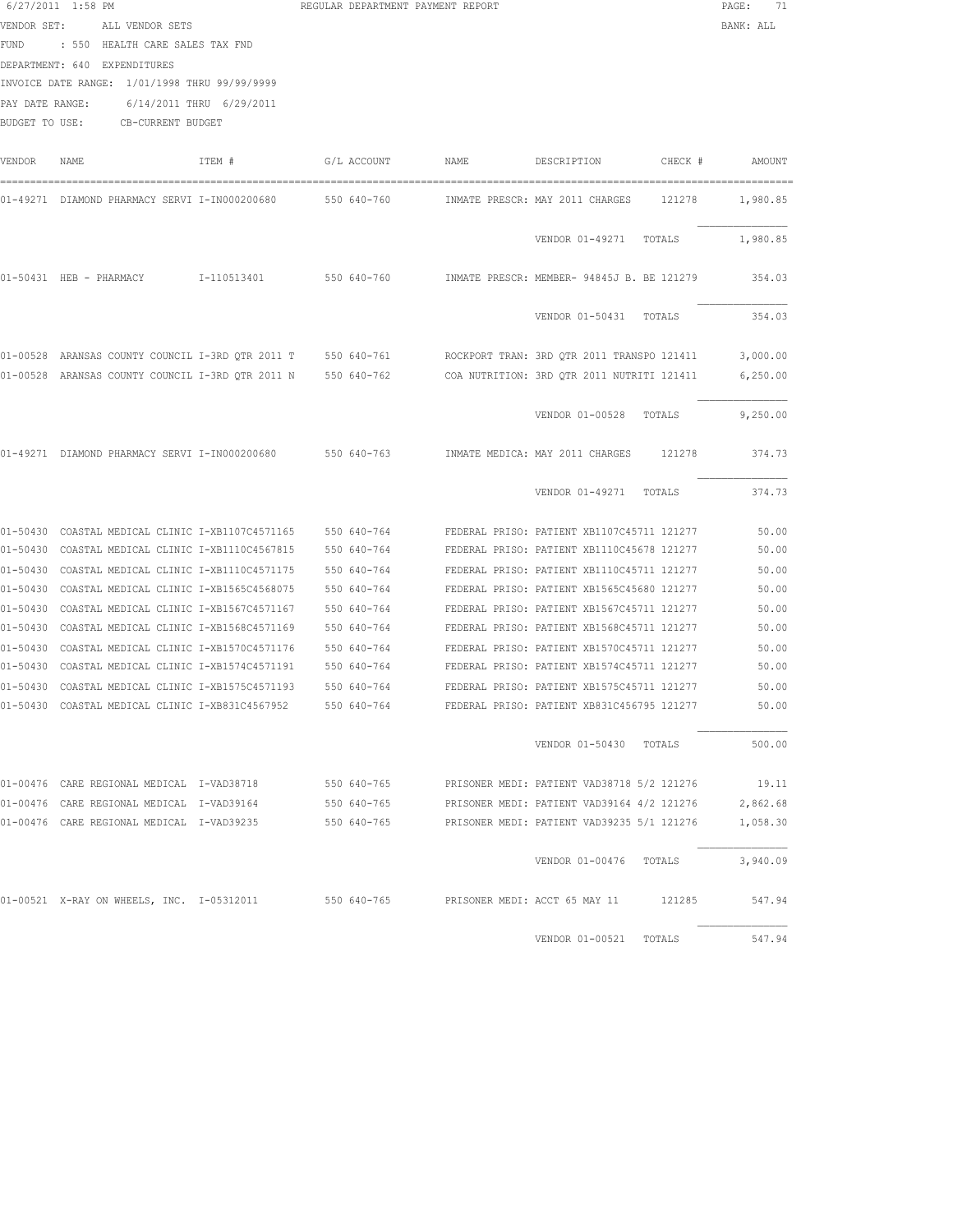| PAY DATE RANGE: | 6/27/2011 1:58 PM<br>VENDOR SET: ALL VENDOR SETS<br>FUND : 550 HEALTH CARE SALES TAX FND<br>DEPARTMENT: 640 EXPENDITURES<br>INVOICE DATE RANGE: 1/01/1998 THRU 99/99/9999<br>6/14/2011 THRU 6/29/2011<br>BUDGET TO USE: CB-CURRENT BUDGET |        | REGULAR DEPARTMENT PAYMENT REPORT |      |                                                                                                         | $\mathtt{PAGE}$ :<br>71<br>BANK: ALL |
|-----------------|-------------------------------------------------------------------------------------------------------------------------------------------------------------------------------------------------------------------------------------------|--------|-----------------------------------|------|---------------------------------------------------------------------------------------------------------|--------------------------------------|
| VENDOR          | NAME                                                                                                                                                                                                                                      | ITEM # | G/L ACCOUNT                       | NAME | DESCRIPTION<br>CHECK #                                                                                  | AMOUNT                               |
|                 | 01-49271 DIAMOND PHARMACY SERVI I-IN000200680                                                                                                                                                                                             |        | 550 640-760                       |      | INMATE PRESCR: MAY 2011 CHARGES<br>121278                                                               | 1,980.85                             |
|                 |                                                                                                                                                                                                                                           |        |                                   |      | VENDOR 01-49271 TOTALS                                                                                  | 1,980.85                             |
|                 | 01-50431 HEB - PHARMACY 1-110513401                                                                                                                                                                                                       |        |                                   |      | 550 640-760     INMATE PRESCR: MEMBER- 94845J B. BE 121279                                              | 354.03                               |
|                 |                                                                                                                                                                                                                                           |        |                                   |      | VENDOR 01-50431 TOTALS                                                                                  | 354.03                               |
|                 |                                                                                                                                                                                                                                           |        |                                   |      | 01-00528 ARANSAS COUNTY COUNCIL I-3RD QTR 2011 T 550 640-761 ROCKPORT TRAN: 3RD QTR 2011 TRANSPO 121411 | 3,000.00                             |
|                 |                                                                                                                                                                                                                                           |        |                                   |      | 01-00528 ARANSAS COUNTY COUNCIL I-3RD OTR 2011 N 550 640-762 COA NUTRITION: 3RD OTR 2011 NUTRITI 121411 | 6, 250.00                            |
|                 |                                                                                                                                                                                                                                           |        |                                   |      | VENDOR 01-00528 TOTALS                                                                                  | 9,250.00                             |
|                 | 01-49271 DIAMOND PHARMACY SERVI I-IN000200680 550 640-763                                                                                                                                                                                 |        |                                   |      | INMATE MEDICA: MAY 2011 CHARGES<br>121278                                                               | 374.73                               |
|                 |                                                                                                                                                                                                                                           |        |                                   |      | VENDOR 01-49271 TOTALS                                                                                  | 374.73                               |
|                 | 01-50430 COASTAL MEDICAL CLINIC I-XB1107C4571165                                                                                                                                                                                          |        | 550 640-764                       |      | FEDERAL PRISO: PATIENT XB1107C45711 121277                                                              | 50.00                                |
|                 | 01-50430 COASTAL MEDICAL CLINIC I-XB1110C4567815                                                                                                                                                                                          |        | 550 640-764                       |      | FEDERAL PRISO: PATIENT XB1110C45678 121277                                                              | 50.00                                |
|                 | 01-50430 COASTAL MEDICAL CLINIC I-XB1110C4571175                                                                                                                                                                                          |        | 550 640-764                       |      | FEDERAL PRISO: PATIENT XB1110C45711 121277                                                              | 50.00                                |
|                 | 01-50430 COASTAL MEDICAL CLINIC I-XB1565C4568075                                                                                                                                                                                          |        | 550 640-764                       |      | FEDERAL PRISO: PATIENT XB1565C45680 121277                                                              | 50.00                                |
|                 | 01-50430 COASTAL MEDICAL CLINIC I-XB1567C4571167                                                                                                                                                                                          |        | 550 640-764                       |      | FEDERAL PRISO: PATIENT XB1567C45711 121277                                                              | 50.00                                |
|                 | 01-50430 COASTAL MEDICAL CLINIC I-XB1568C4571169                                                                                                                                                                                          |        | 550 640-764                       |      | FEDERAL PRISO: PATIENT XB1568C45711 121277                                                              | 50.00                                |
|                 | 01-50430 COASTAL MEDICAL CLINIC I-XB1570C4571176                                                                                                                                                                                          |        | 550 640-764                       |      | FEDERAL PRISO: PATIENT XB1570C45711 121277                                                              | 50.00                                |
|                 | 01-50430 COASTAL MEDICAL CLINIC I-XB1574C4571191                                                                                                                                                                                          |        | 550 640-764                       |      | FEDERAL PRISO: PATIENT XB1574C45711 121277                                                              | 50.00                                |
|                 | 01-50430 COASTAL MEDICAL CLINIC I-XB1575C4571193                                                                                                                                                                                          |        | 550 640-764                       |      | FEDERAL PRISO: PATIENT XB1575C45711 121277                                                              | 50.00                                |
|                 |                                                                                                                                                                                                                                           |        |                                   |      | FEDERAL PRISO: PATIENT XB831C456795 121277                                                              | 50.00                                |
|                 |                                                                                                                                                                                                                                           |        |                                   |      | VENDOR 01-50430 TOTALS                                                                                  | 500.00                               |
|                 |                                                                                                                                                                                                                                           |        |                                   |      | 01-00476 CARE REGIONAL MEDICAL I-VAD38718 550 640-765 PRISONER MEDI: PATIENT VAD38718 5/2 121276        | 19.11                                |
|                 |                                                                                                                                                                                                                                           |        |                                   |      | 01-00476 CARE REGIONAL MEDICAL I-VAD39164 550 640-765 PRISONER MEDI: PATIENT VAD39164 4/2 121276        | 2,862.68                             |
|                 |                                                                                                                                                                                                                                           |        |                                   |      | 01-00476 CARE REGIONAL MEDICAL I-VAD39235 550 640-765 PRISONER MEDI: PATIENT VAD39235 5/1 121276        | 1,058.30                             |
|                 |                                                                                                                                                                                                                                           |        |                                   |      | VENDOR 01-00476 TOTALS                                                                                  | 3,940.09                             |
|                 | 01-00521 X-RAY ON WHEELS, INC. I-05312011 550 640-765                                                                                                                                                                                     |        |                                   |      | PRISONER MEDI: ACCT 65 MAY 11 121285                                                                    | 547.94                               |
|                 |                                                                                                                                                                                                                                           |        |                                   |      | VENDOR 01-00521 TOTALS                                                                                  | 547.94                               |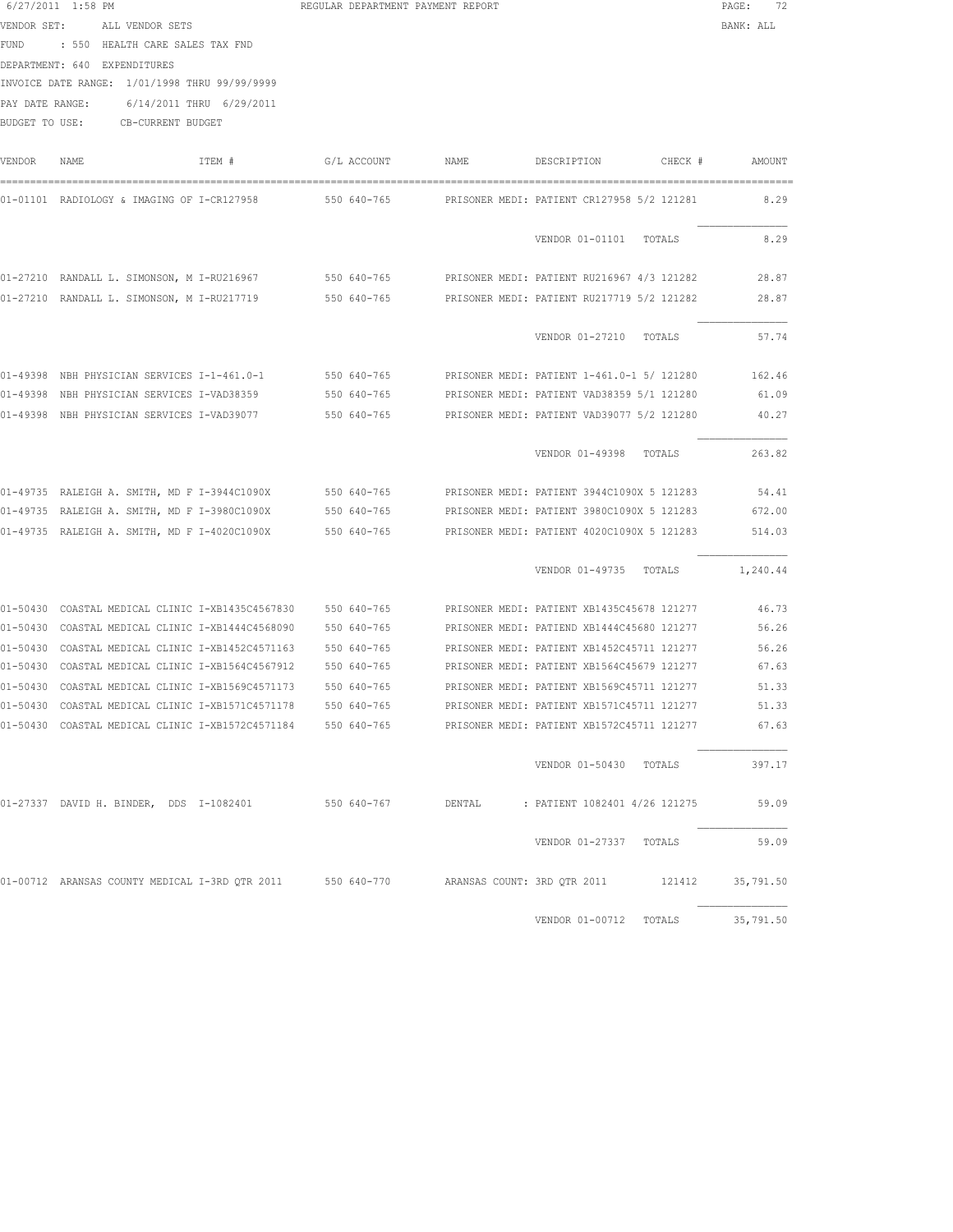| 6/27/2011 1:58 PM<br>REGULAR DEPARTMENT PAYMENT REPORT<br>PAGE | $\sim$ |
|----------------------------------------------------------------|--------|
|----------------------------------------------------------------|--------|

|      | VENDOR SET: ALL VENDOR SETS     | BANK: ALL |
|------|---------------------------------|-----------|
| FUND | : 550 HEALTH CARE SALES TAX FND |           |

DEPARTMENT: 640 EXPENDITURES

INVOICE DATE RANGE: 1/01/1998 THRU 99/99/9999

PAY DATE RANGE: 6/14/2011 THRU 6/29/2011

BUDGET TO USE: CB-CURRENT BUDGET

| <b>VENDOR</b> | <b>NAME</b>                                      | ITEM # | G/L ACCOUNT | <b>NAME</b>                 | DESCRIPTION                                | CHECK # | AMOUNT    |
|---------------|--------------------------------------------------|--------|-------------|-----------------------------|--------------------------------------------|---------|-----------|
|               | 01-01101 RADIOLOGY & IMAGING OF I-CR127958       |        | 550 640-765 |                             | PRISONER MEDI: PATIENT CR127958 5/2 121281 |         | 8.29      |
|               |                                                  |        |             |                             | VENDOR 01-01101                            | TOTALS  | 8.29      |
|               | 01-27210 RANDALL L. SIMONSON, M I-RU216967       |        | 550 640-765 |                             | PRISONER MEDI: PATIENT RU216967 4/3 121282 |         | 28.87     |
|               | 01-27210 RANDALL L. SIMONSON, M I-RU217719       |        | 550 640-765 |                             | PRISONER MEDI: PATIENT RU217719 5/2 121282 |         | 28.87     |
|               |                                                  |        |             |                             | VENDOR 01-27210                            | TOTALS  | 57.74     |
|               | 01-49398 NBH PHYSICIAN SERVICES I-1-461.0-1      |        | 550 640-765 |                             | PRISONER MEDI: PATIENT 1-461.0-1 5/ 121280 |         | 162.46    |
| $01 - 49398$  | NBH PHYSICIAN SERVICES I-VAD38359                |        | 550 640-765 |                             | PRISONER MEDI: PATIENT VAD38359 5/1 121280 |         | 61.09     |
|               | 01-49398 NBH PHYSICIAN SERVICES I-VAD39077       |        | 550 640-765 |                             | PRISONER MEDI: PATIENT VAD39077 5/2 121280 |         | 40.27     |
|               |                                                  |        |             |                             | VENDOR 01-49398                            | TOTALS  | 263.82    |
|               | 01-49735 RALEIGH A. SMITH, MD F I-3944C1090X     |        | 550 640-765 |                             | PRISONER MEDI: PATIENT 3944C1090X 5 121283 |         | 54.41     |
|               | 01-49735 RALEIGH A. SMITH, MD F I-3980C1090X     |        | 550 640-765 |                             | PRISONER MEDI: PATIENT 3980C1090X 5 121283 |         | 672.00    |
|               | 01-49735 RALEIGH A. SMITH, MD F I-4020C1090X     |        | 550 640-765 |                             | PRISONER MEDI: PATIENT 4020C1090X 5 121283 |         | 514.03    |
|               |                                                  |        |             |                             | VENDOR 01-49735                            | TOTALS  | 1,240.44  |
| $01 - 50430$  | COASTAL MEDICAL CLINIC I-XB1435C4567830          |        | 550 640-765 |                             | PRISONER MEDI: PATIENT XB1435C45678 121277 |         | 46.73     |
|               | 01-50430 COASTAL MEDICAL CLINIC I-XB1444C4568090 |        | 550 640-765 |                             | PRISONER MEDI: PATIEND XB1444C45680 121277 |         | 56.26     |
|               | 01-50430 COASTAL MEDICAL CLINIC I-XB1452C4571163 |        | 550 640-765 |                             | PRISONER MEDI: PATIENT XB1452C45711 121277 |         | 56.26     |
|               | 01-50430 COASTAL MEDICAL CLINIC I-XB1564C4567912 |        | 550 640-765 |                             | PRISONER MEDI: PATIENT XB1564C45679 121277 |         | 67.63     |
| $01 - 50430$  | COASTAL MEDICAL CLINIC I-XB1569C4571173          |        | 550 640-765 |                             | PRISONER MEDI: PATIENT XB1569C45711 121277 |         | 51.33     |
| $01 - 50430$  | COASTAL MEDICAL CLINIC I-XB1571C4571178          |        | 550 640-765 |                             | PRISONER MEDI: PATIENT XB1571C45711 121277 |         | 51.33     |
| $01 - 50430$  | COASTAL MEDICAL CLINIC I-XB1572C4571184          |        | 550 640-765 |                             | PRISONER MEDI: PATIENT XB1572C45711 121277 |         | 67.63     |
|               |                                                  |        |             |                             | VENDOR 01-50430                            | TOTALS  | 397.17    |
|               | 01-27337 DAVID H. BINDER, DDS I-1082401          |        | 550 640-767 | DENTAL                      | : PATIENT 1082401 4/26 121275              |         | 59.09     |
|               |                                                  |        |             |                             | VENDOR 01-27337                            | TOTALS  | 59.09     |
|               | 01-00712 ARANSAS COUNTY MEDICAL I-3RD OTR 2011   |        | 550 640-770 | ARANSAS COUNT: 3RD OTR 2011 |                                            | 121412  | 35,791.50 |
|               |                                                  |        |             |                             | VENDOR 01-00712                            | TOTALS  | 35,791.50 |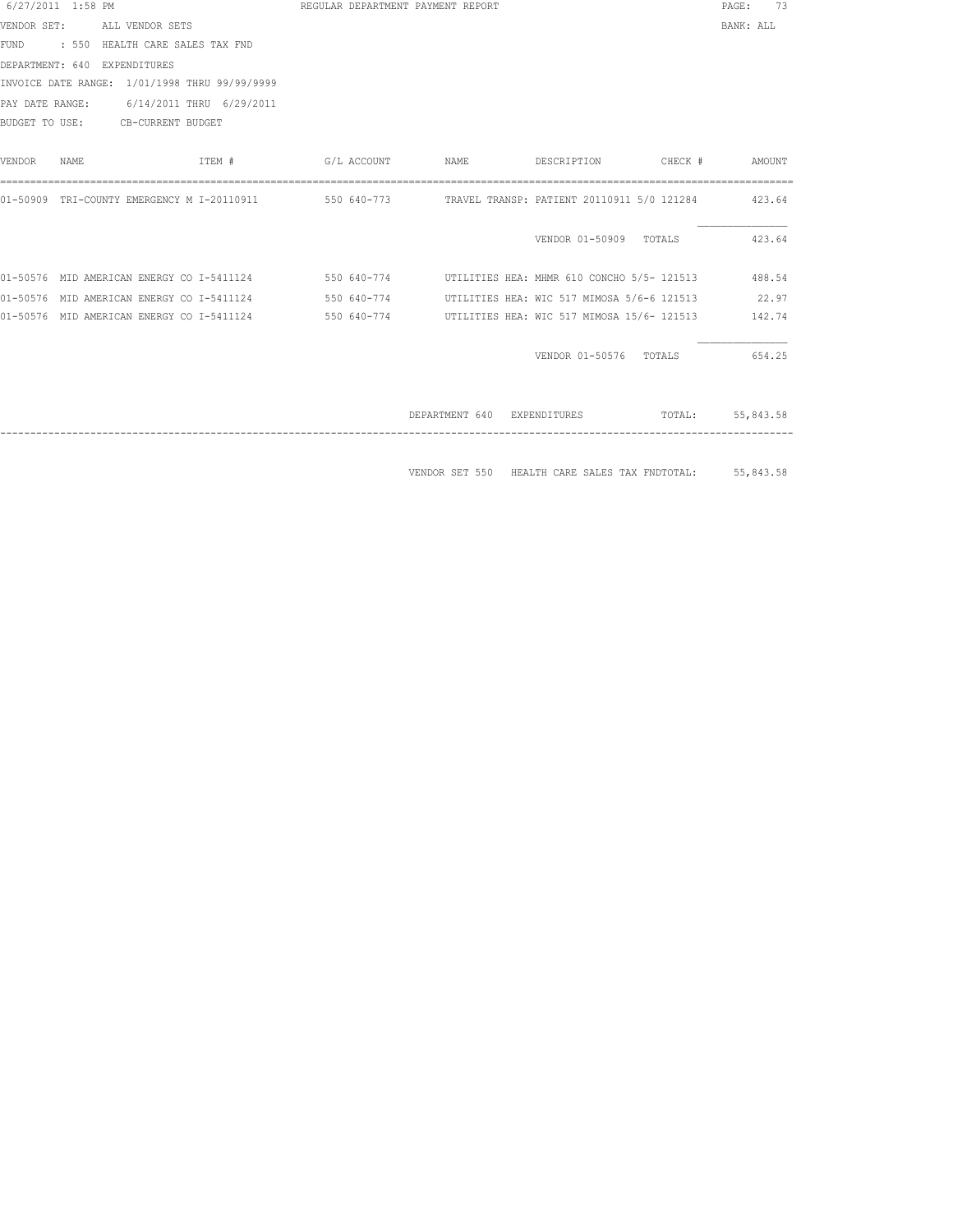| 6/27/2011 1:58 PM |      |                                           |                                                       |             | REGULAR DEPARTMENT PAYMENT REPORT |                                            |         | 73<br>PAGE: |
|-------------------|------|-------------------------------------------|-------------------------------------------------------|-------------|-----------------------------------|--------------------------------------------|---------|-------------|
| VENDOR SET:       |      | ALL VENDOR SETS                           |                                                       |             |                                   |                                            |         | BANK: ALL   |
| FUND              |      | : 550 HEALTH CARE SALES TAX FND           |                                                       |             |                                   |                                            |         |             |
|                   |      | DEPARTMENT: 640 EXPENDITURES              |                                                       |             |                                   |                                            |         |             |
|                   |      |                                           | INVOICE DATE RANGE: 1/01/1998 THRU 99/99/9999         |             |                                   |                                            |         |             |
| PAY DATE RANGE:   |      |                                           | 6/14/2011 THRU 6/29/2011                              |             |                                   |                                            |         |             |
| BUDGET TO USE:    |      | CB-CURRENT BUDGET                         |                                                       |             |                                   |                                            |         |             |
| VENDOR            | NAME |                                           | ITEM #                                                | G/L ACCOUNT | NAME                              | DESCRIPTION                                | CHECK # | AMOUNT      |
|                   |      |                                           | 01-50909 TRI-COUNTY EMERGENCY M I-20110911            |             |                                   |                                            |         | 423.64      |
|                   |      |                                           |                                                       |             |                                   | VENDOR 01-50909 TOTALS                     |         | 423.64      |
|                   |      |                                           | 01-50576 MID AMERICAN ENERGY CO I-5411124 550 640-774 |             |                                   | UTILITIES HEA: MHMR 610 CONCHO 5/5- 121513 |         | 488.54      |
|                   |      | 01-50576 MID AMERICAN ENERGY CO I-5411124 |                                                       | 550 640-774 |                                   | UTILITIES HEA: WIC 517 MIMOSA 5/6-6 121513 |         | 22.97       |
|                   |      | 01-50576 MID AMERICAN ENERGY CO I-5411124 |                                                       | 550 640-774 |                                   | UTILITIES HEA: WIC 517 MIMOSA 15/6- 121513 |         | 142.74      |
|                   |      |                                           |                                                       |             |                                   | VENDOR 01-50576                            | TOTALS  | 654.25      |
|                   |      |                                           |                                                       |             | DEPARTMENT 640                    | EXPENDITURES                               | TOTAL:  | 55,843.58   |

VENDOR SET 550 HEALTH CARE SALES TAX FNDTOTAL: 55,843.58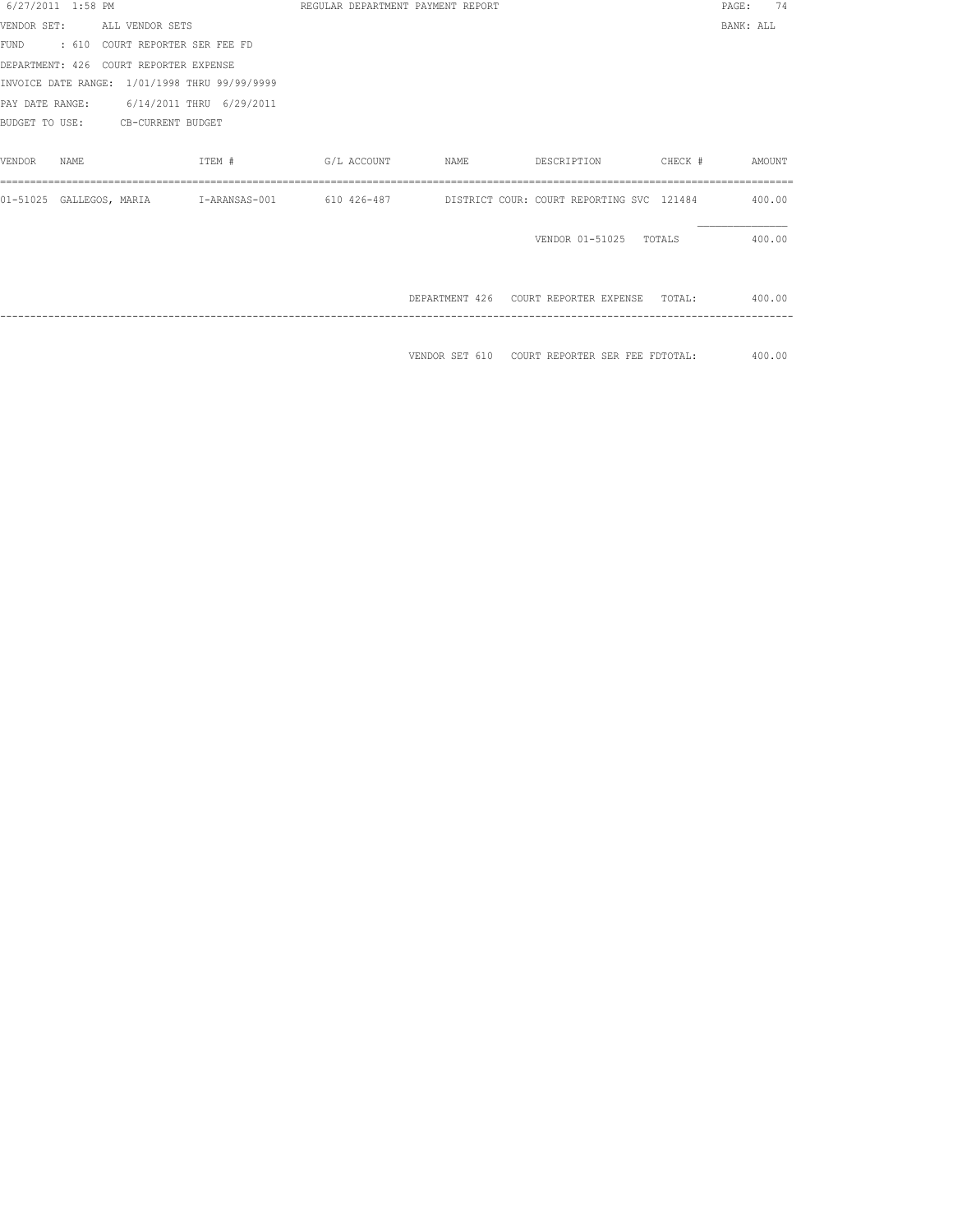| 6/27/2011 1:58 PM                             |        |  | REGULAR DEPARTMENT PAYMENT REPORT |                                                                                                      | PAGE:     | 74 |
|-----------------------------------------------|--------|--|-----------------------------------|------------------------------------------------------------------------------------------------------|-----------|----|
| VENDOR SET: ALL VENDOR SETS                   |        |  |                                   |                                                                                                      | BANK: ALL |    |
| FUND : 610 COURT REPORTER SER FEE FD          |        |  |                                   |                                                                                                      |           |    |
| DEPARTMENT: 426 COURT REPORTER EXPENSE        |        |  |                                   |                                                                                                      |           |    |
| INVOICE DATE RANGE: 1/01/1998 THRU 99/99/9999 |        |  |                                   |                                                                                                      |           |    |
| PAY DATE RANGE: 6/14/2011 THRU 6/29/2011      |        |  |                                   |                                                                                                      |           |    |
| BUDGET TO USE: CB-CURRENT BUDGET              |        |  |                                   |                                                                                                      |           |    |
|                                               |        |  |                                   |                                                                                                      |           |    |
| VENDOR<br>NAME.                               | ITEM # |  |                                   |                                                                                                      |           |    |
|                                               |        |  |                                   |                                                                                                      |           |    |
|                                               |        |  |                                   | 01-51025 GALLEGOS, MARIA 1-ARANSAS-001 610 426-487 101STRICT COUR: COURT REPORTING SVC 121484 400.00 |           |    |
|                                               |        |  |                                   |                                                                                                      |           |    |
|                                               |        |  |                                   | VENDOR 01-51025 TOTALS 400.00                                                                        |           |    |
|                                               |        |  |                                   |                                                                                                      |           |    |
|                                               |        |  |                                   |                                                                                                      |           |    |
|                                               |        |  |                                   | DEPARTMENT 426 COURT REPORTER EXPENSE TOTAL: 400.00                                                  |           |    |
|                                               |        |  |                                   |                                                                                                      |           |    |
|                                               |        |  |                                   |                                                                                                      |           |    |
|                                               |        |  |                                   | VENDOR SET 610 COURT REPORTER SER FEE FDTOTAL: 400.00                                                |           |    |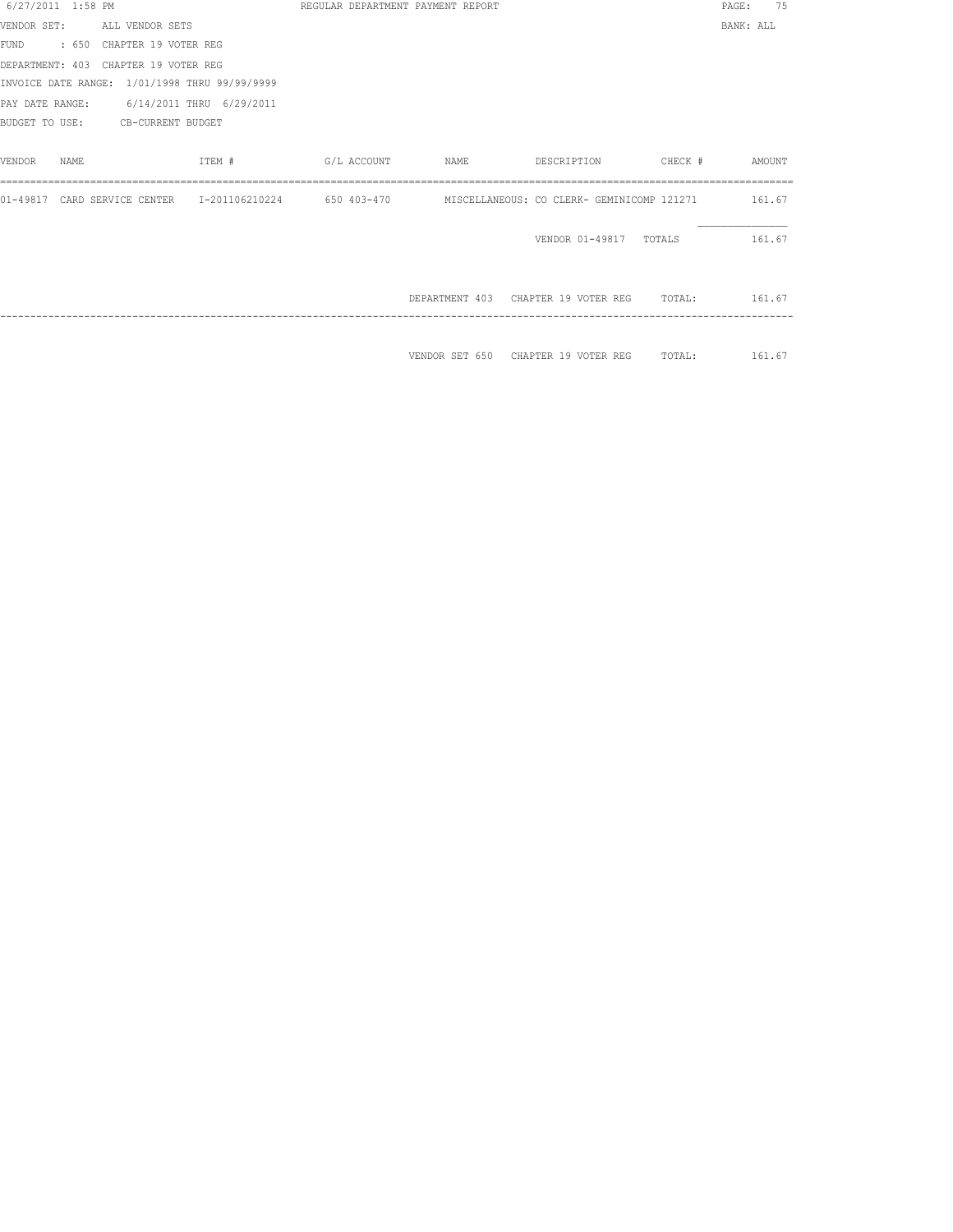| 6/27/2011 1:58 PM |                                               |                                                                                                           |  | REGULAR DEPARTMENT PAYMENT REPORT                 |                               | PAGE:     | 75 |
|-------------------|-----------------------------------------------|-----------------------------------------------------------------------------------------------------------|--|---------------------------------------------------|-------------------------------|-----------|----|
|                   | VENDOR SET: ALL VENDOR SETS                   |                                                                                                           |  |                                                   |                               | BANK: ALL |    |
|                   | FUND : 650 CHAPTER 19 VOTER REG               |                                                                                                           |  |                                                   |                               |           |    |
|                   | DEPARTMENT: 403 CHAPTER 19 VOTER REG          |                                                                                                           |  |                                                   |                               |           |    |
|                   | INVOICE DATE RANGE: 1/01/1998 THRU 99/99/9999 |                                                                                                           |  |                                                   |                               |           |    |
|                   | PAY DATE RANGE: 6/14/2011 THRU 6/29/2011      |                                                                                                           |  |                                                   |                               |           |    |
|                   | BUDGET TO USE: CB-CURRENT BUDGET              |                                                                                                           |  |                                                   |                               |           |    |
|                   |                                               |                                                                                                           |  |                                                   |                               |           |    |
| VENDOR<br>NAMF.   |                                               | ITEM #                                                                                                    |  |                                                   |                               |           |    |
|                   |                                               |                                                                                                           |  |                                                   |                               |           |    |
|                   |                                               | 01-49817 CARD SERVICE CENTER 1-201106210224 650 403-470 MISCELLANEOUS: CO CLERK- GEMINICOMP 121271 161.67 |  |                                                   |                               |           |    |
|                   |                                               |                                                                                                           |  |                                                   |                               |           |    |
|                   |                                               |                                                                                                           |  |                                                   | VENDOR 01-49817 TOTALS 161.67 |           |    |
|                   |                                               |                                                                                                           |  |                                                   |                               |           |    |
|                   |                                               |                                                                                                           |  |                                                   |                               |           |    |
|                   |                                               |                                                                                                           |  | DEPARTMENT 403 CHAPTER 19 VOTER REG TOTAL: 161.67 |                               |           |    |
|                   |                                               |                                                                                                           |  |                                                   |                               |           |    |
|                   |                                               |                                                                                                           |  |                                                   |                               |           |    |
|                   |                                               |                                                                                                           |  | VENDOR SET 650 CHAPTER 19 VOTER REG TOTAL: 161.67 |                               |           |    |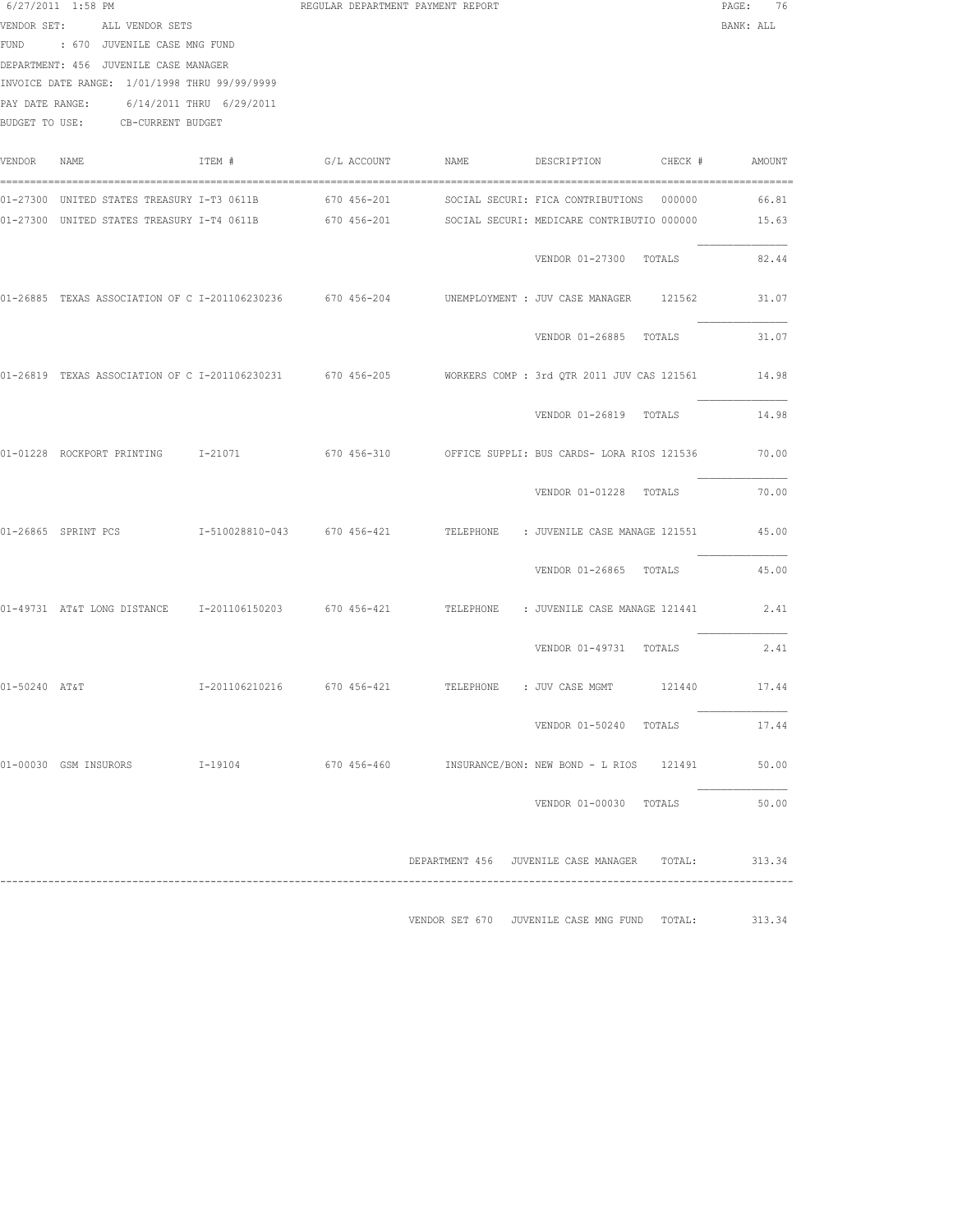|               | 6/27/2011 1:58 PM<br>VENDOR SET: ALL VENDOR SETS<br>FUND : 670 JUVENILE CASE MNG FUND<br>DEPARTMENT: 456 JUVENILE CASE MANAGER<br>INVOICE DATE RANGE: 1/01/1998 THRU 99/99/9999<br>PAY DATE RANGE: 6/14/2011 THRU 6/29/2011<br>BUDGET TO USE: CB-CURRENT BUDGET |        | REGULAR DEPARTMENT PAYMENT REPORT |             |                                                                                                                                                     | PAGE: 76<br>BANK: ALL |
|---------------|-----------------------------------------------------------------------------------------------------------------------------------------------------------------------------------------------------------------------------------------------------------------|--------|-----------------------------------|-------------|-----------------------------------------------------------------------------------------------------------------------------------------------------|-----------------------|
| VENDOR NAME   |                                                                                                                                                                                                                                                                 | ITEM # | G/L ACCOUNT                       | <b>NAME</b> | DESCRIPTION CHECK #                                                                                                                                 | AMOUNT                |
|               | 01-27300 UNITED STATES TREASURY I-T3 0611B 670 456-201                                                                                                                                                                                                          |        |                                   |             | SOCIAL SECURI: FICA CONTRIBUTIONS 000000<br>01-27300 UNITED STATES TREASURY I-T4 0611B 670 456-201 SOCIAL SECURI: MEDICARE CONTRIBUTIO 000000 15.63 | 66.81                 |
|               |                                                                                                                                                                                                                                                                 |        |                                   |             | VENDOR 01-27300 TOTALS                                                                                                                              | 82.44                 |
|               | 01-26885 TEXAS ASSOCIATION OF C I-201106230236 670 456-204                                                                                                                                                                                                      |        |                                   |             | UNEMPLOYMENT : JUV CASE MANAGER 121562                                                                                                              | 31.07                 |
|               |                                                                                                                                                                                                                                                                 |        |                                   |             | VENDOR 01-26885 TOTALS                                                                                                                              | 31.07                 |
|               |                                                                                                                                                                                                                                                                 |        |                                   |             | 01-26819 TEXAS ASSOCIATION OF C I-201106230231 670 456-205 WORKERS COMP : 3rd QTR 2011 JUV CAS 121561                                               | 14.98                 |
|               |                                                                                                                                                                                                                                                                 |        |                                   |             | VENDOR 01-26819 TOTALS                                                                                                                              | 14.98                 |
|               |                                                                                                                                                                                                                                                                 |        |                                   |             | 01-01228 ROCKPORT PRINTING 1-21071 670 456-310 OFFICE SUPPLI: BUS CARDS- LORA RIOS 121536                                                           | 70.00                 |
|               |                                                                                                                                                                                                                                                                 |        |                                   |             | VENDOR 01-01228 TOTALS                                                                                                                              | 70.00                 |
|               | 01-26865 SPRINT PCS                                                                                                                                                                                                                                             |        |                                   |             | I-510028810-043 670 456-421 TELEPHONE : JUVENILE CASE MANAGE 121551                                                                                 | 45.00                 |
|               |                                                                                                                                                                                                                                                                 |        |                                   |             | VENDOR 01-26865 TOTALS                                                                                                                              | 45.00                 |
|               |                                                                                                                                                                                                                                                                 |        |                                   |             | 01-49731 AT&T LONG DISTANCE 1-201106150203 670 456-421 TELEPHONE : JUVENILE CASE MANAGE 121441                                                      | 2.41                  |
|               |                                                                                                                                                                                                                                                                 |        |                                   |             | VENDOR 01-49731 TOTALS                                                                                                                              | 2.41                  |
| 01-50240 AT&T |                                                                                                                                                                                                                                                                 |        |                                   |             | I-201106210216  670  456-421  TELEPHONE : JUV CASE MGMT  121440  17.44                                                                              |                       |
|               |                                                                                                                                                                                                                                                                 |        |                                   |             | VENDOR 01-50240 TOTALS                                                                                                                              | 17.44                 |
|               |                                                                                                                                                                                                                                                                 |        |                                   |             | 01-00030 GSM_INSURORS      I-19104        670_456-460     INSURANCE/BON:_NEW_BOND -_L_RIOS  121491                                                  | 50.00                 |
|               |                                                                                                                                                                                                                                                                 |        |                                   |             | VENDOR 01-00030 TOTALS                                                                                                                              | 50.00                 |
|               |                                                                                                                                                                                                                                                                 |        |                                   |             | DEPARTMENT 456 JUVENILE CASE MANAGER TOTAL: 313.34                                                                                                  |                       |
|               |                                                                                                                                                                                                                                                                 |        |                                   |             | VENDOR SET 670 JUVENILE CASE MNG FUND TOTAL:                                                                                                        | 313.34                |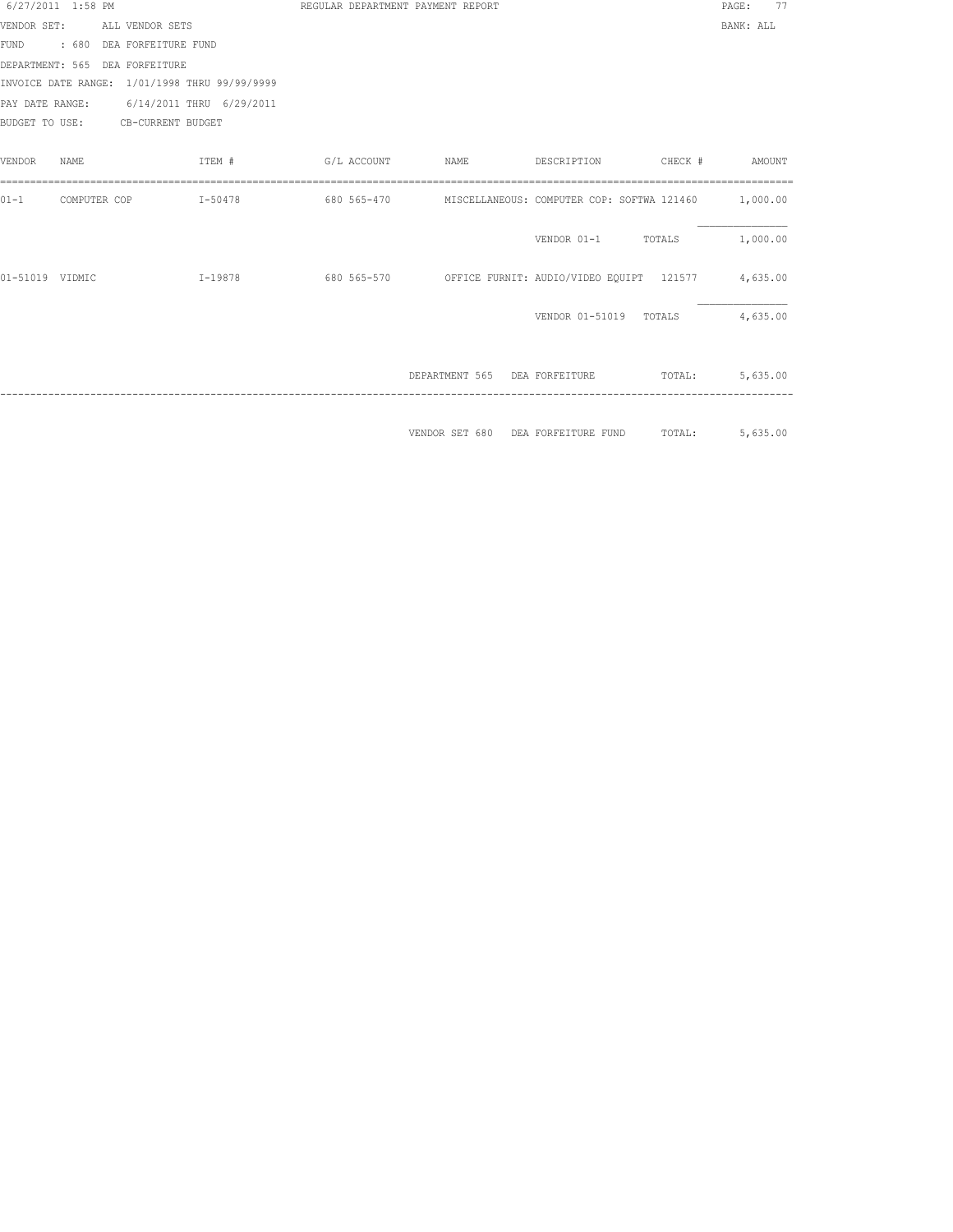| 6/27/2011 1:58 PM |              |                                               | REGULAR DEPARTMENT PAYMENT REPORT |                               |                                                               |         | PAGE:<br>77 |
|-------------------|--------------|-----------------------------------------------|-----------------------------------|-------------------------------|---------------------------------------------------------------|---------|-------------|
|                   |              | VENDOR SET: ALL VENDOR SETS                   |                                   |                               |                                                               |         | BANK: ALL   |
|                   |              | FUND : 680 DEA FORFEITURE FUND                |                                   |                               |                                                               |         |             |
|                   |              | DEPARTMENT: 565 DEA FORFEITURE                |                                   |                               |                                                               |         |             |
|                   |              | INVOICE DATE RANGE: 1/01/1998 THRU 99/99/9999 |                                   |                               |                                                               |         |             |
|                   |              | PAY DATE RANGE: 6/14/2011 THRU 6/29/2011      |                                   |                               |                                                               |         |             |
|                   |              | BUDGET TO USE: CB-CURRENT BUDGET              |                                   |                               |                                                               |         |             |
|                   |              |                                               |                                   |                               |                                                               |         |             |
| VENDOR            | NAME         | ITEM #                                        | G/L ACCOUNT                       | NAME                          | DESCRIPTION                                                   | CHECK # | AMOUNT      |
|                   |              |                                               |                                   |                               |                                                               |         |             |
| $01 - 1$          | COMPUTER COP | $I - 50478$                                   | 680 565-470                       |                               | MISCELLANEOUS: COMPUTER COP: SOFTWA 121460 1,000.00           |         |             |
|                   |              |                                               |                                   |                               |                                                               |         |             |
|                   |              |                                               |                                   |                               | VENDOR 01-1 TOTALS                                            |         | 1,000.00    |
|                   |              |                                               |                                   |                               |                                                               |         |             |
| 01-51019 VIDMIC   |              | I-19878                                       |                                   |                               | 680 565-570 OFFICE FURNIT: AUDIO/VIDEO EOUIPT 121577 4,635.00 |         |             |
|                   |              |                                               |                                   |                               |                                                               |         |             |
|                   |              |                                               |                                   |                               | VENDOR 01-51019                                               | TOTALS  | 4,635.00    |
|                   |              |                                               |                                   |                               |                                                               |         |             |
|                   |              |                                               |                                   | DEPARTMENT 565 DEA FORFEITURE |                                                               | TOTAL:  | 5,635.00    |
|                   |              |                                               |                                   |                               |                                                               |         |             |
|                   |              |                                               |                                   |                               |                                                               |         |             |
|                   |              |                                               |                                   | VENDOR SET 680                | DEA FORFEITURE FUND                                           | TOTAL:  | 5,635.00    |
|                   |              |                                               |                                   |                               |                                                               |         |             |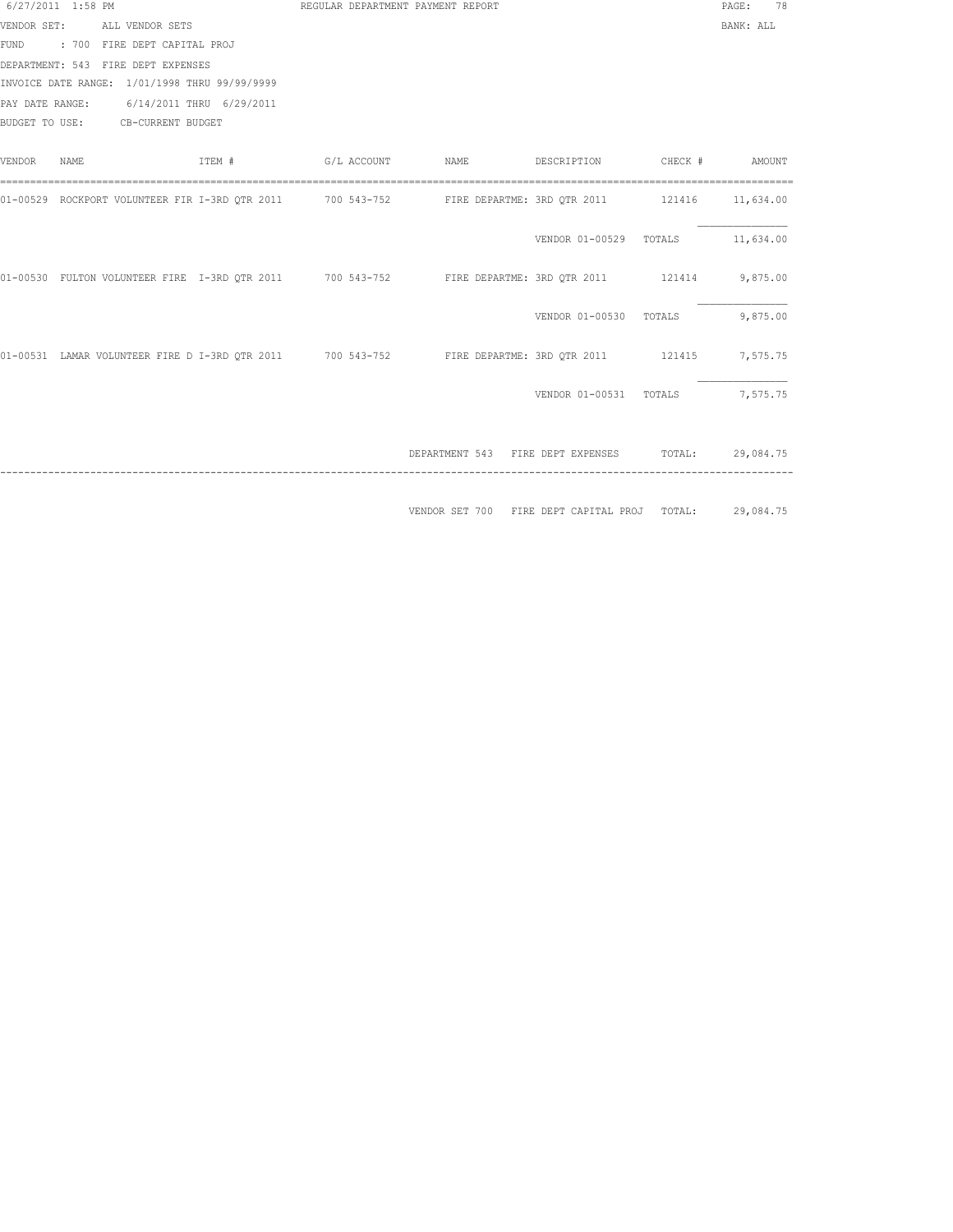| 6/27/2011 1:58 PM |                                                                                                         | REGULAR DEPARTMENT PAYMENT REPORT |                                                    |                                         | PAGE: 78  |
|-------------------|---------------------------------------------------------------------------------------------------------|-----------------------------------|----------------------------------------------------|-----------------------------------------|-----------|
|                   | VENDOR SET: ALL VENDOR SETS                                                                             |                                   |                                                    |                                         | BANK: ALL |
|                   | FUND : 700 FIRE DEPT CAPITAL PROJ                                                                       |                                   |                                                    |                                         |           |
|                   | DEPARTMENT: 543 FIRE DEPT EXPENSES                                                                      |                                   |                                                    |                                         |           |
|                   | INVOICE DATE RANGE: 1/01/1998 THRU 99/99/9999                                                           |                                   |                                                    |                                         |           |
|                   | PAY DATE RANGE: 6/14/2011 THRU 6/29/2011                                                                |                                   |                                                    |                                         |           |
|                   | BUDGET TO USE: CB-CURRENT BUDGET                                                                        |                                   |                                                    |                                         |           |
|                   |                                                                                                         |                                   |                                                    |                                         |           |
| VENDOR NAME       | ITEM #                                                                                                  |                                   |                                                    |                                         |           |
|                   |                                                                                                         |                                   |                                                    |                                         |           |
|                   | 01-00529 ROCKPORT VOLUNTEER FIR I-3RD QTR 2011 700 543-752 FIRE DEPARTME: 3RD QTR 2011 121416 11,634.00 |                                   |                                                    |                                         |           |
|                   |                                                                                                         |                                   |                                                    |                                         |           |
|                   |                                                                                                         |                                   |                                                    | VENDOR 01-00529 TOTALS 11,634.00        |           |
|                   |                                                                                                         |                                   |                                                    |                                         |           |
|                   | 01-00530 FULTON VOLUNTEER FIRE I-3RD QTR 2011 700 543-752 FIRE DEPARTME: 3RD QTR 2011 121414 9,875.00   |                                   |                                                    |                                         |           |
|                   |                                                                                                         |                                   |                                                    |                                         |           |
|                   |                                                                                                         |                                   |                                                    | VENDOR 01-00530 TOTALS 9,875.00         |           |
|                   |                                                                                                         |                                   |                                                    |                                         |           |
|                   | 01-00531 LAMAR VOLUNTEER FIRE D I-3RD QTR 2011 700 543-752 FIRE DEPARTME: 3RD QTR 2011 121415 7,575.75  |                                   |                                                    |                                         |           |
|                   |                                                                                                         |                                   |                                                    |                                         |           |
|                   |                                                                                                         |                                   |                                                    | VENDOR 01-00531 TOTALS 7,575.75         |           |
|                   |                                                                                                         |                                   |                                                    |                                         |           |
|                   |                                                                                                         |                                   |                                                    |                                         |           |
|                   |                                                                                                         |                                   | DEPARTMENT 543 FIRE DEPT EXPENSES TOTAL: 29,084.75 |                                         |           |
|                   |                                                                                                         |                                   |                                                    |                                         |           |
|                   |                                                                                                         |                                   |                                                    |                                         |           |
|                   |                                                                                                         |                                   | VENDOR SET 700                                     | FIRE DEPT CAPITAL PROJ TOTAL: 29,084.75 |           |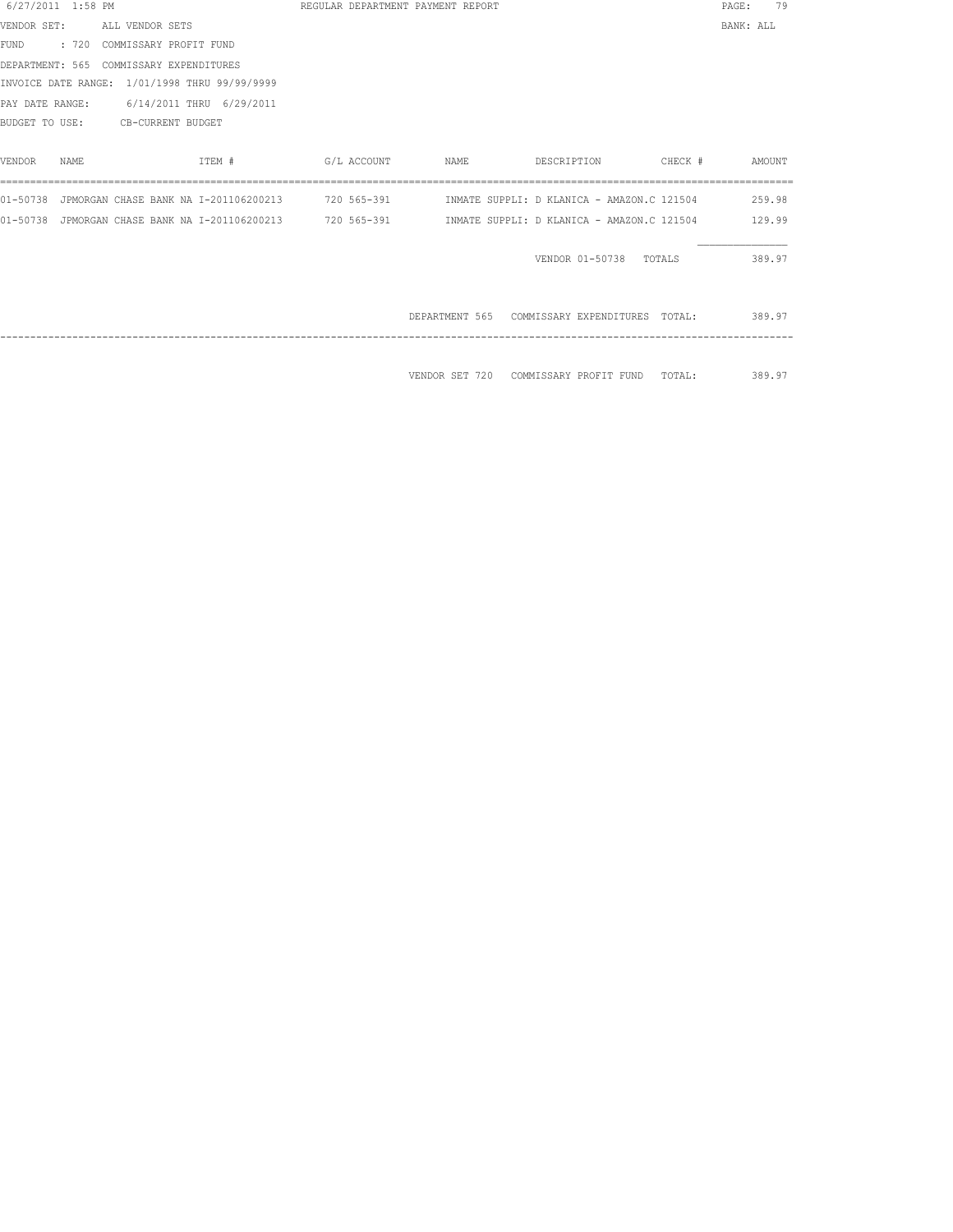| 6/27/2011 1:58 PM |                                               |                                                            |             | REGULAR DEPARTMENT PAYMENT REPORT |                                                                                                            |               | PAGE:     | 79     |
|-------------------|-----------------------------------------------|------------------------------------------------------------|-------------|-----------------------------------|------------------------------------------------------------------------------------------------------------|---------------|-----------|--------|
|                   | VENDOR SET: ALL VENDOR SETS                   |                                                            |             |                                   |                                                                                                            |               | BANK: ALL |        |
|                   | FUND : 720 COMMISSARY PROFIT FUND             |                                                            |             |                                   |                                                                                                            |               |           |        |
|                   | DEPARTMENT: 565 COMMISSARY EXPENDITURES       |                                                            |             |                                   |                                                                                                            |               |           |        |
|                   | INVOICE DATE RANGE: 1/01/1998 THRU 99/99/9999 |                                                            |             |                                   |                                                                                                            |               |           |        |
|                   | PAY DATE RANGE: 6/14/2011 THRU 6/29/2011      |                                                            |             |                                   |                                                                                                            |               |           |        |
|                   | BUDGET TO USE: CB-CURRENT BUDGET              |                                                            |             |                                   |                                                                                                            |               |           |        |
|                   |                                               |                                                            |             |                                   |                                                                                                            |               |           |        |
| VENDOR<br>NAME    |                                               | ITEM #                                                     | G/L ACCOUNT | NAME                              | DESCRIPTION                                                                                                | CHECK #       |           | AMOUNT |
|                   |                                               |                                                            |             |                                   |                                                                                                            |               |           |        |
|                   |                                               |                                                            |             |                                   | 01-50738 JPMORGAN CHASE BANK NA 1-201106200213 720 565-391      INMATE SUPPLI: D KLANICA - AMAZON.C 121504 |               |           | 259.98 |
|                   |                                               | 01-50738 JPMORGAN CHASE BANK NA I-201106200213 720 565-391 |             |                                   | INMATE SUPPLI: D KLANICA - AMAZON.C 121504                                                                 |               |           | 129.99 |
|                   |                                               |                                                            |             |                                   |                                                                                                            |               |           |        |
|                   |                                               |                                                            |             |                                   | VENDOR 01-50738 TOTALS                                                                                     |               |           | 389.97 |
|                   |                                               |                                                            |             |                                   |                                                                                                            |               |           |        |
|                   |                                               |                                                            |             |                                   |                                                                                                            |               |           |        |
|                   |                                               |                                                            |             |                                   | DEPARTMENT 565 COMMISSARY EXPENDITURES TOTAL:                                                              |               |           | 389.97 |
|                   |                                               |                                                            |             |                                   |                                                                                                            |               |           |        |
|                   |                                               |                                                            |             |                                   |                                                                                                            |               |           |        |
|                   |                                               |                                                            |             |                                   | VENDOR SET 720 COMMISSARY PROFIT FUND                                                                      | TOTAL: 389.97 |           |        |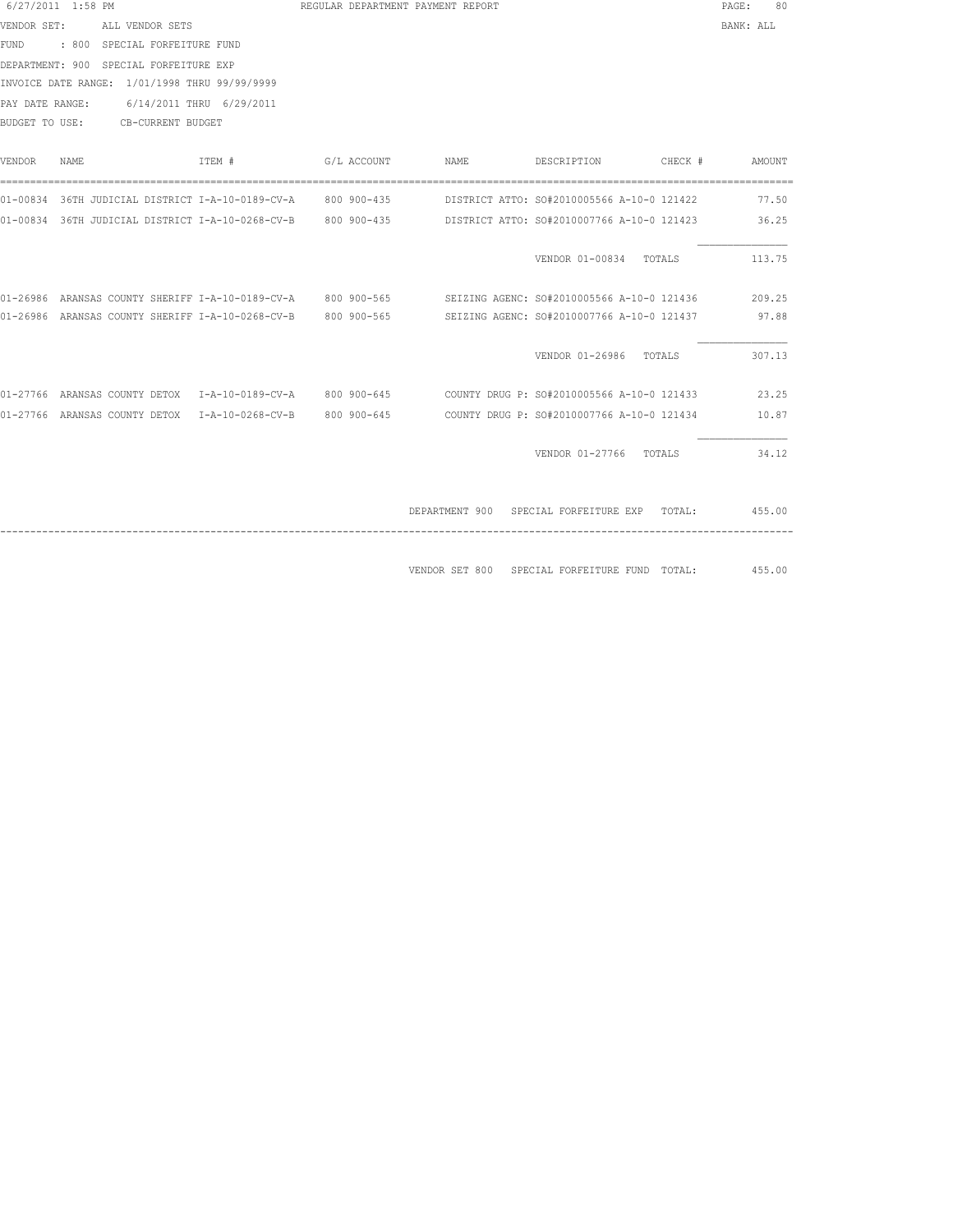| 6/27/2011 1:58 PM                      |       |  |                                               |  | REGULAR DEPARTMENT PAYMENT REPORT |                                                                                                               | PAGE:     | 80     |
|----------------------------------------|-------|--|-----------------------------------------------|--|-----------------------------------|---------------------------------------------------------------------------------------------------------------|-----------|--------|
| VENDOR SET: ALL VENDOR SETS            |       |  |                                               |  |                                   |                                                                                                               | BANK: ALL |        |
| FUND : 800 SPECIAL FORFEITURE FUND     |       |  |                                               |  |                                   |                                                                                                               |           |        |
| DEPARTMENT: 900 SPECIAL FORFEITURE EXP |       |  |                                               |  |                                   |                                                                                                               |           |        |
|                                        |       |  | INVOICE DATE RANGE: 1/01/1998 THRU 99/99/9999 |  |                                   |                                                                                                               |           |        |
|                                        |       |  | PAY DATE RANGE: 6/14/2011 THRU 6/29/2011      |  |                                   |                                                                                                               |           |        |
| BUDGET TO USE: CB-CURRENT BUDGET       |       |  |                                               |  |                                   |                                                                                                               |           |        |
|                                        |       |  |                                               |  |                                   |                                                                                                               |           |        |
| VENDOR                                 | NAME. |  | ITEM # G/L ACCOUNT                            |  |                                   | NAME DESCRIPTION CHECK #                                                                                      |           | AMOUNT |
|                                        |       |  |                                               |  |                                   |                                                                                                               |           |        |
|                                        |       |  |                                               |  |                                   | 01-00834 36TH JUDICIAL DISTRICT I-A-10-0189-CV-A 800 900-435 DISTRICT ATTO: SO#2010005566 A-10-0 121422       | 77.50     |        |
|                                        |       |  |                                               |  |                                   | 01-00834 36TH JUDICIAL DISTRICT I-A-10-0268-CV-B 800 900-435 DISTRICT ATTO: SO#2010007766 A-10-0 121423       |           | 36.25  |
|                                        |       |  |                                               |  |                                   |                                                                                                               |           |        |
|                                        |       |  |                                               |  |                                   | VENDOR 01-00834 TOTALS                                                                                        |           | 113.75 |
|                                        |       |  |                                               |  |                                   |                                                                                                               |           |        |
|                                        |       |  |                                               |  |                                   | 01-26986 ARANSAS COUNTY SHERIFF I-A-10-0189-CV-A 800 900-565 SEIZING AGENC: SO#2010005566 A-10-0 121436       |           | 209.25 |
|                                        |       |  |                                               |  |                                   | 01-26986 ARANSAS COUNTY SHERIFF I-A-10-0268-CV-B 800 900-565 SEIZING AGENC: SO#2010007766 A-10-0 121437 97.88 |           |        |
|                                        |       |  |                                               |  |                                   |                                                                                                               |           |        |
|                                        |       |  |                                               |  |                                   | VENDOR 01-26986 TOTALS                                                                                        |           | 307.13 |
|                                        |       |  |                                               |  |                                   |                                                                                                               |           |        |
|                                        |       |  |                                               |  |                                   | 01-27766 ARANSAS COUNTY DETOX 1-A-10-0189-CV-A 800 900-645 COUNTY DRUG P: SO#2010005566 A-10-0 121433         |           | 23.25  |
|                                        |       |  |                                               |  |                                   | 01-27766 ARANSAS COUNTY DETOX 1-A-10-0268-CV-B 800 900-645 COUNTY DRUG P: SO#2010007766 A-10-0 121434         |           | 10.87  |
|                                        |       |  |                                               |  |                                   |                                                                                                               |           |        |
|                                        |       |  |                                               |  |                                   | VENDOR 01-27766 TOTALS                                                                                        |           | 34.12  |
|                                        |       |  |                                               |  |                                   |                                                                                                               |           |        |
|                                        |       |  |                                               |  |                                   | DEPARTMENT 900 SPECIAL FORFEITURE EXP TOTAL: 455.00                                                           |           |        |
|                                        |       |  |                                               |  |                                   |                                                                                                               |           |        |
|                                        |       |  |                                               |  |                                   |                                                                                                               |           |        |

VENDOR SET 800 SPECIAL FORFEITURE FUND TOTAL: 455.00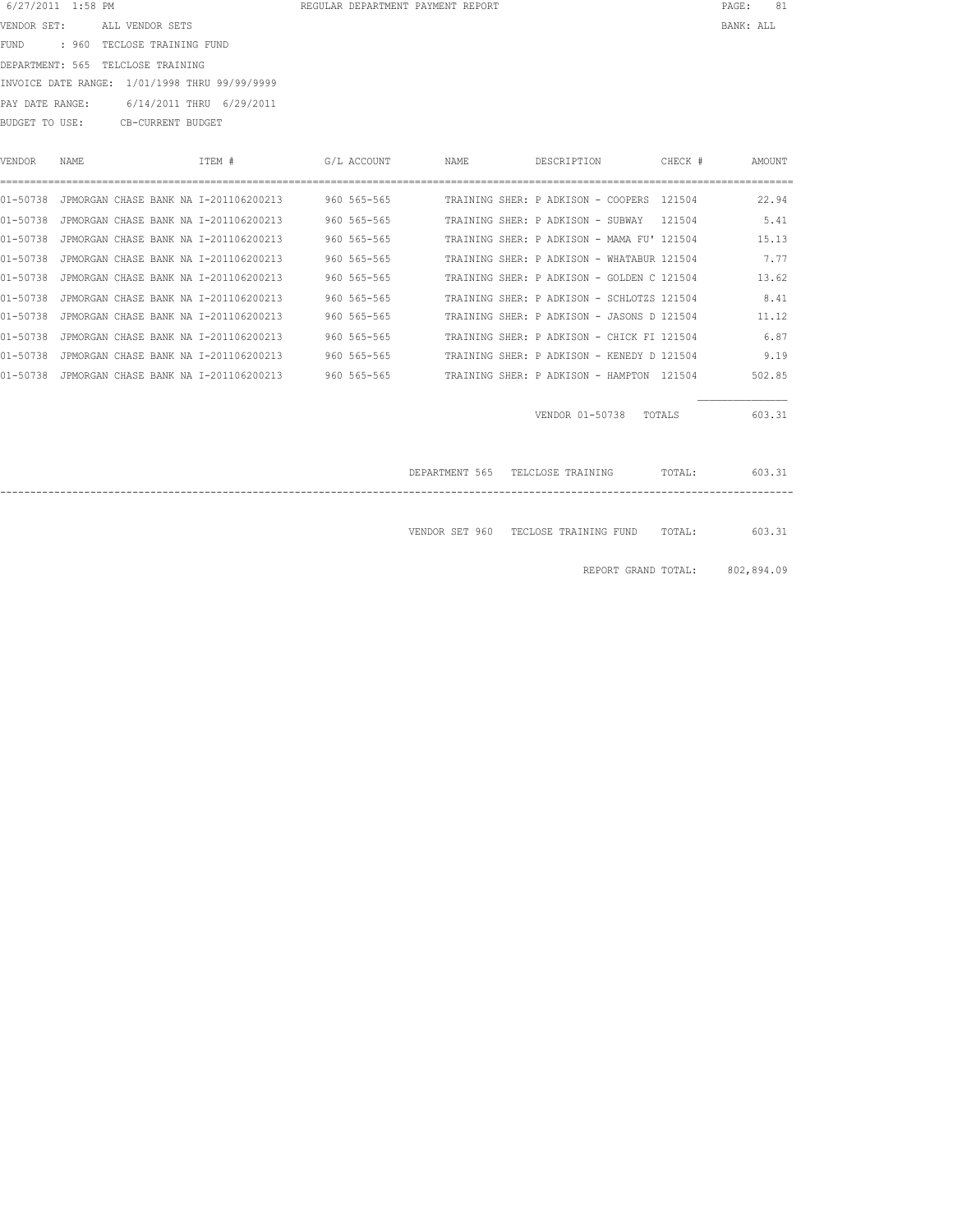|                 |      | DEPARTMENT: 565 TELCLOSE TRAINING                          |             |      |                                            |         |            |
|-----------------|------|------------------------------------------------------------|-------------|------|--------------------------------------------|---------|------------|
|                 |      | INVOICE DATE RANGE: 1/01/1998 THRU 99/99/9999              |             |      |                                            |         |            |
| PAY DATE RANGE: |      | 6/14/2011 THRU 6/29/2011                                   |             |      |                                            |         |            |
|                 |      | BUDGET TO USE: CB-CURRENT BUDGET                           |             |      |                                            |         |            |
|                 |      |                                                            |             |      |                                            |         |            |
| VENDOR          | NAME | ITEM #                                                     | G/L ACCOUNT | NAME | DESCRIPTION                                | CHECK # | AMOUNT     |
|                 |      |                                                            |             |      |                                            |         |            |
|                 |      | 01-50738 JPMORGAN CHASE BANK NA I-201106200213 960 565-565 |             |      | TRAINING SHER: P ADKISON - COOPERS 121504  |         | 22.94      |
|                 |      | 01-50738 JPMORGAN CHASE BANK NA I-201106200213             | 960 565-565 |      | TRAINING SHER: P ADKISON - SUBWAY 121504   |         | 5.41       |
|                 |      | 01-50738 JPMORGAN CHASE BANK NA I-201106200213             | 960 565-565 |      | TRAINING SHER: P ADKISON - MAMA FU' 121504 |         | 15.13      |
|                 |      | 01-50738 JPMORGAN CHASE BANK NA I-201106200213             | 960 565-565 |      | TRAINING SHER: P ADKISON - WHATABUR 121504 |         | 7.77       |
|                 |      | 01-50738 JPMORGAN CHASE BANK NA I-201106200213             | 960 565-565 |      | TRAINING SHER: P ADKISON - GOLDEN C 121504 |         | 13.62      |
|                 |      | 01-50738 JPMORGAN CHASE BANK NA I-201106200213             | 960 565-565 |      | TRAINING SHER: P ADKISON - SCHLOTZS 121504 |         | 8.41       |
|                 |      | 01-50738 JPMORGAN CHASE BANK NA I-201106200213             | 960 565-565 |      | TRAINING SHER: P ADKISON - JASONS D 121504 |         | 11.12      |
|                 |      | 01-50738 JPMORGAN CHASE BANK NA I-201106200213             | 960 565-565 |      | TRAINING SHER: P ADKISON - CHICK FI 121504 |         | 6.87       |
|                 |      | 01-50738 JPMORGAN CHASE BANK NA I-201106200213             | 960 565-565 |      | TRAINING SHER: P ADKISON - KENEDY D 121504 |         | 9.19       |
|                 |      | 01-50738 JPMORGAN CHASE BANK NA I-201106200213             | 960 565-565 |      | TRAINING SHER: P ADKISON - HAMPTON 121504  |         | 502.85     |
|                 |      |                                                            |             |      |                                            |         |            |
|                 |      |                                                            |             |      | VENDOR 01-50738 TOTALS                     |         | 603.31     |
|                 |      |                                                            |             |      |                                            |         |            |
|                 |      |                                                            |             |      |                                            |         |            |
|                 |      |                                                            |             |      | DEPARTMENT 565 TELCLOSE TRAINING TOTAL:    |         | 603.31     |
|                 |      |                                                            |             |      |                                            |         |            |
|                 |      |                                                            |             |      |                                            |         |            |
|                 |      |                                                            |             |      | VENDOR SET 960 TECLOSE TRAINING FUND       | TOTAL:  | 603.31     |
|                 |      |                                                            |             |      |                                            |         |            |
|                 |      |                                                            |             |      | REPORT GRAND TOTAL:                        |         | 802,894.09 |

 6/27/2011 1:58 PM REGULAR DEPARTMENT PAYMENT REPORT PAGE: 81 VENDOR SET: ALL VENDOR SETS BANK: ALL

FUND : 960 TECLOSE TRAINING FUND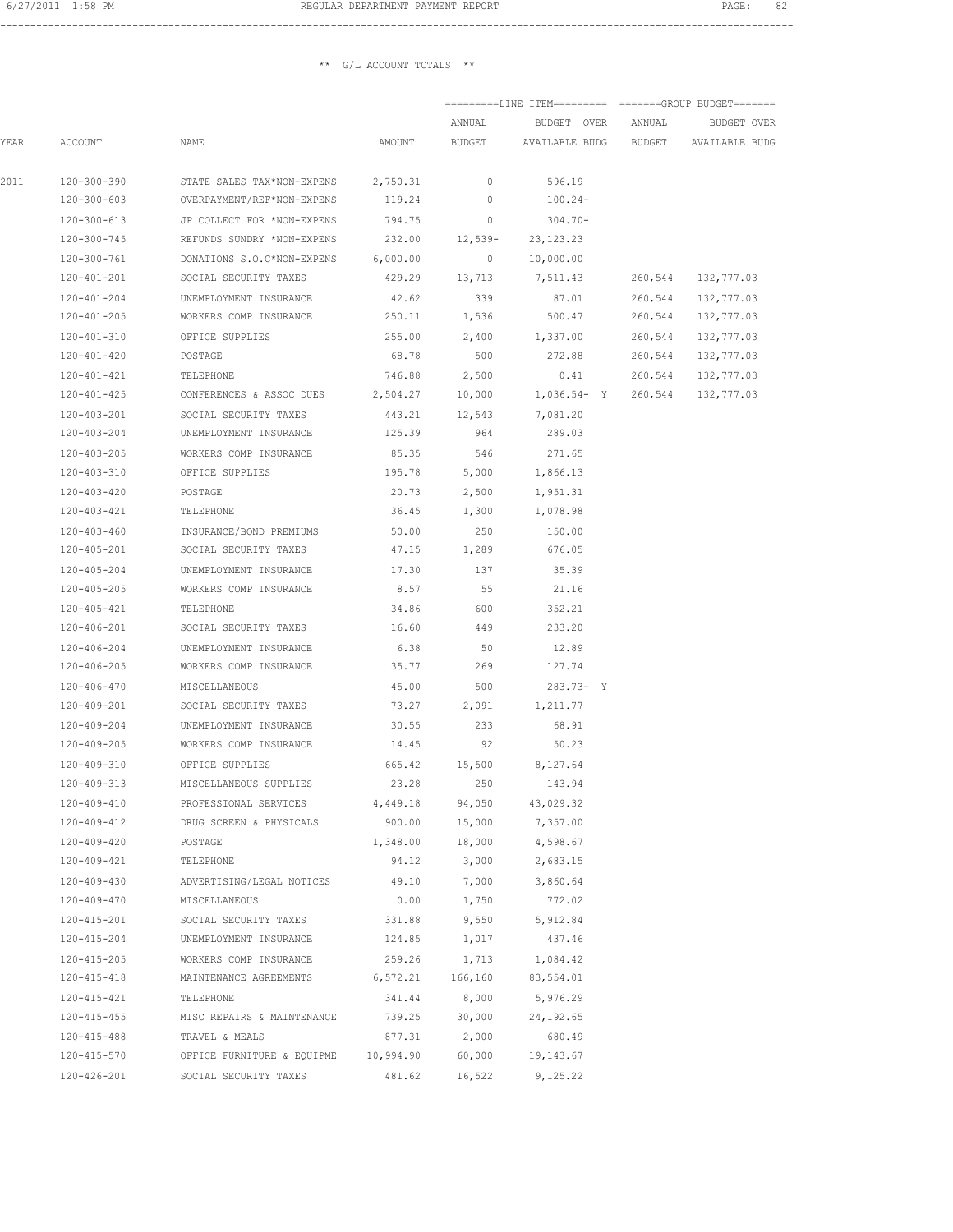#### ------------------------------------------------------------------------------------------------------------------------------------

|      |                   |                                     |           | ANNUAL                   | BUDGET OVER                          | ANNUAL  | BUDGET OVER        |
|------|-------------------|-------------------------------------|-----------|--------------------------|--------------------------------------|---------|--------------------|
| YEAR | ACCOUNT           | NAME                                | AMOUNT    | BUDGET                   | AVAILABLE BUDG BUDGET AVAILABLE BUDG |         |                    |
| 2011 | 120-300-390       | STATE SALES TAX*NON-EXPENS          | 2,750.31  | $\overline{\phantom{0}}$ | 596.19                               |         |                    |
|      | 120-300-603       | OVERPAYMENT/REF*NON-EXPENS          | 119.24    | $\circ$                  | 100.24-                              |         |                    |
|      | 120-300-613       | JP COLLECT FOR *NON-EXPENS          | 794.75    | $\overline{\phantom{0}}$ | 304.70-                              |         |                    |
|      | 120-300-745       | REFUNDS SUNDRY *NON-EXPENS          | 232.00    | $12,539-$                | 23, 123. 23                          |         |                    |
|      | 120-300-761       | DONATIONS S.O.C*NON-EXPENS          | 6,000.00  | $\circ$                  | 10,000.00                            |         |                    |
|      | 120-401-201       | SOCIAL SECURITY TAXES               | 429.29    | 13,713                   | 7,511.43                             | 260,544 | 132,777.03         |
|      | 120-401-204       | UNEMPLOYMENT INSURANCE              | 42.62     | 339                      | 87.01                                | 260,544 | 132,777.03         |
|      | 120-401-205       | WORKERS COMP INSURANCE              | 250.11    | 1,536                    | 500.47                               | 260,544 | 132,777.03         |
|      | 120-401-310       | OFFICE SUPPLIES                     | 255.00    | 2,400                    | 1,337.00                             | 260,544 | 132,777.03         |
|      | 120-401-420       | POSTAGE                             | 68.78     | 500                      | 272.88                               |         | 260,544 132,777.03 |
|      | 120-401-421       | TELEPHONE                           | 746.88    | 2,500                    | 0.41                                 |         | 260,544 132,777.03 |
|      | 120-401-425       | CONFERENCES & ASSOC DUES            | 2,504.27  | 10,000                   | 1,036.54- Y 260,544 132,777.03       |         |                    |
|      | 120-403-201       | SOCIAL SECURITY TAXES               | 443.21    | 12,543                   | 7,081.20                             |         |                    |
|      | 120-403-204       | UNEMPLOYMENT INSURANCE              | 125.39    | 964                      | 289.03                               |         |                    |
|      | 120-403-205       | WORKERS COMP INSURANCE              | 85.35     | 546                      | 271.65                               |         |                    |
|      | 120-403-310       | OFFICE SUPPLIES                     | 195.78    | 5,000                    | 1,866.13                             |         |                    |
|      | 120-403-420       | POSTAGE                             | 20.73     | 2,500                    | 1,951.31                             |         |                    |
|      | 120-403-421       | TELEPHONE                           | 36.45     | 1,300                    | 1,078.98                             |         |                    |
|      |                   | 120-403-460 INSURANCE/BOND PREMIUMS | 50.00     | 250                      | 150.00                               |         |                    |
|      | 120-405-201       | SOCIAL SECURITY TAXES               | 47.15     | 1,289                    | 676.05                               |         |                    |
|      | 120-405-204       | UNEMPLOYMENT INSURANCE              | 17.30     | 137                      | 35.39                                |         |                    |
|      | 120-405-205       | WORKERS COMP INSURANCE              | 8.57      | 55                       | 21.16                                |         |                    |
|      | 120-405-421       | TELEPHONE                           | 34.86     | 600                      | 352.21                               |         |                    |
|      | 120-406-201       | SOCIAL SECURITY TAXES               | 16.60     | 449                      | 233.20                               |         |                    |
|      | 120-406-204       | UNEMPLOYMENT INSURANCE              | 6.38      | 50                       | 12.89                                |         |                    |
|      | 120-406-205       | WORKERS COMP INSURANCE              | 35.77     | 269                      | 127.74                               |         |                    |
|      | 120-406-470       | MISCELLANEOUS                       | 45.00     | 500                      | $283.73 - Y$                         |         |                    |
|      | 120-409-201       | SOCIAL SECURITY TAXES               | 73.27     | 2,091                    | 1,211.77                             |         |                    |
|      | 120-409-204       | UNEMPLOYMENT INSURANCE              | 30.55     | 233                      | 68.91                                |         |                    |
|      | 120-409-205       | WORKERS COMP INSURANCE              | 14.45     | 92                       | 50.23                                |         |                    |
|      |                   | 120-409-310 OFFICE SUPPLIES         |           | 665.42 15,500 8,127.64   |                                      |         |                    |
|      |                   | 120-409-313 MISCELLANEOUS SUPPLIES  | 23.28     | 250                      | 143.94                               |         |                    |
|      | 120-409-410       | PROFESSIONAL SERVICES               | 4,449.18  | 94,050                   | 43,029.32                            |         |                    |
|      | 120-409-412       | DRUG SCREEN & PHYSICALS             | 900.00    | 15,000                   | 7,357.00                             |         |                    |
|      | 120-409-420       | POSTAGE                             | 1,348.00  | 18,000                   | 4,598.67                             |         |                    |
|      | 120-409-421       | TELEPHONE                           | 94.12     | 3,000                    | 2,683.15                             |         |                    |
|      | 120-409-430       | ADVERTISING/LEGAL NOTICES           | 49.10     | 7,000                    | 3,860.64                             |         |                    |
|      | 120-409-470       | MISCELLANEOUS                       | 0.00      | 1,750                    | 772.02                               |         |                    |
|      | 120-415-201       | SOCIAL SECURITY TAXES               | 331.88    | 9,550                    | 5,912.84                             |         |                    |
|      | 120-415-204       | UNEMPLOYMENT INSURANCE              | 124.85    | 1,017                    | 437.46                               |         |                    |
|      | $120 - 415 - 205$ | WORKERS COMP INSURANCE              | 259.26    | 1,713                    | 1,084.42                             |         |                    |
|      | 120-415-418       | MAINTENANCE AGREEMENTS              | 6,572.21  | 166,160                  | 83,554.01                            |         |                    |
|      | 120-415-421       | TELEPHONE                           | 341.44    | 8,000                    | 5,976.29                             |         |                    |
|      | 120-415-455       | MISC REPAIRS & MAINTENANCE          | 739.25    | 30,000                   | 24,192.65                            |         |                    |
|      | 120-415-488       | TRAVEL & MEALS                      | 877.31    | 2,000                    | 680.49                               |         |                    |
|      | 120-415-570       | OFFICE FURNITURE & EQUIPME          | 10,994.90 | 60,000                   | 19,143.67                            |         |                    |
|      | 120-426-201       | SOCIAL SECURITY TAXES               | 481.62    | 16,522                   | 9,125.22                             |         |                    |
|      |                   |                                     |           |                          |                                      |         |                    |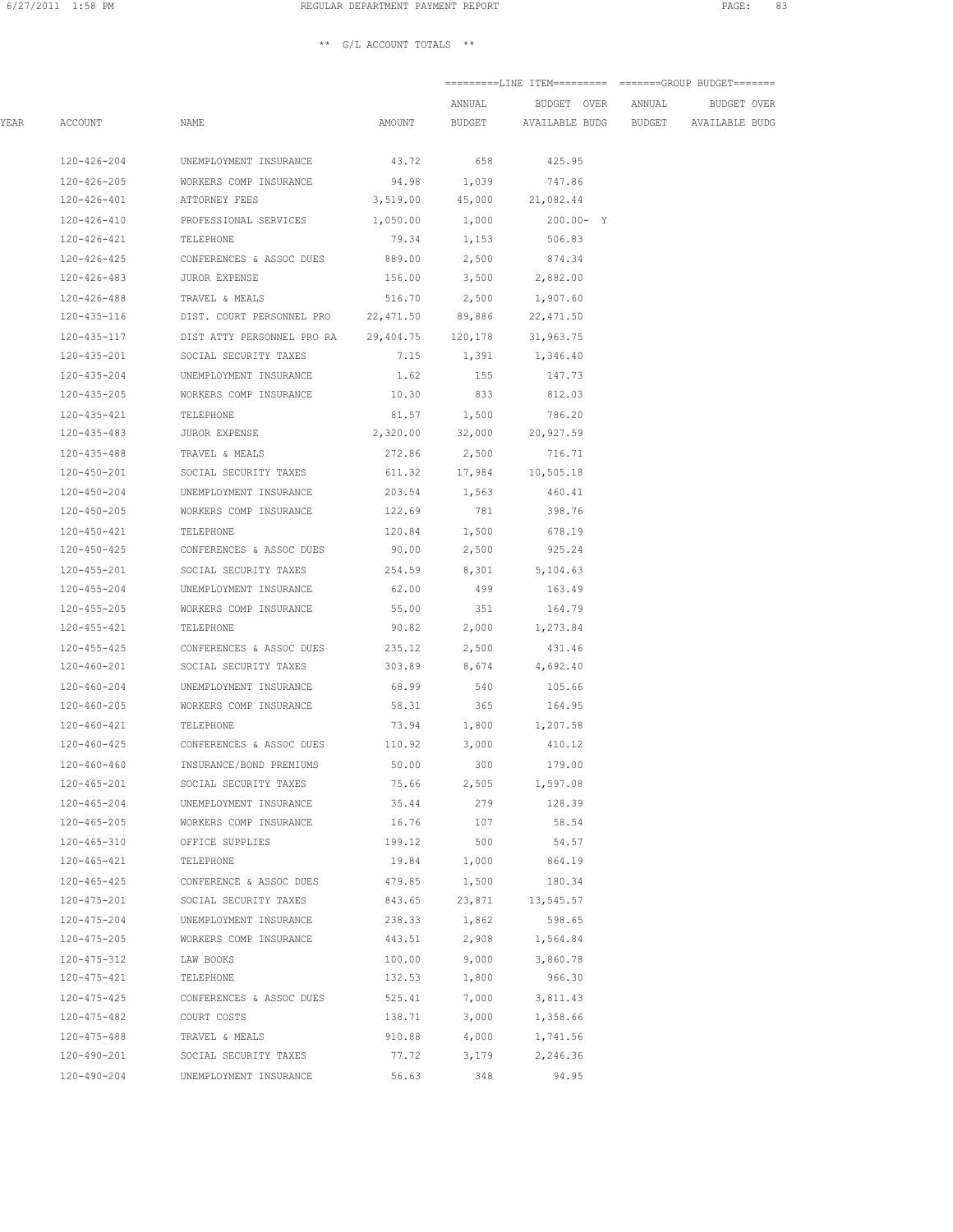|      |                       |                                                                    |                       | ANNUAL        | BUDGET OVER ANNUAL                          |  | BUDGET OVER |  |
|------|-----------------------|--------------------------------------------------------------------|-----------------------|---------------|---------------------------------------------|--|-------------|--|
| YEAR | ACCOUNT               | NAME                                                               | AMOUNT                |               | BUDGET AVAILABLE BUDG BUDGET AVAILABLE BUDG |  |             |  |
|      | 120-426-204           | UNEMPLOYMENT INSURANCE                                             |                       | 43.72 658     | 425.95                                      |  |             |  |
|      | 120-426-205           | WORKERS COMP INSURANCE                                             |                       | 94.98 1,039   | 747.86                                      |  |             |  |
|      | 120-426-401           | ATTORNEY FEES                                                      | 3,519.00              | 45,000        | 21,082.44                                   |  |             |  |
|      | 120-426-410           | PROFESSIONAL SERVICES                                              | $1,050.00$ $1,000$    |               | 200.00- Y                                   |  |             |  |
|      | 120-426-421           | TELEPHONE                                                          |                       | 79.34 1,153   | 506.83                                      |  |             |  |
|      | 120-426-425           | CONFERENCES & ASSOC DUES                                           |                       | 889.00 2,500  | 874.34                                      |  |             |  |
|      |                       | 120-426-483 JUROR EXPENSE                                          |                       |               | 156.00 3,500 2,882.00                       |  |             |  |
|      |                       | 120-426-488 TRAVEL & MEALS                                         |                       |               | 516.70 2,500 1,907.60                       |  |             |  |
|      |                       | 120-435-116 DIST. COURT PERSONNEL PRO 22,471.50 89,886             |                       |               | 22,471.50                                   |  |             |  |
|      |                       | 120-435-117 DIST ATTY PERSONNEL PRO RA 29,404.75 120,178 31,963.75 |                       |               |                                             |  |             |  |
|      |                       | 120-435-201 SOCIAL SECURITY TAXES                                  |                       |               | 7.15 1,391 1,346.40                         |  |             |  |
|      | 120-435-204           | UNEMPLOYMENT INSURANCE                                             |                       | 1.62 155      | 147.73                                      |  |             |  |
|      |                       | 120-435-205 WORKERS COMP INSURANCE                                 | 10.30                 | 833           | 812.03                                      |  |             |  |
|      | 120-435-421           | TELEPHONE                                                          | 81.57                 | 1,500         | 786.20                                      |  |             |  |
|      | 120-435-483           | JUROR EXPENSE                                                      | 2,320.00              | 32,000        | 20,927.59                                   |  |             |  |
|      |                       | TRAVEL & MEALS                                                     |                       |               |                                             |  |             |  |
|      | 120-435-488           |                                                                    | 272.86                | 2,500         | 716.71                                      |  |             |  |
|      | 120-450-201           | SOCIAL SECURITY TAXES                                              |                       | 611.32 17,984 | 10,505.18                                   |  |             |  |
|      | 120-450-204           | UNEMPLOYMENT INSURANCE                                             |                       | 203.54 1,563  | 460.41                                      |  |             |  |
|      | 120-450-205           | WORKERS COMP INSURANCE                                             | 122.69                | 781           | 398.76                                      |  |             |  |
|      | 120-450-421 TELEPHONE |                                                                    |                       | 120.84 1,500  | 678.19                                      |  |             |  |
|      |                       | 120-450-425 CONFERENCES & ASSOC DUES                               | 90.00                 |               | 2,500 925.24                                |  |             |  |
|      |                       | 120-455-201 SOCIAL SECURITY TAXES                                  | 254.59 8,301 5,104.63 |               |                                             |  |             |  |
|      |                       | 120-455-204 UNEMPLOYMENT INSURANCE                                 |                       | 62.00 499     | 163.49                                      |  |             |  |
|      |                       | 120-455-205 WORKERS COMP INSURANCE                                 |                       | 55.00 351     | 164.79                                      |  |             |  |
|      | 120-455-421 TELEPHONE |                                                                    |                       | 90.82 2,000   | 1,273.84                                    |  |             |  |
|      | 120-455-425           | CONFERENCES & ASSOC DUES                                           | 235.12                | 2,500         | 431.46                                      |  |             |  |
|      | 120-460-201           | SOCIAL SECURITY TAXES                                              | 303.89                | 8,674         | 4,692.40                                    |  |             |  |
|      | 120-460-204           | UNEMPLOYMENT INSURANCE                                             | 68.99                 | 540           | 105.66                                      |  |             |  |
|      | 120-460-205           | WORKERS COMP INSURANCE                                             | 58.31                 | 365           | 164.95                                      |  |             |  |
|      | 120-460-421           | TELEPHONE                                                          |                       |               | 73.94 1,800 1,207.58                        |  |             |  |
|      |                       | 120-460-425 CONFERENCES & ASSOC DUES 110.92 3,000                  |                       |               | 410.12                                      |  |             |  |
|      | $120 - 460 - 460$     | INSURANCE/BOND PREMIUMS                                            | 50.00                 | 300           | 179.00                                      |  |             |  |
|      | 120-465-201           | SOCIAL SECURITY TAXES                                              | 75.66                 | 2,505         | 1,597.08                                    |  |             |  |
|      | 120-465-204           | UNEMPLOYMENT INSURANCE                                             | 35.44                 | 279           | 128.39                                      |  |             |  |
|      | $120 - 465 - 205$     | WORKERS COMP INSURANCE                                             | 16.76                 | 107           | 58.54                                       |  |             |  |
|      | 120-465-310           | OFFICE SUPPLIES                                                    | 199.12                | 500           | 54.57                                       |  |             |  |
|      | 120-465-421           | TELEPHONE                                                          | 19.84                 | 1,000         | 864.19                                      |  |             |  |
|      | $120 - 465 - 425$     | CONFERENCE & ASSOC DUES                                            | 479.85                | 1,500         | 180.34                                      |  |             |  |
|      | 120-475-201           | SOCIAL SECURITY TAXES                                              | 843.65                | 23,871        | 13,545.57                                   |  |             |  |
|      | 120-475-204           | UNEMPLOYMENT INSURANCE                                             | 238.33                | 1,862         | 598.65                                      |  |             |  |
|      | $120 - 475 - 205$     | WORKERS COMP INSURANCE                                             | 443.51                | 2,908         | 1,564.84                                    |  |             |  |
|      | 120-475-312           | LAW BOOKS                                                          | 100.00                | 9,000         | 3,860.78                                    |  |             |  |
|      | 120-475-421           | TELEPHONE                                                          | 132.53                | 1,800         | 966.30                                      |  |             |  |
|      | 120-475-425           | CONFERENCES & ASSOC DUES                                           | 525.41                | 7,000         | 3,811.43                                    |  |             |  |
|      | 120-475-482           | COURT COSTS                                                        | 138.71                | 3,000         | 1,358.66                                    |  |             |  |
|      | 120-475-488           | TRAVEL & MEALS                                                     | 910.88                | 4,000         | 1,741.56                                    |  |             |  |
|      | 120-490-201           | SOCIAL SECURITY TAXES                                              | 77.72                 | 3,179         | 2,246.36                                    |  |             |  |
|      | 120-490-204           | UNEMPLOYMENT INSURANCE                                             | 56.63                 | 348           | 94.95                                       |  |             |  |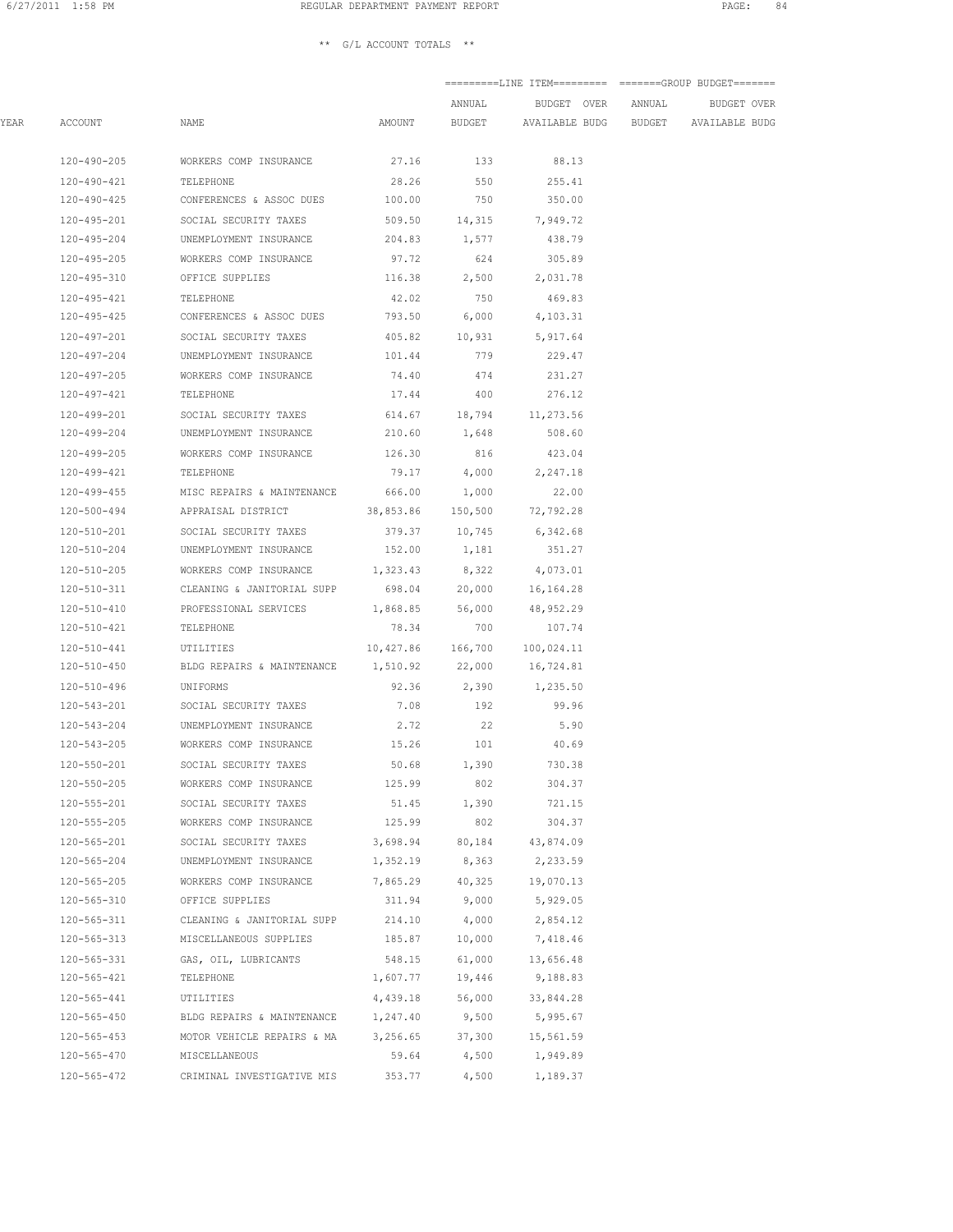|      |                       |                                                            |                            | ANNUAL          | BUDGET OVER ANNUAL                   |  | BUDGET OVER |  |
|------|-----------------------|------------------------------------------------------------|----------------------------|-----------------|--------------------------------------|--|-------------|--|
| YEAR | ACCOUNT               | NAME                                                       | AMOUNT                     | BUDGET          | AVAILABLE BUDG BUDGET AVAILABLE BUDG |  |             |  |
|      | 120-490-205           | WORKERS COMP INSURANCE                                     | 27.16                      | 133             | 88.13                                |  |             |  |
|      | 120-490-421           | TELEPHONE                                                  | 28.26                      | 550             | 255.41                               |  |             |  |
|      | 120-490-425           | CONFERENCES & ASSOC DUES                                   | 100.00                     | 750             | 350.00                               |  |             |  |
|      |                       | 120-495-201 SOCIAL SECURITY TAXES                          |                            |                 | 509.50 14,315 7,949.72               |  |             |  |
|      |                       | 120-495-204 UNEMPLOYMENT INSURANCE                         |                            | 204.83 1,577    | 438.79                               |  |             |  |
|      |                       | 120-495-205 WORKERS COMP INSURANCE 97.72 624               |                            |                 | 305.89                               |  |             |  |
|      |                       | 120-495-310 OFFICE SUPPLIES                                |                            |                 | 116.38 2,500 2,031.78                |  |             |  |
|      | 120-495-421 TELEPHONE |                                                            |                            | 42.02 750       | 469.83                               |  |             |  |
|      |                       | 120-495-425 CONFERENCES & ASSOC DUES 793.50 6,000          |                            |                 | 4,103.31                             |  |             |  |
|      |                       | 120-497-201 SOCIAL SECURITY TAXES                          | 405.82 10,931 5,917.64     |                 |                                      |  |             |  |
|      |                       | 120-497-204 UNEMPLOYMENT INSURANCE                         | 101.44 779                 |                 | 229.47                               |  |             |  |
|      | 120-497-205           | WORKERS COMP INSURANCE                                     | 74.40                      | 474             | 231.27                               |  |             |  |
|      | 120-497-421           | TELEPHONE                                                  | 17.44                      | 400             | 276.12                               |  |             |  |
|      | 120-499-201           | SOCIAL SECURITY TAXES                                      |                            |                 | 614.67 18,794 11,273.56              |  |             |  |
|      | 120-499-204           | UNEMPLOYMENT INSURANCE                                     | 210.60                     | 1,648           | 508.60                               |  |             |  |
|      | 120-499-205           | WORKERS COMP INSURANCE                                     | 126.30                     | 816             | 423.04                               |  |             |  |
|      | 120-499-421           | TELEPHONE                                                  |                            | 79.17 4,000     | 2,247.18                             |  |             |  |
|      |                       | 120-499-455 MISC REPAIRS & MAINTENANCE 666.00              |                            | 1,000           | 22.00                                |  |             |  |
|      |                       | 120-500-494 APPRAISAL DISTRICT 38,853.86 150,500 72,792.28 |                            |                 |                                      |  |             |  |
|      |                       | 120-510-201 SOCIAL SECURITY TAXES                          |                            |                 | 379.37 10,745 6,342.68               |  |             |  |
|      |                       | 120-510-204 UNEMPLOYMENT INSURANCE 152.00 1,181            |                            |                 | 351.27                               |  |             |  |
|      |                       | 120-510-205 WORKERS COMP INSURANCE                         | 1, 323.43 8, 322 4, 073.01 |                 |                                      |  |             |  |
|      |                       | 120-510-311 CLEANING & JANITORIAL SUPP                     |                            |                 | 698.04 20,000 16,164.28              |  |             |  |
|      | 120-510-410           | PROFESSIONAL SERVICES                                      |                            | 1,868.85 56,000 | 48,952.29                            |  |             |  |
|      | 120-510-421           | TELEPHONE                                                  | 78.34                      | 700             | 107.74                               |  |             |  |
|      | 120-510-441           | UTILITIES                                                  | 10,427.86 166,700          |                 | 100,024.11                           |  |             |  |
|      | 120-510-450           | BLDG REPAIRS & MAINTENANCE 1,510.92 22,000                 |                            |                 | 16,724.81                            |  |             |  |
|      | 120-510-496           | UNIFORMS                                                   |                            |                 | 92.36 2,390 1,235.50                 |  |             |  |
|      |                       | 120-543-201 SOCIAL SECURITY TAXES                          |                            | 7.08 192        | 99.96                                |  |             |  |
|      |                       | 120-543-204 UNEMPLOYMENT INSURANCE                         |                            | 2.72 22         | 5.90                                 |  |             |  |
|      |                       | 120-543-205 WORKERS COMP INSURANCE                         | 15.26 101                  |                 | 40.69                                |  |             |  |
|      | 120-550-201           | SOCIAL SECURITY TAXES                                      | $50.68$ 1,390              |                 | 730.38                               |  |             |  |
|      | 120-550-205           | WORKERS COMP INSURANCE                                     | 125.99                     | 802             | 304.37                               |  |             |  |
|      | 120-555-201           | SOCIAL SECURITY TAXES                                      | 51.45                      | 1,390           | 721.15                               |  |             |  |
|      | 120-555-205           | WORKERS COMP INSURANCE                                     | 125.99                     | 802             | 304.37                               |  |             |  |
|      | 120-565-201           | SOCIAL SECURITY TAXES                                      | 3,698.94                   | 80,184          | 43,874.09                            |  |             |  |
|      | 120-565-204           | UNEMPLOYMENT INSURANCE                                     | 1,352.19                   | 8,363           | 2,233.59                             |  |             |  |
|      | $120 - 565 - 205$     | WORKERS COMP INSURANCE                                     | 7,865.29                   | 40,325          | 19,070.13                            |  |             |  |
|      | $120 - 565 - 310$     | OFFICE SUPPLIES                                            | 311.94                     | 9,000           | 5,929.05                             |  |             |  |
|      | $120 - 565 - 311$     | CLEANING & JANITORIAL SUPP                                 | 214.10                     | 4,000           | 2,854.12                             |  |             |  |
|      | $120 - 565 - 313$     | MISCELLANEOUS SUPPLIES                                     | 185.87                     | 10,000          | 7,418.46                             |  |             |  |
|      | $120 - 565 - 331$     | GAS, OIL, LUBRICANTS                                       | 548.15                     | 61,000          | 13,656.48                            |  |             |  |
|      | 120-565-421           | TELEPHONE                                                  | 1,607.77                   | 19,446          | 9,188.83                             |  |             |  |
|      | $120 - 565 - 441$     | UTILITIES                                                  | 4,439.18                   | 56,000          | 33,844.28                            |  |             |  |
|      | $120 - 565 - 450$     | BLDG REPAIRS & MAINTENANCE                                 | 1,247.40                   | 9,500           | 5,995.67                             |  |             |  |
|      | $120 - 565 - 453$     | MOTOR VEHICLE REPAIRS & MA                                 | 3,256.65                   | 37,300          | 15,561.59                            |  |             |  |
|      | 120-565-470           | MISCELLANEOUS                                              | 59.64                      | 4,500           | 1,949.89                             |  |             |  |
|      | $120 - 565 - 472$     | CRIMINAL INVESTIGATIVE MIS                                 | 353.77                     | 4,500           | 1,189.37                             |  |             |  |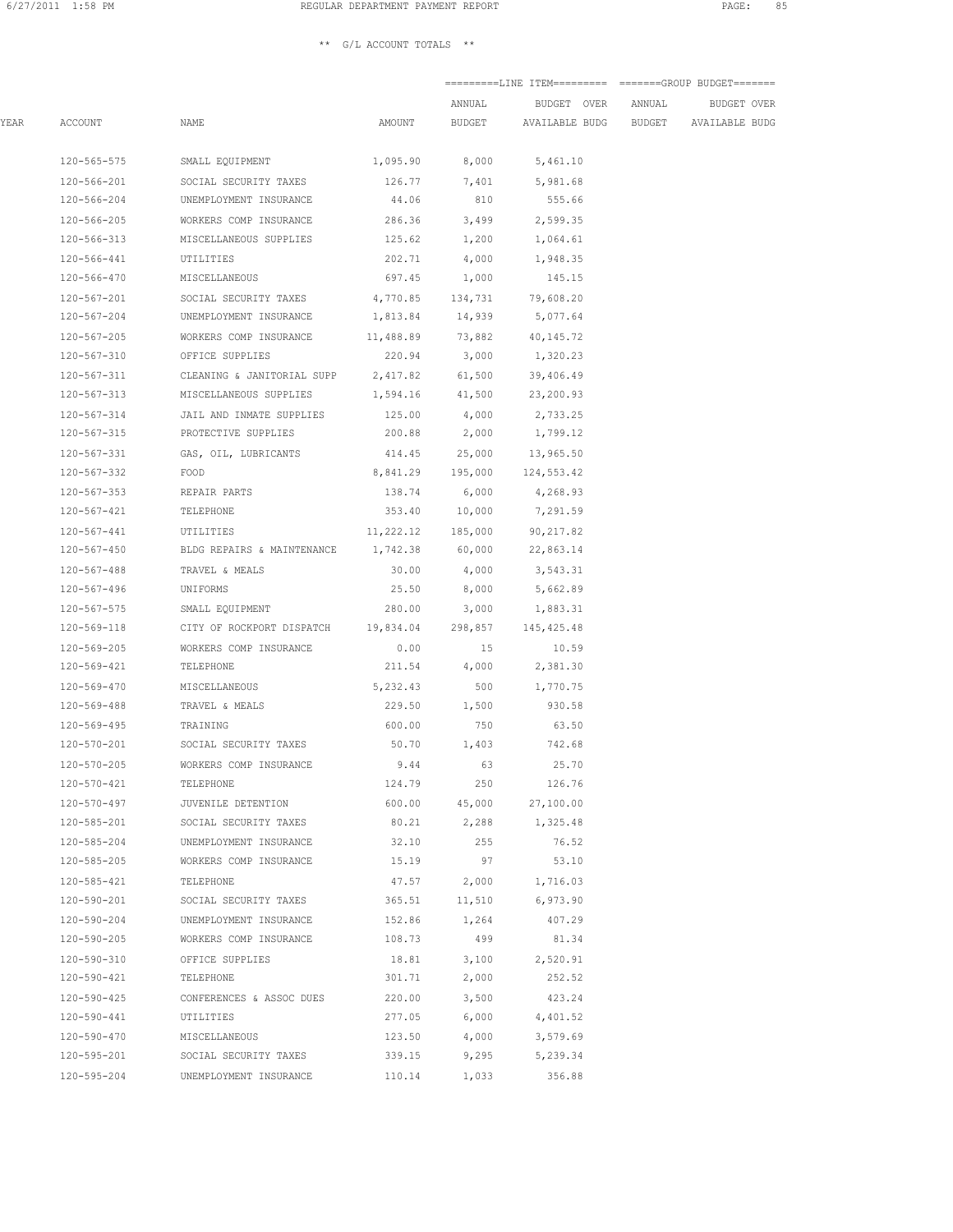|      |                       |                                                             |                   | ANNUAL          | BUDGET OVER                                 | ANNUAL | BUDGET OVER |
|------|-----------------------|-------------------------------------------------------------|-------------------|-----------------|---------------------------------------------|--------|-------------|
| YEAR | ACCOUNT               | NAME                                                        | AMOUNT            |                 | BUDGET AVAILABLE BUDG BUDGET AVAILABLE BUDG |        |             |
|      | 120-565-575           | SMALL EQUIPMENT                                             |                   | 1,095.90 8,000  | 5,461.10                                    |        |             |
|      | 120-566-201           | SOCIAL SECURITY TAXES                                       | 126.77            | 7,401           | 5,981.68                                    |        |             |
|      | 120-566-204           | UNEMPLOYMENT INSURANCE                                      | 44.06             | 810             | 555.66                                      |        |             |
|      | 120-566-205           | WORKERS COMP INSURANCE                                      |                   | 286.36 3,499    | 2,599.35                                    |        |             |
|      | 120-566-313           | MISCELLANEOUS SUPPLIES                                      | 125.62            | 1,200           | 1,064.61                                    |        |             |
|      | 120-566-441           | UTILITIES                                                   | 202.71            | 4,000           | 1,948.35                                    |        |             |
|      |                       | 120-566-470 MISCELLANEOUS                                   |                   | 697.45 1,000    | 145.15                                      |        |             |
|      |                       | 120-567-201 SOCIAL SECURITY TAXES                           | 4,770.85 134,731  |                 | 79,608.20                                   |        |             |
|      |                       | 120-567-204 UNEMPLOYMENT INSURANCE 1,813.84 14,939 5,077.64 |                   |                 |                                             |        |             |
|      |                       | 120-567-205 WORKERS COMP INSURANCE 11,488.89 73,882         |                   |                 | 40,145.72                                   |        |             |
|      |                       | 120-567-310 OFFICE SUPPLIES                                 |                   |                 | 220.94 3,000 1,320.23                       |        |             |
|      |                       | 120-567-311 CLEANING & JANITORIAL SUPP 2,417.82 61,500      |                   |                 | 39,406.49                                   |        |             |
|      |                       | 120-567-313 MISCELLANEOUS SUPPLIES                          |                   | 1,594.16 41,500 | 23,200.93                                   |        |             |
|      | 120-567-314           | JAIL AND INMATE SUPPLIES                                    | 125.00            | 4,000           | 2,733.25                                    |        |             |
|      | 120-567-315           | PROTECTIVE SUPPLIES                                         | 200.88            | 2,000           | 1,799.12                                    |        |             |
|      | 120-567-331           | GAS, OIL, LUBRICANTS                                        |                   | 414.45 25,000   | 13,965.50                                   |        |             |
|      | 120-567-332           | FOOD                                                        | 8,841.29 195,000  |                 | 124,553.42                                  |        |             |
|      | 120-567-353           | REPAIR PARTS                                                | 138.74            | 6,000           | 4,268.93                                    |        |             |
|      | 120-567-421           | TELEPHONE                                                   |                   | 353.40 10,000   | 7,291.59                                    |        |             |
|      | 120-567-441 UTILITIES |                                                             | 11,222.12 185,000 |                 | 90,217.82                                   |        |             |
|      |                       | 120-567-450 BLDG REPAIRS & MAINTENANCE 1,742.38 60,000      |                   |                 | 22,863.14                                   |        |             |
|      |                       | 120-567-488 TRAVEL & MEALS                                  |                   |                 | 30.00 4,000 3,543.31                        |        |             |
|      | 120-567-496           | UNIFORMS                                                    | 25.50             |                 | 8,000 5,662.89                              |        |             |
|      | 120-567-575           | SMALL EQUIPMENT                                             | 280.00            | 3,000           | 1,883.31                                    |        |             |
|      |                       | 120-569-118 CITY OF ROCKPORT DISPATCH 19,834.04 298,857     |                   |                 | 145,425.48                                  |        |             |
|      | 120-569-205           | WORKERS COMP INSURANCE                                      | 0.00              | 15              | 10.59                                       |        |             |
|      | 120-569-421           | TELEPHONE                                                   | 211.54            | 4,000           | 2,381.30                                    |        |             |
|      | 120-569-470           | MISCELLANEOUS                                               | 5,232.43          | 500             | 1,770.75                                    |        |             |
|      | 120-569-488           | TRAVEL & MEALS                                              | 229.50            | 1,500           | 930.58                                      |        |             |
|      | 120-569-495           | TRAINING                                                    | 600.00            | 750             | 63.50                                       |        |             |
|      |                       | 120-570-201 SOCIAL SECURITY TAXES                           |                   | 50.70 1,403     | 742.68                                      |        |             |
|      | 120-570-205           | WORKERS COMP INSURANCE                                      | 9.44              | 63              | 25.70                                       |        |             |
|      | 120-570-421           | TELEPHONE                                                   | 124.79            | 250             | 126.76                                      |        |             |
|      | $120 - 570 - 497$     | JUVENILE DETENTION                                          | 600.00            | 45,000          | 27,100.00                                   |        |             |
|      | 120-585-201           | SOCIAL SECURITY TAXES                                       | 80.21             | 2,288           | 1,325.48                                    |        |             |
|      | 120-585-204           | UNEMPLOYMENT INSURANCE                                      | 32.10             | 255             | 76.52                                       |        |             |
|      | 120-585-205           | WORKERS COMP INSURANCE                                      | 15.19             | 97              | 53.10                                       |        |             |
|      | 120-585-421           | TELEPHONE                                                   | 47.57             | 2,000           | 1,716.03                                    |        |             |
|      | 120-590-201           | SOCIAL SECURITY TAXES                                       | 365.51            | 11,510          | 6,973.90                                    |        |             |
|      | 120-590-204           | UNEMPLOYMENT INSURANCE                                      | 152.86            | 1,264           | 407.29                                      |        |             |
|      | 120-590-205           | WORKERS COMP INSURANCE                                      | 108.73            | 499             | 81.34                                       |        |             |
|      | 120-590-310           | OFFICE SUPPLIES                                             | 18.81             | 3,100           | 2,520.91                                    |        |             |
|      | 120-590-421           | TELEPHONE                                                   | 301.71            | 2,000           | 252.52                                      |        |             |
|      | 120-590-425           | CONFERENCES & ASSOC DUES                                    | 220.00            | 3,500           | 423.24                                      |        |             |
|      | 120-590-441           | UTILITIES                                                   | 277.05            | 6,000           | 4,401.52                                    |        |             |
|      | 120-590-470           | MISCELLANEOUS                                               | 123.50            | 4,000           | 3,579.69                                    |        |             |
|      | 120-595-201           | SOCIAL SECURITY TAXES                                       | 339.15            | 9,295           | 5,239.34                                    |        |             |
|      | 120-595-204           | UNEMPLOYMENT INSURANCE                                      | 110.14            | 1,033           | 356.88                                      |        |             |
|      |                       |                                                             |                   |                 |                                             |        |             |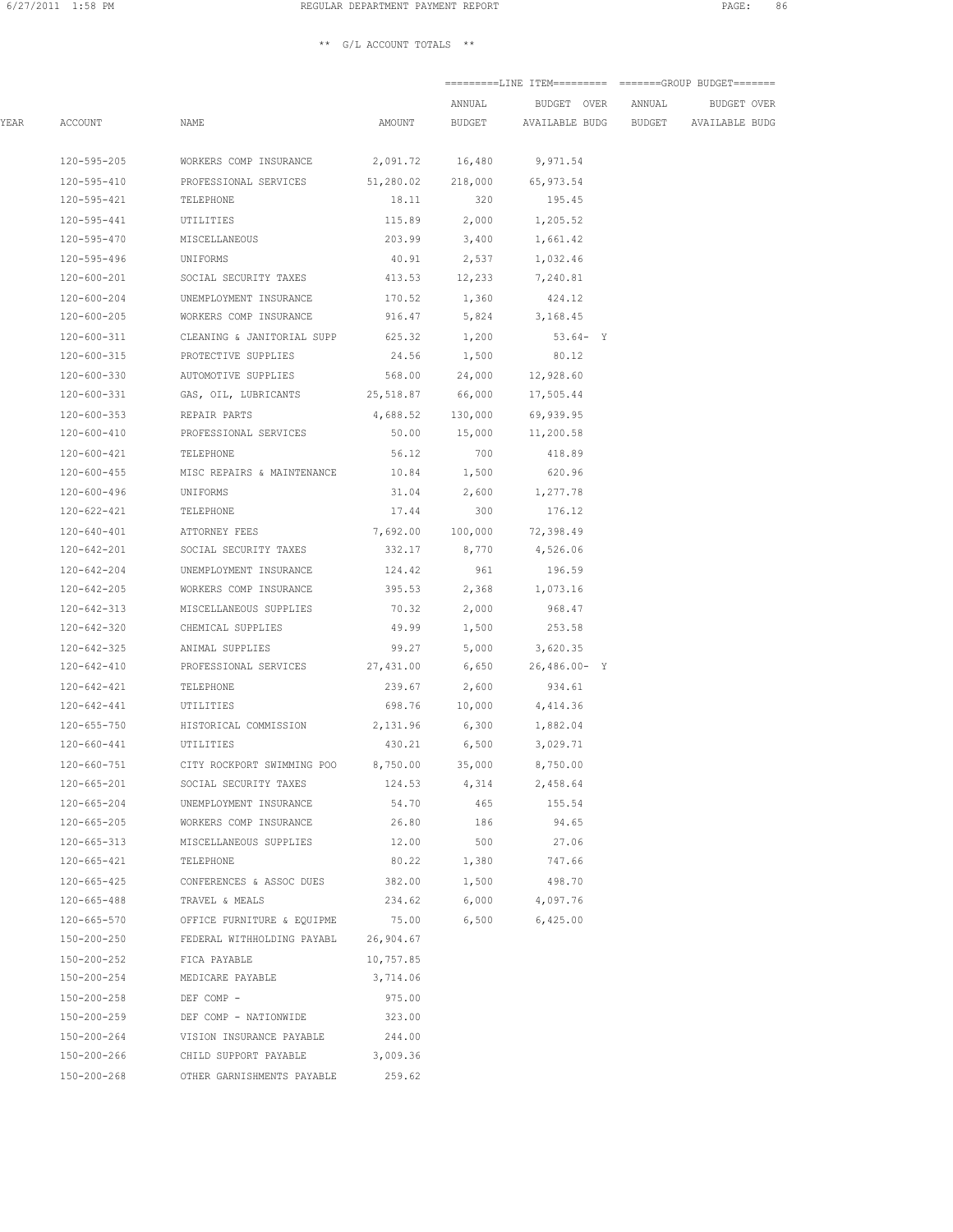|      |             |                                                  |                   | ANNUAL          | BUDGET OVER           | ANNUAL | BUDGET OVER    |
|------|-------------|--------------------------------------------------|-------------------|-----------------|-----------------------|--------|----------------|
| YEAR | ACCOUNT     | NAME                                             | AMOUNT            | BUDGET          | AVAILABLE BUDG BUDGET |        | AVAILABLE BUDG |
|      | 120-595-205 | WORKERS COMP INSURANCE                           |                   | 2,091.72 16,480 | 9,971.54              |        |                |
|      | 120-595-410 | PROFESSIONAL SERVICES                            | 51,280.02 218,000 |                 | 65,973.54             |        |                |
|      | 120-595-421 | TELEPHONE                                        | 18.11             | 320             | 195.45                |        |                |
|      | 120-595-441 | UTILITIES                                        | 115.89            | 2,000           | 1,205.52              |        |                |
|      | 120-595-470 | MISCELLANEOUS                                    | 203.99            | 3,400           | 1,661.42              |        |                |
|      | 120-595-496 | UNIFORMS                                         | 40.91             | 2,537           | 1,032.46              |        |                |
|      | 120-600-201 | SOCIAL SECURITY TAXES                            |                   | 413.53 12,233   | 7,240.81              |        |                |
|      | 120-600-204 | UNEMPLOYMENT INSURANCE                           |                   | 170.52 1,360    | 424.12                |        |                |
|      | 120-600-205 | WORKERS COMP INSURANCE                           |                   | 916.47 5,824    | 3,168.45              |        |                |
|      | 120-600-311 | CLEANING & JANITORIAL SUPP                       |                   | 625.32 1,200    | $53.64 - Y$           |        |                |
|      | 120-600-315 | PROTECTIVE SUPPLIES                              | 24.56             | 1,500           | 80.12                 |        |                |
|      | 120-600-330 | AUTOMOTIVE SUPPLIES                              | 568.00            | 24,000          | 12,928.60             |        |                |
|      | 120-600-331 | GAS, OIL, LUBRICANTS                             | 25,518.87         | 66,000          | 17,505.44             |        |                |
|      | 120-600-353 | REPAIR PARTS                                     | 4,688.52          | 130,000         | 69,939.95             |        |                |
|      | 120-600-410 | PROFESSIONAL SERVICES                            | 50.00             | 15,000          | 11,200.58             |        |                |
|      | 120-600-421 | TELEPHONE                                        | 56.12             | 700             | 418.89                |        |                |
|      | 120-600-455 | MISC REPAIRS & MAINTENANCE                       | 10.84             | 1,500           | 620.96                |        |                |
|      | 120-600-496 | UNIFORMS                                         | 31.04             | 2,600           | 1,277.78              |        |                |
|      | 120-622-421 | TELEPHONE                                        | 17.44             | 300             | 176.12                |        |                |
|      | 120-640-401 | ATTORNEY FEES                                    | 7,692.00 100,000  |                 | 72,398.49             |        |                |
|      | 120-642-201 | SOCIAL SECURITY TAXES                            |                   | 332.17 8,770    | 4,526.06              |        |                |
|      | 120-642-204 | UNEMPLOYMENT INSURANCE                           | 124.42            | 961             | 196.59                |        |                |
|      | 120-642-205 | WORKERS COMP INSURANCE                           | 395.53            | 2,368           | 1,073.16              |        |                |
|      | 120-642-313 | MISCELLANEOUS SUPPLIES                           | 70.32             | 2,000           | 968.47                |        |                |
|      | 120-642-320 | CHEMICAL SUPPLIES                                | 49.99             | 1,500           | 253.58                |        |                |
|      | 120-642-325 | ANIMAL SUPPLIES                                  | 99.27             | 5,000           | 3,620.35              |        |                |
|      | 120-642-410 | PROFESSIONAL SERVICES                            | 27,431.00         | 6,650           | $26,486.00 - Y$       |        |                |
|      | 120-642-421 | TELEPHONE                                        | 239.67            | 2,600           | 934.61                |        |                |
|      | 120-642-441 | UTILITIES                                        |                   | 698.76 10,000   | 4,414.36              |        |                |
|      | 120-655-750 | HISTORICAL COMMISSION                            |                   | 2,131.96 6,300  | 1,882.04              |        |                |
|      | 120-660-441 | UTILITIES                                        | 430.21            | 6,500           | 3,029.71              |        |                |
|      | 120-660-751 | CITY ROCKPORT SWIMMING POO                       | 8,750.00          | 35,000          | 8,750.00              |        |                |
|      | 120-665-201 | SOCIAL SECURITY TAXES                            |                   | 124.53 4,314    | 2,458.64              |        |                |
|      | 120-665-204 | UNEMPLOYMENT INSURANCE                           | 54.70             | 465             | 155.54                |        |                |
|      | 120-665-205 | WORKERS COMP INSURANCE                           | 26.80             | 186             | 94.65                 |        |                |
|      | 120-665-313 | MISCELLANEOUS SUPPLIES                           | 12.00             | 500             | 27.06                 |        |                |
|      | 120-665-421 | TELEPHONE                                        | 80.22             | 1,380           | 747.66                |        |                |
|      | 120-665-425 | CONFERENCES & ASSOC DUES                         | 382.00            | 1,500           | 498.70                |        |                |
|      | 120-665-488 | TRAVEL & MEALS                                   | 234.62            | 6,000           | 4,097.76              |        |                |
|      |             | 120-665-570 OFFICE FURNITURE & EQUIPME 75.00     |                   | 6,500           | 6,425.00              |        |                |
|      |             | 150-200-250 FEDERAL WITHHOLDING PAYABL 26,904.67 |                   |                 |                       |        |                |
|      | 150-200-252 | FICA PAYABLE                                     | 10,757.85         |                 |                       |        |                |
|      | 150-200-254 | MEDICARE PAYABLE                                 | 3,714.06          |                 |                       |        |                |
|      | 150-200-258 | DEF COMP -                                       | 975.00            |                 |                       |        |                |
|      | 150-200-259 | DEF COMP - NATIONWIDE                            | 323.00            |                 |                       |        |                |
|      | 150-200-264 | VISION INSURANCE PAYABLE                         | 244.00            |                 |                       |        |                |
|      | 150-200-266 | CHILD SUPPORT PAYABLE                            | 3,009.36          |                 |                       |        |                |
|      | 150-200-268 | OTHER GARNISHMENTS PAYABLE                       | 259.62            |                 |                       |        |                |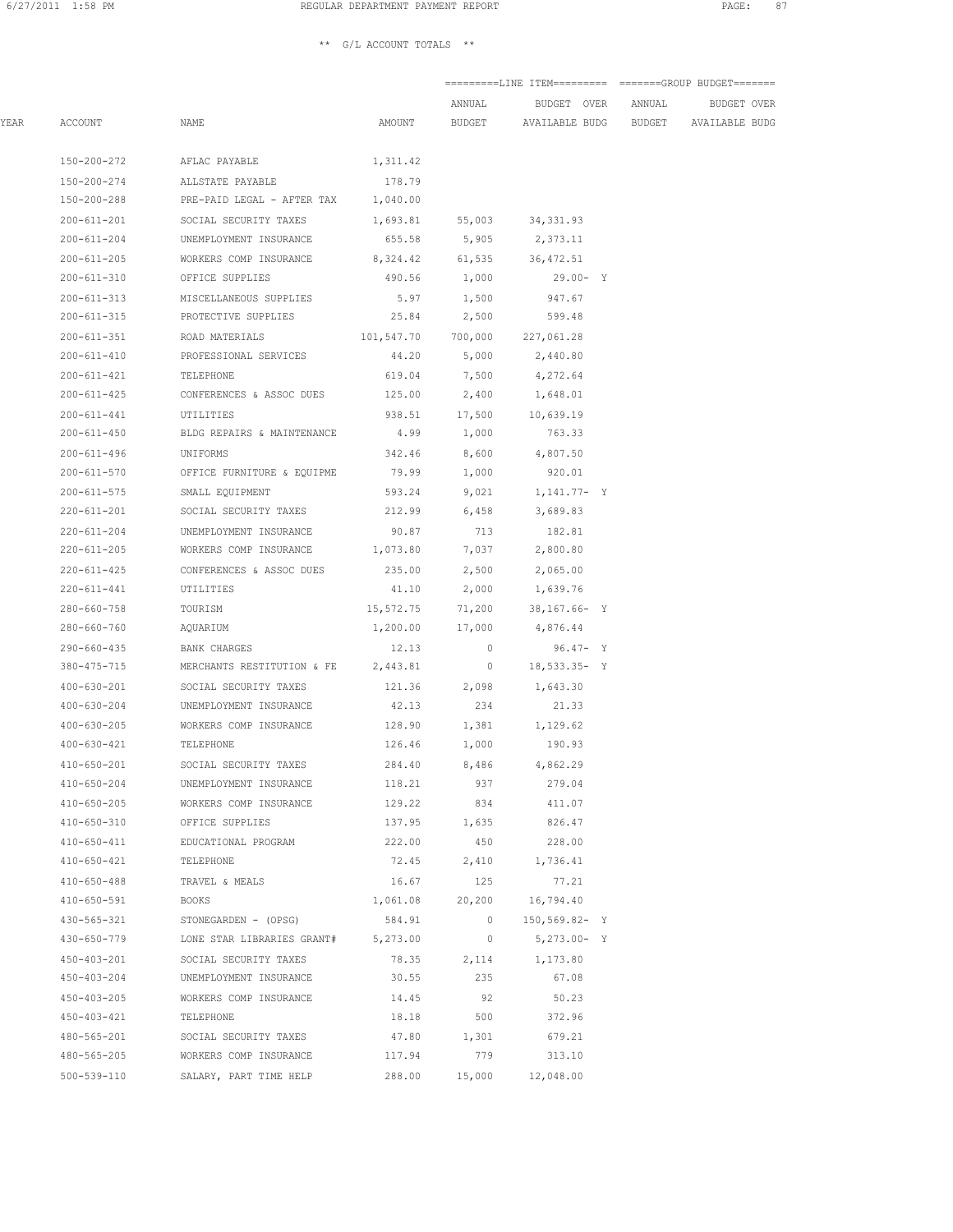|      |                   |                                                  |                    | ANNUAL         | BUDGET OVER               | ANNUAL | <b>BUDGET OVER</b>    |
|------|-------------------|--------------------------------------------------|--------------------|----------------|---------------------------|--------|-----------------------|
| YEAR | ACCOUNT           | NAME                                             | AMOUNT             | BUDGET         | AVAILABLE BUDG BUDGET     |        | <b>AVAILABLE BUDG</b> |
|      | 150-200-272       | AFLAC PAYABLE                                    | 1,311.42           |                |                           |        |                       |
|      | 150-200-274       |                                                  |                    |                |                           |        |                       |
|      |                   | ALLSTATE PAYABLE                                 | 178.79             |                |                           |        |                       |
|      | 150-200-288       | PRE-PAID LEGAL - AFTER TAX                       | 1,040.00           |                |                           |        |                       |
|      | 200-611-201       | SOCIAL SECURITY TAXES                            |                    |                | 1,693.81 55,003 34,331.93 |        |                       |
|      | 200-611-204       | UNEMPLOYMENT INSURANCE                           |                    | 655.58 5,905   | 2,373.11                  |        |                       |
|      | 200-611-205       | WORKERS COMP INSURANCE 8,324.42 61,535 36,472.51 |                    |                |                           |        |                       |
|      |                   | 200-611-310 OFFICE SUPPLIES                      |                    | 490.56 1,000   | $29.00 - Y$               |        |                       |
|      |                   | 200-611-313 MISCELLANEOUS SUPPLIES               |                    | 5.97 1,500     | 947.67                    |        |                       |
|      |                   | 200-611-315 PROTECTIVE SUPPLIES                  |                    | 25.84 2,500    | 599.48                    |        |                       |
|      | 200-611-351       | ROAD MATERIALS                                   | 101,547.70 700,000 |                | 227,061.28                |        |                       |
|      | 200-611-410       | PROFESSIONAL SERVICES                            | 44.20              | 5,000          | 2,440.80                  |        |                       |
|      | 200-611-421       | TELEPHONE                                        | 619.04             | 7,500          | 4,272.64                  |        |                       |
|      | $200 - 611 - 425$ | CONFERENCES & ASSOC DUES                         | 125.00             | 2,400          | 1,648.01                  |        |                       |
|      | 200-611-441       | UTILITIES                                        | 938.51             | 17,500         | 10,639.19                 |        |                       |
|      | 200-611-450       | BLDG REPAIRS & MAINTENANCE                       | 4.99               | 1,000          | 763.33                    |        |                       |
|      | 200-611-496       | UNIFORMS                                         | 342.46             | 8,600          | 4,807.50                  |        |                       |
|      |                   | 200-611-570 OFFICE FURNITURE & EQUIPME 79.99     |                    | 1,000          | 920.01                    |        |                       |
|      |                   | 200-611-575 SMALL EQUIPMENT                      | 593.24             | 9,021          | $1,141.77 - Y$            |        |                       |
|      |                   | 220-611-201 SOCIAL SECURITY TAXES                | 212.99 6,458       |                | 3,689.83                  |        |                       |
|      | 220-611-204       | UNEMPLOYMENT INSURANCE                           |                    | 90.87 713      | 182.81                    |        |                       |
|      | 220-611-205       | WORKERS COMP INSURANCE 1,073.80 7,037            |                    |                | 2,800.80                  |        |                       |
|      | 220-611-425       | CONFERENCES & ASSOC DUES                         | 235.00             | 2,500          | 2,065.00                  |        |                       |
|      | 220-611-441       | UTILITIES                                        | 41.10              | 2,000          | 1,639.76                  |        |                       |
|      | 280-660-758       | TOURISM                                          | 15,572.75          | 71,200         | $38,167.66 - Y$           |        |                       |
|      | 280-660-760       | AQUARIUM                                         | 1,200.00           | 17,000         | 4,876.44                  |        |                       |
|      | 290-660-435       | BANK CHARGES                                     | 12.13              | $\overline{0}$ | 96.47- Y                  |        |                       |
|      | 380-475-715       | MERCHANTS RESTITUTION & FE 2,443.81              |                    | $\overline{0}$ | 18,533.35- Y              |        |                       |
|      | 400-630-201       | SOCIAL SECURITY TAXES                            |                    | 121.36 2,098   | 1,643.30                  |        |                       |
|      |                   | 400-630-204 UNEMPLOYMENT INSURANCE               | 42.13              | 234            | 21.33                     |        |                       |
|      |                   | 400-630-205 WORKERS COMP INSURANCE               |                    |                | 128.90 1,381 1,129.62     |        |                       |
|      | 400-630-421       | TELEPHONE                                        | 126.46             | 1,000          | 190.93                    |        |                       |
|      | $410 - 650 - 201$ | SOCIAL SECURITY TAXES                            | 284.40             | 8,486          | 4,862.29                  |        |                       |
|      | $410 - 650 - 204$ | UNEMPLOYMENT INSURANCE                           | 118.21             | 937            | 279.04                    |        |                       |
|      | $410 - 650 - 205$ | WORKERS COMP INSURANCE                           | 129.22             | 834            | 411.07                    |        |                       |
|      | $410 - 650 - 310$ | OFFICE SUPPLIES                                  | 137.95             | 1,635          | 826.47                    |        |                       |
|      | 410-650-411       | EDUCATIONAL PROGRAM                              | 222.00             | 450            | 228.00                    |        |                       |
|      | $410 - 650 - 421$ | TELEPHONE                                        | 72.45              | 2,410          | 1,736.41                  |        |                       |
|      | $410 - 650 - 488$ | TRAVEL & MEALS                                   | 16.67              | 125            | 77.21                     |        |                       |
|      | $410 - 650 - 591$ | <b>BOOKS</b>                                     | 1,061.08           | 20,200         | 16,794.40                 |        |                       |
|      | 430-565-321       | STONEGARDEN - (OPSG)                             | 584.91             | $\circ$        | 150,569.82- Y             |        |                       |
|      | 430-650-779       | LONE STAR LIBRARIES GRANT#                       | 5,273.00           | $\overline{0}$ | $5,273.00 - Y$            |        |                       |
|      | $450 - 403 - 201$ | SOCIAL SECURITY TAXES                            | 78.35              | 2,114          | 1,173.80                  |        |                       |
|      | 450-403-204       | UNEMPLOYMENT INSURANCE                           | 30.55              | 235            | 67.08                     |        |                       |
|      | $450 - 403 - 205$ | WORKERS COMP INSURANCE                           | 14.45              | 92             | 50.23                     |        |                       |
|      | 450-403-421       | TELEPHONE                                        | 18.18              | 500            | 372.96                    |        |                       |
|      | 480-565-201       | SOCIAL SECURITY TAXES                            | 47.80              | 1,301          | 679.21                    |        |                       |
|      | 480-565-205       | WORKERS COMP INSURANCE                           | 117.94             | 779            | 313.10                    |        |                       |
|      | 500-539-110       | SALARY, PART TIME HELP                           | 288.00             | 15,000         | 12,048.00                 |        |                       |
|      |                   |                                                  |                    |                |                           |        |                       |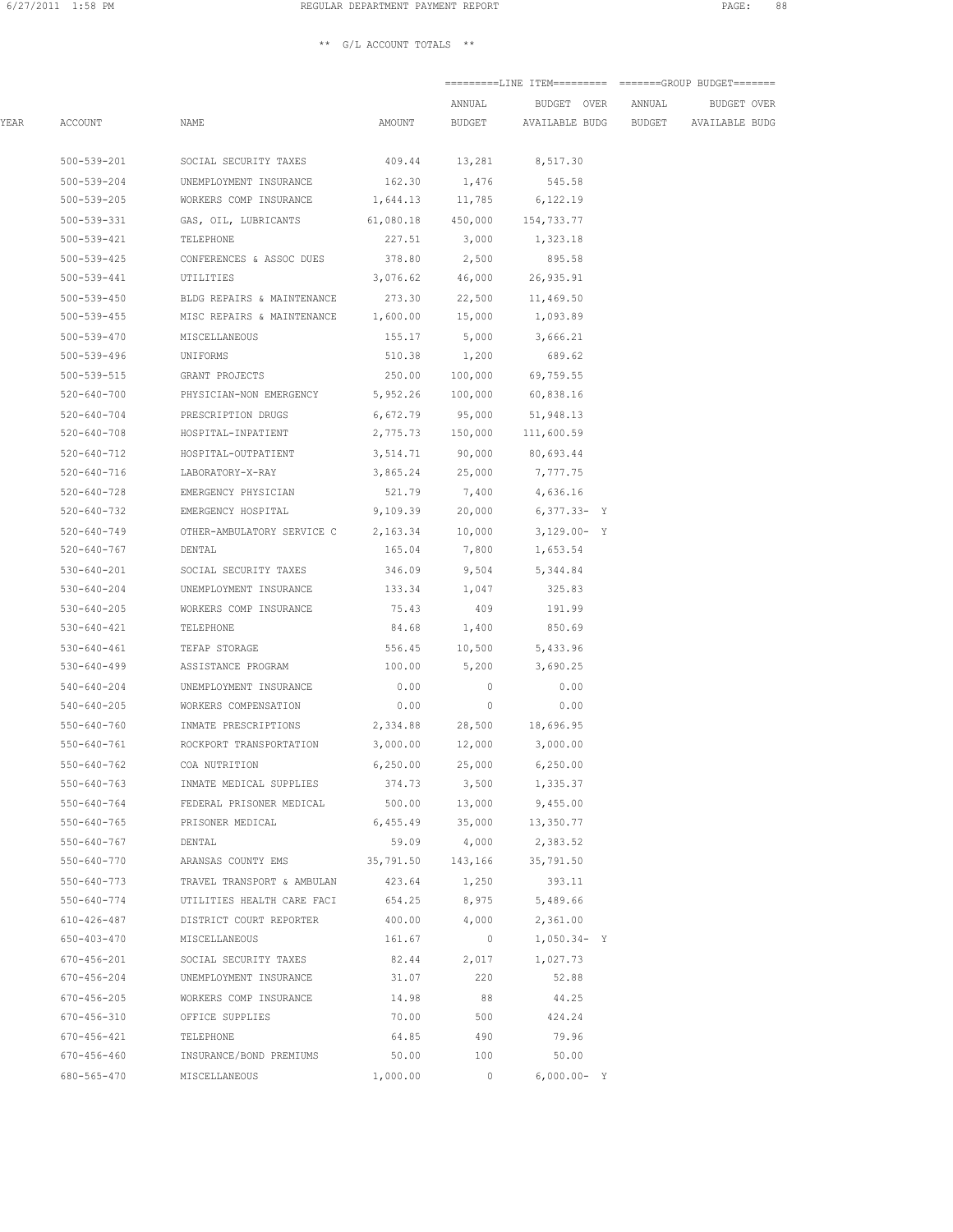## $\star\star$   $\,$  G/L ACCOUNT TOTALS  $\,$   $\star\star$

|      |                   |                                                                 |                   | ANNUAL                   | BUDGET OVER                                 | ANNUAL | BUDGET OVER |
|------|-------------------|-----------------------------------------------------------------|-------------------|--------------------------|---------------------------------------------|--------|-------------|
| YEAR | ACCOUNT           | NAME                                                            | AMOUNT            |                          | BUDGET AVAILABLE BUDG BUDGET AVAILABLE BUDG |        |             |
|      | 500-539-201       | SOCIAL SECURITY TAXES                                           |                   | 409.44 13,281            | 8,517.30                                    |        |             |
|      | 500-539-204       | UNEMPLOYMENT INSURANCE                                          |                   | 162.30 1,476             | 545.58                                      |        |             |
|      | 500-539-205       | WORKERS COMP INSURANCE                                          | 1,644.13 11,785   |                          | 6,122.19                                    |        |             |
|      | 500-539-331       | GAS, OIL, LUBRICANTS                                            | 61,080.18 450,000 |                          | 154,733.77                                  |        |             |
|      | 500-539-421       | TELEPHONE                                                       | 227.51            | 3,000                    | 1,323.18                                    |        |             |
|      | 500-539-425       | CONFERENCES & ASSOC DUES                                        | 378.80            | 2,500                    | 895.58                                      |        |             |
|      | 500-539-441       | UTILITIES                                                       |                   | 3,076.62 46,000          | 26,935.91                                   |        |             |
|      |                   | 500-539-450 BLDG REPAIRS & MAINTENANCE                          |                   |                          | 273.30 22,500 11,469.50                     |        |             |
|      |                   | 500-539-455 MISC REPAIRS & MAINTENANCE 1,600.00 15,000 1,093.89 |                   |                          |                                             |        |             |
|      |                   | 500-539-470 MISCELLANEOUS                                       |                   |                          | 155.17 5,000 3,666.21                       |        |             |
|      | 500-539-496       | UNIFORMS                                                        |                   | 510.38 1,200             | 689.62                                      |        |             |
|      |                   | 500-539-515 GRANT PROJECTS                                      |                   | 250.00 100,000           | 69,759.55                                   |        |             |
|      |                   | 520-640-700 PHYSICIAN-NON EMERGENCY                             |                   | 5,952.26 100,000         | 60,838.16                                   |        |             |
|      | 520-640-704       | PRESCRIPTION DRUGS                                              |                   | 6,672.79 95,000          | 51,948.13                                   |        |             |
|      | $520 - 640 - 708$ | HOSPITAL-INPATIENT                                              |                   | 2,775.73 150,000         | 111,600.59                                  |        |             |
|      | 520-640-712       | HOSPITAL-OUTPATIENT                                             | 3,514.71          | 90,000                   | 80,693.44                                   |        |             |
|      | 520-640-716       | LABORATORY-X-RAY                                                | 3,865.24          | 25,000                   | 7,777.75                                    |        |             |
|      | 520-640-728       | EMERGENCY PHYSICIAN                                             | 521.79            | 7,400                    | 4,636.16                                    |        |             |
|      | 520-640-732       | EMERGENCY HOSPITAL                                              | 9,109.39          | 20,000                   | $6,377.33 - Y$                              |        |             |
|      |                   | 520-640-749 OTHER-AMBULATORY SERVICE C                          | 2,163.34 10,000   |                          | $3,129.00 - Y$                              |        |             |
|      | 520-640-767       | DENTAL                                                          | 165.04            | 7,800                    | 1,653.54                                    |        |             |
|      |                   | 530-640-201 SOCIAL SECURITY TAXES                               |                   | 346.09 9,504             | 5,344.84                                    |        |             |
|      |                   | 530-640-204 UNEMPLOYMENT INSURANCE                              | 133.34 1,047      |                          | 325.83                                      |        |             |
|      | 530-640-205       | WORKERS COMP INSURANCE                                          | 75.43             | 409                      | 191.99                                      |        |             |
|      | 530-640-421       | TELEPHONE                                                       | 84.68             | 1,400                    | 850.69                                      |        |             |
|      | 530-640-461       | TEFAP STORAGE                                                   | 556.45            | 10,500                   | 5,433.96                                    |        |             |
|      | 530-640-499       | ASSISTANCE PROGRAM                                              | 100.00            | 5,200                    | 3,690.25                                    |        |             |
|      | 540-640-204       | UNEMPLOYMENT INSURANCE                                          | 0.00              | $\overline{\phantom{0}}$ | 0.00                                        |        |             |
|      | 540-640-205       | WORKERS COMPENSATION                                            | 0.00              | $\overline{0}$           | 0.00                                        |        |             |
|      | 550-640-760       | INMATE PRESCRIPTIONS                                            | 2,334.88          |                          | 28,500 18,696.95                            |        |             |
|      | 550-640-761       | ROCKPORT TRANSPORTATION                                         | 3,000.00 12,000   |                          | 3,000.00                                    |        |             |
|      | $550 - 640 - 762$ | COA NUTRITION                                                   | 6, 250.00         | 25,000                   | 6,250.00                                    |        |             |
|      | 550-640-763       | INMATE MEDICAL SUPPLIES                                         | 374.73            | 3,500                    | 1,335.37                                    |        |             |
|      | 550-640-764       | FEDERAL PRISONER MEDICAL                                        | 500.00            | 13,000                   | 9,455.00                                    |        |             |
|      | $550 - 640 - 765$ | PRISONER MEDICAL                                                | 6,455.49          | 35,000                   | 13,350.77                                   |        |             |
|      | $550 - 640 - 767$ | DENTAL                                                          | 59.09             | 4,000                    | 2,383.52                                    |        |             |
|      | 550-640-770       | ARANSAS COUNTY EMS                                              | 35,791.50         | 143,166                  | 35,791.50                                   |        |             |
|      | $550 - 640 - 773$ | TRAVEL TRANSPORT & AMBULAN                                      | 423.64            | 1,250                    | 393.11                                      |        |             |
|      | 550-640-774       | UTILITIES HEALTH CARE FACI                                      | 654.25            | 8,975                    | 5,489.66                                    |        |             |
|      | $610 - 426 - 487$ | DISTRICT COURT REPORTER                                         | 400.00            | 4,000                    | 2,361.00                                    |        |             |
|      | $650 - 403 - 470$ | MISCELLANEOUS                                                   | 161.67            | $\circ$                  | $1,050.34 - Y$                              |        |             |
|      | 670-456-201       | SOCIAL SECURITY TAXES                                           | 82.44             | 2,017                    | 1,027.73                                    |        |             |
|      | 670-456-204       | UNEMPLOYMENT INSURANCE                                          | 31.07             | 220                      | 52.88                                       |        |             |
|      | $670 - 456 - 205$ | WORKERS COMP INSURANCE                                          | 14.98             | 88                       | 44.25                                       |        |             |
|      | $670 - 456 - 310$ | OFFICE SUPPLIES                                                 | 70.00             | 500                      | 424.24                                      |        |             |
|      | 670-456-421       | TELEPHONE                                                       | 64.85             | 490                      | 79.96                                       |        |             |
|      | $670 - 456 - 460$ | INSURANCE/BOND PREMIUMS                                         | 50.00             | 100                      | 50.00                                       |        |             |
|      | 680-565-470       | MISCELLANEOUS                                                   | 1,000.00          | 0                        | $6,000.00 - Y$                              |        |             |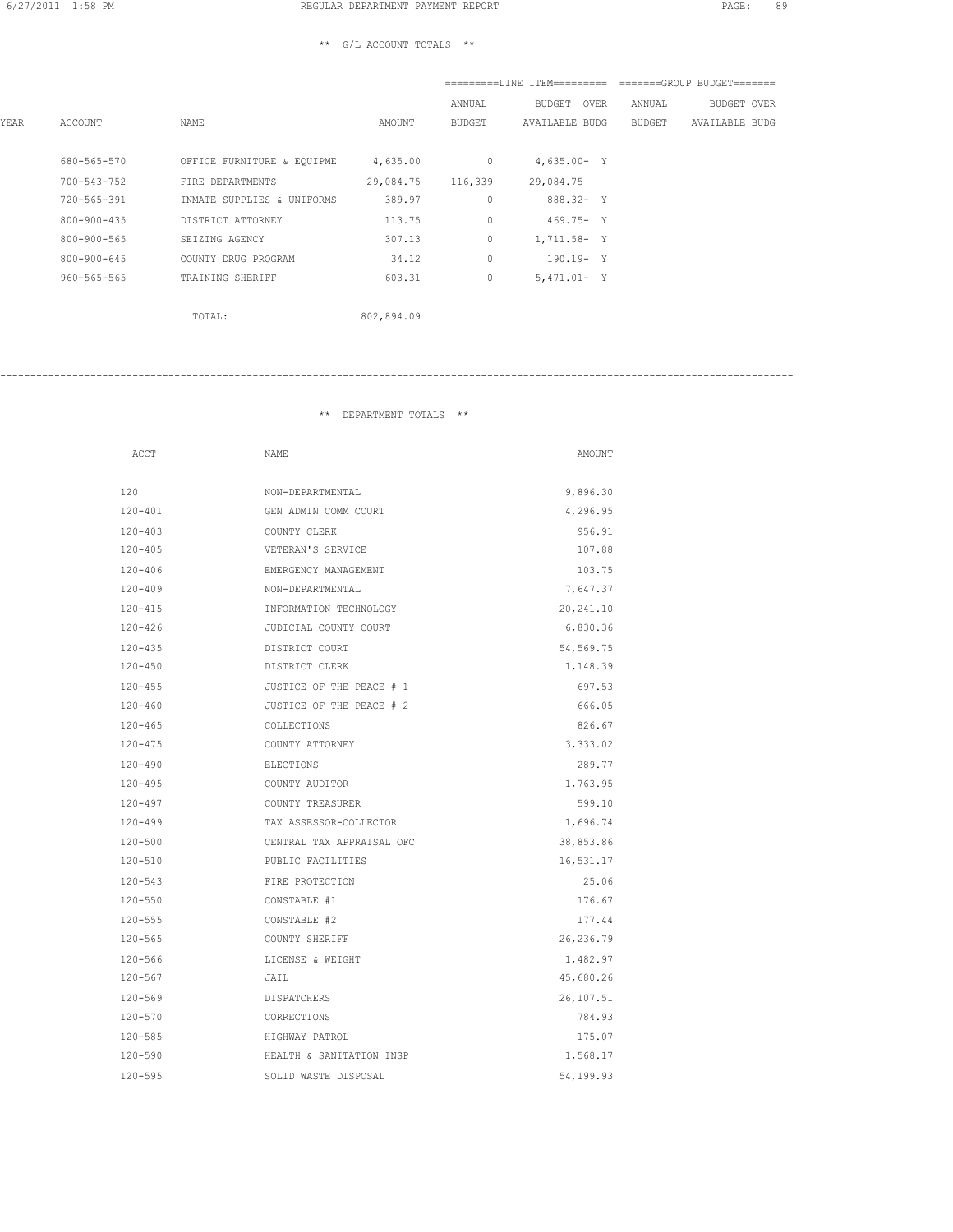|      |                   |                            |            |               |                       | $=$ ========T,TNF, TTFM==================GROUP BUDGET======= |  |
|------|-------------------|----------------------------|------------|---------------|-----------------------|--------------------------------------------------------------|--|
|      |                   |                            |            | ANNUAL        | BUDGET OVER           | ANNUAL<br>BUDGET OVER                                        |  |
| YEAR | ACCOUNT           | NAME                       | AMOUNT     | <b>BUDGET</b> | <b>AVAILABLE BUDG</b> | BUDGET<br><b>AVAILABLE BUDG</b>                              |  |
|      | 680-565-570       | OFFICE FURNITURE & EQUIPME | 4,635.00   | $\circ$       | $4,635.00 - Y$        |                                                              |  |
|      | $700 - 543 - 752$ | FIRE DEPARTMENTS           | 29,084.75  | 116,339       | 29,084.75             |                                                              |  |
|      | 720-565-391       | INMATE SUPPLIES & UNIFORMS | 389.97     | $\circ$       | $888.32 - Y$          |                                                              |  |
|      | 800-900-435       | DISTRICT ATTORNEY          | 113.75     | $\circ$       | $469.75 - Y$          |                                                              |  |
|      | $800 - 900 - 565$ | SEIZING AGENCY             | 307.13     | 0             | 1,711.58- Y           |                                                              |  |
|      | $800 - 900 - 645$ | COUNTY DRUG PROGRAM        | 34.12      | $\circ$       | $190.19 - Y$          |                                                              |  |
|      | $960 - 565 - 565$ | TRAINING SHERIFF           | 603.31     | 0             | $5,471.01 - Y$        |                                                              |  |
|      |                   | TOTAL:                     | 802,894.09 |               |                       |                                                              |  |

\*\* DEPARTMENT TOTALS \*\*

------------------------------------------------------------------------------------------------------------------------------------

| ACCT        | NAME                      | AMOUNT    |
|-------------|---------------------------|-----------|
| 120         | NON-DEPARTMENTAL          | 9,896.30  |
| $120 - 401$ | GEN ADMIN COMM COURT      | 4,296.95  |
| $120 - 403$ | COUNTY CLERK              | 956.91    |
| $120 - 405$ | VETERAN'S SERVICE         | 107.88    |
| $120 - 406$ | EMERGENCY MANAGEMENT      | 103.75    |
| $120 - 409$ | NON-DEPARTMENTAL          | 7,647.37  |
| $120 - 415$ | INFORMATION TECHNOLOGY    | 20,241.10 |
| $120 - 426$ | JUDICIAL COUNTY COURT     | 6,830.36  |
| $120 - 435$ | DISTRICT COURT            | 54,569.75 |
| $120 - 450$ | DISTRICT CLERK            | 1,148.39  |
| $120 - 455$ | JUSTICE OF THE PEACE # 1  | 697.53    |
| $120 - 460$ | JUSTICE OF THE PEACE # 2  | 666.05    |
| $120 - 465$ | COLLECTIONS               | 826.67    |
| $120 - 475$ | COUNTY ATTORNEY           | 3,333.02  |
| $120 - 490$ | ELECTIONS                 | 289.77    |
| $120 - 495$ | COUNTY AUDITOR            | 1,763.95  |
| $120 - 497$ | COUNTY TREASURER          | 599.10    |
| $120 - 499$ | TAX ASSESSOR-COLLECTOR    | 1,696.74  |
| $120 - 500$ | CENTRAL TAX APPRAISAL OFC | 38,853.86 |
| $120 - 510$ | PUBLIC FACILITIES         | 16,531.17 |
| $120 - 543$ | FIRE PROTECTION           | 25.06     |
| $120 - 550$ | CONSTABLE #1              | 176.67    |
| $120 - 555$ | CONSTABLE #2              | 177.44    |
| $120 - 565$ | COUNTY SHERIFF            | 26,236.79 |
| $120 - 566$ | LICENSE & WEIGHT          | 1,482.97  |
| 120-567     | JAIL                      | 45,680.26 |
| $120 - 569$ | DISPATCHERS               | 26,107.51 |
| $120 - 570$ | CORRECTIONS               | 784.93    |
| $120 - 585$ | HIGHWAY PATROL            | 175.07    |
| $120 - 590$ | HEALTH & SANITATION INSP  | 1,568.17  |
| $120 - 595$ | SOLID WASTE DISPOSAL      | 54,199.93 |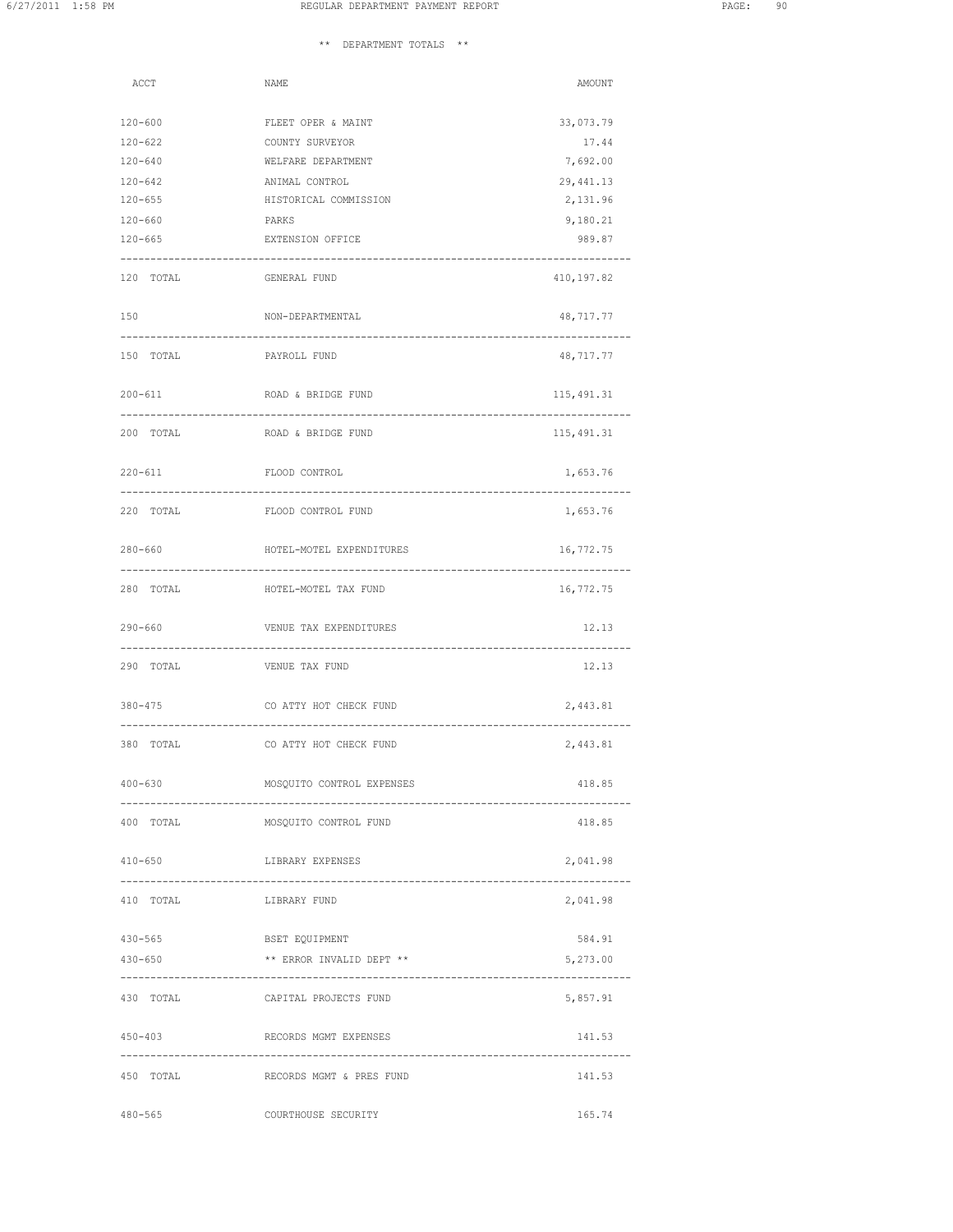## \*\* DEPARTMENT TOTALS \*\*

| ACCT                   | NAME                               | AMOUNT                  |
|------------------------|------------------------------------|-------------------------|
| $120 - 600$            | FLEET OPER & MAINT                 | 33,073.79               |
| $120 - 622$            | COUNTY SURVEYOR                    | 17.44                   |
| $120 - 640$            | WELFARE DEPARTMENT                 | 7,692.00                |
| $120 - 642$            | ANIMAL CONTROL                     | 29, 441.13              |
| $120 - 655$            | HISTORICAL COMMISSION              | 2,131.96                |
| $120 - 660$            | PARKS                              | 9,180.21                |
| $120 - 665$            | EXTENSION OFFICE                   | 989.87<br>------------- |
| 120 TOTAL              | GENERAL FUND                       | 410,197.82              |
| 150                    | NON-DEPARTMENTAL                   | 48,717.77               |
| 150 TOTAL PAYROLL FUND |                                    | 48,717.77               |
| $200 - 611$            | ROAD & BRIDGE FUND                 | 115,491.31              |
| 200 TOTAL              | ROAD & BRIDGE FUND                 | 115,491.31              |
| $220 - 611$            | FLOOD CONTROL                      | 1,653.76                |
| 220 TOTAL              | FLOOD CONTROL FUND                 | 1,653.76                |
| $280 - 660$            | HOTEL-MOTEL EXPENDITURES           | 16,772.75               |
| 280 TOTAL              | HOTEL-MOTEL TAX FUND               | 16,772.75               |
| $290 - 660$            | VENUE TAX EXPENDITURES             | 12.13                   |
| 290 TOTAL              | VENUE TAX FUND                     | 12.13                   |
| 380-475                | CO ATTY HOT CHECK FUND             | 2,443.81                |
| 380 TOTAL              | CO ATTY HOT CHECK FUND             | 2,443.81                |
| $400 - 630$            | MOSQUITO CONTROL EXPENSES          | 418.85                  |
| 400 TOTAL              | MOSQUITO CONTROL FUND              | 418.85                  |
| $410 - 650$            | LIBRARY EXPENSES                   | 2,041.98                |
| 410 TOTAL              | LIBRARY FUND                       | 2,041.98                |
| 430-565                | BSET EQUIPMENT                     | 584.91                  |
| 430-650                | ** ERROR INVALID DEPT **           | 5,273.00                |
|                        | 430 TOTAL CAPITAL PROJECTS FUND    | 5,857.91                |
| $450 - 403$            | RECORDS MGMT EXPENSES              | 141.53                  |
|                        | 450 TOTAL RECORDS MGMT & PRES FUND | 141.53                  |
| $480 - 565$            | COURTHOUSE SECURITY                | 165.74                  |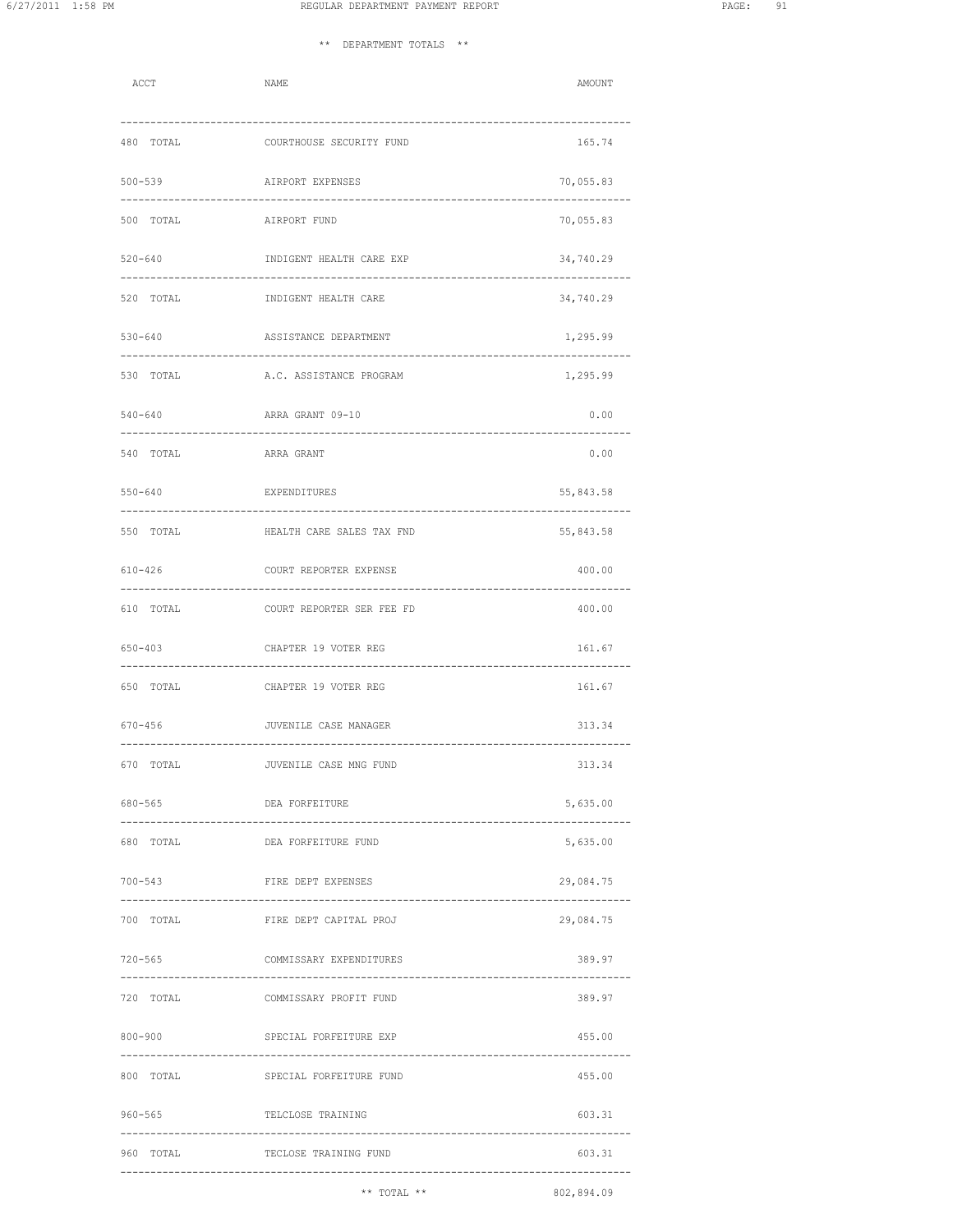| ACCT                                   | NAME                                                                           | AMOUNT                                         |
|----------------------------------------|--------------------------------------------------------------------------------|------------------------------------------------|
|                                        | 480 TOTAL COURTHOUSE SECURITY FUND                                             | 165.74                                         |
| $500 - 539$                            | AIRPORT EXPENSES                                                               | 70,055.83                                      |
| 500 TOTAL                              | AIRPORT FUND                                                                   | -------------<br>70,055.83                     |
| 520-640                                | INDIGENT HEALTH CARE EXP                                                       | 34,740.29                                      |
|                                        | 520 TOTAL <b>INDIGENT HEALTH CARE</b>                                          | 34,740.29                                      |
|                                        | 530-640 ASSISTANCE DEPARTMENT                                                  | 1,295.99                                       |
|                                        | 530 TOTAL A.C. ASSISTANCE PROGRAM                                              | 1,295.99                                       |
| 540-640                                | ARRA GRANT 09-10                                                               | 0.00                                           |
| 540 TOTAL                              | ARRA GRANT                                                                     | 0.00                                           |
| 550-640                                | EXPENDITURES                                                                   | 55,843.58                                      |
| 550 TOTAL                              | HEALTH CARE SALES TAX FND                                                      | 55,843.58                                      |
| 610-426                                | COURT REPORTER EXPENSE<br>----------------------------<br>-------------------- | 400.00                                         |
| 610 TOTAL                              | COURT REPORTER SER FEE FD                                                      | 400.00                                         |
| 650-403                                | CHAPTER 19 VOTER REG                                                           | 161.67                                         |
|                                        | 650 TOTAL CHAPTER 19 VOTER REG                                                 | 161.67                                         |
| 670-456                                | JUVENILE CASE MANAGER                                                          | 313.34                                         |
| 670 TOTAL                              | JUVENILE CASE MNG FUND                                                         | 313.34                                         |
| 680-565<br>------------------          | DEA FORFEITURE<br>-----------------------------------                          | 5,635.00<br>----                               |
| 680 TOTAL                              | DEA FORFEITURE FUND                                                            | 5,635.00                                       |
| 700-543                                | FIRE DEPT EXPENSES                                                             | 29,084.75<br>-----------                       |
| 700 TOTAL                              | FIRE DEPT CAPITAL PROJ                                                         | 29,084.75                                      |
| 720-565                                | COMMISSARY EXPENDITURES                                                        | 389.97                                         |
|                                        | 720 TOTAL COMMISSARY PROFIT FUND                                               | 389.97                                         |
|                                        | 800-900 SPECIAL FORFEITURE EXP                                                 | 455.00                                         |
|                                        | 800 TOTAL SPECIAL FORFEITURE FUND                                              | 455.00                                         |
| 960-565<br>--------------------------- | TELCLOSE TRAINING                                                              | 603.31                                         |
| 960 TOTAL                              | TECLOSE TRAINING FUND                                                          | 603.31<br>------------------------------------ |
|                                        | $***$ TOTAL $**$                                                               | 802,894.09                                     |